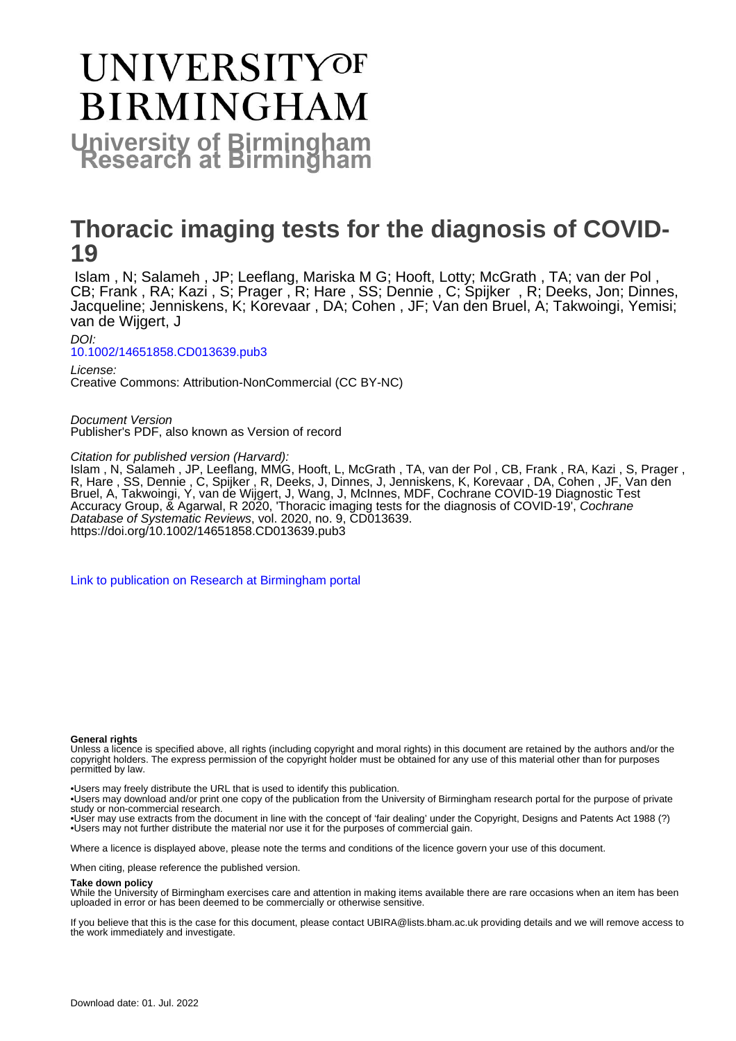# **UNIVERSITYOF BIRMINGHAM University of Birmingham**

# **Thoracic imaging tests for the diagnosis of COVID-19**

 Islam , N; Salameh , JP; Leeflang, Mariska M G; Hooft, Lotty; McGrath , TA; van der Pol , CB; Frank , RA; Kazi , S; Prager , R; Hare , SS; Dennie , C; Spijker , R; Deeks, Jon; Dinnes, Jacqueline; Jenniskens, K; Korevaar , DA; Cohen , JF; Van den Bruel, A; Takwoingi, Yemisi; van de Wijgert, J

DOI:

# [10.1002/14651858.CD013639.pub3](https://doi.org/10.1002/14651858.CD013639.pub3)

License: Creative Commons: Attribution-NonCommercial (CC BY-NC)

Document Version Publisher's PDF, also known as Version of record

# Citation for published version (Harvard):

Islam , N, Salameh , JP, Leeflang, MMG, Hooft, L, McGrath , TA, van der Pol , CB, Frank , RA, Kazi , S, Prager , R, Hare , SS, Dennie , C, Spijker , R, Deeks, J, Dinnes, J, Jenniskens, K, Korevaar , DA, Cohen , JF, Van den Bruel, A, Takwoingi, Y, van de Wijgert, J, Wang, J, McInnes, MDF, Cochrane COVID-19 Diagnostic Test Accuracy Group, & Agarwal, R 2020, 'Thoracic imaging tests for the diagnosis of COVID-19', *Cochrane* Database of Systematic Reviews, vol. 2020, no. 9, CD013639. <https://doi.org/10.1002/14651858.CD013639.pub3>

[Link to publication on Research at Birmingham portal](https://birmingham.elsevierpure.com/en/publications/f35dfb94-0d10-4cfc-b857-291457d6c97e)

#### **General rights**

Unless a licence is specified above, all rights (including copyright and moral rights) in this document are retained by the authors and/or the copyright holders. The express permission of the copyright holder must be obtained for any use of this material other than for purposes permitted by law.

• Users may freely distribute the URL that is used to identify this publication.

• Users may download and/or print one copy of the publication from the University of Birmingham research portal for the purpose of private study or non-commercial research.

• User may use extracts from the document in line with the concept of 'fair dealing' under the Copyright, Designs and Patents Act 1988 (?) • Users may not further distribute the material nor use it for the purposes of commercial gain.

Where a licence is displayed above, please note the terms and conditions of the licence govern your use of this document.

When citing, please reference the published version.

#### **Take down policy**

While the University of Birmingham exercises care and attention in making items available there are rare occasions when an item has been uploaded in error or has been deemed to be commercially or otherwise sensitive.

If you believe that this is the case for this document, please contact UBIRA@lists.bham.ac.uk providing details and we will remove access to the work immediately and investigate.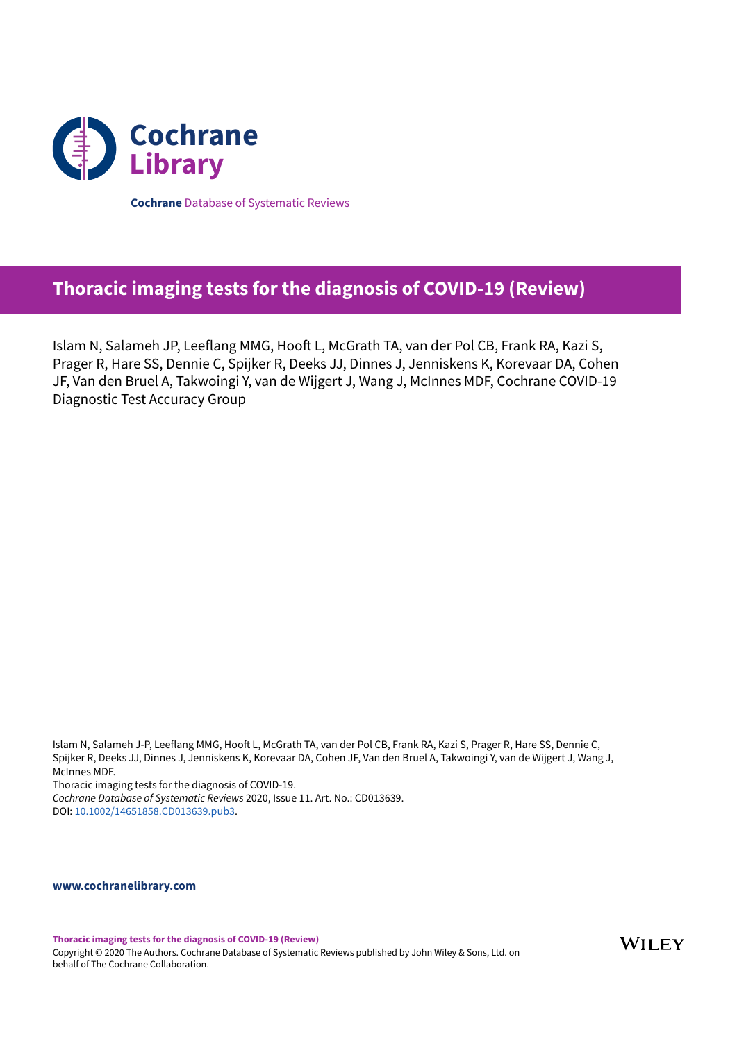

**Cochrane** Database of Systematic Reviews

# **Thoracic imaging tests for the diagnosis of COVID-19 (Review)**

Islam N, Salameh JP, Leeflang MMG, Hooft L, McGrath TA, van der Pol CB, Frank RA, Kazi S, Prager R, Hare SS, Dennie C, Spijker R, Deeks JJ, Dinnes J, Jenniskens K, Korevaar DA, Cohen JF, Van den Bruel A, Takwoingi Y, van de Wijgert J, Wang J, McInnes MDF, Cochrane COVID-19 Diagnostic Test Accuracy Group

Islam N, Salameh J-P, Leeflang MMG, Hooft L, McGrath TA, van der Pol CB, Frank RA, Kazi S, Prager R, Hare SS, Dennie C, Spijker R, Deeks JJ, Dinnes J, Jenniskens K, Korevaar DA, Cohen JF, Van den Bruel A, Takwoingi Y, van de Wijgert J, Wang J, McInnes MDF.

Thoracic imaging tests for the diagnosis of COVID-19.

*Cochrane Database of Systematic Reviews* 2020, Issue 11. Art. No.: CD013639. DOI: [10.1002/14651858.CD013639.pub3.](https://doi.org/10.1002%2F14651858.CD013639.pub3)

# **[www.cochranelibrary.com](https://www.cochranelibrary.com)**

**Thoracic imaging tests for the diagnosis of COVID-19 (Review)** Copyright © 2020 The Authors. Cochrane Database of Systematic Reviews published by John Wiley & Sons, Ltd. on behalf of The Cochrane Collaboration.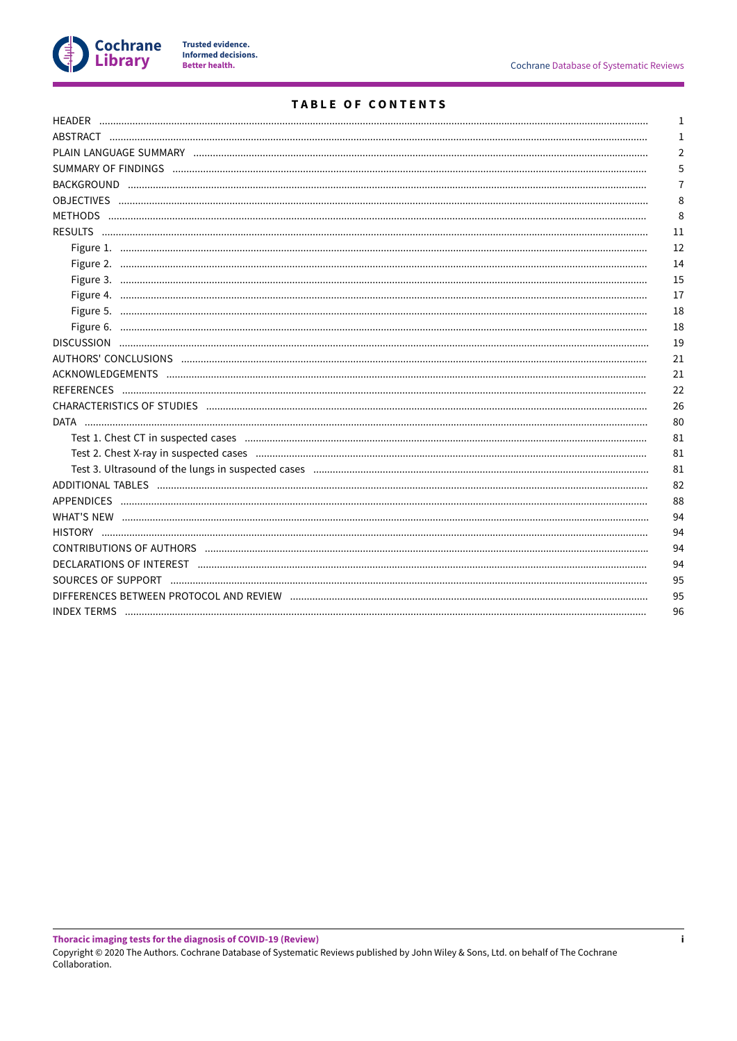

# **TABLE OF CONTENTS**

| $\mathbf{1}$   |
|----------------|
| $\mathbf{1}$   |
| $\overline{2}$ |
| 5              |
| $\overline{7}$ |
| 8              |
| 8              |
| 11             |
| 12             |
| 14             |
| 15             |
| 17             |
| 18             |
| 18             |
| 19             |
| 21             |
| 21             |
| 22             |
| 26             |
| 80             |
| 81             |
| 81             |
| 81             |
| 82             |
| 88             |
| 94             |
| 94             |
| 94             |
| 94             |
| 95             |
| 95             |
| 96             |
|                |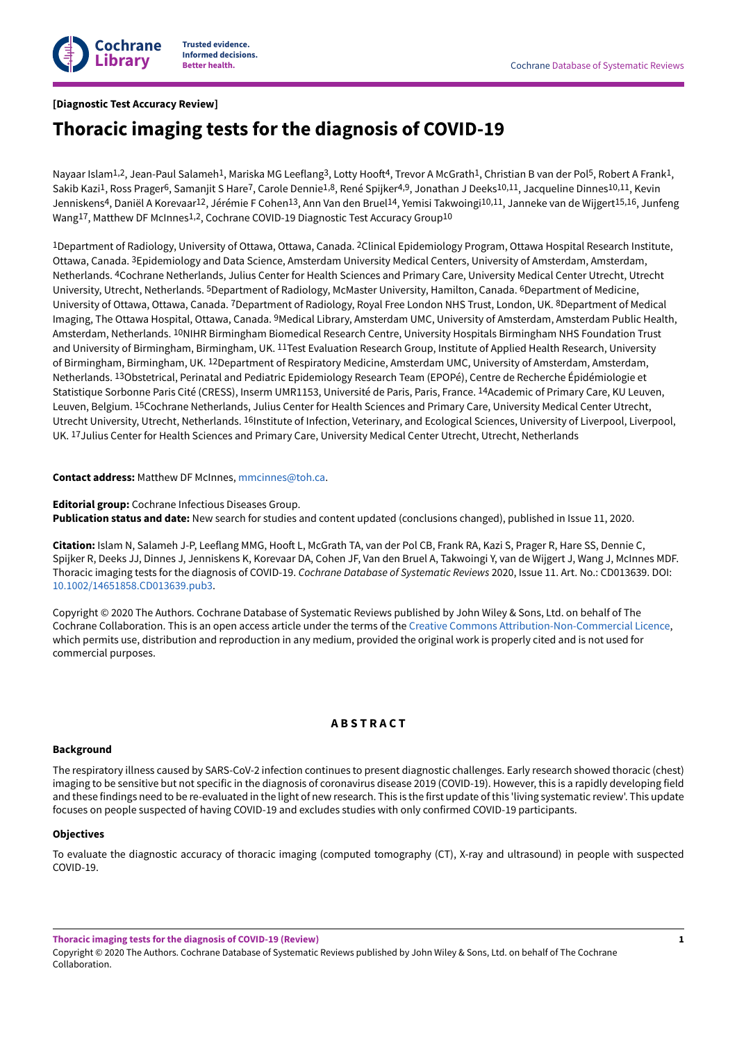

#### <span id="page-3-0"></span>**[Diagnostic Test Accuracy Review]**

# **Thoracic imaging tests for the diagnosis of COVID-19**

Nayaar Islam $^{1,2}$ , Jean-Paul Salameh $^1$ , Mariska MG Leeflang $^3$ , Lotty Hooft $^4$ , Trevor A McGrath $^1$ , Christian B van der Pol $^5$ , Robert A Frank $^1$ , Sakib Kazi<sup>1</sup>, Ross Prager<sup>6</sup>, Samanjit S Hare<sup>7</sup>, Carole Dennie<sup>1,8</sup>, René Spijker<sup>4,9</sup>, Jonathan J Deeks<sup>10,11</sup>, Jacqueline Dinnes<sup>10,11</sup>, Kevin Jenniskens<sup>4</sup>, Daniël A Korevaar<sup>12</sup>, Jérémie F Cohen<sup>13</sup>, Ann Van den Bruel<sup>14</sup>, Yemisi Takwoingi<sup>10,11</sup>, Janneke van de Wijgert<sup>15,16</sup>, Junfeng Wang<sup>17</sup>, Matthew DF McInnes<sup>1,2</sup>, Cochrane COVID-19 Diagnostic Test Accuracy Group<sup>10</sup>

<sup>1</sup>Department of Radiology, University of Ottawa, Ottawa, Canada. <sup>2</sup>Clinical Epidemiology Program, Ottawa Hospital Research Institute, Ottawa, Canada. <sup>3</sup>Epidemiology and Data Science, Amsterdam University Medical Centers, University of Amsterdam, Amsterdam, Netherlands. 4Cochrane Netherlands, Julius Center for Health Sciences and Primary Care, University Medical Center Utrecht, Utrecht University, Utrecht, Netherlands. <sup>5</sup>Department of Radiology, McMaster University, Hamilton, Canada. <sup>6</sup>Department of Medicine, University of Ottawa, Ottawa, Canada. <sup>7</sup>Department of Radiology, Royal Free London NHS Trust, London, UK. <sup>8</sup>Department of Medical Imaging, The Ottawa Hospital, Ottawa, Canada. <sup>9</sup>Medical Library, Amsterdam UMC, University of Amsterdam, Amsterdam Public Health, Amsterdam, Netherlands. <sup>10</sup>NIHR Birmingham Biomedical Research Centre, University Hospitals Birmingham NHS Foundation Trust and University of Birmingham, Birmingham, UK. <sup>11</sup>Test Evaluation Research Group, Institute of Applied Health Research, University of Birmingham, Birmingham, UK. 12Department of Respiratory Medicine, Amsterdam UMC, University of Amsterdam, Amsterdam, Netherlands. 13Obstetrical, Perinatal and Pediatric Epidemiology Research Team (EPOPé), Centre de Recherche Épidémiologie et Statistique Sorbonne Paris Cité (CRESS), Inserm UMR1153, Université de Paris, Paris, France. <sup>14</sup>Academic of Primary Care, KU Leuven, Leuven, Belgium. 15Cochrane Netherlands, Julius Center for Health Sciences and Primary Care, University Medical Center Utrecht, Utrecht University, Utrecht, Netherlands. <sup>16</sup>Institute of Infection, Veterinary, and Ecological Sciences, University of Liverpool, Liverpool, UK. 17Julius Center for Health Sciences and Primary Care, University Medical Center Utrecht, Utrecht, Netherlands

#### **Contact address:** Matthew DF McInnes, [mmcinnes@toh.ca.](mailto:mmcinnes@toh.ca)

**Editorial group:** Cochrane Infectious Diseases Group. **Publication status and date:** New search for studies and content updated (conclusions changed), published in Issue 11, 2020.

Citation: Islam N, Salameh J-P, Leeflang MMG, Hooft L, McGrath TA, van der Pol CB, Frank RA, Kazi S, Prager R, Hare SS, Dennie C, Spijker R, Deeks JJ, Dinnes J, Jenniskens K, Korevaar DA, Cohen JF, Van den Bruel A, Takwoingi Y, van de Wijgert J, Wang J, McInnes MDF. Thoracic imaging tests for the diagnosis of COVID-19. *Cochrane Database of Systematic Reviews* 2020, Issue 11. Art. No.: CD013639. DOI: [10.1002/14651858.CD013639.pub3.](https://doi.org/10.1002%2F14651858.CD013639.pub3)

Copyright © 2020 The Authors. Cochrane Database of Systematic Reviews published by John Wiley & Sons, Ltd. on behalf of The Cochrane Collaboration. This is an open access article under the terms of the Creative Commons [Attribution-Non-Commercial](https://creativecommons.org/licenses/by-nc/4.0/) Licence, which permits use, distribution and reproduction in any medium, provided the original work is properly cited and is not used for commercial purposes.

# **A B S T R A C T**

# <span id="page-3-1"></span>**Background**

The respiratory illness caused by SARS-CoV-2 infection continues to present diagnostic challenges. Early research showed thoracic (chest) imaging to be sensitive but not specific in the diagnosis of coronavirus disease 2019 (COVID-19). However, this is a rapidly developing field and these findings need to be re-evaluated in the light of new research. This is the first update ofthis 'living systematic review'. This update focuses on people suspected of having COVID-19 and excludes studies with only confirmed COVID-19 participants.

#### **Objectives**

To evaluate the diagnostic accuracy of thoracic imaging (computed tomography (CT), X-ray and ultrasound) in people with suspected COVID-19.

**Thoracic imaging tests for the diagnosis of COVID-19 (Review)**

Copyright © 2020 The Authors. Cochrane Database of Systematic Reviews published by John Wiley & Sons, Ltd. on behalf of The Cochrane Collaboration.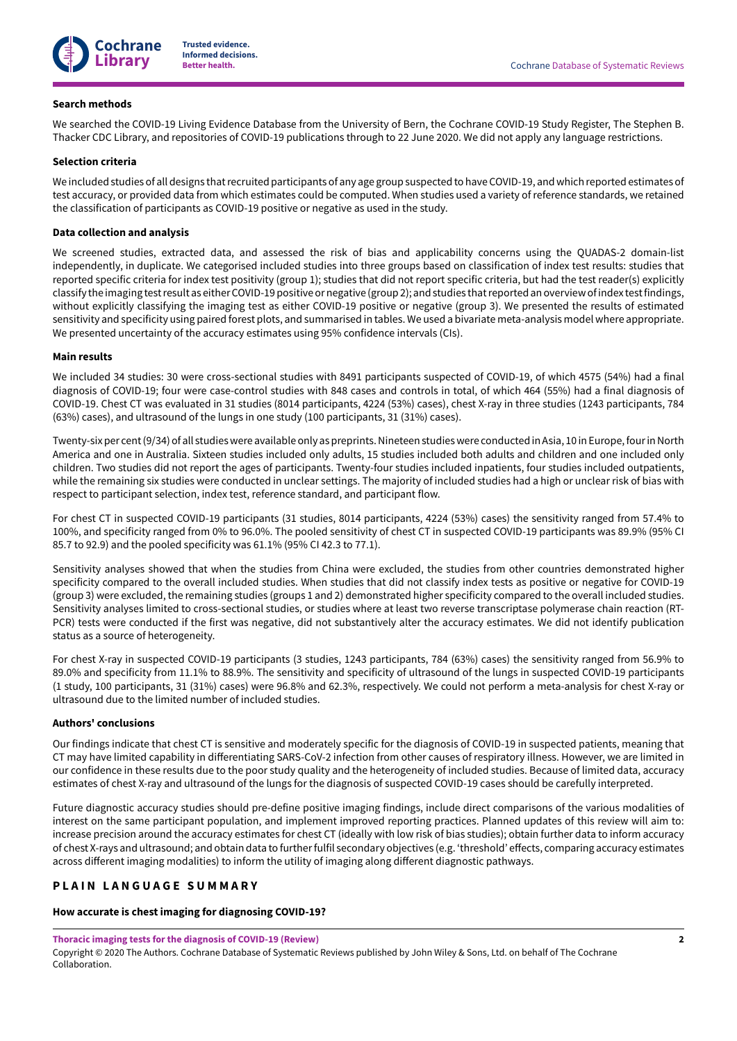

#### **Search methods**

We searched the COVID-19 Living Evidence Database from the University of Bern, the Cochrane COVID-19 Study Register, The Stephen B. Thacker CDC Library, and repositories of COVID-19 publications through to 22 June 2020. We did not apply any language restrictions.

#### **Selection criteria**

We included studies of all designs that recruited participants of any age group suspected to have COVID-19, and which reported estimates of test accuracy, or provided data from which estimates could be computed. When studies used a variety of reference standards, we retained the classification of participants as COVID-19 positive or negative as used in the study.

#### **Data collection and analysis**

We screened studies, extracted data, and assessed the risk of bias and applicability concerns using the QUADAS-2 domain-list independently, in duplicate. We categorised included studies into three groups based on classification of index test results: studies that reported specific criteria for index test positivity (group 1); studies that did not report specific criteria, but had the test reader(s) explicitly classify the imaging test result as either COVID-19 positive or negative (group 2); and studies that reported an overview of index test findings, without explicitly classifying the imaging test as either COVID-19 positive or negative (group 3). We presented the results of estimated sensitivity and specificity using paired forest plots, and summarised in tables. We used a bivariate meta-analysis model where appropriate. We presented uncertainty of the accuracy estimates using 95% confidence intervals (CIs).

#### **Main results**

We included 34 studies: 30 were cross-sectional studies with 8491 participants suspected of COVID-19, of which 4575 (54%) had a final diagnosis of COVID-19; four were case-control studies with 848 cases and controls in total, of which 464 (55%) had a final diagnosis of COVID-19. Chest CT was evaluated in 31 studies (8014 participants, 4224 (53%) cases), chest X-ray in three studies (1243 participants, 784 (63%) cases), and ultrasound of the lungs in one study (100 participants, 31 (31%) cases).

Twenty-sixper cent(9/34)of all studieswere availableonly aspreprints.Nineteenstudieswere conductedinAsia, 10 inEurope,fourinNorth America and one in Australia. Sixteen studies included only adults, 15 studies included both adults and children and one included only children. Two studies did not report the ages of participants. Twenty-four studies included inpatients, four studies included outpatients, while the remaining six studies were conducted in unclear settings. The majority of included studies had a high or unclear risk of bias with respect to participant selection, index test, reference standard, and participant flow.

For chest CT in suspected COVID-19 participants (31 studies, 8014 participants, 4224 (53%) cases) the sensitivity ranged from 57.4% to 100%, and specificity ranged from 0% to 96.0%. The pooled sensitivity of chest CT in suspected COVID-19 participants was 89.9% (95% CI 85.7 to 92.9) and the pooled specificity was 61.1% (95% CI 42.3 to 77.1).

Sensitivity analyses showed that when the studies from China were excluded, the studies from other countries demonstrated higher specificity compared to the overall included studies. When studies that did not classify index tests as positive or negative for COVID-19 (group 3) were excluded, the remaining studies (groups 1 and 2) demonstrated higher specificity compared to the overall included studies. Sensitivity analyses limited to cross-sectional studies, or studies where at least two reverse transcriptase polymerase chain reaction (RT-PCR) tests were conducted if the first was negative, did not substantively alter the accuracy estimates. We did not identify publication status as a source of heterogeneity.

For chest X-ray in suspected COVID-19 participants (3 studies, 1243 participants, 784 (63%) cases) the sensitivity ranged from 56.9% to 89.0% and specificity from 11.1% to 88.9%. The sensitivity and specificity of ultrasound of the lungs in suspected COVID-19 participants (1 study, 100 participants, 31 (31%) cases) were 96.8% and 62.3%, respectively. We could not perform a meta-analysis for chest X-ray or ultrasound due to the limited number of included studies.

#### **Authors' conclusions**

Our findings indicate that chest CT is sensitive and moderately specific for the diagnosis of COVID-19 in suspected patients, meaning that CT may have limited capability in differentiating SARS-CoV-2 infection from other causes of respiratory illness. However, we are limited in our confidence in these results due to the poor study quality and the heterogeneity of included studies. Because of limited data, accuracy estimates of chest X-ray and ultrasound of the lungs for the diagnosis of suspected COVID-19 cases should be carefully interpreted.

Future diagnostic accuracy studies should pre-define positive imaging findings, include direct comparisons of the various modalities of interest on the same participant population, and implement improved reporting practices. Planned updates of this review will aim to: increase precision around the accuracy estimates for chest CT (ideally with low risk of bias studies); obtain further data to inform accuracy of chest X-rays and ultrasound; and obtain data to further fulfil secondary objectives (e.g. 'threshold' effects, comparing accuracy estimates across different imaging modalities) to inform the utility of imaging along different diagnostic pathways.

# <span id="page-4-0"></span>**P L A I N L A N G U A G E S U M M A R Y**

# **How accurate is chest imaging for diagnosing COVID-19?**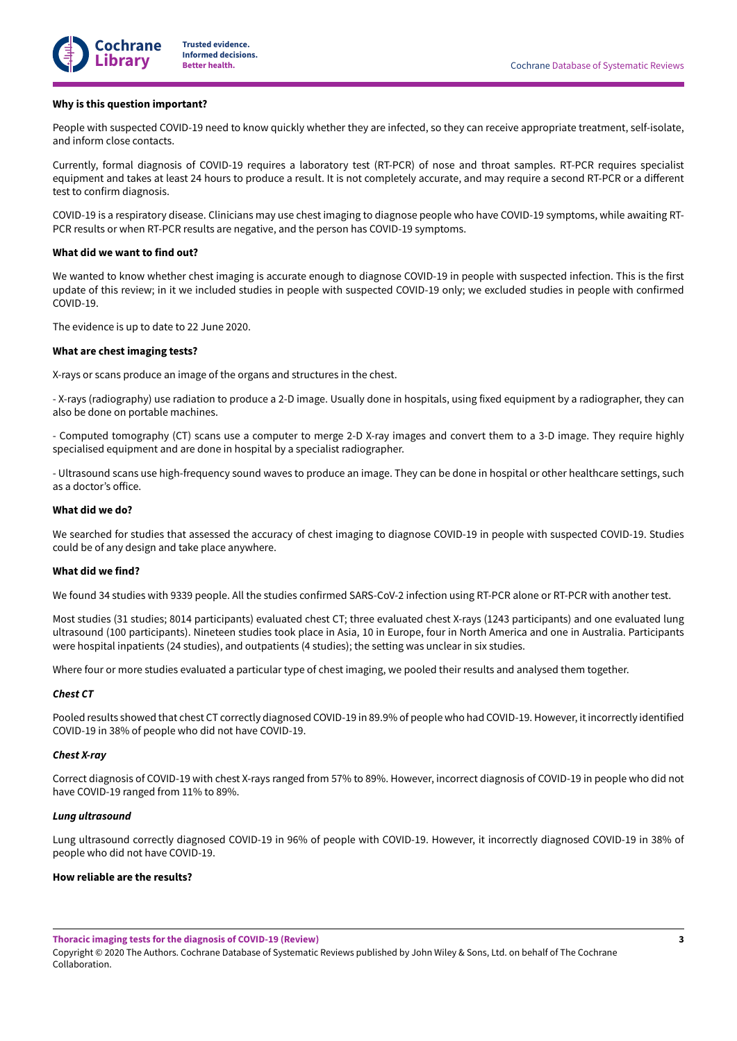

#### **Why is this question important?**

People with suspected COVID-19 need to know quickly whether they are infected, so they can receive appropriate treatment, self-isolate, and inform close contacts.

Currently, formal diagnosis of COVID-19 requires a laboratory test (RT-PCR) of nose and throat samples. RT-PCR requires specialist equipment and takes at least 24 hours to produce a result. It is not completely accurate, and may require a second RT-PCR or a different test to confirm diagnosis.

COVID-19 is a respiratory disease. Clinicians may use chest imaging to diagnose people who have COVID-19 symptoms, while awaiting RT-PCR results or when RT-PCR results are negative, and the person has COVID-19 symptoms.

#### **What did we want to find out?**

We wanted to know whether chest imaging is accurate enough to diagnose COVID-19 in people with suspected infection. This is the first update of this review; in it we included studies in people with suspected COVID-19 only; we excluded studies in people with confirmed COVID-19.

The evidence is up to date to 22 June 2020.

#### **What are chest imaging tests?**

X-rays or scans produce an image of the organs and structures in the chest.

- X-rays (radiography) use radiation to produce a 2-D image. Usually done in hospitals, using fixed equipment by a radiographer, they can also be done on portable machines.

- Computed tomography (CT) scans use a computer to merge 2-D X-ray images and convert them to a 3-D image. They require highly specialised equipment and are done in hospital by a specialist radiographer.

- Ultrasound scans use high-frequency sound waves to produce an image. They can be done in hospital or other healthcare settings, such as a doctor's office.

#### **What did we do?**

We searched for studies that assessed the accuracy of chest imaging to diagnose COVID-19 in people with suspected COVID-19. Studies could be of any design and take place anywhere.

#### **What did we find?**

We found 34 studies with 9339 people. All the studies confirmed SARS-CoV-2 infection using RT-PCR alone or RT-PCR with another test.

Most studies (31 studies; 8014 participants) evaluated chest CT; three evaluated chest X-rays (1243 participants) and one evaluated lung ultrasound (100 participants). Nineteen studies took place in Asia, 10 in Europe, four in North America and one in Australia. Participants were hospital inpatients (24 studies), and outpatients (4 studies); the setting was unclear in six studies.

Where four or more studies evaluated a particular type of chest imaging, we pooled their results and analysed them together.

#### *Chest CT*

Pooled results showed that chest CT correctly diagnosed COVID-19 in 89.9% of people who had COVID-19. However, itincorrectly identified COVID-19 in 38% of people who did not have COVID-19.

#### *Chest X-ray*

Correct diagnosis of COVID-19 with chest X-rays ranged from 57% to 89%. However, incorrect diagnosis of COVID-19 in people who did not have COVID-19 ranged from 11% to 89%.

#### *Lung ultrasound*

Lung ultrasound correctly diagnosed COVID-19 in 96% of people with COVID-19. However, it incorrectly diagnosed COVID-19 in 38% of people who did not have COVID-19.

# **How reliable are the results?**

**Thoracic imaging tests for the diagnosis of COVID-19 (Review)**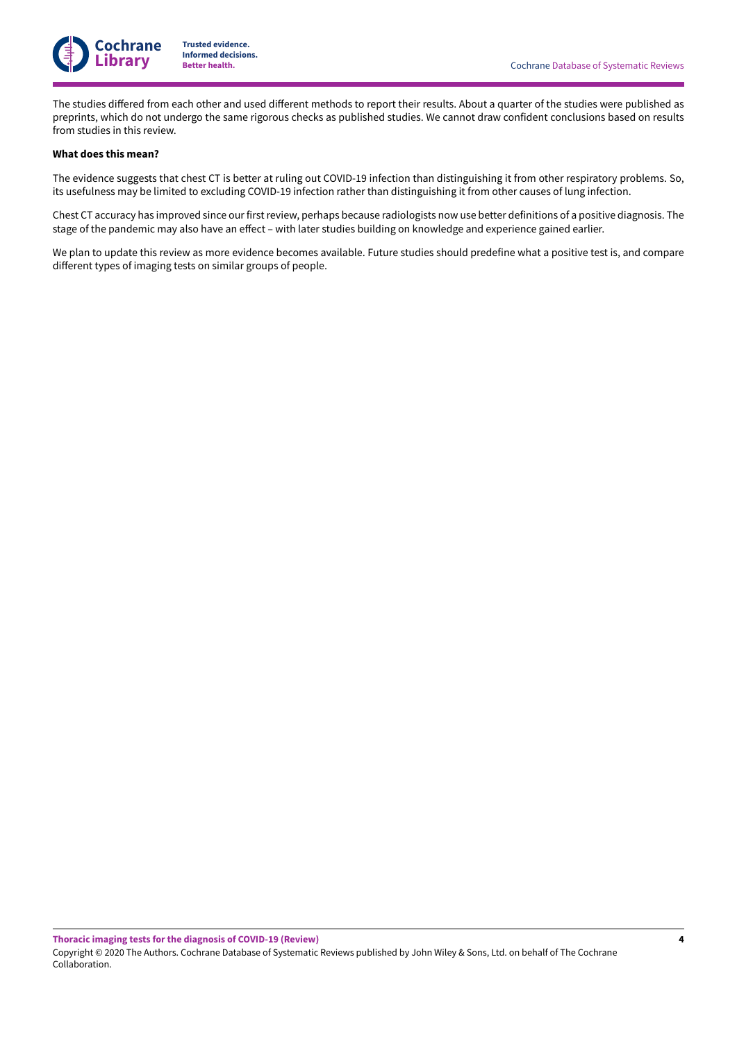

The studies differed from each other and used different methods to report their results. About a quarter of the studies were published as preprints, which do not undergo the same rigorous checks as published studies. We cannot draw confident conclusions based on results from studies in this review.

# **What does this mean?**

The evidence suggests that chest CT is better at ruling out COVID-19 infection than distinguishing it from other respiratory problems. So, its usefulness may be limited to excluding COVID-19 infection rather than distinguishing it from other causes of lung infection.

Chest CT accuracy has improved since ourfirstreview, perhaps because radiologists now use better definitions of a positive diagnosis. The stage of the pandemic may also have an effect – with later studies building on knowledge and experience gained earlier.

We plan to update this review as more evidence becomes available. Future studies should predefine what a positive test is, and compare different types of imaging tests on similar groups of people.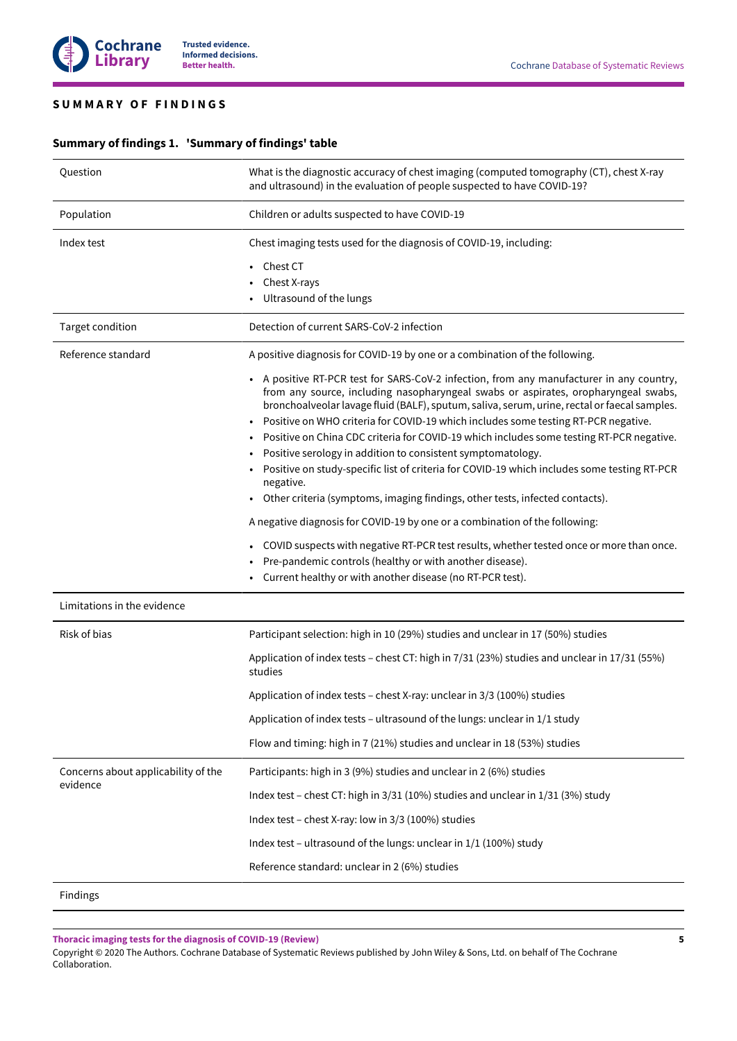# <span id="page-7-0"></span>**S U M M A R Y O F F I N D I N G S**

# <span id="page-7-1"></span>**Summary of findings 1. 'Summary of findings' table**

| Question                            | What is the diagnostic accuracy of chest imaging (computed tomography (CT), chest X-ray<br>and ultrasound) in the evaluation of people suspected to have COVID-19?                                                                                                                                                                                                                                                                                                                                                                                                                                                                                                                                                                                                                                                                                                                                                                                                                                                                                      |
|-------------------------------------|---------------------------------------------------------------------------------------------------------------------------------------------------------------------------------------------------------------------------------------------------------------------------------------------------------------------------------------------------------------------------------------------------------------------------------------------------------------------------------------------------------------------------------------------------------------------------------------------------------------------------------------------------------------------------------------------------------------------------------------------------------------------------------------------------------------------------------------------------------------------------------------------------------------------------------------------------------------------------------------------------------------------------------------------------------|
| Population                          | Children or adults suspected to have COVID-19                                                                                                                                                                                                                                                                                                                                                                                                                                                                                                                                                                                                                                                                                                                                                                                                                                                                                                                                                                                                           |
| Index test                          | Chest imaging tests used for the diagnosis of COVID-19, including:                                                                                                                                                                                                                                                                                                                                                                                                                                                                                                                                                                                                                                                                                                                                                                                                                                                                                                                                                                                      |
|                                     | Chest CT<br>Chest X-rays<br>Ultrasound of the lungs                                                                                                                                                                                                                                                                                                                                                                                                                                                                                                                                                                                                                                                                                                                                                                                                                                                                                                                                                                                                     |
| Target condition                    | Detection of current SARS-CoV-2 infection                                                                                                                                                                                                                                                                                                                                                                                                                                                                                                                                                                                                                                                                                                                                                                                                                                                                                                                                                                                                               |
| Reference standard                  | A positive diagnosis for COVID-19 by one or a combination of the following.                                                                                                                                                                                                                                                                                                                                                                                                                                                                                                                                                                                                                                                                                                                                                                                                                                                                                                                                                                             |
|                                     | A positive RT-PCR test for SARS-CoV-2 infection, from any manufacturer in any country,<br>from any source, including nasopharyngeal swabs or aspirates, oropharyngeal swabs,<br>bronchoalveolar lavage fluid (BALF), sputum, saliva, serum, urine, rectal or faecal samples.<br>Positive on WHO criteria for COVID-19 which includes some testing RT-PCR negative.<br>Positive on China CDC criteria for COVID-19 which includes some testing RT-PCR negative.<br>$\bullet$<br>Positive serology in addition to consistent symptomatology.<br>Positive on study-specific list of criteria for COVID-19 which includes some testing RT-PCR<br>negative.<br>Other criteria (symptoms, imaging findings, other tests, infected contacts).<br>A negative diagnosis for COVID-19 by one or a combination of the following:<br>COVID suspects with negative RT-PCR test results, whether tested once or more than once.<br>$\bullet$<br>Pre-pandemic controls (healthy or with another disease).<br>Current healthy or with another disease (no RT-PCR test). |
| Limitations in the evidence         |                                                                                                                                                                                                                                                                                                                                                                                                                                                                                                                                                                                                                                                                                                                                                                                                                                                                                                                                                                                                                                                         |
| Risk of bias                        | Participant selection: high in 10 (29%) studies and unclear in 17 (50%) studies                                                                                                                                                                                                                                                                                                                                                                                                                                                                                                                                                                                                                                                                                                                                                                                                                                                                                                                                                                         |
|                                     | Application of index tests - chest CT: high in 7/31 (23%) studies and unclear in 17/31 (55%)<br>studies                                                                                                                                                                                                                                                                                                                                                                                                                                                                                                                                                                                                                                                                                                                                                                                                                                                                                                                                                 |
|                                     | Application of index tests - chest X-ray: unclear in 3/3 (100%) studies                                                                                                                                                                                                                                                                                                                                                                                                                                                                                                                                                                                                                                                                                                                                                                                                                                                                                                                                                                                 |
|                                     | Application of index tests - ultrasound of the lungs: unclear in 1/1 study                                                                                                                                                                                                                                                                                                                                                                                                                                                                                                                                                                                                                                                                                                                                                                                                                                                                                                                                                                              |
|                                     | Flow and timing: high in 7 (21%) studies and unclear in 18 (53%) studies                                                                                                                                                                                                                                                                                                                                                                                                                                                                                                                                                                                                                                                                                                                                                                                                                                                                                                                                                                                |
| Concerns about applicability of the | Participants: high in 3 (9%) studies and unclear in 2 (6%) studies                                                                                                                                                                                                                                                                                                                                                                                                                                                                                                                                                                                                                                                                                                                                                                                                                                                                                                                                                                                      |
| evidence                            | Index test - chest CT: high in 3/31 (10%) studies and unclear in 1/31 (3%) study                                                                                                                                                                                                                                                                                                                                                                                                                                                                                                                                                                                                                                                                                                                                                                                                                                                                                                                                                                        |
|                                     | Index test - chest X-ray: low in 3/3 (100%) studies                                                                                                                                                                                                                                                                                                                                                                                                                                                                                                                                                                                                                                                                                                                                                                                                                                                                                                                                                                                                     |
|                                     | Index test - ultrasound of the lungs: unclear in 1/1 (100%) study                                                                                                                                                                                                                                                                                                                                                                                                                                                                                                                                                                                                                                                                                                                                                                                                                                                                                                                                                                                       |
|                                     | Reference standard: unclear in 2 (6%) studies                                                                                                                                                                                                                                                                                                                                                                                                                                                                                                                                                                                                                                                                                                                                                                                                                                                                                                                                                                                                           |
| Findings                            |                                                                                                                                                                                                                                                                                                                                                                                                                                                                                                                                                                                                                                                                                                                                                                                                                                                                                                                                                                                                                                                         |

**Thoracic imaging tests for the diagnosis of COVID-19 (Review)**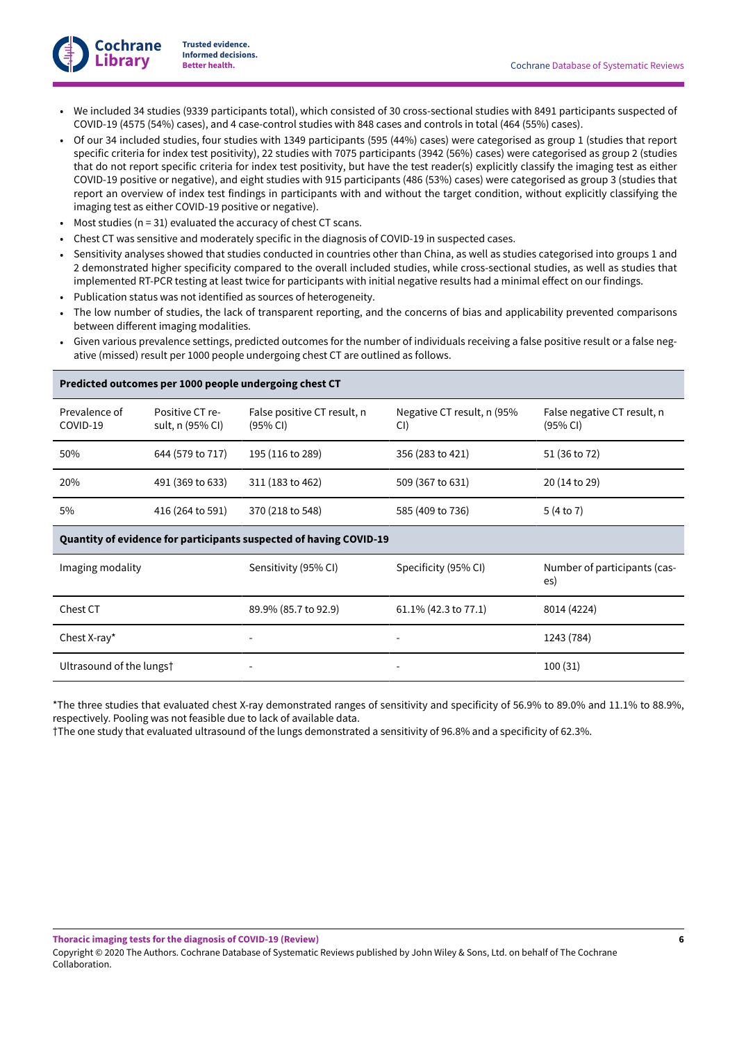- We included 34 studies (9339 participants total), which consisted of 30 cross-sectional studies with 8491 participants suspected of COVID-19 (4575 (54%) cases), and 4 case-control studies with 848 cases and controls in total (464 (55%) cases).
- Of our 34 included studies, four studies with 1349 participants (595 (44%) cases) were categorised as group 1 (studies that report specific criteria for index test positivity), 22 studies with 7075 participants (3942 (56%) cases) were categorised as group 2 (studies that do not report specific criteria for index test positivity, but have the test reader(s) explicitly classify the imaging test as either COVID-19 positive or negative), and eight studies with 915 participants (486 (53%) cases) were categorised as group 3 (studies that report an overview of index test findings in participants with and without the target condition, without explicitly classifying the imaging test as either COVID-19 positive or negative).
- Most studies ( $n = 31$ ) evaluated the accuracy of chest CT scans.
- Chest CT was sensitive and moderately specific in the diagnosis of COVID-19 in suspected cases.
- Sensitivity analyses showed that studies conducted in countries other than China, as well as studies categorised into groups 1 and 2 demonstrated higher specificity compared to the overall included studies, while cross-sectional studies, as well as studies that implemented RT-PCR testing at least twice for participants with initial negative results had a minimal effect on our findings.
- Publication status was not identified as sources of heterogeneity.
- The low number of studies, the lack of transparent reporting, and the concerns of bias and applicability prevented comparisons between different imaging modalities.
- Given various prevalence settings, predicted outcomes for the number of individuals receiving a false positive result or a false negative (missed) result per 1000 people undergoing chest CT are outlined as follows.

|                           |                                     | Predicted outcomes per 1000 people undergoing chest CT             |                                   |                                         |
|---------------------------|-------------------------------------|--------------------------------------------------------------------|-----------------------------------|-----------------------------------------|
| Prevalence of<br>COVID-19 | Positive CT re-<br>sult, n (95% CI) | False positive CT result, n<br>(95% CI)                            | Negative CT result, n (95%<br>CI) | False negative CT result, n<br>(95% CI) |
| 50%                       | 644 (579 to 717)                    | 195 (116 to 289)                                                   | 356 (283 to 421)                  | 51 (36 to 72)                           |
| 20%                       | 491 (369 to 633)                    | 311 (183 to 462)                                                   | 509 (367 to 631)                  | 20 (14 to 29)                           |
| 5%                        | 416 (264 to 591)                    | 370 (218 to 548)                                                   | 585 (409 to 736)                  | 5(4 to 7)                               |
|                           |                                     | Quantity of evidence for participants suspected of having COVID-19 |                                   |                                         |
| Imaging modality          |                                     | Sensitivity (95% CI)                                               | Specificity (95% CI)              | Number of participants (cas-<br>es)     |
| Chest CT                  |                                     | 89.9% (85.7 to 92.9)                                               | 61.1% (42.3 to 77.1)              | 8014 (4224)                             |
| Chest X-ray $*$           |                                     |                                                                    |                                   | 1243 (784)                              |
| Ultrasound of the lungs†  |                                     |                                                                    |                                   | 100(31)                                 |

\*The three studies that evaluated chest X-ray demonstrated ranges of sensitivity and specificity of 56.9% to 89.0% and 11.1% to 88.9%, respectively. Pooling was not feasible due to lack of available data.

†The one study that evaluated ultrasound of the lungs demonstrated a sensitivity of 96.8% and a specificity of 62.3%.

Copyright © 2020 The Authors. Cochrane Database of Systematic Reviews published by John Wiley & Sons, Ltd. on behalf of The Cochrane Collaboration.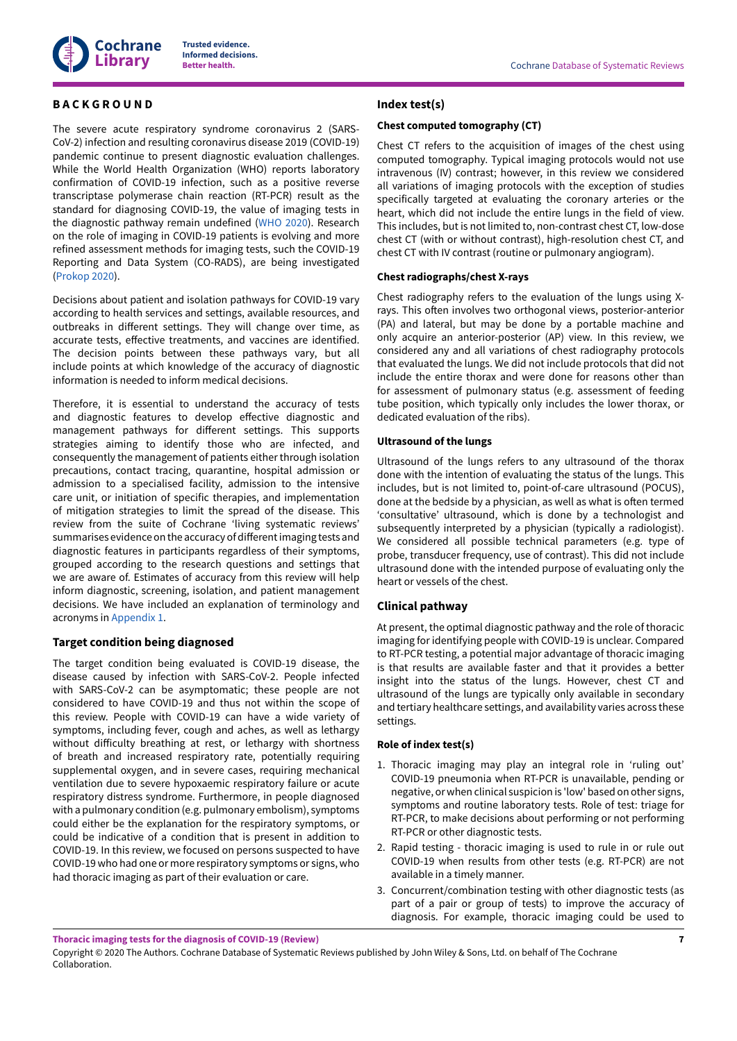

# <span id="page-9-0"></span>**B A C K G R O U N D**

The severe acute respiratory syndrome coronavirus 2 (SARS-CoV-2) infection and resulting coronavirus disease 2019 (COVID-19) pandemic continue to present diagnostic evaluation challenges. While the World Health Organization (WHO) reports laboratory confirmation of COVID-19 infection, such as a positive reverse transcriptase polymerase chain reaction (RT-PCR) result as the standard for diagnosing COVID-19, the value of imaging tests in the diagnostic pathway remain undefined ([WHO 2020\)](#page-28-1). Research on the role of imaging in COVID-19 patients is evolving and more refined assessment methods for imaging tests, such the COVID-19 Reporting and Data System (CO-RADS), are being investigated [\(Prokop](#page-25-0) 2020).

Decisions about patient and isolation pathways for COVID-19 vary according to health services and settings, available resources, and outbreaks in different settings. They will change over time, as accurate tests, effective treatments, and vaccines are identified. The decision points between these pathways vary, but all include points at which knowledge of the accuracy of diagnostic information is needed to inform medical decisions.

Therefore, it is essential to understand the accuracy of tests and diagnostic features to develop effective diagnostic and management pathways for different settings. This supports strategies aiming to identify those who are infected, and consequently the management of patients either through isolation precautions, contact tracing, quarantine, hospital admission or admission to a specialised facility, admission to the intensive care unit, or initiation of specific therapies, and implementation of mitigation strategies to limit the spread of the disease. This review from the suite of Cochrane 'living systematic reviews' summarises evidence on the accuracy of different imaging tests and diagnostic features in participants regardless of their symptoms, grouped according to the research questions and settings that we are aware of. Estimates of accuracy from this review will help inform diagnostic, screening, isolation, and patient management decisions. We have included an explanation of terminology and acronyms in [Appendix 1.](#page-90-1)

# **Target condition being diagnosed**

The target condition being evaluated is COVID-19 disease, the disease caused by infection with SARS-CoV-2. People infected with SARS-CoV-2 can be asymptomatic; these people are not considered to have COVID-19 and thus not within the scope of this review. People with COVID-19 can have a wide variety of symptoms, including fever, cough and aches, as well as lethargy without difficulty breathing at rest, or lethargy with shortness of breath and increased respiratory rate, potentially requiring supplemental oxygen, and in severe cases, requiring mechanical ventilation due to severe hypoxaemic respiratory failure or acute respiratory distress syndrome. Furthermore, in people diagnosed with a pulmonary condition (e.g. pulmonary embolism), symptoms could either be the explanation for the respiratory symptoms, or could be indicative of a condition that is present in addition to COVID-19. In this review, we focused on persons suspected to have COVID-19 who had one or more respiratory symptoms or signs, who had thoracic imaging as part of their evaluation or care.

# **Index test(s)**

# **Chest computed tomography (CT)**

Chest CT refers to the acquisition of images of the chest using computed tomography. Typical imaging protocols would not use intravenous (IV) contrast; however, in this review we considered all variations of imaging protocols with the exception of studies specifically targeted at evaluating the coronary arteries or the heart, which did not include the entire lungs in the field of view. This includes, but is not limited to, non-contrast chest CT, low-dose chest CT (with or without contrast), high-resolution chest CT, and chest CT with IV contrast (routine or pulmonary angiogram).

#### **Chest radiographs/chest X-rays**

Chest radiography refers to the evaluation of the lungs using Xrays. This often involves two orthogonal views, posterior-anterior (PA) and lateral, but may be done by a portable machine and only acquire an anterior-posterior (AP) view. In this review, we considered any and all variations of chest radiography protocols that evaluated the lungs. We did not include protocols that did not include the entire thorax and were done for reasons other than for assessment of pulmonary status (e.g. assessment of feeding tube position, which typically only includes the lower thorax, or dedicated evaluation of the ribs).

#### **Ultrasound of the lungs**

Ultrasound of the lungs refers to any ultrasound of the thorax done with the intention of evaluating the status of the lungs. This includes, but is not limited to, point-of-care ultrasound (POCUS), done at the bedside by a physician, as well as what is often termed 'consultative' ultrasound, which is done by a technologist and subsequently interpreted by a physician (typically a radiologist). We considered all possible technical parameters (e.g. type of probe, transducer frequency, use of contrast). This did not include ultrasound done with the intended purpose of evaluating only the heart or vessels of the chest.

# **Clinical pathway**

At present, the optimal diagnostic pathway and the role of thoracic imaging for identifying people with COVID-19 is unclear. Compared to RT-PCR testing, a potential major advantage of thoracic imaging is that results are available faster and that it provides a better insight into the status of the lungs. However, chest CT and ultrasound of the lungs are typically only available in secondary and tertiary healthcare settings, and availability varies across these settings.

#### **Role of index test(s)**

- 1. Thoracic imaging may play an integral role in 'ruling out' COVID-19 pneumonia when RT-PCR is unavailable, pending or negative, or when clinical suspicion is 'low' based on other signs, symptoms and routine laboratory tests. Role of test: triage for RT-PCR, to make decisions about performing or not performing RT-PCR or other diagnostic tests.
- 2. Rapid testing thoracic imaging is used to rule in or rule out COVID-19 when results from other tests (e.g. RT-PCR) are not available in a timely manner.
- 3. Concurrent/combination testing with other diagnostic tests (as part of a pair or group of tests) to improve the accuracy of diagnosis. For example, thoracic imaging could be used to

**Thoracic imaging tests for the diagnosis of COVID-19 (Review)**

Copyright © 2020 The Authors. Cochrane Database of Systematic Reviews published by John Wiley & Sons, Ltd. on behalf of The Cochrane Collaboration.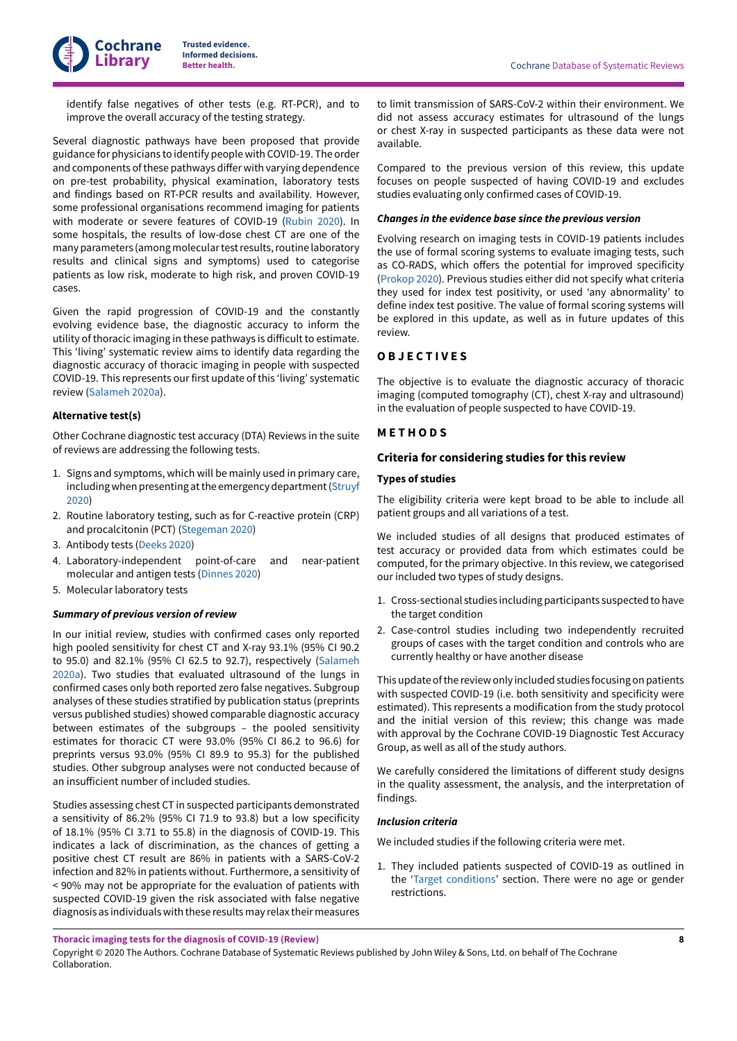

identify false negatives of other tests (e.g. RT-PCR), and to improve the overall accuracy of the testing strategy.

Several diagnostic pathways have been proposed that provide guidance for physicians to identify people with COVID-19. The order and components of these pathways differ with varying dependence on pre-test probability, physical examination, laboratory tests and findings based on RT-PCR results and availability. However, some professional organisations recommend imaging for patients with moderate or severe features of COVID-19 ([Rubin 2020](#page-27-0)). In some hospitals, the results of low-dose chest CT are one of the many parameters (among molecular test results, routine laboratory results and clinical signs and symptoms) used to categorise patients as low risk, moderate to high risk, and proven COVID-19 cases.

Given the rapid progression of COVID-19 and the constantly evolving evidence base, the diagnostic accuracy to inform the utility of thoracic imaging in these pathways is difficult to estimate. This 'living' systematic review aims to identify data regarding the diagnostic accuracy of thoracic imaging in people with suspected COVID-19. This represents our first update of this 'living' systematic review ([Salameh 2020a](#page-28-2)).

#### **Alternative test(s)**

Other Cochrane diagnostic test accuracy (DTA) Reviews in the suite of reviews are addressing the following tests.

- 1. Signs and symptoms, which will be mainly used in primary care, including when presenting at the emergency department [\(Struyf](#page-28-3) [2020\)](#page-28-3)
- 2. Routine laboratory testing, such as for C-reactive protein (CRP) and procalcitonin (PCT) ([Stegeman](#page-28-4) 2020)
- 3. Antibody tests [\(Deeks 2020](#page-27-1))
- 4. Laboratory-independent point-of-care and near-patient molecular and antigen tests [\(Dinnes 2020](#page-27-2))
- 5. Molecular laboratory tests

#### *Summary of previous version of review*

In our initial review, studies with confirmed cases only reported high pooled sensitivity for chest CT and X-ray 93.1% (95% CI 90.2 to 95.0) and 82.1% (95% CI 62.5 to 92.7), respectively ([Salameh](#page-28-2) [2020a\)](#page-28-2). Two studies that evaluated ultrasound of the lungs in confirmed cases only both reported zero false negatives. Subgroup analyses of these studies stratified by publication status (preprints versus published studies) showed comparable diagnostic accuracy between estimates of the subgroups – the pooled sensitivity estimates for thoracic CT were 93.0% (95% CI 86.2 to 96.6) for preprints versus 93.0% (95% CI 89.9 to 95.3) for the published studies. Other subgroup analyses were not conducted because of an insufficient number of included studies.

Studies assessing chest CT in suspected participants demonstrated a sensitivity of 86.2% (95% CI 71.9 to 93.8) but a low specificity of 18.1% (95% CI 3.71 to 55.8) in the diagnosis of COVID-19. This indicates a lack of discrimination, as the chances of getting a positive chest CT result are 86% in patients with a SARS-CoV-2 infection and 82% in patients without. Furthermore, a sensitivity of < 90% may not be appropriate for the evaluation of patients with suspected COVID-19 given the risk associated with false negative diagnosis as individuals with these results may relax their measures

to limit transmission of SARS-CoV-2 within their environment. We did not assess accuracy estimates for ultrasound of the lungs or chest X-ray in suspected participants as these data were not available.

Compared to the previous version of this review, this update focuses on people suspected of having COVID-19 and excludes studies evaluating only confirmed cases of COVID-19.

#### *Changes in the evidence base since the previous version*

Evolving research on imaging tests in COVID-19 patients includes the use of formal scoring systems to evaluate imaging tests, such as CO-RADS, which offers the potential for improved specificity [\(Prokop](#page-25-0) 2020). Previous studies either did not specify what criteria they used for index test positivity, or used 'any abnormality' to define index test positive. The value of formal scoring systems will be explored in this update, as well as in future updates of this review.

# <span id="page-10-0"></span>**O B J E C T I V E S**

The objective is to evaluate the diagnostic accuracy of thoracic imaging (computed tomography (CT), chest X-ray and ultrasound) in the evaluation of people suspected to have COVID-19.

#### <span id="page-10-1"></span>**M E T H O D S**

#### **Criteria for considering studies for this review**

#### **Types of studies**

The eligibility criteria were kept broad to be able to include all patient groups and all variations of a test.

We included studies of all designs that produced estimates of test accuracy or provided data from which estimates could be computed, for the primary objective. In this review, we categorised our included two types of study designs.

- 1. Cross-sectional studies including participants suspected to have the target condition
- 2. Case-control studies including two independently recruited groups of cases with the target condition and controls who are currently healthy or have another disease

This update of the review only included studies focusing on patients with suspected COVID-19 (i.e. both sensitivity and specificity were estimated). This represents a modification from the study protocol and the initial version of this review; this change was made with approval by the Cochrane COVID-19 Diagnostic Test Accuracy Group, as well as all of the study authors.

We carefully considered the limitations of different study designs in the quality assessment, the analysis, and the interpretation of findings.

#### *Inclusion criteria*

We included studies if the following criteria were met.

1. They included patients suspected of COVID-19 as outlined in the 'Target [conditions'](#page-11-0) section. There were no age or gender restrictions.

**Thoracic imaging tests for the diagnosis of COVID-19 (Review)**

Copyright © 2020 The Authors. Cochrane Database of Systematic Reviews published by John Wiley & Sons, Ltd. on behalf of The Cochrane Collaboration.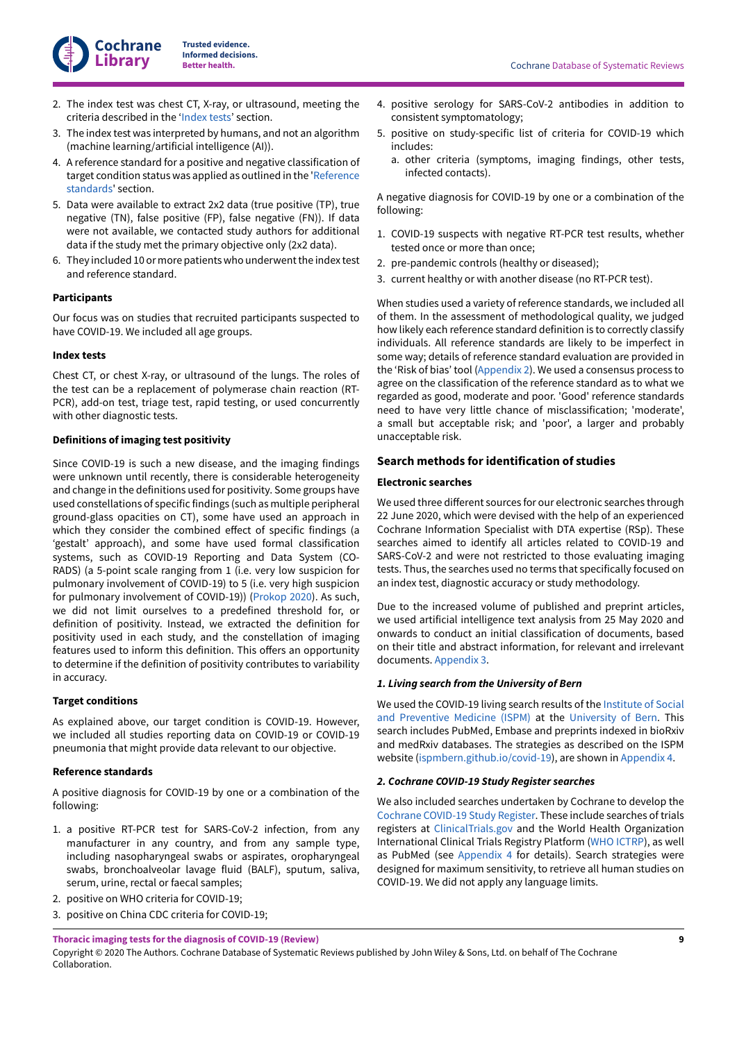

- 2. The index test was chest CT, X-ray, or ultrasound, meeting the criteria described in the '[Index](#page-11-1) tests' section.
- 3. The index test was interpreted by humans, and not an algorithm (machine learning/artificial intelligence (AI)).
- 4. A reference standard for a positive and negative classification of target condition status was applied as outlined in the '[Reference](#page-11-2) [standards](#page-11-2)' section.
- 5. Data were available to extract 2x2 data (true positive (TP), true negative (TN), false positive (FP), false negative (FN)). If data were not available, we contacted study authors for additional data if the study met the primary objective only (2x2 data).
- 6. They included 10 or more patients who underwent the index test and reference standard.

#### **Participants**

Our focus was on studies that recruited participants suspected to have COVID-19. We included all age groups.

#### <span id="page-11-1"></span>**Index tests**

Chest CT, or chest X-ray, or ultrasound of the lungs. The roles of the test can be a replacement of polymerase chain reaction (RT-PCR), add-on test, triage test, rapid testing, or used concurrently with other diagnostic tests.

#### **Definitions of imaging test positivity**

Since COVID-19 is such a new disease, and the imaging findings were unknown until recently, there is considerable heterogeneity and change in the definitions used for positivity. Some groups have used constellations of specific findings (such as multiple peripheral ground-glass opacities on CT), some have used an approach in which they consider the combined effect of specific findings (a 'gestalt' approach), and some have used formal classification systems, such as COVID-19 Reporting and Data System (CO-RADS) (a 5-point scale ranging from 1 (i.e. very low suspicion for pulmonary involvement of COVID-19) to 5 (i.e. very high suspicion for pulmonary involvement of COVID-19)) [\(Prokop](#page-25-0) 2020). As such, we did not limit ourselves to a predefined threshold for, or definition of positivity. Instead, we extracted the definition for positivity used in each study, and the constellation of imaging features used to inform this definition. This offers an opportunity to determine if the definition of positivity contributes to variability in accuracy.

#### <span id="page-11-0"></span>**Target conditions**

As explained above, our target condition is COVID-19. However, we included all studies reporting data on COVID-19 or COVID-19 pneumonia that might provide data relevant to our objective.

#### <span id="page-11-2"></span>**Reference standards**

A positive diagnosis for COVID-19 by one or a combination of the following:

- 1. a positive RT-PCR test for SARS-CoV-2 infection, from any manufacturer in any country, and from any sample type, including nasopharyngeal swabs or aspirates, oropharyngeal swabs, bronchoalveolar lavage fluid (BALF), sputum, saliva, serum, urine, rectal or faecal samples;
- 2. positive on WHO criteria for COVID-19;
- 3. positive on China CDC criteria for COVID-19;
- 4. positive serology for SARS-CoV-2 antibodies in addition to consistent symptomatology;
- 5. positive on study-specific list of criteria for COVID-19 which includes:
	- a. other criteria (symptoms, imaging findings, other tests, infected contacts).

A negative diagnosis for COVID-19 by one or a combination of the following:

- 1. COVID-19 suspects with negative RT-PCR test results, whether tested once or more than once;
- 2. pre-pandemic controls (healthy or diseased);
- 3. current healthy or with another disease (no RT-PCR test).

When studies used a variety of reference standards, we included all of them. In the assessment of methodological quality, we judged how likely each reference standard definition is to correctly classify individuals. All reference standards are likely to be imperfect in some way; details of reference standard evaluation are provided in the 'Risk of bias' tool [\(Appendix 2\)](#page-91-0). We used a consensus process to agree on the classification of the reference standard as to what we regarded as good, moderate and poor. 'Good' reference standards need to have very little chance of misclassification; 'moderate', a small but acceptable risk; and 'poor', a larger and probably unacceptable risk.

#### **Search methods for identification of studies**

#### **Electronic searches**

We used three different sources for our electronic searches through 22 June 2020, which were devised with the help of an experienced Cochrane Information Specialist with DTA expertise (RSp). These searches aimed to identify all articles related to COVID-19 and SARS-CoV-2 and were not restricted to those evaluating imaging tests. Thus, the searches used no terms that specifically focused on an index test, diagnostic accuracy or study methodology.

Due to the increased volume of published and preprint articles, we used artificial intelligence text analysis from 25 May 2020 and onwards to conduct an initial classification of documents, based on their title and abstract information, for relevant and irrelevant documents. [Appendix 3.](#page-94-0)

# *1. Living search from the University of Bern*

We used the COVID-19 living search results of the [Institute](https://www.ispm.unibe.ch) of Social and [Preventive](https://www.ispm.unibe.ch) Medicine (ISPM) at the [University](https://www.unibe.ch) of Bern. This search includes PubMed, Embase and preprints indexed in bioRxiv and medRxiv databases. The strategies as described on the ISPM website [\(ispmbern.github.io/covid-19\)](https://ispmbern.github.io/covid-19/), are shown in [Appendix 4.](#page-95-0)

#### *2. Cochrane COVID-19 Study Register searches*

We also included searches undertaken by Cochrane to develop the [Cochrane](https://covid-19.cochrane.org/) COVID-19 Study Register. These include searches of trials registers at [ClinicalTrials.gov](https://www.clinicaltrials.gov/) and the World Health Organization International Clinical Trials Registry Platform (WHO [ICTRP](https://www.who.int/ictrp/en/)), as well as PubMed (see [Appendix 4](#page-95-0) for details). Search strategies were designed for maximum sensitivity, to retrieve all human studies on COVID-19. We did not apply any language limits.

**Thoracic imaging tests for the diagnosis of COVID-19 (Review)**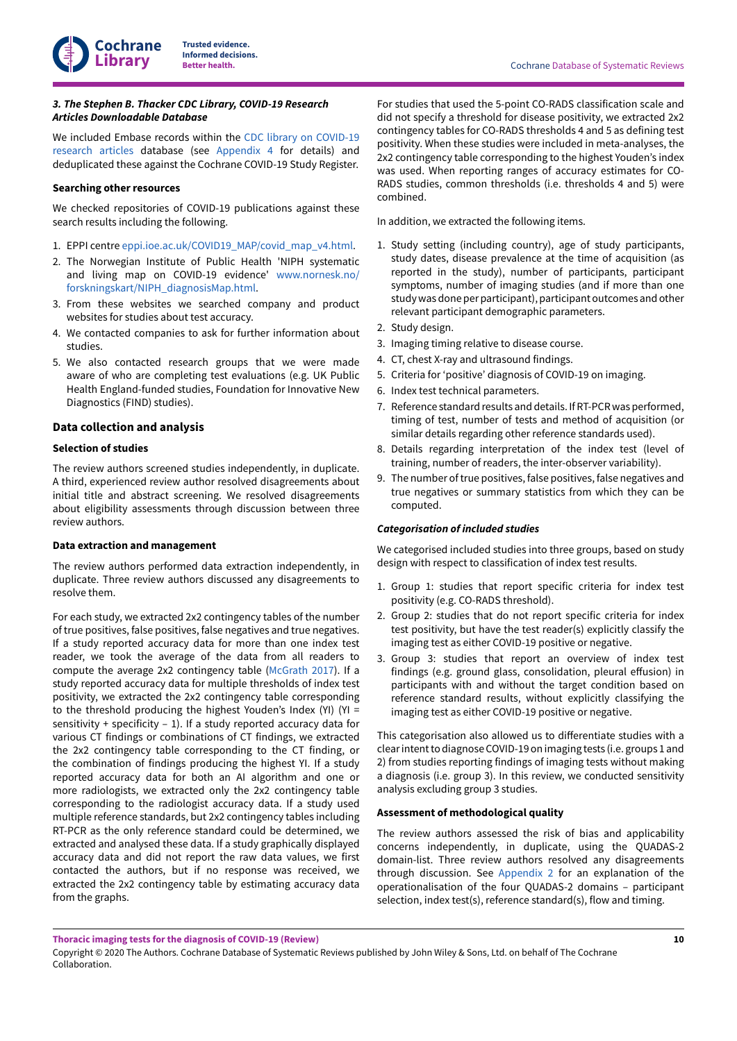#### *3. The Stephen B. Thacker CDC Library, COVID-19 Research Articles Downloadable Database*

We included Embase records within the CDC library on [COVID-19](https://www.cdc.gov/library/researchguides/2019novelcoronavirus/researcharticles.html) [research](https://www.cdc.gov/library/researchguides/2019novelcoronavirus/researcharticles.html) articles database (see [Appendix 4](#page-95-0) for details) and deduplicated these against the Cochrane COVID-19 Study Register.

# **Searching other resources**

We checked repositories of COVID-19 publications against these search results including the following.

- 1. EPPI centre [eppi.ioe.ac.uk/COVID19\\_MAP/covid\\_map\\_v4.html](http://eppi.ioe.ac.uk/COVID19_MAP/covid_map_v4.html).
- 2. The Norwegian Institute of Public Health 'NIPH systematic and living map on COVID-19 evidence' [www.nornesk.no/](http://www.nornesk.no/forskningskart/NIPH_diagnosisMap.html) [forskningskart/NIPH\\_diagnosisMap.html.](http://www.nornesk.no/forskningskart/NIPH_diagnosisMap.html)
- 3. From these websites we searched company and product websites for studies about test accuracy.
- 4. We contacted companies to ask for further information about studies.
- 5. We also contacted research groups that we were made aware of who are completing test evaluations (e.g. UK Public Health England-funded studies, Foundation for Innovative New Diagnostics (FIND) studies).

#### **Data collection and analysis**

#### **Selection of studies**

The review authors screened studies independently, in duplicate. A third, experienced review author resolved disagreements about initial title and abstract screening. We resolved disagreements about eligibility assessments through discussion between three review authors.

#### **Data extraction and management**

The review authors performed data extraction independently, in duplicate. Three review authors discussed any disagreements to resolve them.

For each study, we extracted 2x2 contingency tables of the number of true positives, false positives, false negatives and true negatives. If a study reported accuracy data for more than one index test reader, we took the average of the data from all readers to compute the average 2x2 contingency table [\(McGrath](#page-27-3) 2017). If a study reported accuracy data for multiple thresholds of index test positivity, we extracted the 2x2 contingency table corresponding to the threshold producing the highest Youden's Index (YI) (YI = sensitivity + specificity – 1). If a study reported accuracy data for various CT findings or combinations of CT findings, we extracted the 2x2 contingency table corresponding to the CT finding, or the combination of findings producing the highest YI. If a study reported accuracy data for both an AI algorithm and one or more radiologists, we extracted only the 2x2 contingency table corresponding to the radiologist accuracy data. If a study used multiple reference standards, but 2x2 contingency tables including RT-PCR as the only reference standard could be determined, we extracted and analysed these data. If a study graphically displayed accuracy data and did not report the raw data values, we first contacted the authors, but if no response was received, we extracted the 2x2 contingency table by estimating accuracy data from the graphs.

For studies that used the 5-point CO-RADS classification scale and did not specify a threshold for disease positivity, we extracted 2x2 contingency tables for CO-RADS thresholds 4 and 5 as defining test positivity. When these studies were included in meta-analyses, the 2x2 contingency table corresponding to the highest Youden's index was used. When reporting ranges of accuracy estimates for CO-RADS studies, common thresholds (i.e. thresholds 4 and 5) were combined.

In addition, we extracted the following items.

- 1. Study setting (including country), age of study participants, study dates, disease prevalence at the time of acquisition (as reported in the study), number of participants, participant symptoms, number of imaging studies (and if more than one study was done per participant), participant outcomes and other relevant participant demographic parameters.
- 2. Study design.
- 3. Imaging timing relative to disease course.
- 4. CT, chest X-ray and ultrasound findings.
- 5. Criteria for 'positive' diagnosis of COVID-19 on imaging.
- 6. Index test technical parameters.
- 7. Reference standard results and details. If RT-PCR was performed, timing of test, number of tests and method of acquisition (or similar details regarding other reference standards used).
- 8. Details regarding interpretation of the index test (level of training, number of readers, the inter-observer variability).
- 9. The number of true positives, false positives, false negatives and true negatives or summary statistics from which they can be computed.

# *Categorisation of included studies*

We categorised included studies into three groups, based on study design with respect to classification of index test results.

- 1. Group 1: studies that report specific criteria for index test positivity (e.g. CO-RADS threshold).
- 2. Group 2: studies that do not report specific criteria for index test positivity, but have the test reader(s) explicitly classify the imaging test as either COVID-19 positive or negative.
- 3. Group 3: studies that report an overview of index test findings (e.g. ground glass, consolidation, pleural effusion) in participants with and without the target condition based on reference standard results, without explicitly classifying the imaging test as either COVID-19 positive or negative.

This categorisation also allowed us to differentiate studies with a clear intent to diagnose COVID-19 on imaging tests (i.e. groups 1 and 2) from studies reporting findings of imaging tests without making a diagnosis (i.e. group 3). In this review, we conducted sensitivity analysis excluding group 3 studies.

# **Assessment of methodological quality**

The review authors assessed the risk of bias and applicability concerns independently, in duplicate, using the QUADAS-2 domain-list. Three review authors resolved any disagreements through discussion. See [Appendix 2](#page-91-0) for an explanation of the operationalisation of the four QUADAS-2 domains – participant selection, index test(s), reference standard(s), flow and timing.

**Thoracic imaging tests for the diagnosis of COVID-19 (Review)**

Copyright © 2020 The Authors. Cochrane Database of Systematic Reviews published by John Wiley & Sons, Ltd. on behalf of The Cochrane Collaboration.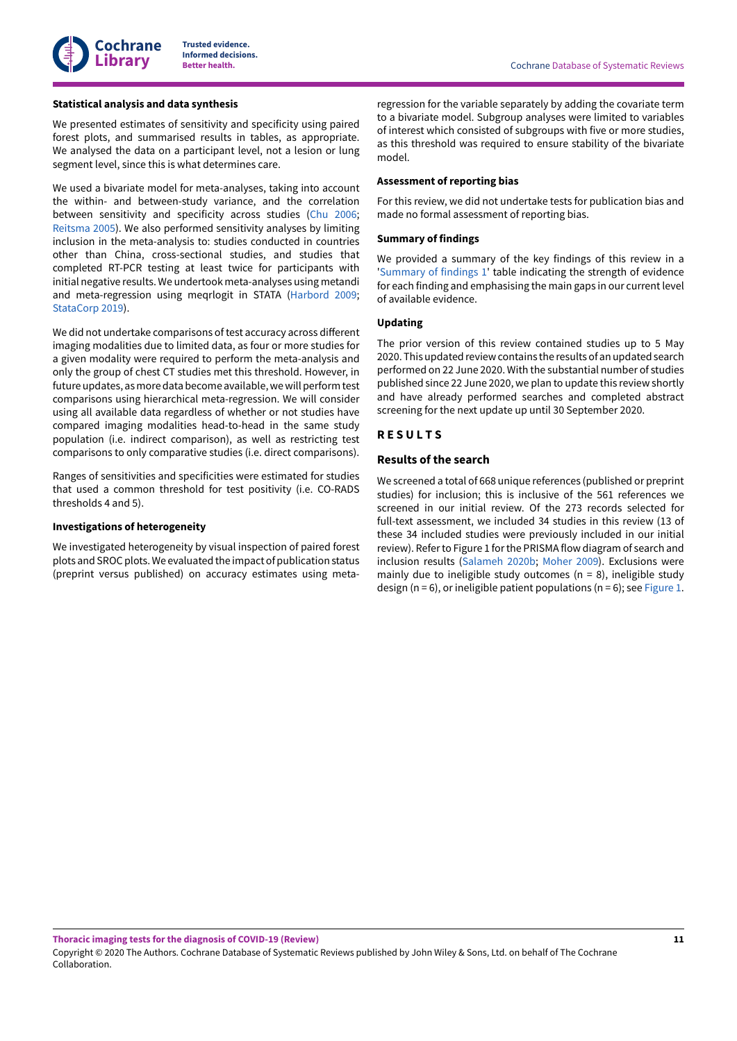

#### **Statistical analysis and data synthesis**

We presented estimates of sensitivity and specificity using paired forest plots, and summarised results in tables, as appropriate. We analysed the data on a participant level, not a lesion or lung segment level, since this is what determines care.

We used a bivariate model for meta-analyses, taking into account the within- and between-study variance, and the correlation between sensitivity and specificity across studies [\(Chu 2006](#page-27-4); [Reitsma](#page-27-5) 2005). We also performed sensitivity analyses by limiting inclusion in the meta-analysis to: studies conducted in countries other than China, cross-sectional studies, and studies that completed RT-PCR testing at least twice for participants with initial negative results.We undertook meta-analyses using metandi and meta-regression using meqrlogit in STATA ([Harbord](#page-27-6) 2009; [StataCorp](#page-28-5) 2019).

We did not undertake comparisons of test accuracy across different imaging modalities due to limited data, as four or more studies for a given modality were required to perform the meta-analysis and only the group of chest CT studies met this threshold. However, in future updates, as more data become available, we will perform test comparisons using hierarchical meta-regression. We will consider using all available data regardless of whether or not studies have compared imaging modalities head-to-head in the same study population (i.e. indirect comparison), as well as restricting test comparisons to only comparative studies (i.e. direct comparisons).

Ranges of sensitivities and specificities were estimated for studies that used a common threshold for test positivity (i.e. CO-RADS thresholds 4 and 5).

#### **Investigations of heterogeneity**

We investigated heterogeneity by visual inspection of paired forest plots and SROC plots. We evaluated the impact of publication status (preprint versus published) on accuracy estimates using meta-

regression for the variable separately by adding the covariate term to a bivariate model. Subgroup analyses were limited to variables of interest which consisted of subgroups with five or more studies, as this threshold was required to ensure stability of the bivariate model.

#### **Assessment of reporting bias**

For this review, we did not undertake tests for publication bias and made no formal assessment of reporting bias.

#### **Summary of findings**

We provided a summary of the key findings of this review in a '[Summary](#page-7-1) of findings 1' table indicating the strength of evidence for each finding and emphasising the main gaps in our current level of available evidence.

#### **Updating**

The prior version of this review contained studies up to 5 May 2020. This updated review contains the results of an updated search performed on 22 June 2020. With the substantial number of studies published since 22 June 2020, we plan to update this review shortly and have already performed searches and completed abstract screening for the next update up until 30 September 2020.

# <span id="page-13-0"></span>**R E S U L T S**

#### **Results of the search**

We screened a total of 668 unique references (published or preprint studies) for inclusion; this is inclusive of the 561 references we screened in our initial review. Of the 273 records selected for full-text assessment, we included 34 studies in this review (13 of these 34 included studies were previously included in our initial review). Referto Figure 1 forthe PRISMA flow diagram of search and inclusion results ([Salameh 2020b;](#page-27-7) [Moher 2009\)](#page-27-8). Exclusions were mainly due to ineligible study outcomes ( $n = 8$ ), ineligible study design ( $n = 6$ ), or ineligible patient populations ( $n = 6$ ); see [Figure](#page-14-0) 1.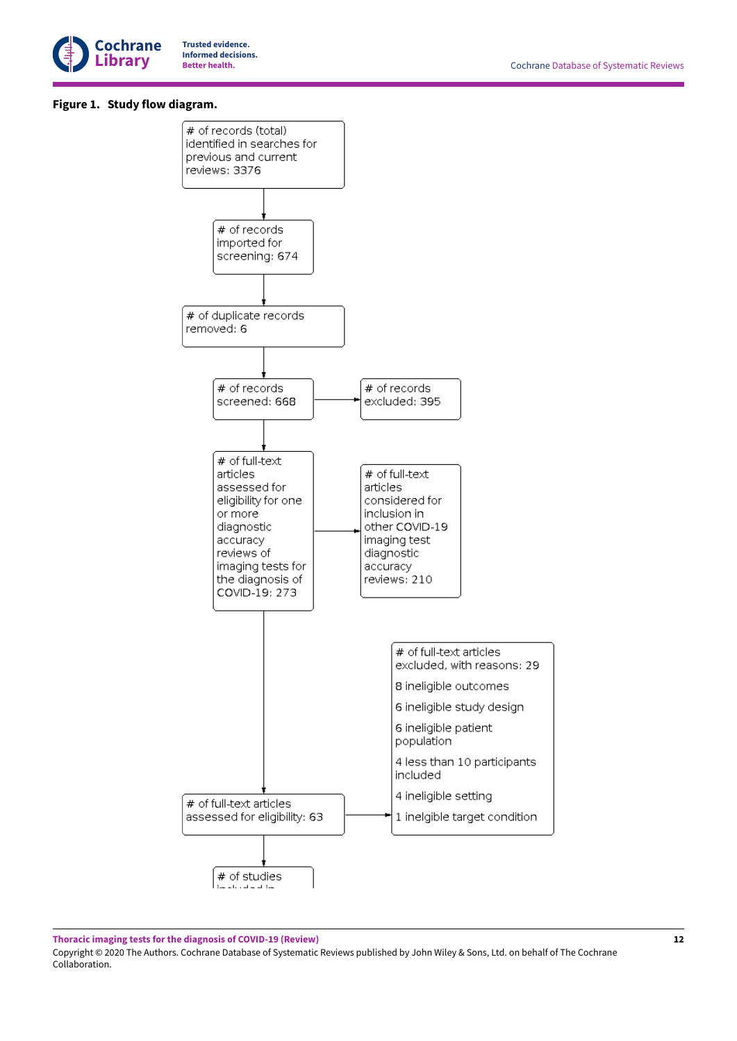

# <span id="page-14-0"></span>**Figure 1. Study flow diagram.**



**Thoracic imaging tests for the diagnosis of COVID-19 (Review)**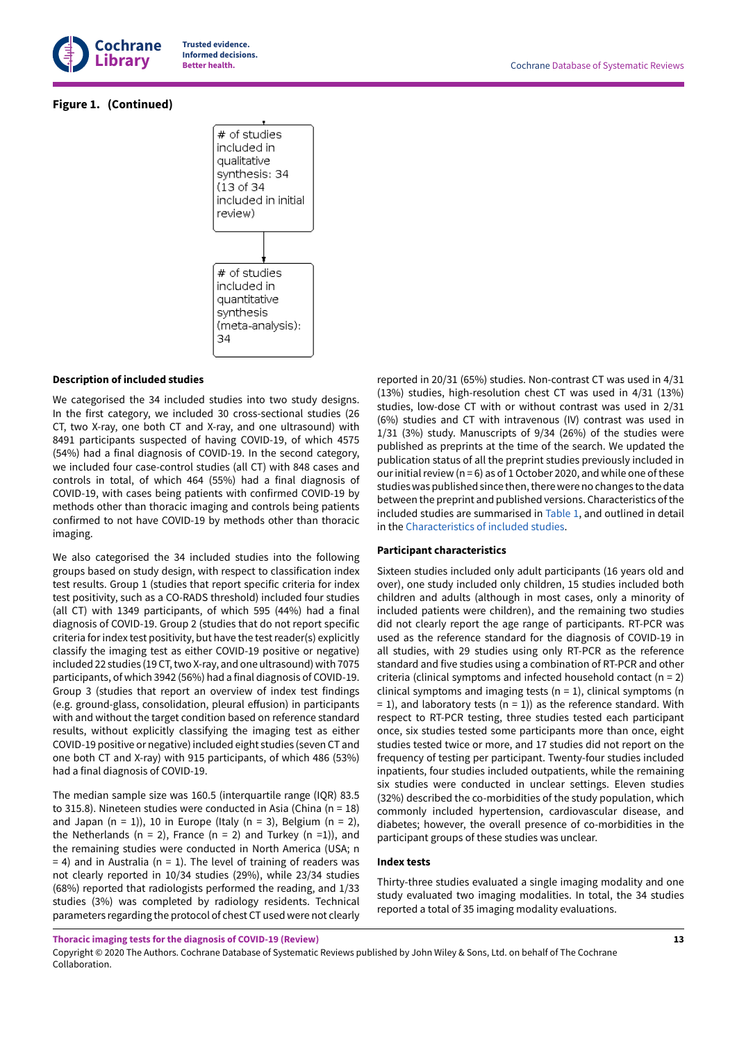

### **Figure 1. (Continued)**



#### **Description of included studies**

We categorised the 34 included studies into two study designs. In the first category, we included 30 cross-sectional studies (26 CT, two X-ray, one both CT and X-ray, and one ultrasound) with 8491 participants suspected of having COVID-19, of which 4575 (54%) had a final diagnosis of COVID-19. In the second category, we included four case-control studies (all CT) with 848 cases and controls in total, of which 464 (55%) had a final diagnosis of COVID-19, with cases being patients with confirmed COVID-19 by methods other than thoracic imaging and controls being patients confirmed to not have COVID-19 by methods other than thoracic imaging.

We also categorised the 34 included studies into the following groups based on study design, with respect to classification index test results. Group 1 (studies that report specific criteria for index test positivity, such as a CO-RADS threshold) included four studies (all CT) with 1349 participants, of which 595 (44%) had a final diagnosis of COVID-19. Group 2 (studies that do not report specific criteria for index test positivity, but have the test reader(s) explicitly classify the imaging test as either COVID-19 positive or negative) included 22 studies (19 CT, two X-ray, and one ultrasound) with 7075 participants, of which 3942 (56%) had a final diagnosis of COVID-19. Group 3 (studies that report an overview of index test findings (e.g. ground-glass, consolidation, pleural effusion) in participants with and without the target condition based on reference standard results, without explicitly classifying the imaging test as either COVID-19 positive or negative) included eight studies (seven CT and one both CT and X-ray) with 915 participants, of which 486 (53%) had a final diagnosis of COVID-19.

The median sample size was 160.5 (interquartile range (IQR) 83.5 to 315.8). Nineteen studies were conducted in Asia (China (n = 18) and Japan  $(n = 1)$ , 10 in Europe (Italy  $(n = 3)$ , Belgium  $(n = 2)$ , the Netherlands (n = 2), France (n = 2) and Turkey (n =1)), and the remaining studies were conducted in North America (USA; n  $= 4$ ) and in Australia (n = 1). The level of training of readers was not clearly reported in 10/34 studies (29%), while 23/34 studies (68%) reported that radiologists performed the reading, and 1/33 studies (3%) was completed by radiology residents. Technical parameters regarding the protocol of chest CT used were not clearly

reported in 20/31 (65%) studies. Non-contrast CT was used in 4/31 (13%) studies, high-resolution chest CT was used in 4/31 (13%) studies, low-dose CT with or without contrast was used in 2/31 (6%) studies and CT with intravenous (IV) contrast was used in 1/31 (3%) study. Manuscripts of 9/34 (26%) of the studies were published as preprints at the time of the search. We updated the publication status of all the preprint studies previously included in our initial review ( $n = 6$ ) as of 1 October 2020, and while one of these studies was published since then, there were no changes to the data between the preprint and published versions. Characteristics ofthe included studies are summarised in [Table](#page-84-1) 1, and outlined in detail in the [Characteristics](#page-28-6) of included studies.

#### **Participant characteristics**

Sixteen studies included only adult participants (16 years old and over), one study included only children, 15 studies included both children and adults (although in most cases, only a minority of included patients were children), and the remaining two studies did not clearly report the age range of participants. RT-PCR was used as the reference standard for the diagnosis of COVID-19 in all studies, with 29 studies using only RT-PCR as the reference standard and five studies using a combination of RT-PCR and other criteria (clinical symptoms and infected household contact  $(n = 2)$ ) clinical symptoms and imaging tests ( $n = 1$ ), clinical symptoms ( $n$  $= 1$ ), and laboratory tests (n = 1)) as the reference standard. With respect to RT-PCR testing, three studies tested each participant once, six studies tested some participants more than once, eight studies tested twice or more, and 17 studies did not report on the frequency of testing per participant. Twenty-four studies included inpatients, four studies included outpatients, while the remaining six studies were conducted in unclear settings. Eleven studies (32%) described the co-morbidities of the study population, which commonly included hypertension, cardiovascular disease, and diabetes; however, the overall presence of co-morbidities in the participant groups of these studies was unclear.

#### **Index tests**

Thirty-three studies evaluated a single imaging modality and one study evaluated two imaging modalities. In total, the 34 studies reported a total of 35 imaging modality evaluations.

**Thoracic imaging tests for the diagnosis of COVID-19 (Review)**

Copyright © 2020 The Authors. Cochrane Database of Systematic Reviews published by John Wiley & Sons, Ltd. on behalf of The Cochrane Collaboration.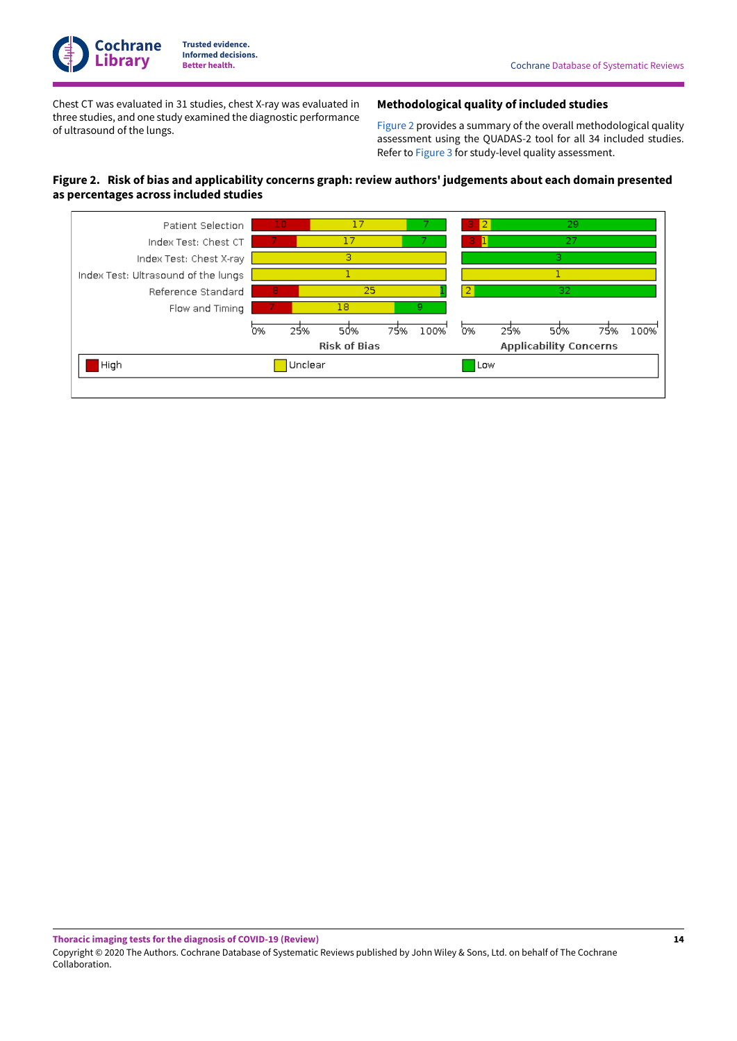Chest CT was evaluated in 31 studies, chest X-ray was evaluated in three studies, and one study examined the diagnostic performance of ultrasound of the lungs.

# **Methodological quality of included studies**

[Figure](#page-16-0) 2 provides a summary of the overall methodological quality assessment using the QUADAS-2 tool for all 34 included studies. Refer to [Figure](#page-17-0) 3 for study-level quality assessment.

# <span id="page-16-0"></span>**Figure 2. Risk of bias and applicability concerns graph: review authors' judgements about each domain presented as percentages across included studies**

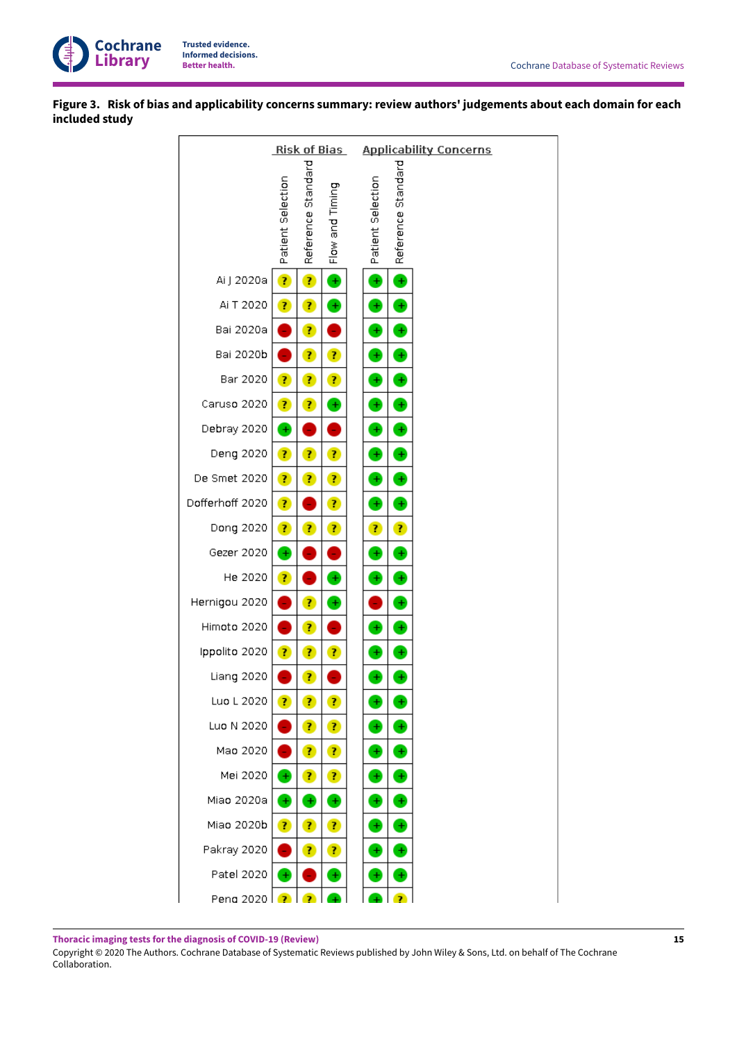

|                 |                   |                    | <u>Risk of Bias</u> | <b>Applicability Concerns</b>           |
|-----------------|-------------------|--------------------|---------------------|-----------------------------------------|
|                 | Patient Selection | Reference Standard | Flow and Timing     | Reference Standard<br>Patient Selection |
| Ai J 2020a      | 7                 | 7                  | Ŧ                   | 8<br>Ŧ                                  |
| Ai T 2020       | 7                 | 7                  | Ŧ                   | 8<br>$\overline{+}$                     |
| Bai 2020a       |                   | 7                  |                     | 8<br>÷                                  |
| Bai 2020b       |                   | 7                  | 7                   | Đ<br>$\ddot{}$                          |
| Bar 2020        | 7                 | 7                  | 7                   | 8<br>Ŧ                                  |
| Caruso 2020     | 7                 | 7                  | Ŧ                   | θ<br>$\ddot{}$                          |
| Debray 2020     | $+$               |                    |                     | ٩<br>$\pm$                              |
| Deng 2020       | 7                 | 7                  | 7                   | θ<br>Ŧ                                  |
| De Smet 2020    | 7                 | 7                  | 7                   | 8<br>$\ddot{}$                          |
| Dofferhoff 2020 | 7                 |                    | 7                   | Ŧ<br>$\pm$                              |
| Dong 2020       | 7                 | 7                  | 7                   | 7<br>7                                  |
| Gezer 2020      | $\ddot{}$         |                    |                     | 3<br>$\ddot{}$                          |
| He 2020         | 7                 |                    | Ŧ                   | 8<br>$\pm$                              |
| Hernigou 2020   |                   | 7                  | Ŧ                   | Ŧ                                       |
| Himoto 2020     |                   | 7                  |                     | Э<br>$\ddot{}$                          |
| Ippolito 2020   | 7                 | 7                  | 7                   | B<br>$\ddot{}$                          |
| Liang 2020      |                   | 7                  |                     | Ŧ<br>$\ddot{}$                          |
| Luo L 2020      | 7                 | 7                  | 7                   | ÷<br>$\boldsymbol{+}$                   |
| Luo N 2020      |                   | 7                  | 7                   | $\ddot{}$<br>$\ddot{}$                  |
| Mao 2020        |                   | 7                  | 7                   | $\ddot{}$<br>÷                          |
| Mei 2020        | $\ddot{}$         | 7                  | 7                   | $\ddot{}$<br>$\ddot{}$                  |
| Miao 2020a      | $\ddot{}$         | $\pm$              | $\ddot{}$           | $+$<br>$\ddot{}$                        |
| Miao 2020b      | 7                 | 7                  | 7                   | Ŧ<br>$\ddot{}$                          |
| Pakray 2020     |                   | 7                  | 7                   | $\ddot{}$<br>$\ddot{}$                  |
| Patel 2020      | Ŧ                 |                    | $\ddot{}$           | $\ddot{}$<br>$\ddot{}$                  |
| Peng 2020       | 7                 |                    |                     |                                         |

<span id="page-17-0"></span>Figure 3. Risk of bias and applicability concerns summary: review authors' judgements about each domain for each **included study**

**Thoracic imaging tests for the diagnosis of COVID-19 (Review)**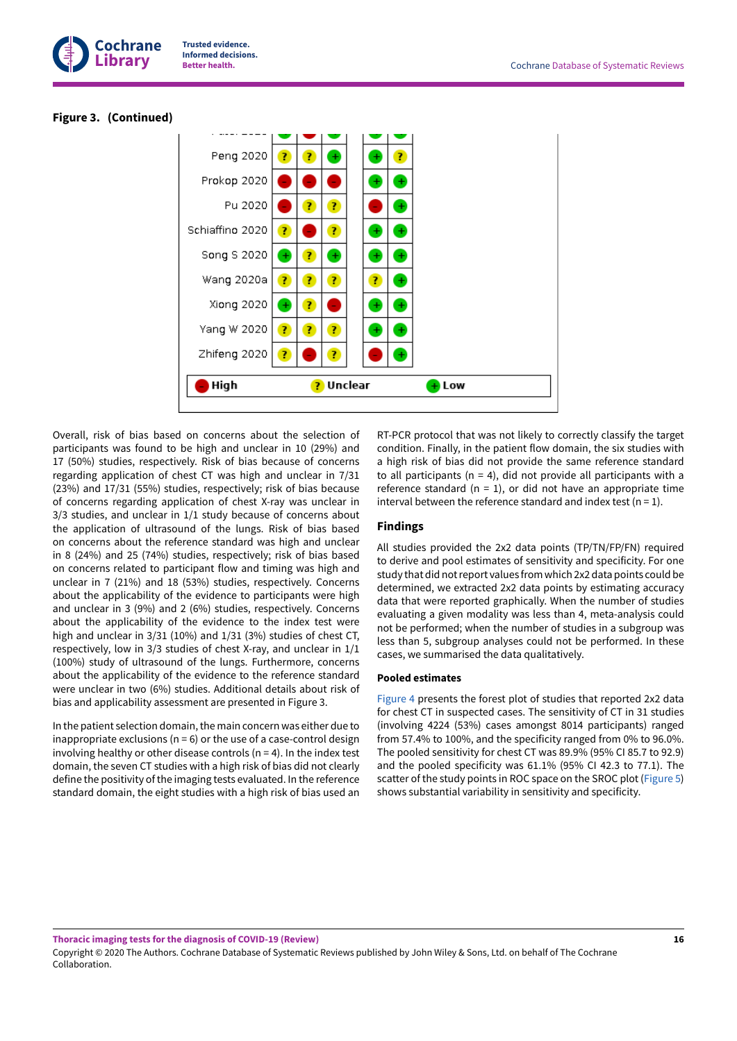# **Figure 3. (Continued)**



Overall, risk of bias based on concerns about the selection of participants was found to be high and unclear in 10 (29%) and 17 (50%) studies, respectively. Risk of bias because of concerns regarding application of chest CT was high and unclear in 7/31 (23%) and 17/31 (55%) studies, respectively; risk of bias because of concerns regarding application of chest X-ray was unclear in 3/3 studies, and unclear in 1/1 study because of concerns about the application of ultrasound of the lungs. Risk of bias based on concerns about the reference standard was high and unclear in 8 (24%) and 25 (74%) studies, respectively; risk of bias based on concerns related to participant flow and timing was high and unclear in 7 (21%) and 18 (53%) studies, respectively. Concerns about the applicability of the evidence to participants were high and unclear in 3 (9%) and 2 (6%) studies, respectively. Concerns about the applicability of the evidence to the index test were high and unclear in 3/31 (10%) and 1/31 (3%) studies of chest CT, respectively, low in 3/3 studies of chest X-ray, and unclear in 1/1 (100%) study of ultrasound of the lungs. Furthermore, concerns about the applicability of the evidence to the reference standard were unclear in two (6%) studies. Additional details about risk of bias and applicability assessment are presented in Figure 3.

In the patient selection domain,the main concern was either due to inappropriate exclusions ( $n = 6$ ) or the use of a case-control design involving healthy or other disease controls ( $n = 4$ ). In the index test domain, the seven CT studies with a high risk of bias did not clearly define the positivity of the imaging tests evaluated. In the reference standard domain, the eight studies with a high risk of bias used an

RT-PCR protocol that was not likely to correctly classify the target condition. Finally, in the patient flow domain, the six studies with a high risk of bias did not provide the same reference standard to all participants ( $n = 4$ ), did not provide all participants with a reference standard ( $n = 1$ ), or did not have an appropriate time interval between the reference standard and index test ( $n = 1$ ).

# **Findings**

All studies provided the 2x2 data points (TP/TN/FP/FN) required to derive and pool estimates of sensitivity and specificity. For one study that did not report values from which 2x2 data points could be determined, we extracted 2x2 data points by estimating accuracy data that were reported graphically. When the number of studies evaluating a given modality was less than 4, meta-analysis could not be performed; when the number of studies in a subgroup was less than 5, subgroup analyses could not be performed. In these cases, we summarised the data qualitatively.

#### **Pooled estimates**

[Figure](#page-19-0) 4 presents the forest plot of studies that reported 2x2 data for chest CT in suspected cases. The sensitivity of CT in 31 studies (involving 4224 (53%) cases amongst 8014 participants) ranged from 57.4% to 100%, and the specificity ranged from 0% to 96.0%. The pooled sensitivity for chest CT was 89.9% (95% CI 85.7 to 92.9) and the pooled specificity was 61.1% (95% CI 42.3 to 77.1). The scatter of the study points in ROC space on the SROC plot [\(Figure](#page-20-0) 5) shows substantial variability in sensitivity and specificity.

**Thoracic imaging tests for the diagnosis of COVID-19 (Review)**

Copyright © 2020 The Authors. Cochrane Database of Systematic Reviews published by John Wiley & Sons, Ltd. on behalf of The Cochrane Collaboration.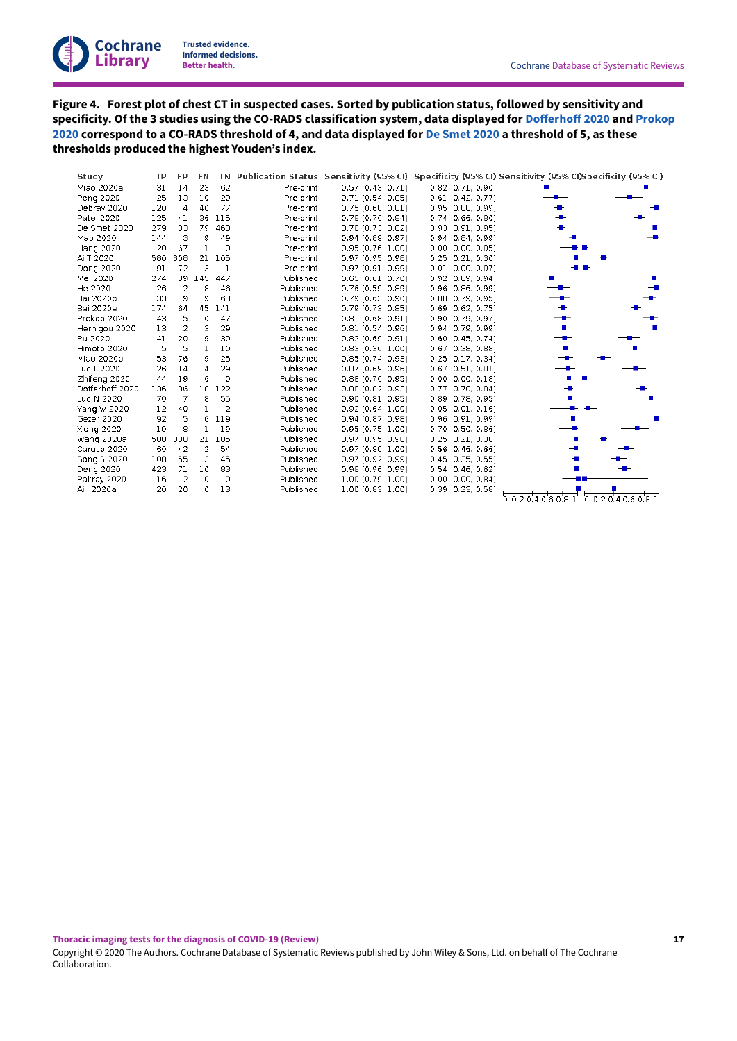# <span id="page-19-0"></span>**Figure 4. Forest plot of chest CTin suspected cases.Sorted by publication status, followed by sensitivity and specificity. Of the 3 studies using the CO-RADSclassification system, data displayed for [DoJerhoJ](#page-24-1) 2020 and [Prokop](#page-25-0)** [2020](#page-25-0) correspond to a CO-RADS threshold of 4, and data displayed for De Smet 2020 a threshold of 5, as these **thresholds produced the highest Youden's index.**

| Study           | TP  | FP             | FN      |         |           |                       |                       | TN Publication Status Sensitivity (95% CI) Specificity (95% CI) Sensitivity (95% CI)Specificity (95% CI) |
|-----------------|-----|----------------|---------|---------|-----------|-----------------------|-----------------------|----------------------------------------------------------------------------------------------------------|
| Miao 2020a      | 31  | 14             | 23      | 62      | Pre-print | $0.57$ [0.43, 0.71]   | $0.82$ [0.71, 0.90]   |                                                                                                          |
| Peng 2020       | 25  | 13             | 10      | 20      | Pre-print | 0.71 (0.54, 0.85)     | 0.61 (0.42, 0.77)     |                                                                                                          |
| Debray 2020     | 120 | 4              | 40      | 77      | Pre-print | 0.75 [0.68, 0.81]     | $0.95$ [0.88, 0.99]   |                                                                                                          |
| Patel 2020      | 125 | 41             | 36      | 115     | Pre-print | $0.78$ [0.70, 0.84]   | $0.74$ [0.66, 0.80]   |                                                                                                          |
| De Smet 2020    | 279 | 33             | 79      | 468     | Pre-print | $0.78$ [0.73, 0.82]   | $0.93$ [0.91, 0.95]   |                                                                                                          |
| Mao 2020        | 144 | з              | 9       | 49      | Pre-print | 0.94 [0.89, 0.97]     | 0.94 [0.84, 0.99]     |                                                                                                          |
| Liang 2020      | 20  | 67             | 1       | $\circ$ | Pre-print | $0.95$ [0.76, 1.00]   | $0.00$ [0.00, 0.05]   |                                                                                                          |
| Ai T 2020       | 580 | 308            | 21      | 105     | Pre-print | 0.97 [0.95, 0.98]     | $0.25$ [0.21, 0.30]   |                                                                                                          |
| Dong 2020       | 91  | 72             | 3       | 1       | Pre-print | $0.97$ [0.91, 0.99]   | 0.01 [0.00, 0.07]     |                                                                                                          |
| Mei 2020        | 274 | 39             | 145     | 447     | Published | $0.65$ [0.61, 0.70]   | $0.92$ [0.89, 0.94]   |                                                                                                          |
| He 2020         | 26  | $\overline{2}$ | 8       | 46      | Published | 0.76 [0.59, 0.89]     | 0.96 [0.86, 0.99]     |                                                                                                          |
| Bai 2020b       | 33  | 9              | 9       | 68      | Published | $0.79$ [0.63, 0.90]   | 0.88 [0.79, 0.95]     |                                                                                                          |
| Bai 2020a       | 174 | 64             | 45      | 141     | Published | $0.79$ [0.73, 0.85]   | $0.69$ [0.62, 0.75]   |                                                                                                          |
| Prokop 2020     | 43  | 5              | 10      | 47      | Published | $0.81$ $[0.68, 0.91]$ | 0.90 [0.79, 0.97]     |                                                                                                          |
| Hernigou 2020   | 13  | $\overline{2}$ | з       | 29      | Published | 0.81 [0.54, 0.96]     | 0.94 [0.79, 0.99]     |                                                                                                          |
| Pu 2020         | 41  | 20             | 9       | 30      | Published | $0.82$ [0.69, 0.91]   | 0.60 (0.45, 0.74)     |                                                                                                          |
| Himoto 2020     | 5   | 5              | 1       | 10      | Published | $0.83$ [0.36, 1.00]   | $0.67$ [0.38, 0.88]   |                                                                                                          |
| Miao 2020b      | 53  | 76             | 9       | 25      | Published | $0.85$ [0.74, 0.93]   | $0.25$ [0.17, 0.34]   |                                                                                                          |
| Luo L 2020      | 26  | 14             | 4       | 29      | Published | $0.87$ [0.69, 0.96]   | $0.67$ [0.51, 0.81]   |                                                                                                          |
| Zhifeng 2020    | 44  | 19             | 6       | $\circ$ | Published | 0.88 [0.76, 0.95]     | $0.00$ $[0.00, 0.18]$ |                                                                                                          |
| Dofferhoff 2020 | 136 | 36             | 18      | 122     | Published | $0.88$ [0.82, 0.93]   | $0.77$ [0.70, 0.84]   |                                                                                                          |
| Luo N 2020      | 70  | 7              | 8       | 55      | Published | 0.90 [0.81, 0.95]     | 0.89 [0.78, 0.95]     |                                                                                                          |
| Yang W 2020     | 12  | 40             |         | 2       | Published | $0.92$ [0.64, 1.00]   | $0.05$ [0.01, 0.16]   |                                                                                                          |
| Gezer 2020      | 92  | 5              | 6       | 119     | Published | $0.94$ [0.87, 0.98]   | $0.96$ [0.91, 0.99]   |                                                                                                          |
| Xiong 2020      | 19  | 8              | 1       | 19      | Published | 0.95 [0.75, 1.00]     | 0.70 [0.50, 0.86]     |                                                                                                          |
| Wang 2020a      | 580 | 308            | 21      | 105     | Published | 0.97 [0.95, 0.98]     | $0.25$ [0.21, 0.30]   |                                                                                                          |
| Caruso 2020     | 60  | 42             | 2       | 54      | Published | $0.97$ [0.89, 1.00]   | $0.56$ [0.46, 0.66]   |                                                                                                          |
| Song S 2020     | 108 | 55             | з       | 45      | Published | 0.97 [0.92, 0.99]     | $0.45$ [0.35, 0.55]   |                                                                                                          |
| Deng 2020       | 423 | 71             | 10      | 83      | Published | $0.98$ [0.96, 0.99]   | $0.54$ [0.46, 0.62]   |                                                                                                          |
| Pakray 2020     | 16  | $\overline{2}$ | $\circ$ | $\circ$ | Published | 1.00 [0.79, 1.00]     | $0.00$ [0.00, 0.84]   |                                                                                                          |
| Ai J 2020a      | 20  | 20             | 0       | 13      | Published | 1.00 [0.83, 1.00]     | $0.39$ [0.23, 0.58]   | 0, 0, 2, 0, 4, 0, 6, 0, 8, 1<br>0.020406081                                                              |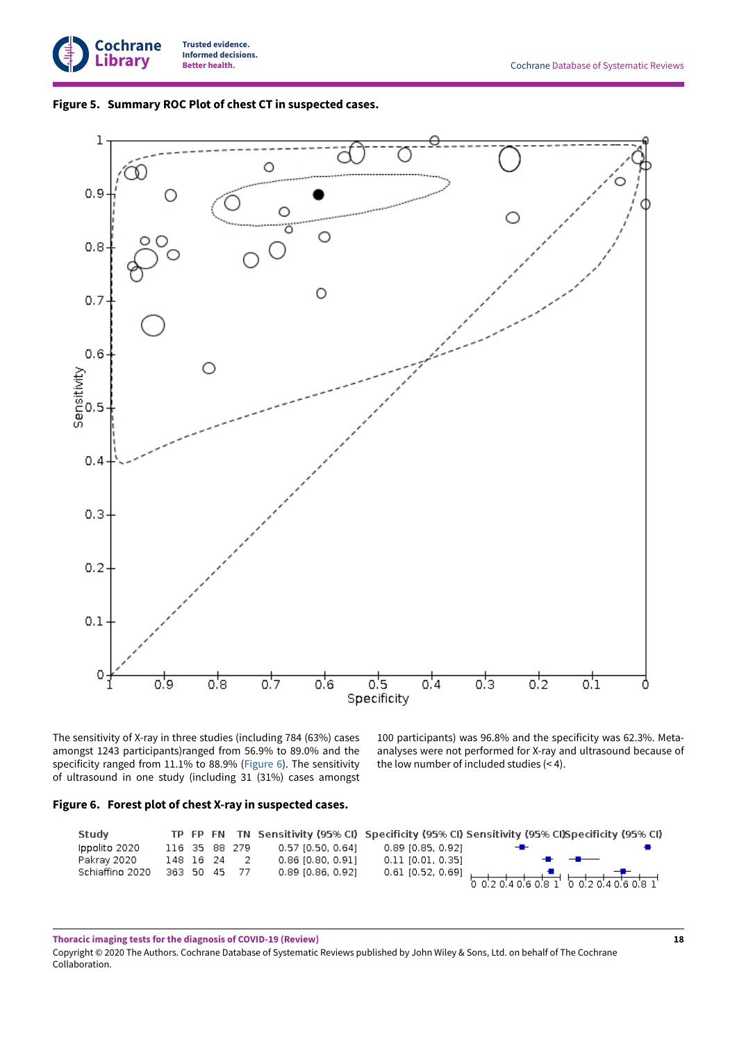

<span id="page-20-0"></span>



The sensitivity of X-ray in three studies (including 784 (63%) cases amongst 1243 participants)ranged from 56.9% to 89.0% and the specificity ranged from 11.1% to 88.9% [\(Figure](#page-20-1) 6). The sensitivity of ultrasound in one study (including 31 (31%) cases amongst

# 100 participants) was 96.8% and the specificity was 62.3%. Metaanalyses were not performed for X-ray and ultrasound because of the low number of included studies (< 4).

# <span id="page-20-1"></span>**Figure 6. Forest plot of chest X-ray in suspected cases.**

| Study           |           |  |               |                   |                   | TP FP FN TN Sensitivity (95% CI) Specificity (95% CI) Sensitivity (95% CI)Specificity (95% CI) |
|-----------------|-----------|--|---------------|-------------------|-------------------|------------------------------------------------------------------------------------------------|
| Ippolito 2020   |           |  | 116 35 88 279 | 0.57 [0.50, 0.64] | 0.89 (0.85, 0.92) |                                                                                                |
| Pakray 2020     | 148 16 24 |  |               | 0.86 [0.80, 0.91] | 0.11 (0.01, 0.35) | - <b>-</b> --                                                                                  |
| Schiaffino 2020 |           |  | 363 50 45 77  | 0.89 [0.86, 0.92] | 0.61 [0.52, 0.69] | $50.20.40.60.81$ $50.20.40.60.81$                                                              |

**Thoracic imaging tests for the diagnosis of COVID-19 (Review)**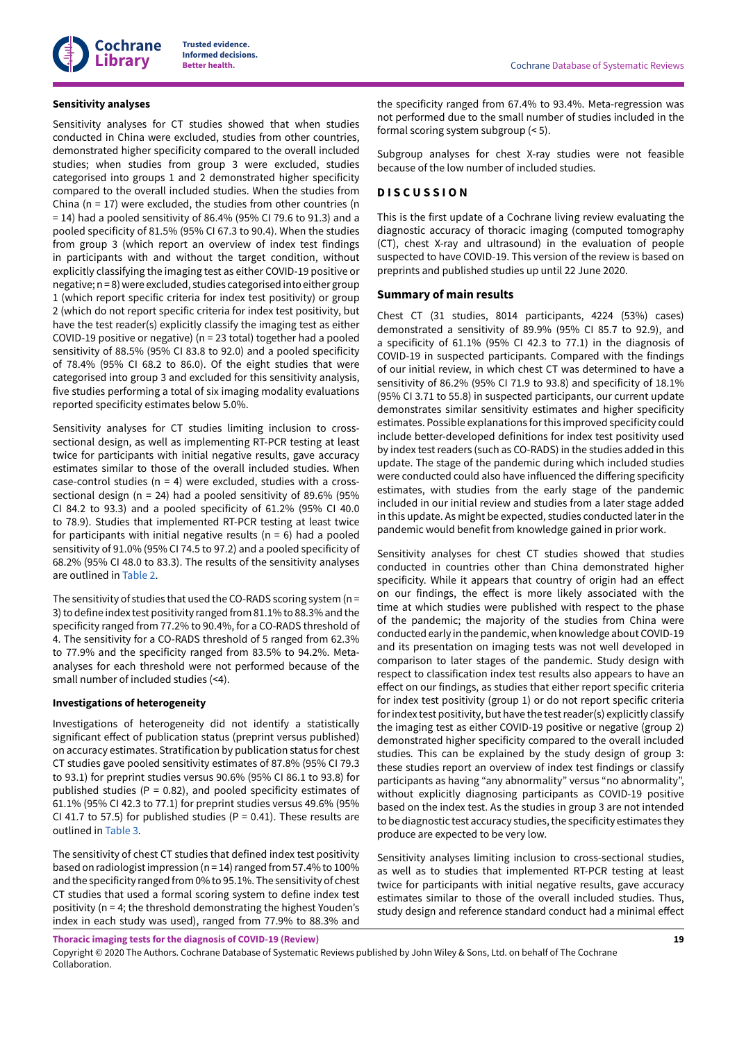

# **Sensitivity analyses**

Sensitivity analyses for CT studies showed that when studies conducted in China were excluded, studies from other countries, demonstrated higher specificity compared to the overall included studies; when studies from group 3 were excluded, studies categorised into groups 1 and 2 demonstrated higher specificity compared to the overall included studies. When the studies from China ( $n = 17$ ) were excluded, the studies from other countries ( $n$ )  $= 14$ ) had a pooled sensitivity of 86.4% (95% CI 79.6 to 91.3) and a pooled specificity of 81.5% (95% CI 67.3 to 90.4). When the studies from group 3 (which report an overview of index test findings in participants with and without the target condition, without explicitly classifying the imaging test as either COVID-19 positive or  $negative; n = 8$ ) were excluded, studies categorised into either group 1 (which report specific criteria for index test positivity) or group 2 (which do not report specific criteria for index test positivity, but have the test reader(s) explicitly classify the imaging test as either COVID-19 positive or negative) (n = 23 total) together had a pooled sensitivity of 88.5% (95% CI 83.8 to 92.0) and a pooled specificity of 78.4% (95% CI 68.2 to 86.0). Of the eight studies that were categorised into group 3 and excluded for this sensitivity analysis, five studies performing a total of six imaging modality evaluations reported specificity estimates below 5.0%.

Sensitivity analyses for CT studies limiting inclusion to crosssectional design, as well as implementing RT-PCR testing at least twice for participants with initial negative results, gave accuracy estimates similar to those of the overall included studies. When case-control studies ( $n = 4$ ) were excluded, studies with a crosssectional design ( $n = 24$ ) had a pooled sensitivity of 89.6% (95%) CI 84.2 to 93.3) and a pooled specificity of 61.2% (95% CI 40.0 to 78.9). Studies that implemented RT-PCR testing at least twice for participants with initial negative results ( $n = 6$ ) had a pooled sensitivity of 91.0% (95% CI 74.5 to 97.2) and a pooled specificity of 68.2% (95% CI 48.0 to 83.3). The results of the sensitivity analyses are outlined in [Table](#page-90-2) 2.

The sensitivity of studies that used the CO-RADS scoring system (n = 3)to define index test positivity ranged from 81.1% to 88.3% and the specificity ranged from 77.2% to 90.4%, for a CO-RADS threshold of 4. The sensitivity for a CO-RADS threshold of 5 ranged from 62.3% to 77.9% and the specificity ranged from 83.5% to 94.2%. Metaanalyses for each threshold were not performed because of the small number of included studies (<4).

#### **Investigations of heterogeneity**

Investigations of heterogeneity did not identify a statistically significant effect of publication status (preprint versus published) on accuracy estimates. Stratification by publication status for chest CT studies gave pooled sensitivity estimates of 87.8% (95% CI 79.3 to 93.1) for preprint studies versus 90.6% (95% CI 86.1 to 93.8) for published studies ( $P = 0.82$ ), and pooled specificity estimates of 61.1% (95% CI 42.3 to 77.1) for preprint studies versus 49.6% (95% CI 41.7 to 57.5) for published studies (P = 0.41). These results are outlined in [Table](#page-90-3) 3.

The sensitivity of chest CT studies that defined index test positivity based on radiologist impression (n = 14) ranged from 57.4% to 100% and the specificity ranged from 0% to 95.1%. The sensitivity of chest CT studies that used a formal scoring system to define index test positivity (n = 4; the threshold demonstrating the highest Youden's index in each study was used), ranged from 77.9% to 88.3% and

the specificity ranged from 67.4% to 93.4%. Meta-regression was not performed due to the small number of studies included in the formal scoring system subgroup (< 5).

Subgroup analyses for chest X-ray studies were not feasible because of the low number of included studies.

# <span id="page-21-0"></span>**D I S C U S S I O N**

This is the first update of a Cochrane living review evaluating the diagnostic accuracy of thoracic imaging (computed tomography (CT), chest X-ray and ultrasound) in the evaluation of people suspected to have COVID-19. This version of the review is based on preprints and published studies up until 22 June 2020.

#### **Summary of main results**

Chest CT (31 studies, 8014 participants, 4224 (53%) cases) demonstrated a sensitivity of 89.9% (95% CI 85.7 to 92.9), and a specificity of 61.1% (95% CI 42.3 to 77.1) in the diagnosis of COVID-19 in suspected participants. Compared with the findings of our initial review, in which chest CT was determined to have a sensitivity of 86.2% (95% CI 71.9 to 93.8) and specificity of 18.1% (95% CI 3.71 to 55.8) in suspected participants, our current update demonstrates similar sensitivity estimates and higher specificity estimates. Possible explanations forthis improved specificity could include better-developed definitions for index test positivity used by index test readers (such as CO-RADS) in the studies added in this update. The stage of the pandemic during which included studies were conducted could also have influenced the differing specificity estimates, with studies from the early stage of the pandemic included in our initial review and studies from a later stage added in this update. As might be expected, studies conducted laterin the pandemic would benefit from knowledge gained in prior work.

Sensitivity analyses for chest CT studies showed that studies conducted in countries other than China demonstrated higher specificity. While it appears that country of origin had an effect on our findings, the effect is more likely associated with the time at which studies were published with respect to the phase of the pandemic; the majority of the studies from China were conducted early in the pandemic, when knowledge about COVID-19 and its presentation on imaging tests was not well developed in comparison to later stages of the pandemic. Study design with respect to classification index test results also appears to have an effect on our findings, as studies that either report specific criteria for index test positivity (group 1) or do not report specific criteria for index test positivity, but have the test reader(s) explicitly classify the imaging test as either COVID-19 positive or negative (group 2) demonstrated higher specificity compared to the overall included studies. This can be explained by the study design of group 3: these studies report an overview of index test findings or classify participants as having "any abnormality" versus "no abnormality", without explicitly diagnosing participants as COVID-19 positive based on the index test. As the studies in group 3 are not intended to be diagnostic test accuracy studies, the specificity estimates they produce are expected to be very low.

Sensitivity analyses limiting inclusion to cross-sectional studies, as well as to studies that implemented RT-PCR testing at least twice for participants with initial negative results, gave accuracy estimates similar to those of the overall included studies. Thus, study design and reference standard conduct had a minimal effect

**Thoracic imaging tests for the diagnosis of COVID-19 (Review)**

Copyright © 2020 The Authors. Cochrane Database of Systematic Reviews published by John Wiley & Sons, Ltd. on behalf of The Cochrane Collaboration.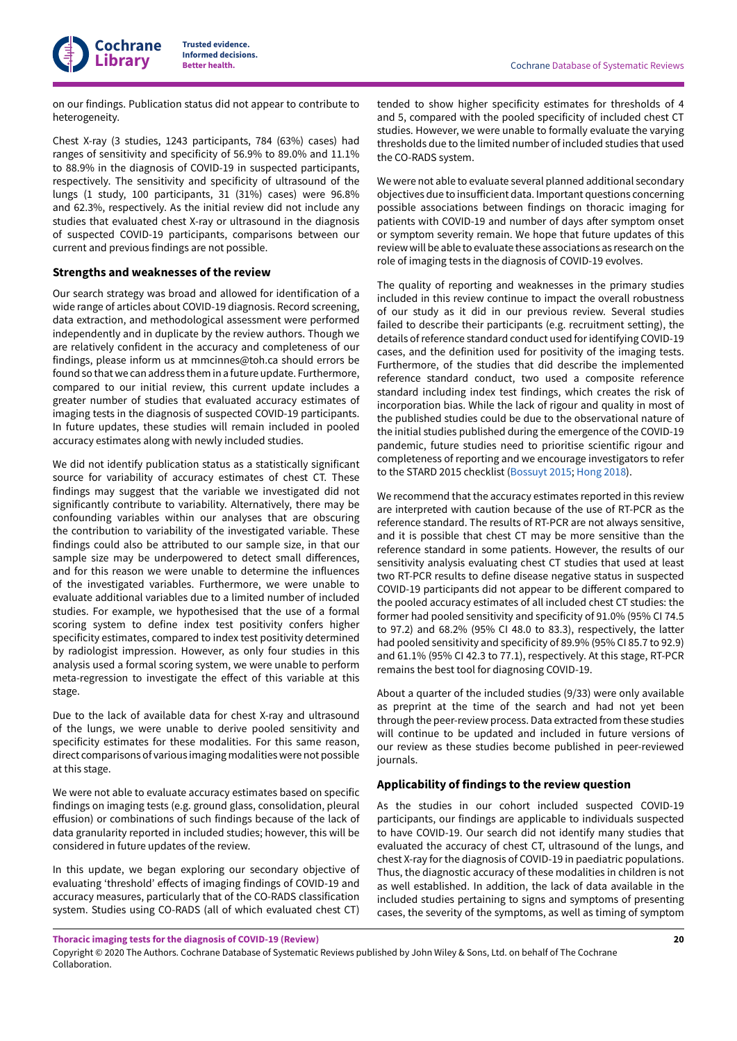

on our findings. Publication status did not appear to contribute to heterogeneity.

Chest X-ray (3 studies, 1243 participants, 784 (63%) cases) had ranges of sensitivity and specificity of 56.9% to 89.0% and 11.1% to 88.9% in the diagnosis of COVID-19 in suspected participants, respectively. The sensitivity and specificity of ultrasound of the lungs (1 study, 100 participants, 31 (31%) cases) were 96.8% and 62.3%, respectively. As the initial review did not include any studies that evaluated chest X-ray or ultrasound in the diagnosis of suspected COVID-19 participants, comparisons between our current and previous findings are not possible.

#### **Strengths and weaknesses of the review**

Our search strategy was broad and allowed for identification of a wide range of articles about COVID-19 diagnosis. Record screening, data extraction, and methodological assessment were performed independently and in duplicate by the review authors. Though we are relatively confident in the accuracy and completeness of our findings, please inform us at mmcinnes@toh.ca should errors be found so that we can address them in a future update. Furthermore, compared to our initial review, this current update includes a greater number of studies that evaluated accuracy estimates of imaging tests in the diagnosis of suspected COVID-19 participants. In future updates, these studies will remain included in pooled accuracy estimates along with newly included studies.

We did not identify publication status as a statistically significant source for variability of accuracy estimates of chest CT. These findings may suggest that the variable we investigated did not significantly contribute to variability. Alternatively, there may be confounding variables within our analyses that are obscuring the contribution to variability of the investigated variable. These findings could also be attributed to our sample size, in that our sample size may be underpowered to detect small differences, and for this reason we were unable to determine the influences of the investigated variables. Furthermore, we were unable to evaluate additional variables due to a limited number of included studies. For example, we hypothesised that the use of a formal scoring system to define index test positivity confers higher specificity estimates, compared to index test positivity determined by radiologist impression. However, as only four studies in this analysis used a formal scoring system, we were unable to perform meta-regression to investigate the effect of this variable at this stage.

Due to the lack of available data for chest X-ray and ultrasound of the lungs, we were unable to derive pooled sensitivity and specificity estimates for these modalities. For this same reason, direct comparisons of various imaging modalities were not possible at this stage.

We were not able to evaluate accuracy estimates based on specific findings on imaging tests (e.g. ground glass, consolidation, pleural effusion) or combinations of such findings because of the lack of data granularity reported in included studies; however, this will be considered in future updates of the review.

In this update, we began exploring our secondary objective of evaluating 'threshold' effects of imaging findings of COVID-19 and accuracy measures, particularly that of the CO-RADS classification system. Studies using CO-RADS (all of which evaluated chest CT)

tended to show higher specificity estimates for thresholds of 4 and 5, compared with the pooled specificity of included chest CT studies. However, we were unable to formally evaluate the varying thresholds due to the limited number of included studies that used the CO-RADS system.

We were not able to evaluate several planned additional secondary objectives due to insufficient data. Important questions concerning possible associations between findings on thoracic imaging for patients with COVID-19 and number of days after symptom onset or symptom severity remain. We hope that future updates of this reviewwill be able to evaluate these associations as research on the role of imaging tests in the diagnosis of COVID-19 evolves.

The quality of reporting and weaknesses in the primary studies included in this review continue to impact the overall robustness of our study as it did in our previous review. Several studies failed to describe their participants (e.g. recruitment setting), the details of reference standard conduct used for identifying COVID-19 cases, and the definition used for positivity of the imaging tests. Furthermore, of the studies that did describe the implemented reference standard conduct, two used a composite reference standard including index test findings, which creates the risk of incorporation bias. While the lack of rigour and quality in most of the published studies could be due to the observational nature of the initial studies published during the emergence of the COVID-19 pandemic, future studies need to prioritise scientific rigour and completeness of reporting and we encourage investigators to refer to the STARD 2015 checklist [\(Bossuyt 2015;](#page-27-9) [Hong 2018\)](#page-27-10).

We recommend that the accuracy estimates reported in this review are interpreted with caution because of the use of RT-PCR as the reference standard. The results of RT-PCR are not always sensitive, and it is possible that chest CT may be more sensitive than the reference standard in some patients. However, the results of our sensitivity analysis evaluating chest CT studies that used at least two RT-PCR results to define disease negative status in suspected COVID-19 participants did not appear to be different compared to the pooled accuracy estimates of all included chest CT studies: the former had pooled sensitivity and specificity of 91.0% (95% CI 74.5 to 97.2) and 68.2% (95% CI 48.0 to 83.3), respectively, the latter had pooled sensitivity and specificity of 89.9% (95% CI 85.7 to 92.9) and 61.1% (95% CI 42.3 to 77.1), respectively. At this stage, RT-PCR remains the best tool for diagnosing COVID-19.

About a quarter of the included studies (9/33) were only available as preprint at the time of the search and had not yet been through the peer-review process. Data extracted from these studies will continue to be updated and included in future versions of our review as these studies become published in peer-reviewed journals.

#### **Applicability of findings to the review question**

As the studies in our cohort included suspected COVID-19 participants, our findings are applicable to individuals suspected to have COVID-19. Our search did not identify many studies that evaluated the accuracy of chest CT, ultrasound of the lungs, and chest X-ray for the diagnosis of COVID-19 in paediatric populations. Thus, the diagnostic accuracy of these modalities in children is not as well established. In addition, the lack of data available in the included studies pertaining to signs and symptoms of presenting cases, the severity of the symptoms, as well as timing of symptom

**Thoracic imaging tests for the diagnosis of COVID-19 (Review)**

Copyright © 2020 The Authors. Cochrane Database of Systematic Reviews published by John Wiley & Sons, Ltd. on behalf of The Cochrane Collaboration.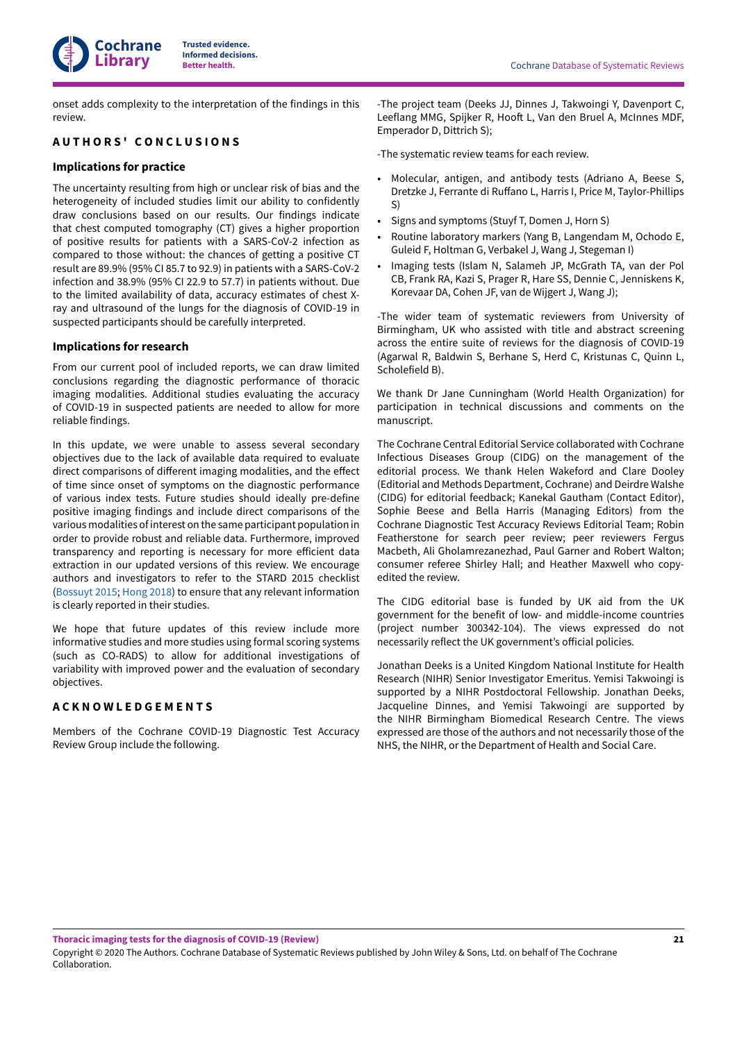onset adds complexity to the interpretation of the findings in this review.

# <span id="page-23-0"></span>**A U T H O R S ' C O N C L U S I O N S**

#### **Implications for practice**

The uncertainty resulting from high or unclear risk of bias and the heterogeneity of included studies limit our ability to confidently draw conclusions based on our results. Our findings indicate that chest computed tomography (CT) gives a higher proportion of positive results for patients with a SARS-CoV-2 infection as compared to those without: the chances of getting a positive CT result are 89.9% (95% CI 85.7 to 92.9) in patients with a SARS-CoV-2 infection and 38.9% (95% CI 22.9 to 57.7) in patients without. Due to the limited availability of data, accuracy estimates of chest Xray and ultrasound of the lungs for the diagnosis of COVID-19 in suspected participants should be carefully interpreted.

#### **Implications for research**

From our current pool of included reports, we can draw limited conclusions regarding the diagnostic performance of thoracic imaging modalities. Additional studies evaluating the accuracy of COVID-19 in suspected patients are needed to allow for more reliable findings.

In this update, we were unable to assess several secondary objectives due to the lack of available data required to evaluate direct comparisons of different imaging modalities, and the effect of time since onset of symptoms on the diagnostic performance of various index tests. Future studies should ideally pre-define positive imaging findings and include direct comparisons of the various modalities of interest on the same participant population in order to provide robust and reliable data. Furthermore, improved transparency and reporting is necessary for more efficient data extraction in our updated versions of this review. We encourage authors and investigators to refer to the STARD 2015 checklist [\(Bossuyt 2015;](#page-27-9) [Hong 2018\)](#page-27-10) to ensure that any relevant information is clearly reported in their studies.

We hope that future updates of this review include more informative studies and more studies using formal scoring systems (such as CO-RADS) to allow for additional investigations of variability with improved power and the evaluation of secondary objectives.

#### <span id="page-23-1"></span>**A C K N O W L E D G E M E N T S**

Members of the Cochrane COVID-19 Diagnostic Test Accuracy Review Group include the following.

-The project team (Deeks JJ, Dinnes J, Takwoingi Y, Davenport C, Leeflang MMG, Spijker R, Hooft L, Van den Bruel A, McInnes MDF, Emperador D, Dittrich S);

-The systematic review teams for each review.

- Molecular, antigen, and antibody tests (Adriano A, Beese S, Dretzke J, Ferrante di Ruffano L, Harris I, Price M, Taylor-Phillips S)
- Signs and symptoms (Stuyf T, Domen J, Horn S)
- Routine laboratory markers (Yang B, Langendam M, Ochodo E, Guleid F, Holtman G, Verbakel J, Wang J, Stegeman I)
- Imaging tests (Islam N, Salameh JP, McGrath TA, van der Pol CB, Frank RA, Kazi S, Prager R, Hare SS, Dennie C, Jenniskens K, Korevaar DA, Cohen JF, van de Wijgert J, Wang J);

-The wider team of systematic reviewers from University of Birmingham, UK who assisted with title and abstract screening across the entire suite of reviews for the diagnosis of COVID-19 (Agarwal R, Baldwin S, Berhane S, Herd C, Kristunas C, Quinn L, Scholefield B).

We thank Dr Jane Cunningham (World Health Organization) for participation in technical discussions and comments on the manuscript.

The Cochrane Central Editorial Service collaborated with Cochrane Infectious Diseases Group (CIDG) on the management of the editorial process. We thank Helen Wakeford and Clare Dooley (Editorial and Methods Department, Cochrane) and Deirdre Walshe (CIDG) for editorial feedback; Kanekal Gautham (Contact Editor), Sophie Beese and Bella Harris (Managing Editors) from the Cochrane Diagnostic Test Accuracy Reviews Editorial Team; Robin Featherstone for search peer review; peer reviewers Fergus Macbeth, Ali Gholamrezanezhad, Paul Garner and Robert Walton; consumer referee Shirley Hall; and Heather Maxwell who copyedited the review.

The CIDG editorial base is funded by UK aid from the UK government for the benefit of low- and middle-income countries (project number 300342-104). The views expressed do not necessarily reflect the UK government's official policies.

Jonathan Deeks is a United Kingdom National Institute for Health Research (NIHR) Senior Investigator Emeritus. Yemisi Takwoingi is supported by a NIHR Postdoctoral Fellowship. Jonathan Deeks, Jacqueline Dinnes, and Yemisi Takwoingi are supported by the NIHR Birmingham Biomedical Research Centre. The views expressed are those of the authors and not necessarily those of the NHS, the NIHR, or the Department of Health and Social Care.

**Thoracic imaging tests for the diagnosis of COVID-19 (Review)**

Copyright © 2020 The Authors. Cochrane Database of Systematic Reviews published by John Wiley & Sons, Ltd. on behalf of The Cochrane Collaboration.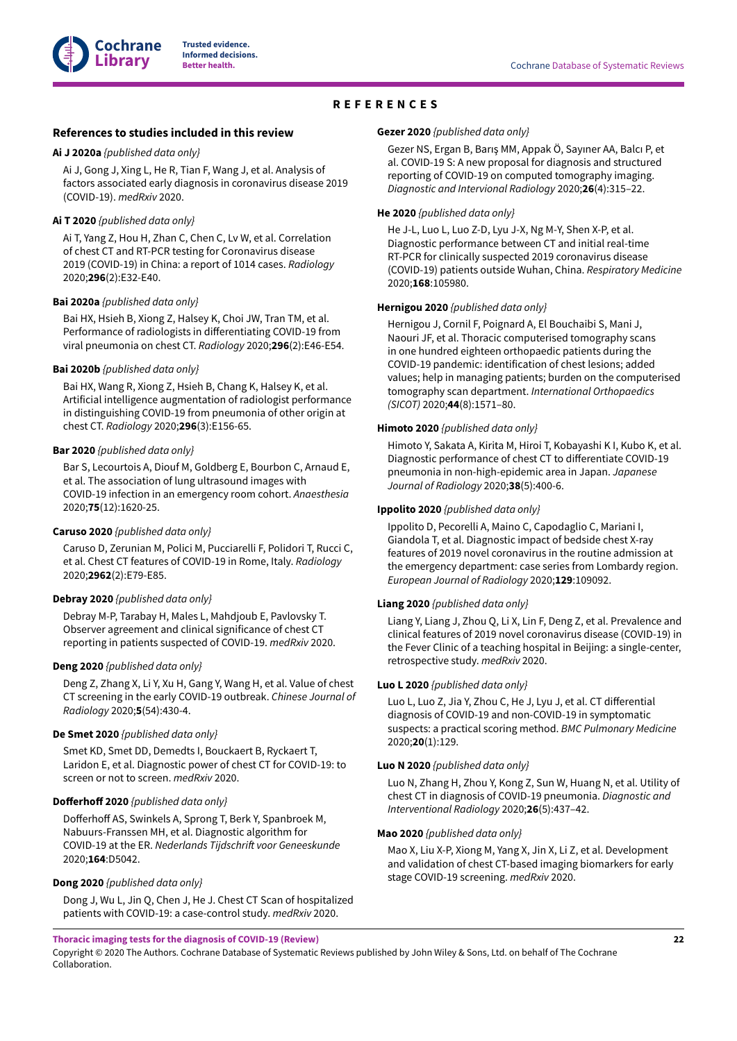

# **REFERENCES**

#### <span id="page-24-0"></span>**References to studies included in this review**

#### <span id="page-24-3"></span>**Ai J 2020a** *{published data only}*

Ai J, Gong J, Xing L, He R, Tian F, Wang J, et al. Analysis of factors associated early diagnosis in coronavirus disease 2019 (COVID-19). *medRxiv* 2020.

#### <span id="page-24-4"></span>**Ai T 2020** *{published data only}*

Ai T, Yang Z, Hou H, Zhan C, Chen C, Lv W, et al. Correlation of chest CT and RT-PCR testing for Coronavirus disease 2019 (COVID-19) in China: a report of 1014 cases. *Radiology* 2020;**296**(2):E32-E40.

#### <span id="page-24-5"></span>**Bai 2020a** *{published data only}*

Bai HX, Hsieh B, Xiong Z, Halsey K, Choi JW, Tran TM, et al. Performance of radiologists in differentiating COVID-19 from viral pneumonia on chest CT. *Radiology* 2020;**296**(2):E46-E54.

#### <span id="page-24-6"></span>**Bai 2020b** *{published data only}*

Bai HX, Wang R, Xiong Z, Hsieh B, Chang K, Halsey K, et al. Artificial intelligence augmentation of radiologist performance in distinguishing COVID-19 from pneumonia of other origin at chest CT. *Radiology* 2020;**296**(3):E156-65.

#### <span id="page-24-7"></span>**Bar 2020** *{published data only}*

Bar S, Lecourtois A, Diouf M, Goldberg E, Bourbon C, Arnaud E, et al. The association of lung ultrasound images with COVID-19 infection in an emergency room cohort. *Anaesthesia* 2020;**75**(12):1620-25.

#### **Caruso 2020** *{published data only}*

Caruso D, Zerunian M, Polici M, Pucciarelli F, Polidori T, Rucci C, et al. Chest CT features of COVID-19 in Rome, Italy. *Radiology* 2020;**2962**(2):E79-E85.

#### **Debray 2020** *{published data only}*

Debray M-P, Tarabay H, Males L, Mahdjoub E, Pavlovsky T. Observer agreement and clinical significance of chest CT reporting in patients suspected of COVID-19. *medRxiv* 2020.

#### **Deng 2020** *{published data only}*

Deng Z, Zhang X, Li Y, Xu H, Gang Y, Wang H, et al. Value of chest CT screening in the early COVID-19 outbreak. *Chinese Journal of Radiology* 2020;**5**(54):430-4.

#### <span id="page-24-2"></span>**De Smet 2020** *{published data only}*

Smet KD, Smet DD, Demedts I, Bouckaert B, Ryckaert T, Laridon E, et al. Diagnostic power of chest CT for COVID-19: to screen or not to screen. *medRxiv* 2020.

#### <span id="page-24-1"></span>**Dofferhoff 2020** *{published data only}*

Dofferhoff AS, Swinkels A, Sprong T, Berk Y, Spanbroek M, Nabuurs-Franssen MH, et al. Diagnostic algorithm for COVID-19 at the ER. *Nederlands Tijdschri\$ voor Geneeskunde* 2020;**164**:D5042.

#### **Dong 2020** *{published data only}*

Dong J, Wu L, Jin Q, Chen J, He J. Chest CT Scan of hospitalized patients with COVID-19: a case-control study. *medRxiv* 2020.

#### **Gezer 2020** *{published data only}*

Gezer NS, Ergan B, Barış MM, Appak Ö, Sayıner AA, Balcı P, et al. COVID-19 S: A new proposal for diagnosis and structured reporting of COVID-19 on computed tomography imaging. *Diagnostic and Intervional Radiology* 2020;**26**(4):315–22.

#### **He 2020** *{published data only}*

He J-L, Luo L, Luo Z-D, Lyu J-X, Ng M-Y, Shen X-P, et al. Diagnostic performance between CT and initial real-time RT-PCR for clinically suspected 2019 coronavirus disease (COVID-19) patients outside Wuhan, China. *Respiratory Medicine* 2020;**168**:105980.

#### **Hernigou 2020** *{published data only}*

Hernigou J, Cornil F, Poignard A, El Bouchaibi S, Mani J, Naouri JF, et al. Thoracic computerised tomography scans in one hundred eighteen orthopaedic patients during the COVID-19 pandemic: identification of chest lesions; added values; help in managing patients; burden on the computerised tomography scan department. *International Orthopaedics (SICOT)* 2020;**44**(8):1571–80.

#### **Himoto 2020** *{published data only}*

Himoto Y, Sakata A, Kirita M, Hiroi T, Kobayashi K I, Kubo K, et al. Diagnostic performance of chest CT to differentiate COVID-19 pneumonia in non-high-epidemic area in Japan. *Japanese Journal of Radiology* 2020;**38**(5):400-6.

#### **Ippolito 2020** *{published data only}*

Ippolito D, Pecorelli A, Maino C, Capodaglio C, Mariani I, Giandola T, et al. Diagnostic impact of bedside chest X-ray features of 2019 novel coronavirus in the routine admission at the emergency department: case series from Lombardy region. *European Journal of Radiology* 2020;**129**:109092.

# **Liang 2020** *{published data only}*

Liang Y, Liang J, Zhou Q, Li X, Lin F, Deng Z, et al. Prevalence and clinical features of 2019 novel coronavirus disease (COVID-19) in the Fever Clinic of a teaching hospital in Beijing: a single-center, retrospective study. *medRxiv* 2020.

#### **Luo L 2020** *{published data only}*

Luo L, Luo Z, Jia Y, Zhou C, He J, Lyu J, et al. CT differential diagnosis of COVID-19 and non-COVID-19 in symptomatic suspects: a practical scoring method. *BMC Pulmonary Medicine* 2020;**20**(1):129.

#### **Luo N 2020** *{published data only}*

Luo N, Zhang H, Zhou Y, Kong Z, Sun W, Huang N, et al. Utility of chest CT in diagnosis of COVID-19 pneumonia. *Diagnostic and Interventional Radiology* 2020;**26**(5):437–42.

#### **Mao 2020** *{published data only}*

Mao X, Liu X-P, Xiong M, Yang X, Jin X, Li Z, et al. Development and validation of chest CT-based imaging biomarkers for early stage COVID-19 screening. *medRxiv* 2020.

#### **Thoracic imaging tests for the diagnosis of COVID-19 (Review)**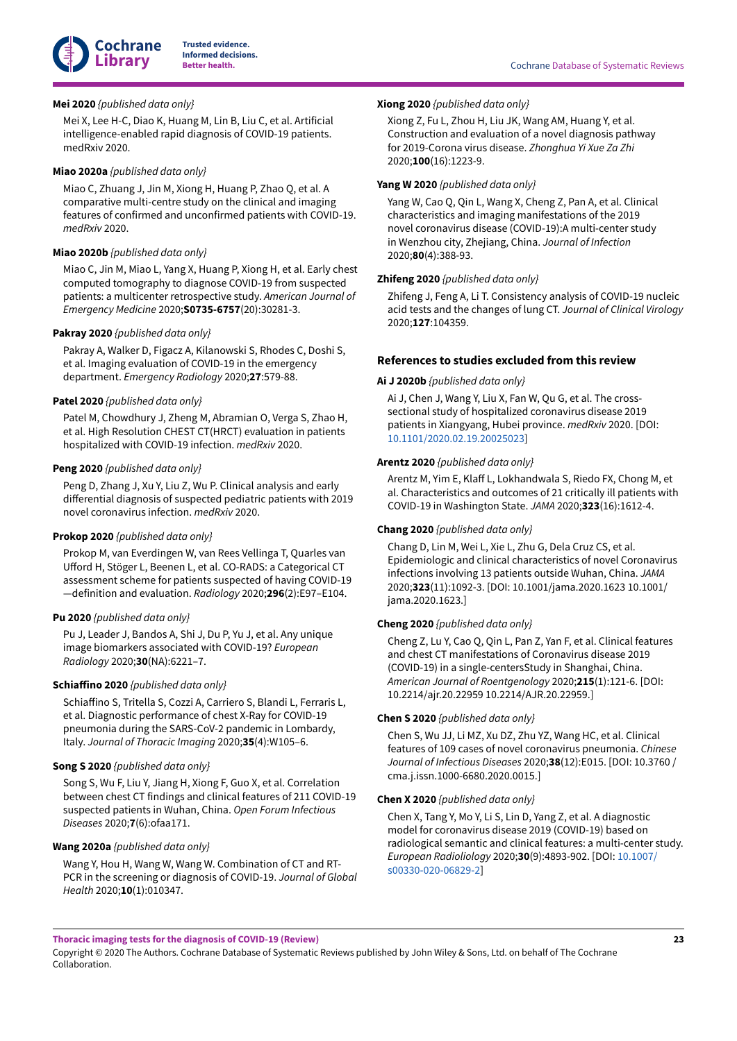

# **Mei 2020** *{published data only}*

Mei X, Lee H-C, Diao K, Huang M, Lin B, Liu C, et al. Artificial intelligence-enabled rapid diagnosis of COVID-19 patients. medRxiv 2020.

#### **Miao 2020a** *{published data only}*

Miao C, Zhuang J, Jin M, Xiong H, Huang P, Zhao Q, et al. A comparative multi-centre study on the clinical and imaging features of confirmed and unconfirmed patients with COVID-19. *medRxiv* 2020.

#### **Miao 2020b** *{published data only}*

Miao C, Jin M, Miao L, Yang X, Huang P, Xiong H, et al. Early chest computed tomography to diagnose COVID-19 from suspected patients: a multicenter retrospective study. *American Journal of Emergency Medicine* 2020;**S0735-6757**(20):30281-3.

# **Pakray 2020** *{published data only}*

Pakray A, Walker D, Figacz A, Kilanowski S, Rhodes C, Doshi S, et al. Imaging evaluation of COVID-19 in the emergency department. *Emergency Radiology* 2020;**27**:579-88.

#### **Patel 2020** *{published data only}*

Patel M, Chowdhury J, Zheng M, Abramian O, Verga S, Zhao H, et al. High Resolution CHEST CT(HRCT) evaluation in patients hospitalized with COVID-19 infection. *medRxiv* 2020.

#### **Peng 2020** *{published data only}*

Peng D, Zhang J, Xu Y, Liu Z, Wu P. Clinical analysis and early differential diagnosis of suspected pediatric patients with 2019 novel coronavirus infection. *medRxiv* 2020.

# <span id="page-25-0"></span>**Prokop 2020** *{published data only}*

Prokop M, van Everdingen W, van Rees Vellinga T, Quarles van Ufford H, Stöger L, Beenen L, et al. CO-RADS: a Categorical CT assessment scheme for patients suspected of having COVID-19 —definition and evaluation. *Radiology* 2020;**296**(2):E97–E104.

# **Pu 2020** *{published data only}*

Pu J, Leader J, Bandos A, Shi J, Du P, Yu J, et al. Any unique image biomarkers associated with COVID-19? *European Radiology* 2020;**30**(NA):6221–7.

# **Schiaffino 2020** *{published data only}*

Schiaffino S, Tritella S, Cozzi A, Carriero S, Blandi L, Ferraris L, et al. Diagnostic performance of chest X-Ray for COVID-19 pneumonia during the SARS-CoV-2 pandemic in Lombardy, Italy. *Journal of Thoracic Imaging* 2020;**35**(4):W105–6.

# **Song S 2020** *{published data only}*

Song S, Wu F, Liu Y, Jiang H, Xiong F, Guo X, et al. Correlation between chest CT findings and clinical features of 211 COVID-19 suspected patients in Wuhan, China. *Open Forum Infectious Diseases* 2020;**7**(6):ofaa171.

#### **Wang 2020a** *{published data only}*

Wang Y, Hou H, Wang W, Wang W. Combination of CT and RT-PCR in the screening or diagnosis of COVID-19. *Journal of Global Health* 2020;**10**(1):010347.

#### **Xiong 2020** *{published data only}*

Xiong Z, Fu L, Zhou H, Liu JK, Wang AM, Huang Y, et al. Construction and evaluation of a novel diagnosis pathway for 2019-Corona virus disease. *Zhonghua Yi Xue Za Zhi* 2020;**100**(16):1223-9.

# **Yang W 2020** *{published data only}*

Yang W, Cao Q, Qin L, Wang X, Cheng Z, Pan A, et al. Clinical characteristics and imaging manifestations of the 2019 novel coronavirus disease (COVID-19):A multi-center study in Wenzhou city, Zhejiang, China. *Journal of Infection* 2020;**80**(4):388-93.

#### **Zhifeng 2020** *{published data only}*

Zhifeng J, Feng A, Li T. Consistency analysis of COVID-19 nucleic acid tests and the changes of lung CT. *Journal of Clinical Virology* 2020;**127**:104359.

# **References to studies excluded from this review**

#### **Ai J 2020b** *{published data only}*

Ai J, Chen J, Wang Y, Liu X, Fan W, Qu G, et al. The crosssectional study of hospitalized coronavirus disease 2019 patients in Xiangyang, Hubei province. *medRxiv* 2020. [DOI: [10.1101/2020.02.19.20025023\]](https://doi.org/10.1101%2F2020.02.19.20025023)

#### **Arentz 2020** *{published data only}*

Arentz M, Yim E, Klaff L, Lokhandwala S, Riedo FX, Chong M, et al. Characteristics and outcomes of 21 critically ill patients with COVID-19 in Washington State. *JAMA* 2020;**323**(16):1612-4.

#### **Chang 2020** *{published data only}*

Chang D, Lin M, Wei L, Xie L, Zhu G, Dela Cruz CS, et al. Epidemiologic and clinical characteristics of novel Coronavirus infections involving 13 patients outside Wuhan, China. *JAMA* 2020;**323**(11):1092-3. [DOI: 10.1001/jama.2020.1623 10.1001/ jama.2020.1623.]

# **Cheng 2020** *{published data only}*

Cheng Z, Lu Y, Cao Q, Qin L, Pan Z, Yan F, et al. Clinical features and chest CT manifestations of Coronavirus disease 2019 (COVID-19) in a single-centersStudy in Shanghai, China. *American Journal of Roentgenology* 2020;**215**(1):121-6. [DOI: 10.2214/ajr.20.22959 10.2214/AJR.20.22959.]

#### **Chen S 2020** *{published data only}*

Chen S, Wu JJ, Li MZ, Xu DZ, Zhu YZ, Wang HC, et al. Clinical features of 109 cases of novel coronavirus pneumonia. *Chinese Journal of Infectious Diseases* 2020;**38**(12):E015. [DOI: 10.3760 / cma.j.issn.1000-6680.2020.0015.]

#### **Chen X 2020** *{published data only}*

Chen X, Tang Y, Mo Y, Li S, Lin D, Yang Z, et al. A diagnostic model for coronavirus disease 2019 (COVID-19) based on radiological semantic and clinical features: a multi-center study. *European Radioliology* 2020;**30**(9):4893-902. [DOI: [10.1007/](https://doi.org/10.1007%2Fs00330-020-06829-2) [s00330-020-06829-2](https://doi.org/10.1007%2Fs00330-020-06829-2)]

**Thoracic imaging tests for the diagnosis of COVID-19 (Review)**

Copyright © 2020 The Authors. Cochrane Database of Systematic Reviews published by John Wiley & Sons, Ltd. on behalf of The Cochrane Collaboration.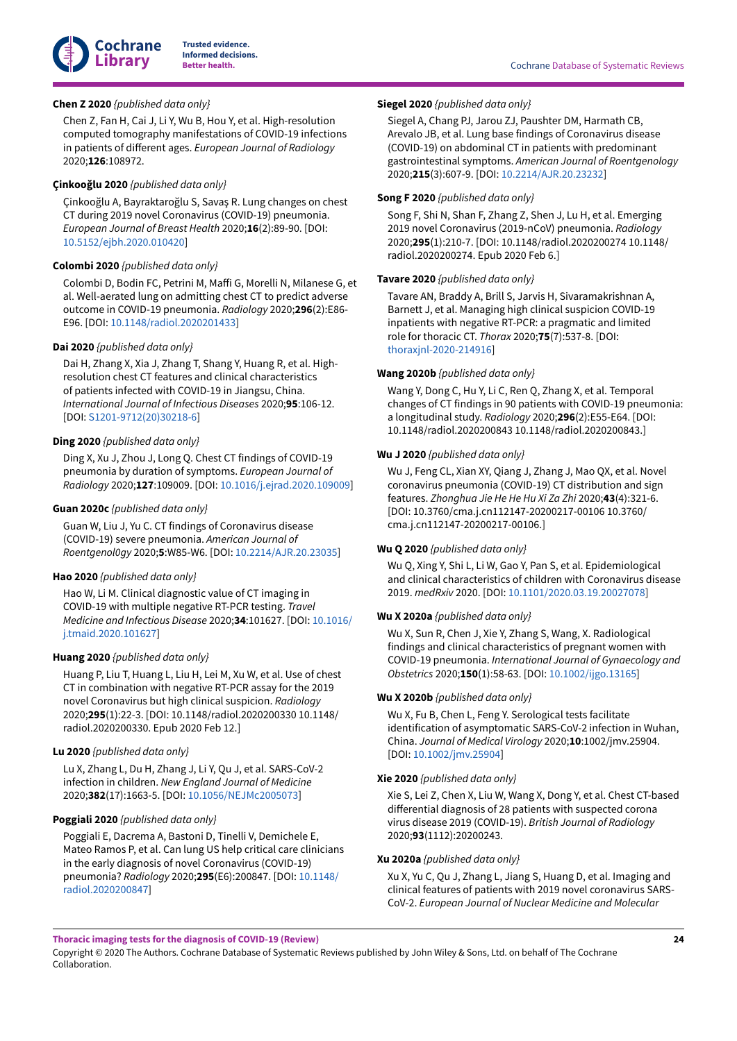

# **Chen Z 2020** *{published data only}*

Chen Z, Fan H, Cai J, Li Y, Wu B, Hou Y, et al. High-resolution computed tomography manifestations of COVID-19 infections in patients of diQerent ages. *European Journal of Radiology* 2020;**126**:108972.

#### **Çinkooğlu 2020** *{published data only}*

Çinkooğlu A, Bayraktaroğlu S, Savaş R. Lung changes on chest CT during 2019 novel Coronavirus (COVID-19) pneumonia. *European Journal of Breast Health* 2020;**16**(2):89-90. [DOI: [10.5152/ejbh.2020.010420](https://doi.org/10.5152%2Fejbh.2020.010420)]

#### **Colombi 2020** *{published data only}*

Colombi D, Bodin FC, Petrini M, Maffi G, Morelli N, Milanese G, et al. Well-aerated lung on admitting chest CT to predict adverse outcome in COVID-19 pneumonia. *Radiology* 2020;**296**(2):E86- E96. [DOI: [10.1148/radiol.2020201433](https://doi.org/10.1148%2Fradiol.2020201433)]

### **Dai 2020** *{published data only}*

Dai H, Zhang X, Xia J, Zhang T, Shang Y, Huang R, et al. Highresolution chest CT features and clinical characteristics of patients infected with COVID-19 in Jiangsu, China. *International Journal of Infectious Diseases* 2020;**95**:106-12. [DOI: [S1201-9712\(20\)30218-6](https://doi.org/S1201-9712%2820%2930218-6)]

#### **Ding 2020** *{published data only}*

Ding X, Xu J, Zhou J, Long Q. Chest CT findings of COVID-19 pneumonia by duration of symptoms. *European Journal of Radiology* 2020;**127**:109009. [DOI: [10.1016/j.ejrad.2020.109009\]](https://doi.org/10.1016%2Fj.ejrad.2020.109009)

#### **Guan 2020c** *{published data only}*

Guan W, Liu J, Yu C. CT findings of Coronavirus disease (COVID-19) severe pneumonia. *American Journal of Roentgenol0gy* 2020;**5**:W85-W6. [DOI: [10.2214/AJR.20.23035\]](https://doi.org/10.2214%2FAJR.20.23035)

# **Hao 2020** *{published data only}*

Hao W, Li M. Clinical diagnostic value of CT imaging in COVID-19 with multiple negative RT-PCR testing. *Travel Medicine and Infectious Disease* 2020;**34**:101627. [DOI: [10.1016/](https://doi.org/10.1016%2Fj.tmaid.2020.101627) [j.tmaid.2020.101627\]](https://doi.org/10.1016%2Fj.tmaid.2020.101627)

#### **Huang 2020** *{published data only}*

Huang P, Liu T, Huang L, Liu H, Lei M, Xu W, et al. Use of chest CT in combination with negative RT-PCR assay for the 2019 novel Coronavirus but high clinical suspicion. *Radiology* 2020;**295**(1):22-3. [DOI: 10.1148/radiol.2020200330 10.1148/ radiol.2020200330. Epub 2020 Feb 12.]

#### **Lu 2020** *{published data only}*

Lu X, Zhang L, Du H, Zhang J, Li Y, Qu J, et al. SARS-CoV-2 infection in children. *New England Journal of Medicine* 2020;**382**(17):1663-5. [DOI: [10.1056/NEJMc2005073\]](https://doi.org/10.1056%2FNEJMc2005073)

### **Poggiali 2020** *{published data only}*

Poggiali E, Dacrema A, Bastoni D, Tinelli V, Demichele E, Mateo Ramos P, et al. Can lung US help critical care clinicians in the early diagnosis of novel Coronavirus (COVID-19) pneumonia? *Radiology* 2020;**295**(E6):200847. [DOI: [10.1148/](https://doi.org/10.1148%2Fradiol.2020200847) [radiol.2020200847\]](https://doi.org/10.1148%2Fradiol.2020200847)

#### **Siegel 2020** *{published data only}*

Siegel A, Chang PJ, Jarou ZJ, Paushter DM, Harmath CB, Arevalo JB, et al. Lung base findings of Coronavirus disease (COVID-19) on abdominal CT in patients with predominant gastrointestinal symptoms. *American Journal of Roentgenology* 2020;**215**(3):607-9. [DOI: [10.2214/AJR.20.23232\]](https://doi.org/10.2214%2FAJR.20.23232)

#### **Song F 2020** *{published data only}*

Song F, Shi N, Shan F, Zhang Z, Shen J, Lu H, et al. Emerging 2019 novel Coronavirus (2019-nCoV) pneumonia. *Radiology* 2020;**295**(1):210-7. [DOI: 10.1148/radiol.2020200274 10.1148/ radiol.2020200274. Epub 2020 Feb 6.]

#### **Tavare 2020** *{published data only}*

Tavare AN, Braddy A, Brill S, Jarvis H, Sivaramakrishnan A, Barnett J, et al. Managing high clinical suspicion COVID-19 inpatients with negative RT-PCR: a pragmatic and limited role for thoracic CT. *Thorax* 2020;**75**(7):537-8. [DOI: [thoraxjnl-2020-214916](https://doi.org/thoraxjnl-2020-214916)]

#### **Wang 2020b** *{published data only}*

Wang Y, Dong C, Hu Y, Li C, Ren Q, Zhang X, et al. Temporal changes of CT findings in 90 patients with COVID-19 pneumonia: a longitudinal study. *Radiology* 2020;**296**(2):E55-E64. [DOI: 10.1148/radiol.2020200843 10.1148/radiol.2020200843.]

### **Wu J 2020** *{published data only}*

Wu J, Feng CL, Xian XY, Qiang J, Zhang J, Mao QX, et al. Novel coronavirus pneumonia (COVID-19) CT distribution and sign features. *Zhonghua Jie He He Hu Xi Za Zhi* 2020;**43**(4):321-6. [DOI: 10.3760/cma.j.cn112147-20200217-00106 10.3760/ cma.j.cn112147-20200217-00106.]

#### **Wu Q 2020** *{published data only}*

Wu Q, Xing Y, Shi L, Li W, Gao Y, Pan S, et al. Epidemiological and clinical characteristics of children with Coronavirus disease 2019. *medRxiv* 2020. [DOI: [10.1101/2020.03.19.20027078](https://doi.org/10.1101%2F2020.03.19.20027078)]

#### **Wu X 2020a** *{published data only}*

Wu X, Sun R, Chen J, Xie Y, Zhang S, Wang, X. Radiological findings and clinical characteristics of pregnant women with COVID-19 pneumonia. *International Journal of Gynaecology and Obstetrics* 2020;**150**(1):58-63. [DOI: [10.1002/ijgo.13165](https://doi.org/10.1002%2Fijgo.13165)]

# **Wu X 2020b** *{published data only}*

Wu X, Fu B, Chen L, Feng Y. Serological tests facilitate identification of asymptomatic SARS-CoV-2 infection in Wuhan, China. *Journal of Medical Virology* 2020;**10**:1002/jmv.25904. [DOI: [10.1002/jmv.25904](https://doi.org/10.1002%2Fjmv.25904)]

#### **Xie 2020** *{published data only}*

Xie S, Lei Z, Chen X, Liu W, Wang X, Dong Y, et al. Chest CT-based differential diagnosis of 28 patients with suspected corona virus disease 2019 (COVID-19). *British Journal of Radiology* 2020;**93**(1112):20200243.

#### **Xu 2020a** *{published data only}*

Xu X, Yu C, Qu J, Zhang L, Jiang S, Huang D, et al. Imaging and clinical features of patients with 2019 novel coronavirus SARS-CoV-2. *European Journal of Nuclear Medicine and Molecular*

**Thoracic imaging tests for the diagnosis of COVID-19 (Review)**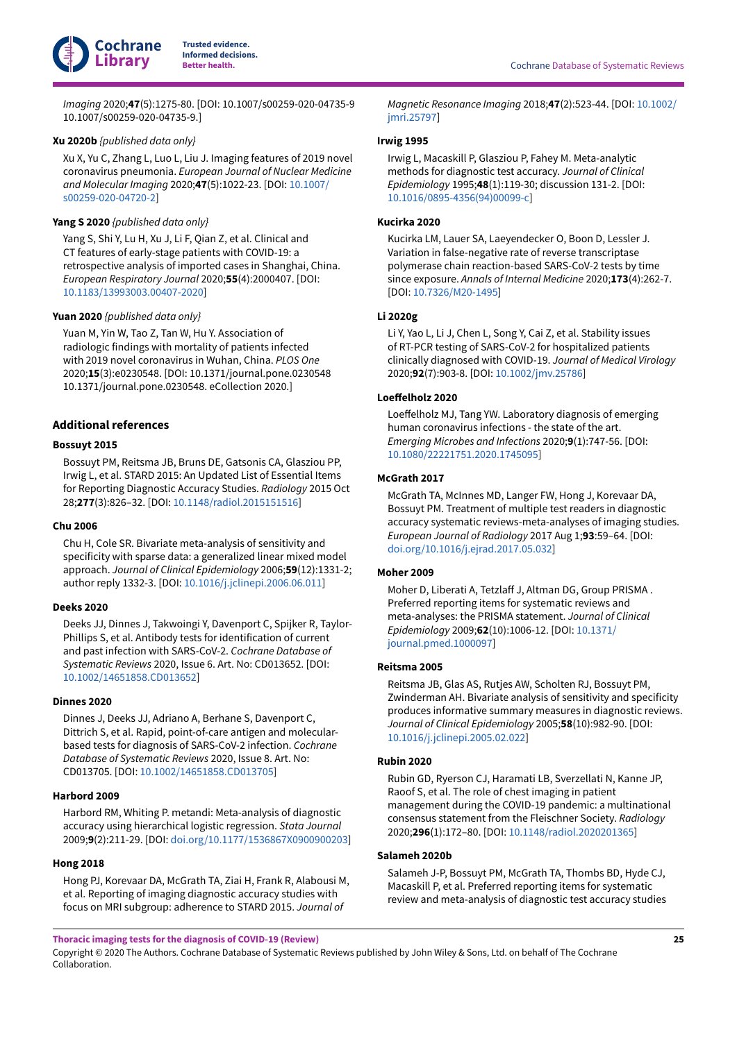

*Imaging* 2020;**47**(5):1275-80. [DOI: 10.1007/s00259-020-04735-9 10.1007/s00259-020-04735-9.]

#### **Xu 2020b** *{published data only}*

Xu X, Yu C, Zhang L, Luo L, Liu J. Imaging features of 2019 novel coronavirus pneumonia. *European Journal of Nuclear Medicine and Molecular Imaging* 2020;**47**(5):1022-23. [DOI: [10.1007/](https://doi.org/10.1007%2Fs00259-020-04720-2) [s00259-020-04720-2\]](https://doi.org/10.1007%2Fs00259-020-04720-2)

# **Yang S 2020** *{published data only}*

Yang S, Shi Y, Lu H, Xu J, Li F, Qian Z, et al. Clinical and CT features of early-stage patients with COVID-19: a retrospective analysis of imported cases in Shanghai, China. *European Respiratory Journal* 2020;**55**(4):2000407. [DOI: [10.1183/13993003.00407-2020](https://doi.org/10.1183%2F13993003.00407-2020)]

#### **Yuan 2020** *{published data only}*

Yuan M, Yin W, Tao Z, Tan W, Hu Y. Association of radiologic findings with mortality of patients infected with 2019 novel coronavirus in Wuhan, China. *PLOS One* 2020;**15**(3):e0230548. [DOI: 10.1371/journal.pone.0230548 10.1371/journal.pone.0230548. eCollection 2020.]

# **Additional references**

#### <span id="page-27-9"></span>**Bossuyt 2015**

Bossuyt PM, Reitsma JB, Bruns DE, Gatsonis CA, Glasziou PP, Irwig L, et al. STARD 2015: An Updated List of Essential Items for Reporting Diagnostic Accuracy Studies. *Radiology* 2015 Oct 28;**277**(3):826–32. [DOI: [10.1148/radiol.2015151516](https://doi.org/10.1148%2Fradiol.2015151516)]

#### <span id="page-27-4"></span>**Chu 2006**

Chu H, Cole SR. Bivariate meta-analysis of sensitivity and specificity with sparse data: a generalized linear mixed model approach. *Journal of Clinical Epidemiology* 2006;**59**(12):1331-2; author reply 1332-3. [DOI: [10.1016/j.jclinepi.2006.06.011](https://doi.org/10.1016%2Fj.jclinepi.2006.06.011)]

#### <span id="page-27-1"></span>**Deeks 2020**

Deeks JJ, Dinnes J, Takwoingi Y, Davenport C, Spijker R, Taylor-Phillips S, et al. Antibody tests for identification of current and past infection with SARS-CoV-2. *Cochrane Database of Systematic Reviews* 2020, Issue 6. Art. No: CD013652. [DOI: [10.1002/14651858.CD013652\]](https://doi.org/10.1002%2F14651858.CD013652)

# <span id="page-27-2"></span>**Dinnes 2020**

Dinnes J, Deeks JJ, Adriano A, Berhane S, Davenport C, Dittrich S, et al. Rapid, point-of-care antigen and molecularbased tests for diagnosis of SARS-CoV-2 infection. *Cochrane Database of Systematic Reviews* 2020, Issue 8. Art. No: CD013705. [DOI: [10.1002/14651858.CD013705\]](https://doi.org/10.1002%2F14651858.CD013705)

#### <span id="page-27-6"></span>**Harbord 2009**

Harbord RM, Whiting P. metandi: Meta-analysis of diagnostic accuracy using hierarchical logistic regression. *Stata Journal* 2009;**9**(2):211-29. [DOI: [doi.org/10.1177/1536867X0900900203](https://doi.org/doi.org%2F10.1177%2F1536867X0900900203)]

#### <span id="page-27-10"></span>**Hong 2018**

Hong PJ, Korevaar DA, McGrath TA, Ziai H, Frank R, Alabousi M, et al. Reporting of imaging diagnostic accuracy studies with focus on MRI subgroup: adherence to STARD 2015. *Journal of*

*Magnetic Resonance Imaging* 2018;**47**(2):523-44. [DOI: [10.1002/](https://doi.org/10.1002%2Fjmri.25797) [jmri.25797\]](https://doi.org/10.1002%2Fjmri.25797)

#### **Irwig 1995**

Irwig L, Macaskill P, Glasziou P, Fahey M. Meta-analytic methods for diagnostic test accuracy. *Journal of Clinical Epidemiology* 1995;**48**(1):119-30; discussion 131-2. [DOI: [10.1016/0895-4356\(94\)00099-c\]](https://doi.org/10.1016%2F0895-4356%2894%2900099-c)

#### **Kucirka 2020**

Kucirka LM, Lauer SA, Laeyendecker O, Boon D, Lessler J. Variation in false-negative rate of reverse transcriptase polymerase chain reaction-based SARS-CoV-2 tests by time since exposure. *Annals of Internal Medicine* 2020;**173**(4):262-7. [DOI: [10.7326/M20-1495](https://doi.org/10.7326%2FM20-1495)]

# **Li 2020g**

Li Y, Yao L, Li J, Chen L, Song Y, Cai Z, et al. Stability issues of RT-PCR testing of SARS-CoV-2 for hospitalized patients clinically diagnosed with COVID-19. *Journal of Medical Virology* 2020;**92**(7):903-8. [DOI: [10.1002/jmv.25786\]](https://doi.org/10.1002%2Fjmv.25786)

#### Loeffelholz 2020

Loeffelholz MJ, Tang YW. Laboratory diagnosis of emerging human coronavirus infections - the state of the art. *Emerging Microbes and Infections* 2020;**9**(1):747-56. [DOI: [10.1080/22221751.2020.1745095\]](https://doi.org/10.1080%2F22221751.2020.1745095)

# <span id="page-27-3"></span>**McGrath 2017**

McGrath TA, McInnes MD, Langer FW, Hong J, Korevaar DA, Bossuyt PM. Treatment of multiple test readers in diagnostic accuracy systematic reviews-meta-analyses of imaging studies. *European Journal of Radiology* 2017 Aug 1;**93**:59–64. [DOI: [doi.org/10.1016/j.ejrad.2017.05.032](https://doi.org/doi.org%2F10.1016%2Fj.ejrad.2017.05.032)]

#### <span id="page-27-8"></span>**Moher 2009**

Moher D, Liberati A, Tetzlaff J, Altman DG, Group PRISMA. Preferred reporting items for systematic reviews and meta-analyses: the PRISMA statement. *Journal of Clinical Epidemiology* 2009;**62**(10):1006-12. [DOI: [10.1371/](https://doi.org/10.1371%2Fjournal.pmed.1000097) [journal.pmed.1000097\]](https://doi.org/10.1371%2Fjournal.pmed.1000097)

#### <span id="page-27-5"></span>**Reitsma 2005**

Reitsma JB, Glas AS, Rutjes AW, Scholten RJ, Bossuyt PM, Zwinderman AH. Bivariate analysis of sensitivity and specificity produces informative summary measures in diagnostic reviews. *Journal of Clinical Epidemiology* 2005;**58**(10):982-90. [DOI: [10.1016/j.jclinepi.2005.02.022\]](https://doi.org/10.1016%2Fj.jclinepi.2005.02.022)

#### <span id="page-27-0"></span>**Rubin 2020**

Rubin GD, Ryerson CJ, Haramati LB, Sverzellati N, Kanne JP, Raoof S, et al. The role of chest imaging in patient management during the COVID-19 pandemic: a multinational consensus statement from the Fleischner Society. *Radiology* 2020;**296**(1):172–80. [DOI: [10.1148/radiol.2020201365](https://doi.org/10.1148%2Fradiol.2020201365)]

#### <span id="page-27-7"></span>**Salameh 2020b**

Salameh J-P, Bossuyt PM, McGrath TA, Thombs BD, Hyde CJ, Macaskill P, et al. Preferred reporting items for systematic review and meta-analysis of diagnostic test accuracy studies

**Thoracic imaging tests for the diagnosis of COVID-19 (Review)**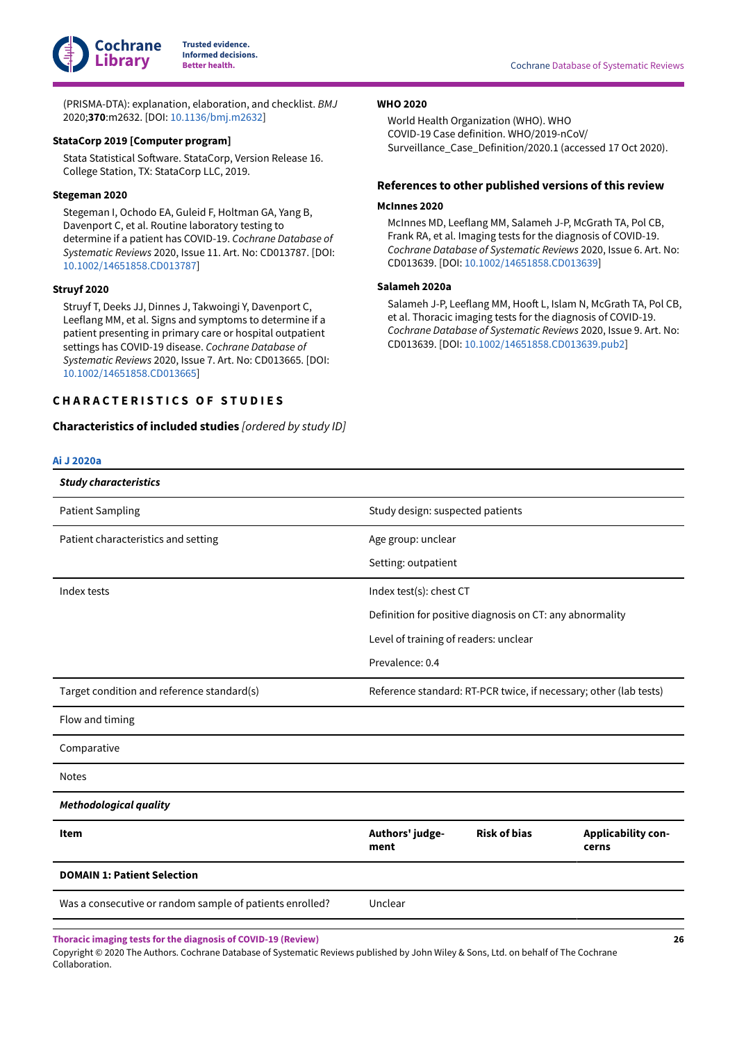

(PRISMA-DTA): explanation, elaboration, and checklist. *BMJ* 2020;**370**:m2632. [DOI: [10.1136/bmj.m2632](https://doi.org/10.1136%2Fbmj.m2632)]

#### <span id="page-28-5"></span>**StataCorp 2019 [Computer program]**

Stata Statistical Software. StataCorp, Version Release 16. College Station, TX: StataCorp LLC, 2019.

#### <span id="page-28-4"></span>**Stegeman 2020**

Stegeman I, Ochodo EA, Guleid F, Holtman GA, Yang B, Davenport C, et al. Routine laboratory testing to determine if a patient has COVID-19. *Cochrane Database of Systematic Reviews* 2020, Issue 11. Art. No: CD013787. [DOI: [10.1002/14651858.CD013787\]](https://doi.org/10.1002%2F14651858.CD013787)

# <span id="page-28-3"></span>**Struyf 2020**

Struyf T, Deeks JJ, Dinnes J, Takwoingi Y, Davenport C, Leeflang MM, et al. Signs and symptoms to determine if a patient presenting in primary care or hospital outpatient settings has COVID-19 disease. *Cochrane Database of Systematic Reviews* 2020, Issue 7. Art. No: CD013665. [DOI: [10.1002/14651858.CD013665\]](https://doi.org/10.1002%2F14651858.CD013665)

# <span id="page-28-0"></span>**C H A R A C T E R I S T I C S O F S T U D I E S**

#### <span id="page-28-6"></span>**Characteristics of included studies** *[ordered by study ID]*

#### **[Ai J 2020a](#page-24-3)**

#### <span id="page-28-1"></span>**WHO 2020**

World Health Organization (WHO). WHO COVID-19 Case definition. WHO/2019-nCoV/ Surveillance\_Case\_Definition/2020.1 (accessed 17 Oct 2020).

#### **References to other published versions of this review**

#### **McInnes 2020**

McInnes MD, Leeflang MM, Salameh J-P, McGrath TA, Pol CB, Frank RA, et al. Imaging tests for the diagnosis of COVID-19. *Cochrane Database of Systematic Reviews* 2020, Issue 6. Art. No: CD013639. [DOI: [10.1002/14651858.CD013639](https://doi.org/10.1002%2F14651858.CD013639)]

#### <span id="page-28-2"></span>**Salameh 2020a**

Salameh J-P, Leeflang MM, Hooft L, Islam N, McGrath TA, Pol CB, et al. Thoracic imaging tests for the diagnosis of COVID-19. *Cochrane Database of Systematic Reviews* 2020, Issue 9. Art. No: CD013639. [DOI: [10.1002/14651858.CD013639.pub2\]](https://doi.org/10.1002%2F14651858.CD013639.pub2)

| <b>Study characteristics</b>                             |                                                          |                     |                                                                   |  |  |
|----------------------------------------------------------|----------------------------------------------------------|---------------------|-------------------------------------------------------------------|--|--|
| <b>Patient Sampling</b>                                  | Study design: suspected patients                         |                     |                                                                   |  |  |
| Patient characteristics and setting                      | Age group: unclear                                       |                     |                                                                   |  |  |
|                                                          | Setting: outpatient                                      |                     |                                                                   |  |  |
| Index tests                                              | Index test(s): chest CT                                  |                     |                                                                   |  |  |
|                                                          | Definition for positive diagnosis on CT: any abnormality |                     |                                                                   |  |  |
|                                                          | Level of training of readers: unclear                    |                     |                                                                   |  |  |
|                                                          | Prevalence: 0.4                                          |                     |                                                                   |  |  |
| Target condition and reference standard(s)               |                                                          |                     | Reference standard: RT-PCR twice, if necessary; other (lab tests) |  |  |
| Flow and timing                                          |                                                          |                     |                                                                   |  |  |
| Comparative                                              |                                                          |                     |                                                                   |  |  |
| <b>Notes</b>                                             |                                                          |                     |                                                                   |  |  |
| <b>Methodological quality</b>                            |                                                          |                     |                                                                   |  |  |
| Item                                                     | Authors' judge-<br>ment                                  | <b>Risk of bias</b> | Applicability con-<br>cerns                                       |  |  |
| <b>DOMAIN 1: Patient Selection</b>                       |                                                          |                     |                                                                   |  |  |
| Was a consecutive or random sample of patients enrolled? | Unclear                                                  |                     |                                                                   |  |  |
|                                                          |                                                          |                     |                                                                   |  |  |

**Thoracic imaging tests for the diagnosis of COVID-19 (Review)**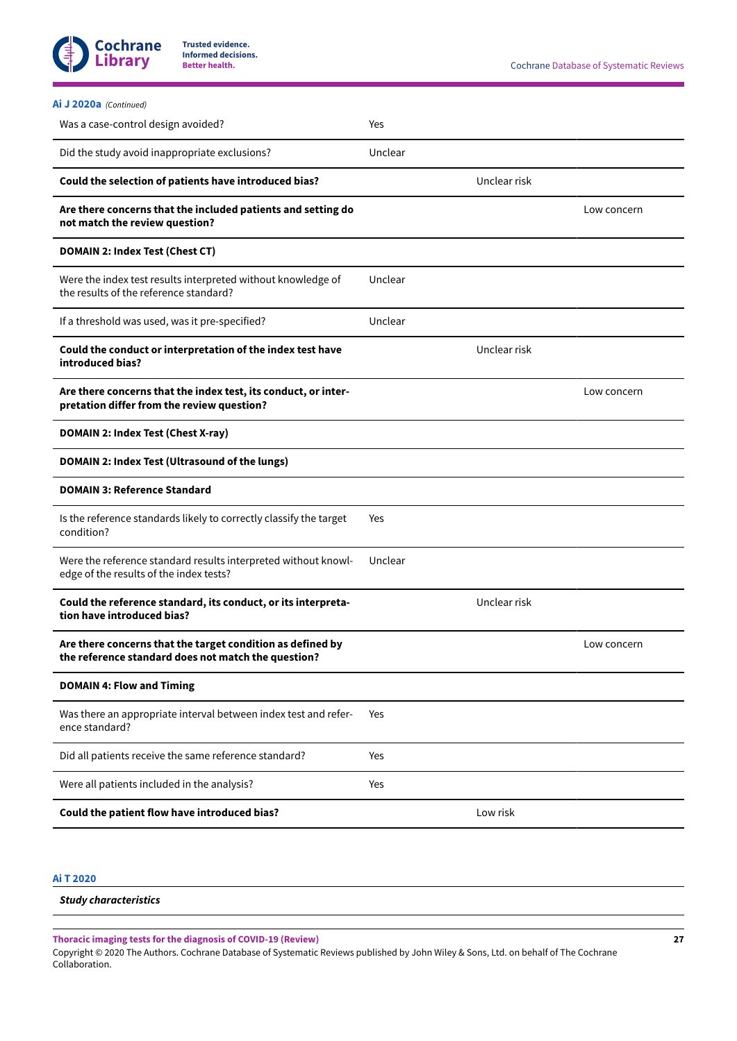

| Ai J 2020a (Continued)                                                                                            |         |              |             |
|-------------------------------------------------------------------------------------------------------------------|---------|--------------|-------------|
| Was a case-control design avoided?                                                                                | Yes     |              |             |
| Did the study avoid inappropriate exclusions?                                                                     | Unclear |              |             |
| Could the selection of patients have introduced bias?                                                             |         | Unclear risk |             |
| Are there concerns that the included patients and setting do<br>not match the review question?                    |         |              | Low concern |
| <b>DOMAIN 2: Index Test (Chest CT)</b>                                                                            |         |              |             |
| Were the index test results interpreted without knowledge of<br>the results of the reference standard?            | Unclear |              |             |
| If a threshold was used, was it pre-specified?                                                                    | Unclear |              |             |
| Could the conduct or interpretation of the index test have<br>introduced bias?                                    |         | Unclear risk |             |
| Are there concerns that the index test, its conduct, or inter-<br>pretation differ from the review question?      |         |              | Low concern |
| DOMAIN 2: Index Test (Chest X-ray)                                                                                |         |              |             |
| DOMAIN 2: Index Test (Ultrasound of the lungs)                                                                    |         |              |             |
| <b>DOMAIN 3: Reference Standard</b>                                                                               |         |              |             |
| Is the reference standards likely to correctly classify the target<br>condition?                                  | Yes     |              |             |
| Were the reference standard results interpreted without knowl-<br>edge of the results of the index tests?         | Unclear |              |             |
| Could the reference standard, its conduct, or its interpreta-<br>tion have introduced bias?                       |         | Unclear risk |             |
| Are there concerns that the target condition as defined by<br>the reference standard does not match the question? |         |              | Low concern |
| <b>DOMAIN 4: Flow and Timing</b>                                                                                  |         |              |             |
| Was there an appropriate interval between index test and refer-<br>ence standard?                                 | Yes     |              |             |
| Did all patients receive the same reference standard?                                                             | Yes     |              |             |
| Were all patients included in the analysis?                                                                       | Yes     |              |             |
| Could the patient flow have introduced bias?                                                                      |         | Low risk     |             |
|                                                                                                                   |         |              |             |

# **[Ai T 2020](#page-24-4)**

# *Study characteristics*

**Thoracic imaging tests for the diagnosis of COVID-19 (Review)**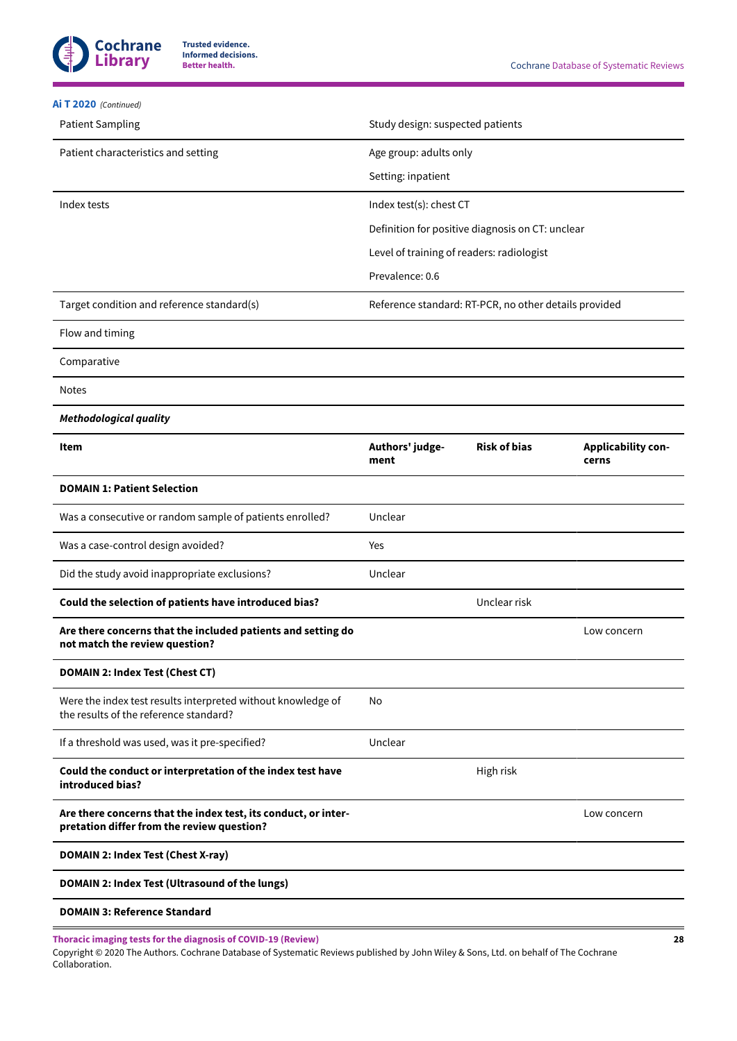

| Ai T 2020 (Continued)                                                                                        |                                           |                                                       |                                    |
|--------------------------------------------------------------------------------------------------------------|-------------------------------------------|-------------------------------------------------------|------------------------------------|
| <b>Patient Sampling</b>                                                                                      | Study design: suspected patients          |                                                       |                                    |
| Patient characteristics and setting                                                                          | Age group: adults only                    |                                                       |                                    |
|                                                                                                              | Setting: inpatient                        |                                                       |                                    |
| Index tests                                                                                                  | Index test(s): chest CT                   |                                                       |                                    |
|                                                                                                              |                                           | Definition for positive diagnosis on CT: unclear      |                                    |
|                                                                                                              | Level of training of readers: radiologist |                                                       |                                    |
|                                                                                                              | Prevalence: 0.6                           |                                                       |                                    |
| Target condition and reference standard(s)                                                                   |                                           | Reference standard: RT-PCR, no other details provided |                                    |
| Flow and timing                                                                                              |                                           |                                                       |                                    |
| Comparative                                                                                                  |                                           |                                                       |                                    |
| <b>Notes</b>                                                                                                 |                                           |                                                       |                                    |
| <b>Methodological quality</b>                                                                                |                                           |                                                       |                                    |
| Item                                                                                                         | Authors' judge-<br>ment                   | <b>Risk of bias</b>                                   | <b>Applicability con-</b><br>cerns |
| <b>DOMAIN 1: Patient Selection</b>                                                                           |                                           |                                                       |                                    |
| Was a consecutive or random sample of patients enrolled?                                                     | Unclear                                   |                                                       |                                    |
| Was a case-control design avoided?                                                                           | Yes                                       |                                                       |                                    |
| Did the study avoid inappropriate exclusions?                                                                | Unclear                                   |                                                       |                                    |
| Could the selection of patients have introduced bias?                                                        |                                           | Unclear risk                                          |                                    |
| Are there concerns that the included patients and setting do<br>not match the review question?               |                                           |                                                       | Low concern                        |
| <b>DOMAIN 2: Index Test (Chest CT)</b>                                                                       |                                           |                                                       |                                    |
| Were the index test results interpreted without knowledge of<br>the results of the reference standard?       | No                                        |                                                       |                                    |
| If a threshold was used, was it pre-specified?                                                               | Unclear                                   |                                                       |                                    |
| Could the conduct or interpretation of the index test have<br>introduced bias?                               |                                           | High risk                                             |                                    |
| Are there concerns that the index test, its conduct, or inter-<br>pretation differ from the review question? |                                           |                                                       | Low concern                        |
| DOMAIN 2: Index Test (Chest X-ray)                                                                           |                                           |                                                       |                                    |
| DOMAIN 2: Index Test (Ultrasound of the lungs)                                                               |                                           |                                                       |                                    |
| <b>DOMAIN 3: Reference Standard</b>                                                                          |                                           |                                                       |                                    |

**Thoracic imaging tests for the diagnosis of COVID-19 (Review)**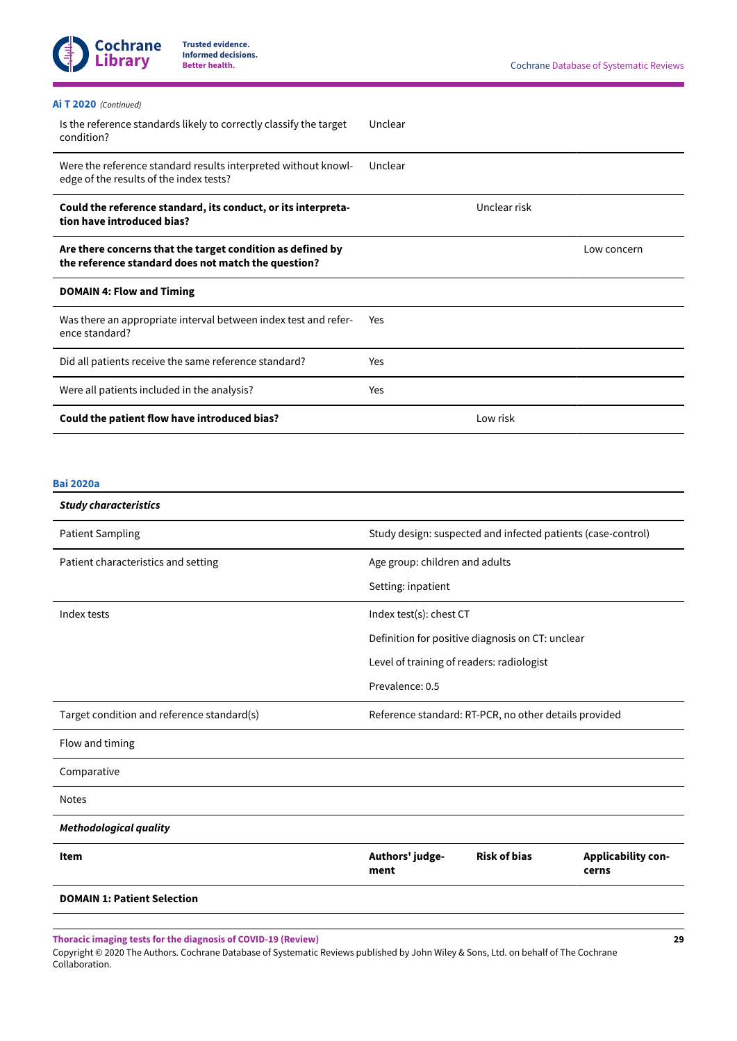

| Ai T 2020 (Continued)                                                                                             |         |              |             |
|-------------------------------------------------------------------------------------------------------------------|---------|--------------|-------------|
| Is the reference standards likely to correctly classify the target<br>condition?                                  | Unclear |              |             |
| Were the reference standard results interpreted without knowl-<br>edge of the results of the index tests?         | Unclear |              |             |
| Could the reference standard, its conduct, or its interpreta-<br>tion have introduced bias?                       |         | Unclear risk |             |
| Are there concerns that the target condition as defined by<br>the reference standard does not match the question? |         |              | Low concern |
| <b>DOMAIN 4: Flow and Timing</b>                                                                                  |         |              |             |
| Was there an appropriate interval between index test and refer-<br>ence standard?                                 | Yes     |              |             |
| Did all patients receive the same reference standard?                                                             | Yes     |              |             |
| Were all patients included in the analysis?                                                                       | Yes     |              |             |
| Could the patient flow have introduced bias?                                                                      |         | Low risk     |             |

# **[Bai 2020a](#page-24-5)**

| <b>Study characteristics</b>               |                                                                               |
|--------------------------------------------|-------------------------------------------------------------------------------|
| <b>Patient Sampling</b>                    | Study design: suspected and infected patients (case-control)                  |
| Patient characteristics and setting        | Age group: children and adults                                                |
|                                            | Setting: inpatient                                                            |
| Index tests                                | Index test(s): chest CT                                                       |
|                                            | Definition for positive diagnosis on CT: unclear                              |
|                                            | Level of training of readers: radiologist                                     |
|                                            | Prevalence: 0.5                                                               |
| Target condition and reference standard(s) | Reference standard: RT-PCR, no other details provided                         |
| Flow and timing                            |                                                                               |
| Comparative                                |                                                                               |
| <b>Notes</b>                               |                                                                               |
| <b>Methodological quality</b>              |                                                                               |
| Item                                       | <b>Risk of bias</b><br>Authors' judge-<br>Applicability con-<br>ment<br>cerns |
| <b>DOMAIN 1: Patient Selection</b>         |                                                                               |
|                                            |                                                                               |

**Thoracic imaging tests for the diagnosis of COVID-19 (Review)**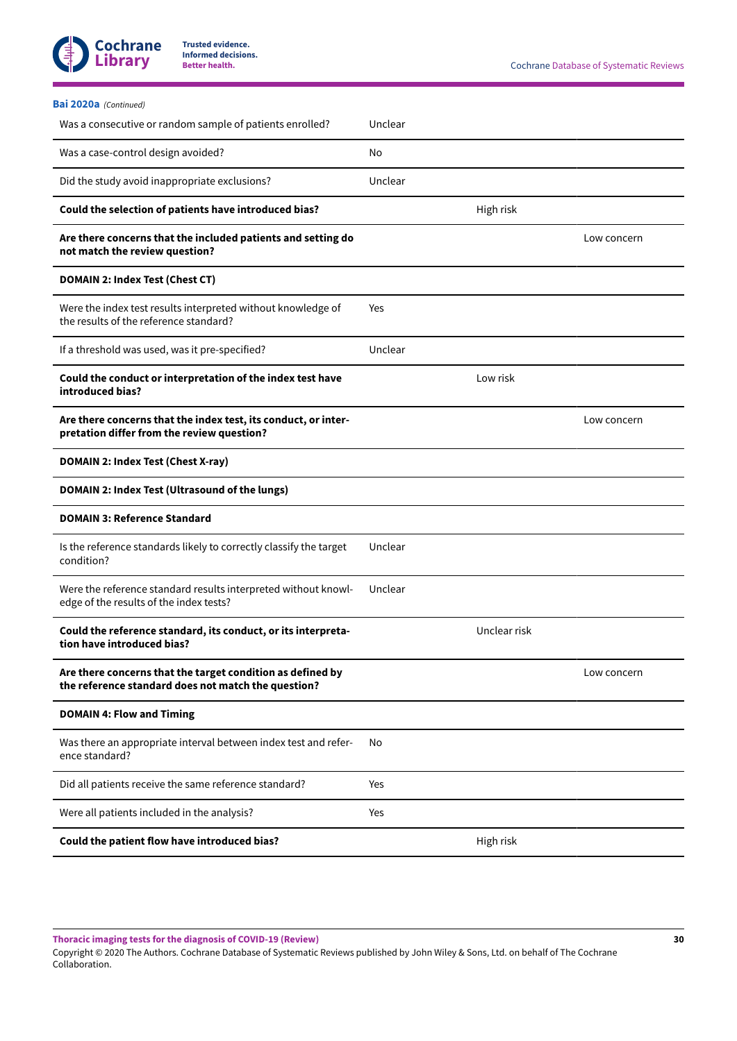

| Bai 2020a (Continued)<br>Was a consecutive or random sample of patients enrolled?                                 | Unclear |              |             |
|-------------------------------------------------------------------------------------------------------------------|---------|--------------|-------------|
| Was a case-control design avoided?                                                                                | No      |              |             |
| Did the study avoid inappropriate exclusions?                                                                     | Unclear |              |             |
| Could the selection of patients have introduced bias?                                                             |         | High risk    |             |
| Are there concerns that the included patients and setting do<br>not match the review question?                    |         |              | Low concern |
| <b>DOMAIN 2: Index Test (Chest CT)</b>                                                                            |         |              |             |
| Were the index test results interpreted without knowledge of<br>the results of the reference standard?            | Yes     |              |             |
| If a threshold was used, was it pre-specified?                                                                    | Unclear |              |             |
| Could the conduct or interpretation of the index test have<br>introduced bias?                                    |         | Low risk     |             |
| Are there concerns that the index test, its conduct, or inter-<br>pretation differ from the review question?      |         |              | Low concern |
| <b>DOMAIN 2: Index Test (Chest X-ray)</b>                                                                         |         |              |             |
|                                                                                                                   |         |              |             |
| DOMAIN 2: Index Test (Ultrasound of the lungs)                                                                    |         |              |             |
| <b>DOMAIN 3: Reference Standard</b>                                                                               |         |              |             |
| Is the reference standards likely to correctly classify the target<br>condition?                                  | Unclear |              |             |
| Were the reference standard results interpreted without knowl-<br>edge of the results of the index tests?         | Unclear |              |             |
| Could the reference standard, its conduct, or its interpreta-<br>tion have introduced bias?                       |         | Unclear risk |             |
| Are there concerns that the target condition as defined by<br>the reference standard does not match the question? |         |              | Low concern |
| <b>DOMAIN 4: Flow and Timing</b>                                                                                  |         |              |             |
| Was there an appropriate interval between index test and refer-<br>ence standard?                                 | No      |              |             |
| Did all patients receive the same reference standard?                                                             | Yes     |              |             |
| Were all patients included in the analysis?                                                                       | Yes     |              |             |

**Thoracic imaging tests for the diagnosis of COVID-19 (Review)**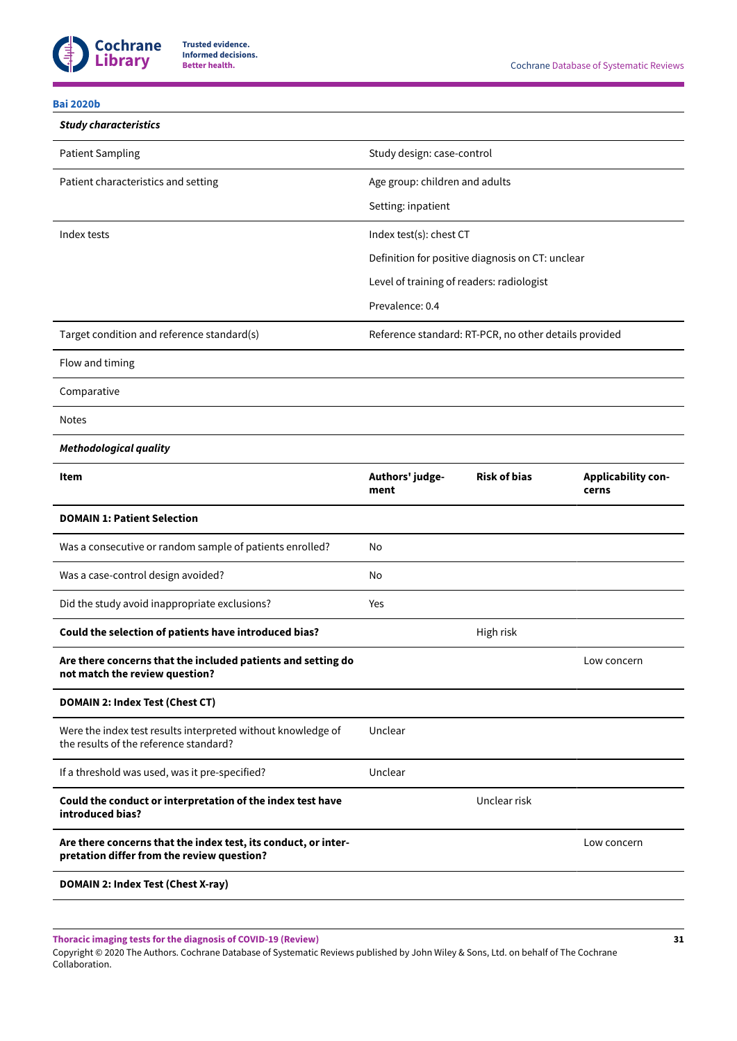

#### **[Bai 2020b](#page-24-6)**

| Age group: children and adults                   |  |  |
|--------------------------------------------------|--|--|
|                                                  |  |  |
|                                                  |  |  |
| Definition for positive diagnosis on CT: unclear |  |  |
|                                                  |  |  |
|                                                  |  |  |
|                                                  |  |  |
|                                                  |  |  |
|                                                  |  |  |
|                                                  |  |  |
|                                                  |  |  |
| Applicability con-                               |  |  |
|                                                  |  |  |
|                                                  |  |  |
|                                                  |  |  |
|                                                  |  |  |
|                                                  |  |  |
| Low concern                                      |  |  |
|                                                  |  |  |
|                                                  |  |  |
|                                                  |  |  |
|                                                  |  |  |
| Low concern                                      |  |  |
|                                                  |  |  |
|                                                  |  |  |

**Thoracic imaging tests for the diagnosis of COVID-19 (Review)**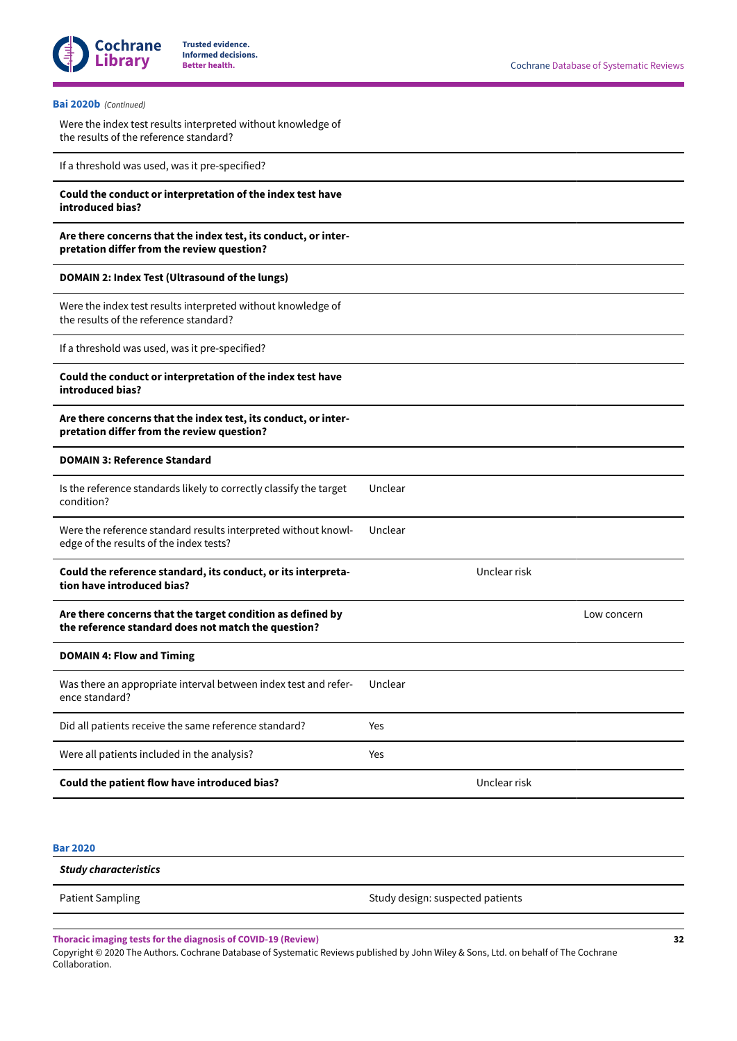

#### **[Bai 2020b](#page-24-6)**  *(Continued)*

Were the index test results interpreted without knowledge of the results of the reference standard?

| If a threshold was used, was it pre-specified? |  |  |  |  |  |  |
|------------------------------------------------|--|--|--|--|--|--|
|------------------------------------------------|--|--|--|--|--|--|

#### **Could the conduct or interpretation of the index test have introduced bias?**

#### **Are there concerns that the index test, its conduct, or interpretation differ from the review question?**

**DOMAIN 2: Index Test (Ultrasound of the lungs)**

Were the index test results interpreted without knowledge of the results of the reference standard?

If a threshold was used, was it pre-specified?

#### **Could the conduct or interpretation of the index test have introduced bias?**

### **Are there concerns that the index test, its conduct, or interpretation differ from the review question?**

#### **DOMAIN 3: Reference Standard**

| Is the reference standards likely to correctly classify the target<br>condition? | Unclear |
|----------------------------------------------------------------------------------|---------|
| Were the reference standard results interpreted without knowl-                   | Unclear |

edge of the results of the index tests?

# **Could the reference standard, its conduct, or its interpretation have introduced bias?**

**Are there concerns that the target condition as defined by the reference standard does not match the question?**

#### **DOMAIN 4: Flow and Timing**

Was there an appropriate interval between index test and reference standard? Unclear

Did all patients receive the same reference standard? Yes Were all patients included in the analysis? West Mess

**Could the patient flow have introduced bias?** Unclear risk

#### **[Bar 2020](#page-24-7)**

*Study characteristics*

Patient Sampling The Study design: suspected patients

Unclear risk

Low concern

**Thoracic imaging tests for the diagnosis of COVID-19 (Review)**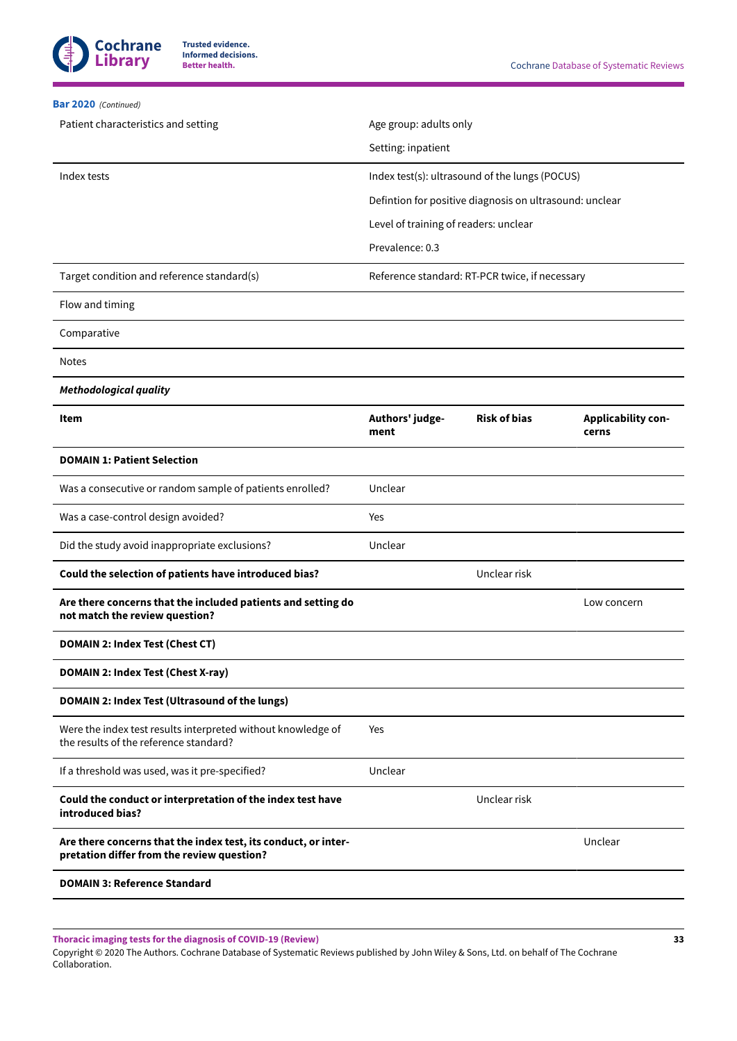

| <b>Bar 2020</b> (Continued)                                                                                  |                                                |                                                         |                             |  |
|--------------------------------------------------------------------------------------------------------------|------------------------------------------------|---------------------------------------------------------|-----------------------------|--|
| Patient characteristics and setting                                                                          | Age group: adults only                         |                                                         |                             |  |
|                                                                                                              | Setting: inpatient                             |                                                         |                             |  |
| Index tests                                                                                                  | Index test(s): ultrasound of the lungs (POCUS) |                                                         |                             |  |
|                                                                                                              |                                                | Defintion for positive diagnosis on ultrasound: unclear |                             |  |
|                                                                                                              | Level of training of readers: unclear          |                                                         |                             |  |
|                                                                                                              | Prevalence: 0.3                                |                                                         |                             |  |
| Target condition and reference standard(s)                                                                   | Reference standard: RT-PCR twice, if necessary |                                                         |                             |  |
| Flow and timing                                                                                              |                                                |                                                         |                             |  |
| Comparative                                                                                                  |                                                |                                                         |                             |  |
| <b>Notes</b>                                                                                                 |                                                |                                                         |                             |  |
| <b>Methodological quality</b>                                                                                |                                                |                                                         |                             |  |
| Item                                                                                                         | Authors' judge-<br>ment                        | <b>Risk of bias</b>                                     | Applicability con-<br>cerns |  |
| <b>DOMAIN 1: Patient Selection</b>                                                                           |                                                |                                                         |                             |  |
| Was a consecutive or random sample of patients enrolled?                                                     | Unclear                                        |                                                         |                             |  |
| Was a case-control design avoided?                                                                           | Yes                                            |                                                         |                             |  |
| Did the study avoid inappropriate exclusions?                                                                | Unclear                                        |                                                         |                             |  |
| Could the selection of patients have introduced bias?                                                        |                                                | Unclear risk                                            |                             |  |
| Are there concerns that the included patients and setting do<br>not match the review question?               |                                                |                                                         | Low concern                 |  |
| <b>DOMAIN 2: Index Test (Chest CT)</b>                                                                       |                                                |                                                         |                             |  |
| <b>DOMAIN 2: Index Test (Chest X-ray)</b>                                                                    |                                                |                                                         |                             |  |
| DOMAIN 2: Index Test (Ultrasound of the lungs)                                                               |                                                |                                                         |                             |  |
| Were the index test results interpreted without knowledge of<br>the results of the reference standard?       | Yes                                            |                                                         |                             |  |
| If a threshold was used, was it pre-specified?                                                               | Unclear                                        |                                                         |                             |  |
| Could the conduct or interpretation of the index test have<br>introduced bias?                               |                                                | Unclear risk                                            |                             |  |
| Are there concerns that the index test, its conduct, or inter-<br>pretation differ from the review question? |                                                |                                                         | Unclear                     |  |
| <b>DOMAIN 3: Reference Standard</b>                                                                          |                                                |                                                         |                             |  |
|                                                                                                              |                                                |                                                         |                             |  |

**Thoracic imaging tests for the diagnosis of COVID-19 (Review)**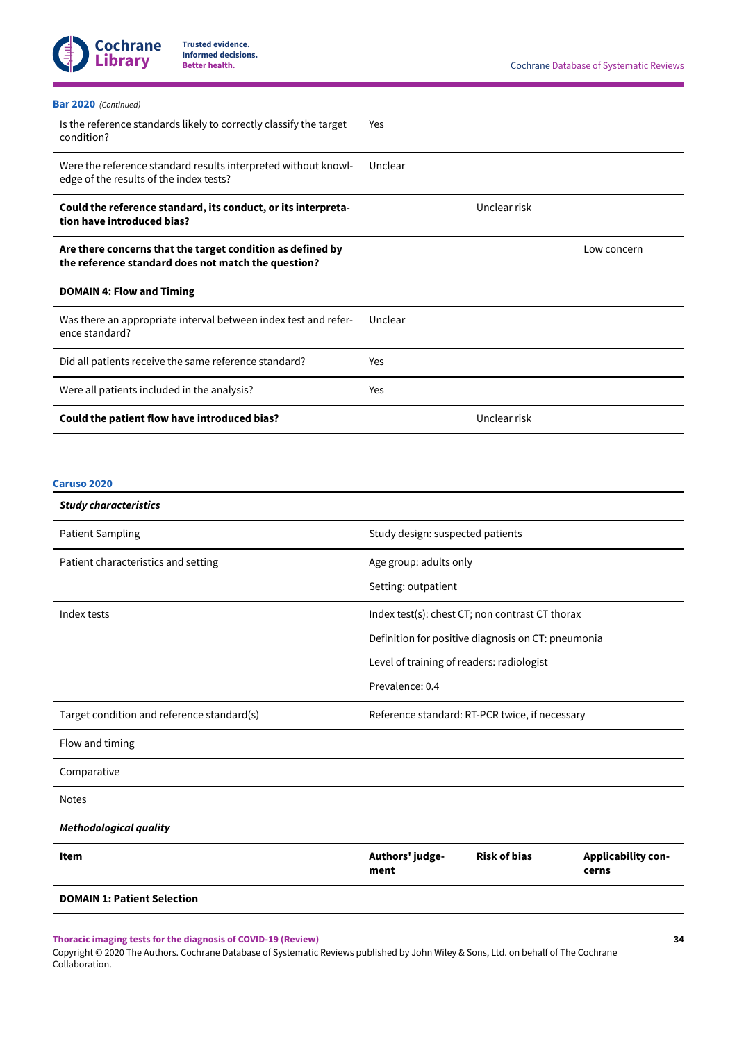

| <b>Bar 2020</b> (Continued)                                                                                       |         |              |             |
|-------------------------------------------------------------------------------------------------------------------|---------|--------------|-------------|
| Is the reference standards likely to correctly classify the target<br>condition?                                  | Yes     |              |             |
| Were the reference standard results interpreted without knowl-<br>edge of the results of the index tests?         | Unclear |              |             |
| Could the reference standard, its conduct, or its interpreta-<br>tion have introduced bias?                       |         | Unclear risk |             |
| Are there concerns that the target condition as defined by<br>the reference standard does not match the question? |         |              | Low concern |
| <b>DOMAIN 4: Flow and Timing</b>                                                                                  |         |              |             |
| Was there an appropriate interval between index test and refer-<br>ence standard?                                 | Unclear |              |             |
| Did all patients receive the same reference standard?                                                             | Yes     |              |             |
| Were all patients included in the analysis?                                                                       | Yes     |              |             |
| Could the patient flow have introduced bias?                                                                      |         | Unclear risk |             |

## **[Caruso 2020](#page-24-1)**

| <b>Study characteristics</b>               |                                                                               |  |  |
|--------------------------------------------|-------------------------------------------------------------------------------|--|--|
| <b>Patient Sampling</b>                    | Study design: suspected patients                                              |  |  |
| Patient characteristics and setting        | Age group: adults only                                                        |  |  |
|                                            | Setting: outpatient                                                           |  |  |
| Index tests                                | Index test(s): chest CT; non contrast CT thorax                               |  |  |
|                                            | Definition for positive diagnosis on CT: pneumonia                            |  |  |
|                                            | Level of training of readers: radiologist                                     |  |  |
|                                            | Prevalence: 0.4                                                               |  |  |
| Target condition and reference standard(s) | Reference standard: RT-PCR twice, if necessary                                |  |  |
| Flow and timing                            |                                                                               |  |  |
| Comparative                                |                                                                               |  |  |
| <b>Notes</b>                               |                                                                               |  |  |
| <b>Methodological quality</b>              |                                                                               |  |  |
| <b>Item</b>                                | <b>Risk of bias</b><br>Authors' judge-<br>Applicability con-<br>ment<br>cerns |  |  |
| <b>DOMAIN 1: Patient Selection</b>         |                                                                               |  |  |
|                                            |                                                                               |  |  |

**Thoracic imaging tests for the diagnosis of COVID-19 (Review)**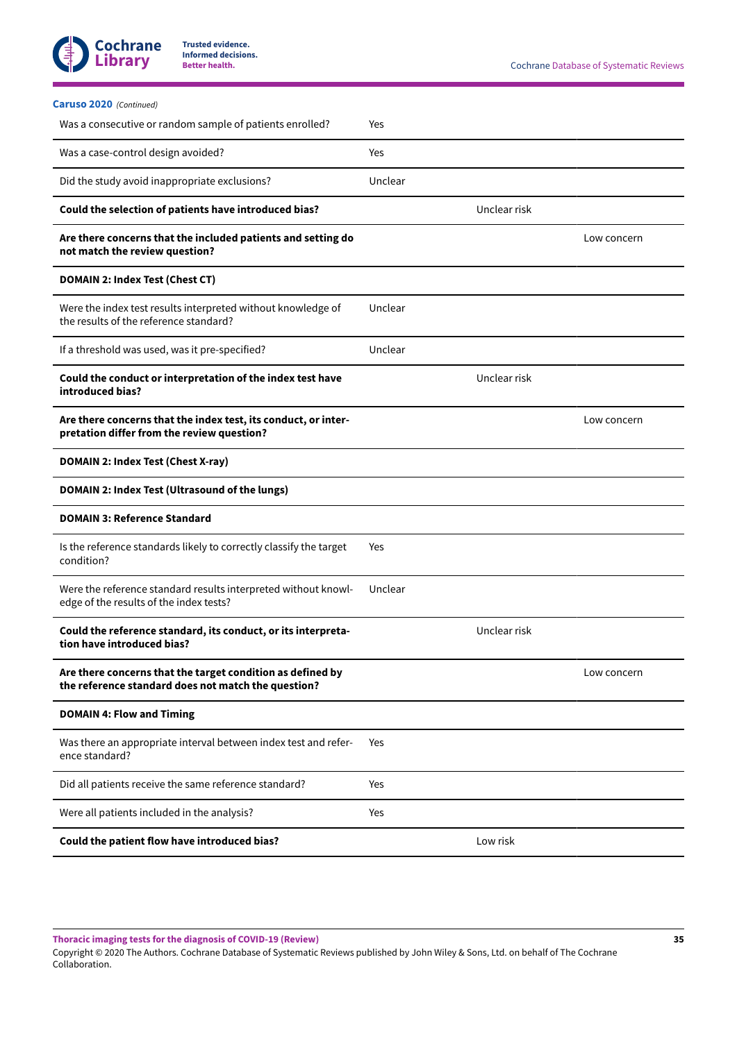

| Caruso 2020 (Continued)                                                                                           |         |              |             |
|-------------------------------------------------------------------------------------------------------------------|---------|--------------|-------------|
| Was a consecutive or random sample of patients enrolled?                                                          | Yes     |              |             |
| Was a case-control design avoided?                                                                                | Yes     |              |             |
| Did the study avoid inappropriate exclusions?                                                                     | Unclear |              |             |
| Could the selection of patients have introduced bias?                                                             |         | Unclear risk |             |
| Are there concerns that the included patients and setting do<br>not match the review question?                    |         |              | Low concern |
| <b>DOMAIN 2: Index Test (Chest CT)</b>                                                                            |         |              |             |
| Were the index test results interpreted without knowledge of<br>the results of the reference standard?            | Unclear |              |             |
| If a threshold was used, was it pre-specified?                                                                    | Unclear |              |             |
| Could the conduct or interpretation of the index test have<br>introduced bias?                                    |         | Unclear risk |             |
| Are there concerns that the index test, its conduct, or inter-<br>pretation differ from the review question?      |         |              | Low concern |
| DOMAIN 2: Index Test (Chest X-ray)                                                                                |         |              |             |
|                                                                                                                   |         |              |             |
| DOMAIN 2: Index Test (Ultrasound of the lungs)                                                                    |         |              |             |
| <b>DOMAIN 3: Reference Standard</b>                                                                               |         |              |             |
| Is the reference standards likely to correctly classify the target<br>condition?                                  | Yes     |              |             |
| Were the reference standard results interpreted without knowl-<br>edge of the results of the index tests?         | Unclear |              |             |
| Could the reference standard, its conduct, or its interpreta-<br>tion have introduced bias?                       |         | Unclear risk |             |
| Are there concerns that the target condition as defined by<br>the reference standard does not match the question? |         |              | Low concern |
| <b>DOMAIN 4: Flow and Timing</b>                                                                                  |         |              |             |
| Was there an appropriate interval between index test and refer-<br>ence standard?                                 | Yes     |              |             |
| Did all patients receive the same reference standard?                                                             | Yes     |              |             |
| Were all patients included in the analysis?                                                                       | Yes     |              |             |

**Thoracic imaging tests for the diagnosis of COVID-19 (Review)**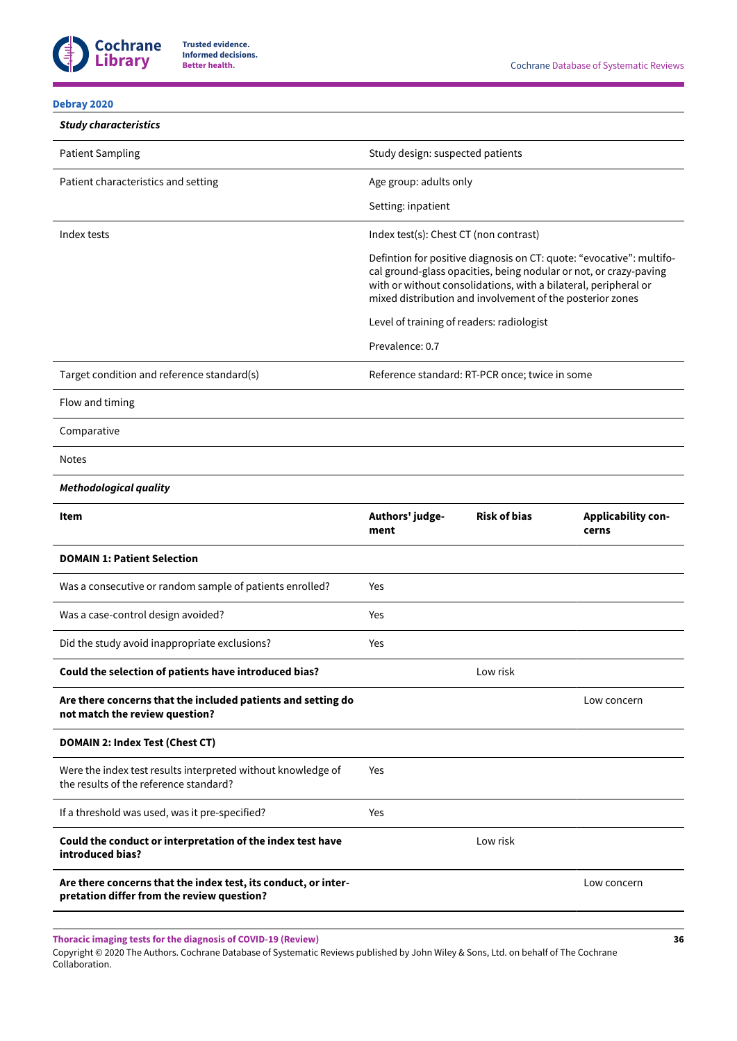

## **[Debray](#page-24-2) 2020**

| <b>Study characteristics</b>                                                                                 |                                           |                                                                                                                                                                                                                                                                           |                                    |
|--------------------------------------------------------------------------------------------------------------|-------------------------------------------|---------------------------------------------------------------------------------------------------------------------------------------------------------------------------------------------------------------------------------------------------------------------------|------------------------------------|
| <b>Patient Sampling</b>                                                                                      | Study design: suspected patients          |                                                                                                                                                                                                                                                                           |                                    |
| Patient characteristics and setting                                                                          | Age group: adults only                    |                                                                                                                                                                                                                                                                           |                                    |
|                                                                                                              | Setting: inpatient                        |                                                                                                                                                                                                                                                                           |                                    |
| Index tests                                                                                                  | Index test(s): Chest CT (non contrast)    |                                                                                                                                                                                                                                                                           |                                    |
|                                                                                                              |                                           | Defintion for positive diagnosis on CT: quote: "evocative": multifo-<br>cal ground-glass opacities, being nodular or not, or crazy-paving<br>with or without consolidations, with a bilateral, peripheral or<br>mixed distribution and involvement of the posterior zones |                                    |
|                                                                                                              | Level of training of readers: radiologist |                                                                                                                                                                                                                                                                           |                                    |
|                                                                                                              | Prevalence: 0.7                           |                                                                                                                                                                                                                                                                           |                                    |
| Target condition and reference standard(s)                                                                   |                                           | Reference standard: RT-PCR once; twice in some                                                                                                                                                                                                                            |                                    |
| Flow and timing                                                                                              |                                           |                                                                                                                                                                                                                                                                           |                                    |
| Comparative                                                                                                  |                                           |                                                                                                                                                                                                                                                                           |                                    |
| <b>Notes</b>                                                                                                 |                                           |                                                                                                                                                                                                                                                                           |                                    |
| <b>Methodological quality</b>                                                                                |                                           |                                                                                                                                                                                                                                                                           |                                    |
| Item                                                                                                         | Authors' judge-<br>ment                   | <b>Risk of bias</b>                                                                                                                                                                                                                                                       | <b>Applicability con-</b><br>cerns |
| <b>DOMAIN 1: Patient Selection</b>                                                                           |                                           |                                                                                                                                                                                                                                                                           |                                    |
| Was a consecutive or random sample of patients enrolled?                                                     | Yes                                       |                                                                                                                                                                                                                                                                           |                                    |
| Was a case-control design avoided?                                                                           | Yes                                       |                                                                                                                                                                                                                                                                           |                                    |
| Did the study avoid inappropriate exclusions?                                                                | Yes                                       |                                                                                                                                                                                                                                                                           |                                    |
| Could the selection of patients have introduced bias?                                                        |                                           | Low risk                                                                                                                                                                                                                                                                  |                                    |
| Are there concerns that the included patients and setting do<br>not match the review question?               |                                           |                                                                                                                                                                                                                                                                           | Low concern                        |
| <b>DOMAIN 2: Index Test (Chest CT)</b>                                                                       |                                           |                                                                                                                                                                                                                                                                           |                                    |
| Were the index test results interpreted without knowledge of<br>the results of the reference standard?       | Yes                                       |                                                                                                                                                                                                                                                                           |                                    |
| If a threshold was used, was it pre-specified?                                                               | Yes                                       |                                                                                                                                                                                                                                                                           |                                    |
| Could the conduct or interpretation of the index test have<br>introduced bias?                               |                                           | Low risk                                                                                                                                                                                                                                                                  |                                    |
| Are there concerns that the index test, its conduct, or inter-<br>pretation differ from the review question? |                                           |                                                                                                                                                                                                                                                                           | Low concern                        |
|                                                                                                              |                                           |                                                                                                                                                                                                                                                                           |                                    |

**Thoracic imaging tests for the diagnosis of COVID-19 (Review)**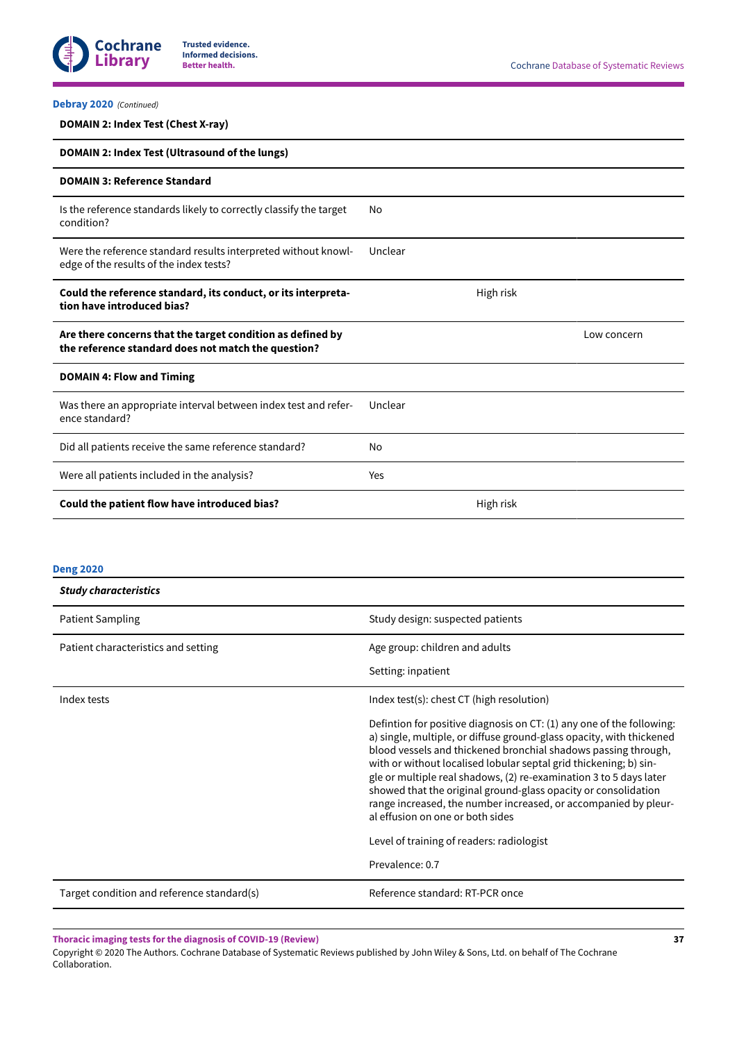

### **[Debray](#page-24-2) 2020**  *(Continued)*

| DOMAIN 2: Index Test (Chest X-ray)                                                                                |         |           |             |
|-------------------------------------------------------------------------------------------------------------------|---------|-----------|-------------|
| <b>DOMAIN 2: Index Test (Ultrasound of the lungs)</b>                                                             |         |           |             |
| <b>DOMAIN 3: Reference Standard</b>                                                                               |         |           |             |
| Is the reference standards likely to correctly classify the target<br>condition?                                  | No      |           |             |
| Were the reference standard results interpreted without knowl-<br>edge of the results of the index tests?         | Unclear |           |             |
| Could the reference standard, its conduct, or its interpreta-<br>tion have introduced bias?                       |         | High risk |             |
| Are there concerns that the target condition as defined by<br>the reference standard does not match the question? |         |           | Low concern |
| <b>DOMAIN 4: Flow and Timing</b>                                                                                  |         |           |             |
| Was there an appropriate interval between index test and refer-<br>ence standard?                                 | Unclear |           |             |
| Did all patients receive the same reference standard?                                                             | No      |           |             |
| Were all patients included in the analysis?                                                                       | Yes     |           |             |
| Could the patient flow have introduced bias?                                                                      |         |           |             |

## **[Deng 2020](#page-24-3)**

| <b>Study characteristics</b>               |                                                                                                                                                                                                                                                                                                                                                                                                                                                                                                                                                                                                     |
|--------------------------------------------|-----------------------------------------------------------------------------------------------------------------------------------------------------------------------------------------------------------------------------------------------------------------------------------------------------------------------------------------------------------------------------------------------------------------------------------------------------------------------------------------------------------------------------------------------------------------------------------------------------|
| <b>Patient Sampling</b>                    | Study design: suspected patients                                                                                                                                                                                                                                                                                                                                                                                                                                                                                                                                                                    |
| Patient characteristics and setting        | Age group: children and adults                                                                                                                                                                                                                                                                                                                                                                                                                                                                                                                                                                      |
|                                            | Setting: inpatient                                                                                                                                                                                                                                                                                                                                                                                                                                                                                                                                                                                  |
| Index tests                                | Index test(s): chest CT (high resolution)                                                                                                                                                                                                                                                                                                                                                                                                                                                                                                                                                           |
|                                            | Defintion for positive diagnosis on CT: (1) any one of the following:<br>a) single, multiple, or diffuse ground-glass opacity, with thickened<br>blood vessels and thickened bronchial shadows passing through,<br>with or without localised lobular septal grid thickening; b) sin-<br>gle or multiple real shadows, (2) re-examination 3 to 5 days later<br>showed that the original ground-glass opacity or consolidation<br>range increased, the number increased, or accompanied by pleur-<br>al effusion on one or both sides<br>Level of training of readers: radiologist<br>Prevalence: 0.7 |
| Target condition and reference standard(s) | Reference standard: RT-PCR once                                                                                                                                                                                                                                                                                                                                                                                                                                                                                                                                                                     |

**Thoracic imaging tests for the diagnosis of COVID-19 (Review)**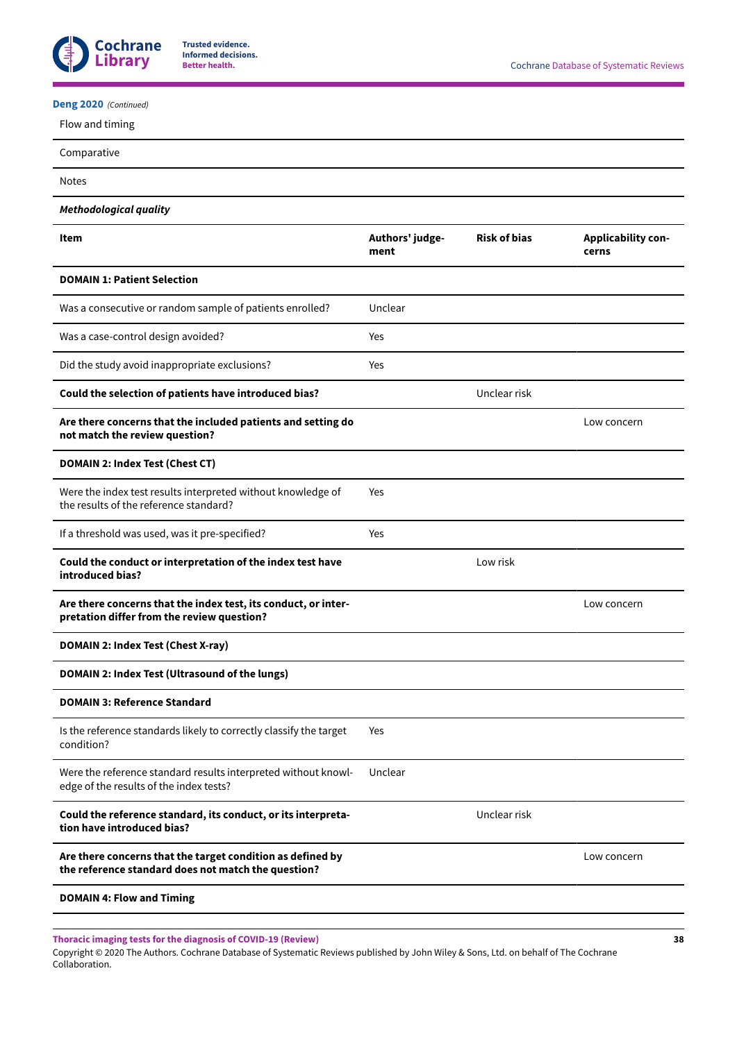

# **[Deng 2020](#page-24-3)**  *(Continued)*

| Flow and timing                                                                                                   |                         |                     |                             |
|-------------------------------------------------------------------------------------------------------------------|-------------------------|---------------------|-----------------------------|
| Comparative                                                                                                       |                         |                     |                             |
| <b>Notes</b>                                                                                                      |                         |                     |                             |
| <b>Methodological quality</b>                                                                                     |                         |                     |                             |
| Item                                                                                                              | Authors' judge-<br>ment | <b>Risk of bias</b> | Applicability con-<br>cerns |
| <b>DOMAIN 1: Patient Selection</b>                                                                                |                         |                     |                             |
| Was a consecutive or random sample of patients enrolled?                                                          | Unclear                 |                     |                             |
| Was a case-control design avoided?                                                                                | Yes                     |                     |                             |
| Did the study avoid inappropriate exclusions?                                                                     | Yes                     |                     |                             |
| Could the selection of patients have introduced bias?                                                             |                         | Unclear risk        |                             |
| Are there concerns that the included patients and setting do<br>not match the review question?                    |                         |                     | Low concern                 |
| <b>DOMAIN 2: Index Test (Chest CT)</b>                                                                            |                         |                     |                             |
| Were the index test results interpreted without knowledge of<br>the results of the reference standard?            | Yes                     |                     |                             |
| If a threshold was used, was it pre-specified?                                                                    | Yes                     |                     |                             |
| Could the conduct or interpretation of the index test have<br>introduced bias?                                    |                         | Low risk            |                             |
| Are there concerns that the index test, its conduct, or inter-<br>pretation differ from the review question?      |                         |                     | Low concern                 |
| DOMAIN 2: Index Test (Chest X-ray)                                                                                |                         |                     |                             |
| <b>DOMAIN 2: Index Test (Ultrasound of the lungs)</b>                                                             |                         |                     |                             |
| <b>DOMAIN 3: Reference Standard</b>                                                                               |                         |                     |                             |
| Is the reference standards likely to correctly classify the target<br>condition?                                  | Yes                     |                     |                             |
| Were the reference standard results interpreted without knowl-<br>edge of the results of the index tests?         | Unclear                 |                     |                             |
| Could the reference standard, its conduct, or its interpreta-<br>tion have introduced bias?                       |                         | Unclear risk        |                             |
| Are there concerns that the target condition as defined by<br>the reference standard does not match the question? |                         |                     | Low concern                 |
| <b>DOMAIN 4: Flow and Timing</b>                                                                                  |                         |                     |                             |
|                                                                                                                   |                         |                     |                             |

**Thoracic imaging tests for the diagnosis of COVID-19 (Review)**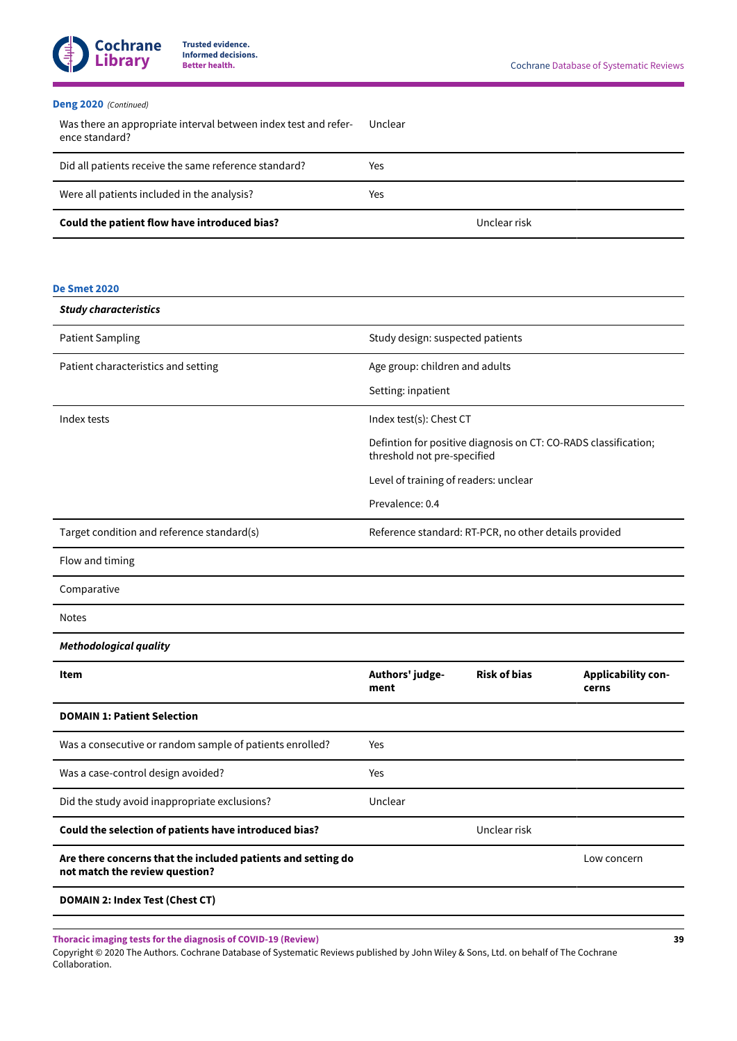

# **[Deng 2020](#page-24-3)**  *(Continued)*

J.

| Could the patient flow have introduced bias?                                      | Unclear risk |
|-----------------------------------------------------------------------------------|--------------|
| Were all patients included in the analysis?                                       | Yes          |
| Did all patients receive the same reference standard?                             | Yes          |
| Was there an appropriate interval between index test and refer-<br>ence standard? | Unclear      |

### **De [Smet](#page-24-4) 2020**

| <b>Study characteristics</b>                                                                   |                                       |                                                                 |                             |
|------------------------------------------------------------------------------------------------|---------------------------------------|-----------------------------------------------------------------|-----------------------------|
| <b>Patient Sampling</b>                                                                        | Study design: suspected patients      |                                                                 |                             |
| Patient characteristics and setting                                                            | Age group: children and adults        |                                                                 |                             |
|                                                                                                | Setting: inpatient                    |                                                                 |                             |
| Index tests                                                                                    | Index test(s): Chest CT               |                                                                 |                             |
|                                                                                                | threshold not pre-specified           | Defintion for positive diagnosis on CT: CO-RADS classification; |                             |
|                                                                                                | Level of training of readers: unclear |                                                                 |                             |
|                                                                                                | Prevalence: 0.4                       |                                                                 |                             |
| Target condition and reference standard(s)                                                     |                                       | Reference standard: RT-PCR, no other details provided           |                             |
| Flow and timing                                                                                |                                       |                                                                 |                             |
| Comparative                                                                                    |                                       |                                                                 |                             |
| <b>Notes</b>                                                                                   |                                       |                                                                 |                             |
| <b>Methodological quality</b>                                                                  |                                       |                                                                 |                             |
| Item                                                                                           | Authors' judge-<br>ment               | <b>Risk of bias</b>                                             | Applicability con-<br>cerns |
| <b>DOMAIN 1: Patient Selection</b>                                                             |                                       |                                                                 |                             |
| Was a consecutive or random sample of patients enrolled?                                       | Yes                                   |                                                                 |                             |
| Was a case-control design avoided?                                                             | Yes                                   |                                                                 |                             |
| Did the study avoid inappropriate exclusions?                                                  | Unclear                               |                                                                 |                             |
| Could the selection of patients have introduced bias?                                          |                                       | Unclear risk                                                    |                             |
| Are there concerns that the included patients and setting do<br>not match the review question? |                                       |                                                                 | Low concern                 |
| <b>DOMAIN 2: Index Test (Chest CT)</b>                                                         |                                       |                                                                 |                             |
|                                                                                                |                                       |                                                                 |                             |

**Thoracic imaging tests for the diagnosis of COVID-19 (Review)**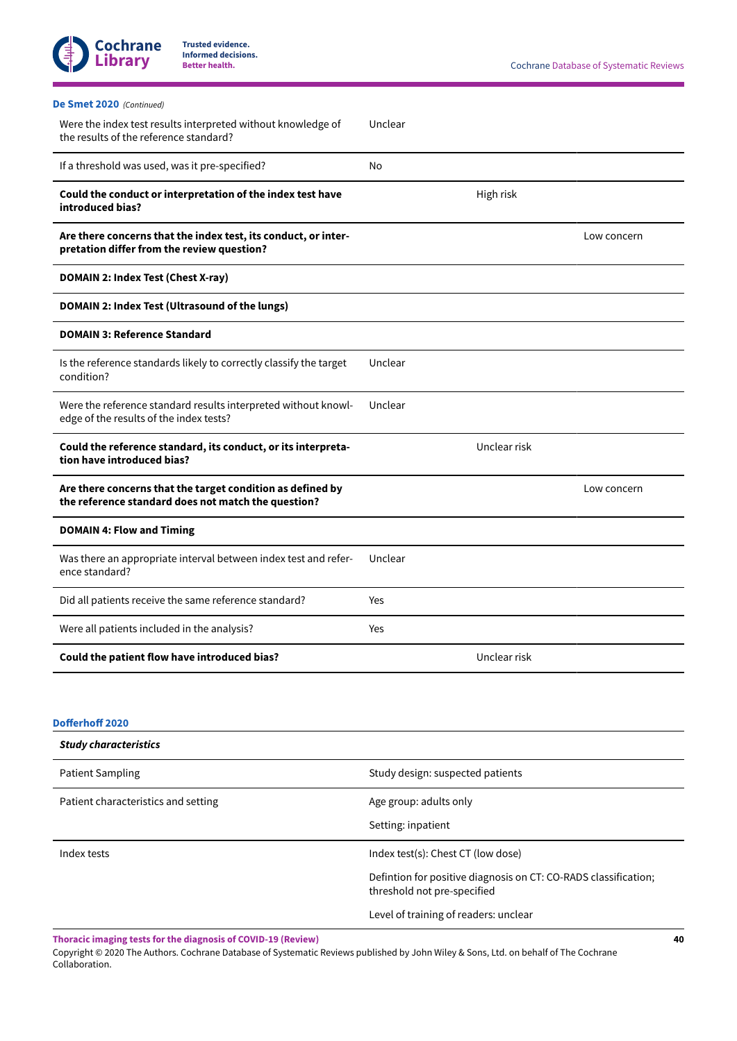

| De Smet 2020 (Continued)                                                                                          |         |              |             |
|-------------------------------------------------------------------------------------------------------------------|---------|--------------|-------------|
| Were the index test results interpreted without knowledge of<br>the results of the reference standard?            | Unclear |              |             |
| If a threshold was used, was it pre-specified?                                                                    | No      |              |             |
| Could the conduct or interpretation of the index test have<br>introduced bias?                                    |         | High risk    |             |
| Are there concerns that the index test, its conduct, or inter-<br>pretation differ from the review question?      |         |              | Low concern |
| <b>DOMAIN 2: Index Test (Chest X-ray)</b>                                                                         |         |              |             |
| <b>DOMAIN 2: Index Test (Ultrasound of the lungs)</b>                                                             |         |              |             |
| <b>DOMAIN 3: Reference Standard</b>                                                                               |         |              |             |
| Is the reference standards likely to correctly classify the target<br>condition?                                  | Unclear |              |             |
| Were the reference standard results interpreted without knowl-<br>edge of the results of the index tests?         | Unclear |              |             |
| Could the reference standard, its conduct, or its interpreta-<br>tion have introduced bias?                       |         | Unclear risk |             |
| Are there concerns that the target condition as defined by<br>the reference standard does not match the question? |         |              | Low concern |
| <b>DOMAIN 4: Flow and Timing</b>                                                                                  |         |              |             |
| Was there an appropriate interval between index test and refer-<br>ence standard?                                 | Unclear |              |             |
| Did all patients receive the same reference standard?                                                             | Yes     |              |             |
| Were all patients included in the analysis?                                                                       | Yes     |              |             |
| Could the patient flow have introduced bias?                                                                      |         | Unclear risk |             |
|                                                                                                                   |         |              |             |

# **Dofferhoff 2020**

| <b>Study characteristics</b>        |                                                                                                |
|-------------------------------------|------------------------------------------------------------------------------------------------|
| <b>Patient Sampling</b>             | Study design: suspected patients                                                               |
| Patient characteristics and setting | Age group: adults only                                                                         |
|                                     | Setting: inpatient                                                                             |
| Index tests                         | Index test(s): Chest CT (low dose)                                                             |
|                                     | Defintion for positive diagnosis on CT: CO-RADS classification;<br>threshold not pre-specified |
|                                     | Level of training of readers: unclear                                                          |

**Thoracic imaging tests for the diagnosis of COVID-19 (Review)**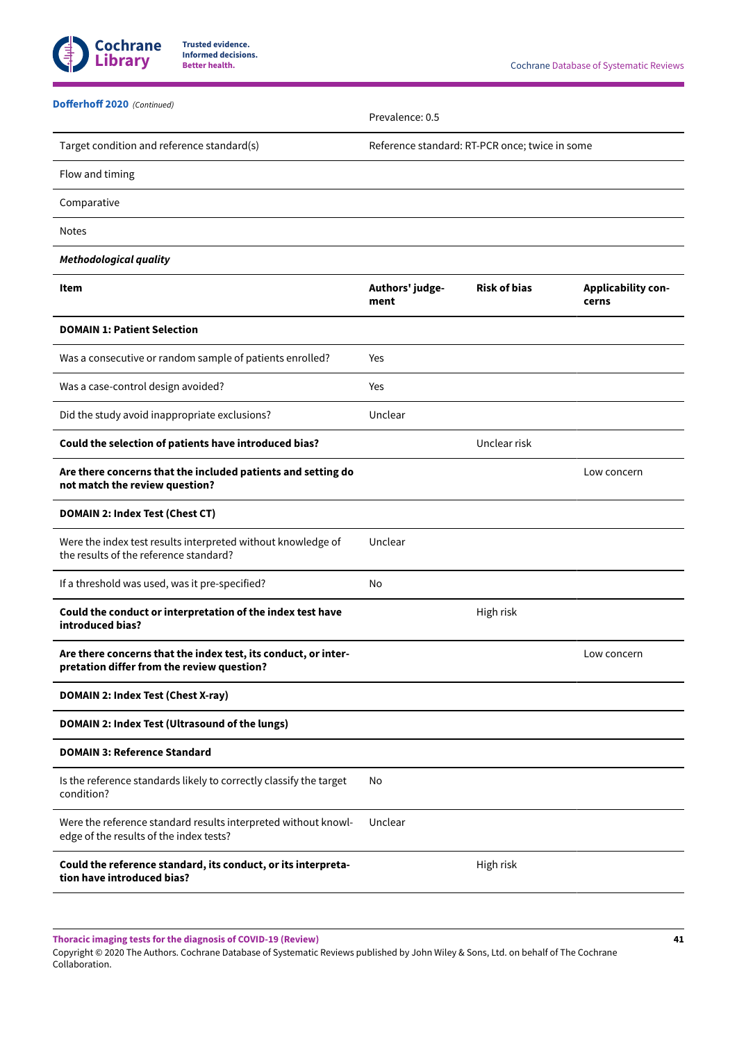

| Dofferhoff 2020 (Continued)                                                                                  | Prevalence: 0.5                                |                     |                             |
|--------------------------------------------------------------------------------------------------------------|------------------------------------------------|---------------------|-----------------------------|
| Target condition and reference standard(s)                                                                   | Reference standard: RT-PCR once; twice in some |                     |                             |
| Flow and timing                                                                                              |                                                |                     |                             |
| Comparative                                                                                                  |                                                |                     |                             |
| <b>Notes</b>                                                                                                 |                                                |                     |                             |
| <b>Methodological quality</b>                                                                                |                                                |                     |                             |
| Item                                                                                                         | Authors' judge-<br>ment                        | <b>Risk of bias</b> | Applicability con-<br>cerns |
| <b>DOMAIN 1: Patient Selection</b>                                                                           |                                                |                     |                             |
| Was a consecutive or random sample of patients enrolled?                                                     | Yes                                            |                     |                             |
| Was a case-control design avoided?                                                                           | Yes                                            |                     |                             |
| Did the study avoid inappropriate exclusions?                                                                | Unclear                                        |                     |                             |
| Could the selection of patients have introduced bias?                                                        |                                                | Unclear risk        |                             |
| Are there concerns that the included patients and setting do<br>not match the review question?               |                                                |                     | Low concern                 |
| <b>DOMAIN 2: Index Test (Chest CT)</b>                                                                       |                                                |                     |                             |
| Were the index test results interpreted without knowledge of<br>the results of the reference standard?       | Unclear                                        |                     |                             |
| If a threshold was used, was it pre-specified?                                                               | No                                             |                     |                             |
| Could the conduct or interpretation of the index test have<br>introduced bias?                               |                                                | High risk           |                             |
| Are there concerns that the index test, its conduct, or inter-<br>pretation differ from the review question? |                                                |                     | Low concern                 |
| <b>DOMAIN 2: Index Test (Chest X-ray)</b>                                                                    |                                                |                     |                             |
| DOMAIN 2: Index Test (Ultrasound of the lungs)                                                               |                                                |                     |                             |
| <b>DOMAIN 3: Reference Standard</b>                                                                          |                                                |                     |                             |
| Is the reference standards likely to correctly classify the target<br>condition?                             | No                                             |                     |                             |
| Were the reference standard results interpreted without knowl-<br>edge of the results of the index tests?    | Unclear                                        |                     |                             |
| Could the reference standard, its conduct, or its interpreta-<br>tion have introduced bias?                  |                                                | High risk           |                             |

**Thoracic imaging tests for the diagnosis of COVID-19 (Review)**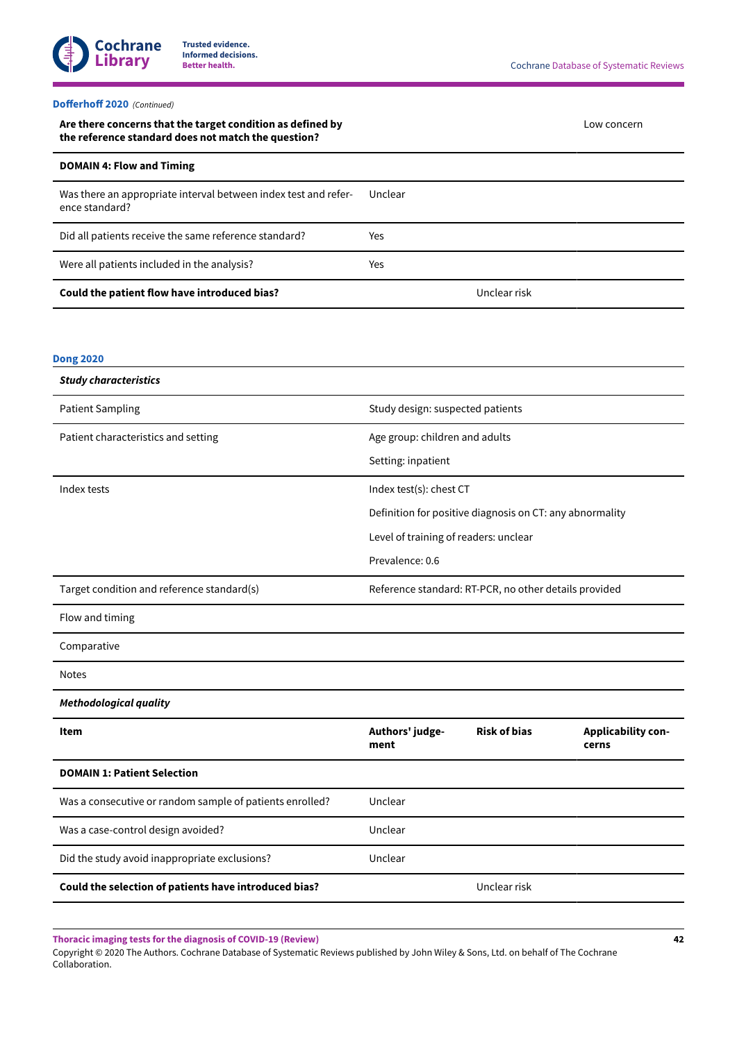

**Are there concerns that the target condition as defined by the reference standard does not match the question?**

Low concern

| <b>DOMAIN 4: Flow and Timing</b>                                                  |              |
|-----------------------------------------------------------------------------------|--------------|
| Was there an appropriate interval between index test and refer-<br>ence standard? | Unclear      |
| Did all patients receive the same reference standard?                             | Yes          |
| Were all patients included in the analysis?                                       | Yes          |
| Could the patient flow have introduced bias?                                      | Unclear risk |

### **[Dong 2020](#page-24-6)**

| <b>Study characteristics</b>                             |                                                       |                                                          |                             |
|----------------------------------------------------------|-------------------------------------------------------|----------------------------------------------------------|-----------------------------|
| <b>Patient Sampling</b>                                  | Study design: suspected patients                      |                                                          |                             |
| Patient characteristics and setting                      | Age group: children and adults                        |                                                          |                             |
|                                                          | Setting: inpatient                                    |                                                          |                             |
| Index tests                                              | Index test(s): chest CT                               |                                                          |                             |
|                                                          |                                                       | Definition for positive diagnosis on CT: any abnormality |                             |
|                                                          | Level of training of readers: unclear                 |                                                          |                             |
|                                                          | Prevalence: 0.6                                       |                                                          |                             |
| Target condition and reference standard(s)               | Reference standard: RT-PCR, no other details provided |                                                          |                             |
| Flow and timing                                          |                                                       |                                                          |                             |
| Comparative                                              |                                                       |                                                          |                             |
| <b>Notes</b>                                             |                                                       |                                                          |                             |
| <b>Methodological quality</b>                            |                                                       |                                                          |                             |
| Item                                                     | Authors' judge-<br>ment                               | <b>Risk of bias</b>                                      | Applicability con-<br>cerns |
| <b>DOMAIN 1: Patient Selection</b>                       |                                                       |                                                          |                             |
| Was a consecutive or random sample of patients enrolled? | Unclear                                               |                                                          |                             |
| Was a case-control design avoided?                       | Unclear                                               |                                                          |                             |
| Did the study avoid inappropriate exclusions?            | Unclear                                               |                                                          |                             |
| Could the selection of patients have introduced bias?    |                                                       | Unclear risk                                             |                             |

**Thoracic imaging tests for the diagnosis of COVID-19 (Review)**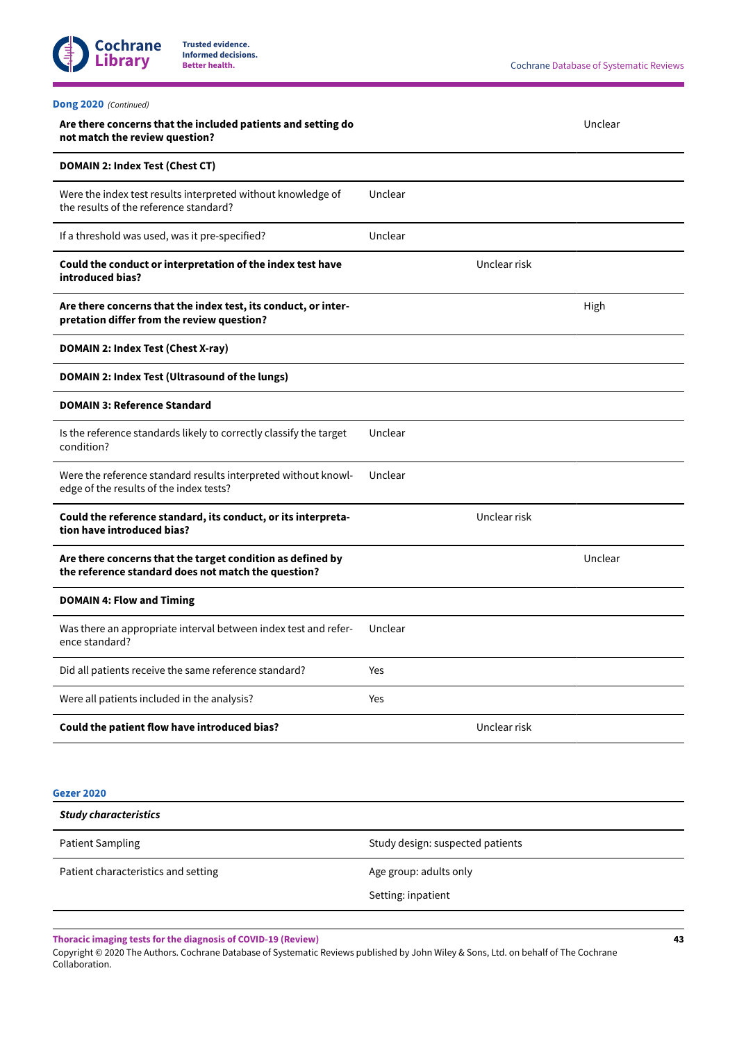

**[Dong 2020](#page-24-6)**  *(Continued)*

**Trusted evidence. Informed decisions.**

| Are there concerns that the included patients and setting do<br>not match the review question?                    |                                  | Unclear |
|-------------------------------------------------------------------------------------------------------------------|----------------------------------|---------|
| <b>DOMAIN 2: Index Test (Chest CT)</b>                                                                            |                                  |         |
| Were the index test results interpreted without knowledge of<br>the results of the reference standard?            | Unclear                          |         |
| If a threshold was used, was it pre-specified?                                                                    | Unclear                          |         |
| Could the conduct or interpretation of the index test have<br>introduced bias?                                    | Unclear risk                     |         |
| Are there concerns that the index test, its conduct, or inter-<br>pretation differ from the review question?      |                                  | High    |
| DOMAIN 2: Index Test (Chest X-ray)                                                                                |                                  |         |
| <b>DOMAIN 2: Index Test (Ultrasound of the lungs)</b>                                                             |                                  |         |
| <b>DOMAIN 3: Reference Standard</b>                                                                               |                                  |         |
| Is the reference standards likely to correctly classify the target<br>condition?                                  | Unclear                          |         |
| Were the reference standard results interpreted without knowl-<br>edge of the results of the index tests?         | Unclear                          |         |
| Could the reference standard, its conduct, or its interpreta-<br>tion have introduced bias?                       | Unclear risk                     |         |
| Are there concerns that the target condition as defined by<br>the reference standard does not match the question? |                                  | Unclear |
| <b>DOMAIN 4: Flow and Timing</b>                                                                                  |                                  |         |
| Was there an appropriate interval between index test and refer-<br>ence standard?                                 | Unclear                          |         |
| Did all patients receive the same reference standard?                                                             | Yes                              |         |
| Were all patients included in the analysis?                                                                       | Yes                              |         |
| Could the patient flow have introduced bias?                                                                      | Unclear risk                     |         |
|                                                                                                                   |                                  |         |
| <b>Gezer 2020</b>                                                                                                 |                                  |         |
| <b>Study characteristics</b>                                                                                      |                                  |         |
| <b>Patient Sampling</b>                                                                                           | Study design: suspected patients |         |
| Patient characteristics and setting                                                                               | Age group: adults only           |         |
|                                                                                                                   | Setting: inpatient               |         |

**Thoracic imaging tests for the diagnosis of COVID-19 (Review)**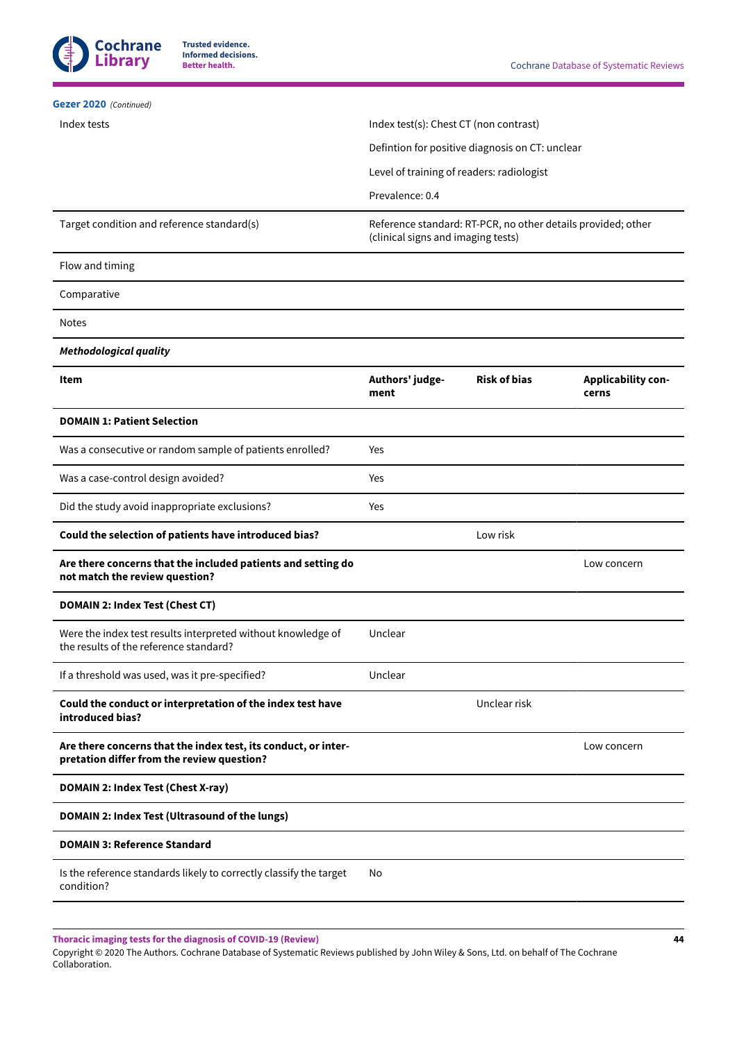

| <b>Gezer 2020</b> (Continued)                                                                                |                                           |                                                              |                             |
|--------------------------------------------------------------------------------------------------------------|-------------------------------------------|--------------------------------------------------------------|-----------------------------|
| Index tests                                                                                                  | Index test(s): Chest CT (non contrast)    |                                                              |                             |
|                                                                                                              |                                           | Defintion for positive diagnosis on CT: unclear              |                             |
|                                                                                                              | Level of training of readers: radiologist |                                                              |                             |
|                                                                                                              | Prevalence: 0.4                           |                                                              |                             |
| Target condition and reference standard(s)                                                                   | (clinical signs and imaging tests)        | Reference standard: RT-PCR, no other details provided; other |                             |
| Flow and timing                                                                                              |                                           |                                                              |                             |
| Comparative                                                                                                  |                                           |                                                              |                             |
| <b>Notes</b>                                                                                                 |                                           |                                                              |                             |
| <b>Methodological quality</b>                                                                                |                                           |                                                              |                             |
| Item                                                                                                         | Authors' judge-<br>ment                   | <b>Risk of bias</b>                                          | Applicability con-<br>cerns |
| <b>DOMAIN 1: Patient Selection</b>                                                                           |                                           |                                                              |                             |
| Was a consecutive or random sample of patients enrolled?                                                     | Yes                                       |                                                              |                             |
| Was a case-control design avoided?                                                                           | Yes                                       |                                                              |                             |
| Did the study avoid inappropriate exclusions?                                                                | Yes                                       |                                                              |                             |
| Could the selection of patients have introduced bias?                                                        |                                           | Low risk                                                     |                             |
| Are there concerns that the included patients and setting do<br>not match the review question?               |                                           |                                                              | Low concern                 |
| <b>DOMAIN 2: Index Test (Chest CT)</b>                                                                       |                                           |                                                              |                             |
| Were the index test results interpreted without knowledge of<br>the results of the reference standard?       | Unclear                                   |                                                              |                             |
| If a threshold was used, was it pre-specified?                                                               | Unclear                                   |                                                              |                             |
| Could the conduct or interpretation of the index test have<br>introduced bias?                               |                                           | Unclear risk                                                 |                             |
| Are there concerns that the index test, its conduct, or inter-<br>pretation differ from the review question? |                                           |                                                              | Low concern                 |
| <b>DOMAIN 2: Index Test (Chest X-ray)</b>                                                                    |                                           |                                                              |                             |
| <b>DOMAIN 2: Index Test (Ultrasound of the lungs)</b>                                                        |                                           |                                                              |                             |
| <b>DOMAIN 3: Reference Standard</b>                                                                          |                                           |                                                              |                             |
| Is the reference standards likely to correctly classify the target<br>condition?                             | No                                        |                                                              |                             |

**Thoracic imaging tests for the diagnosis of COVID-19 (Review)**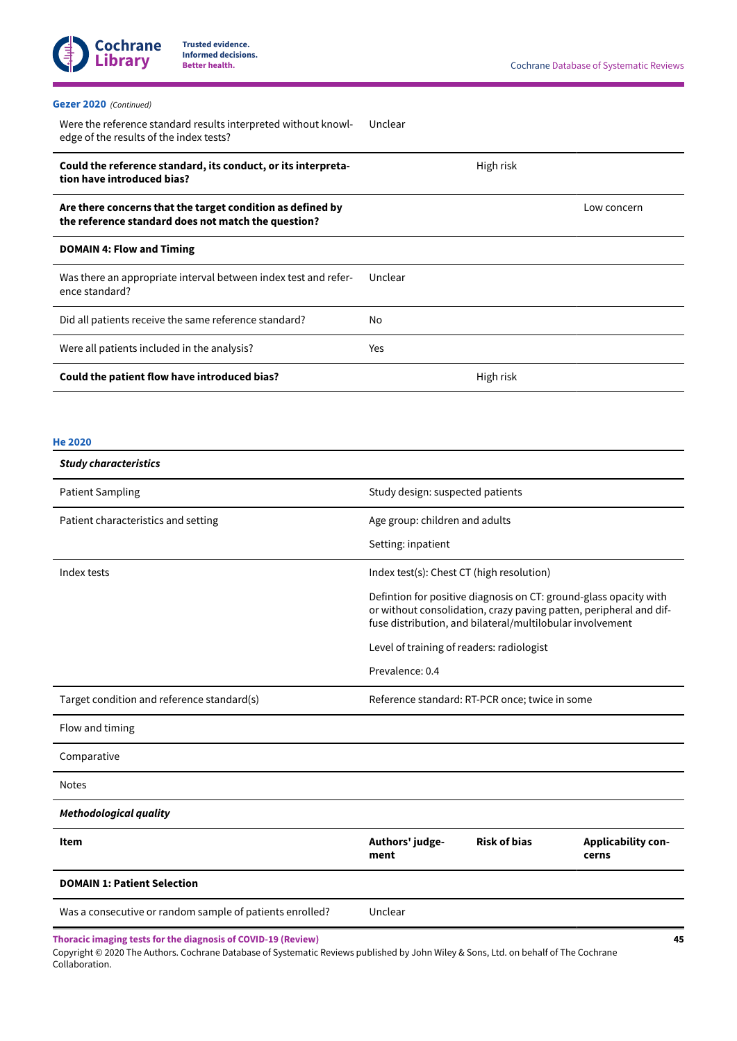

Were the reference standard results interpreted without knowledge of the results of the index tests? Unclear

| Could the reference standard, its conduct, or its interpreta-<br>tion have introduced bias?                       | High risk |             |
|-------------------------------------------------------------------------------------------------------------------|-----------|-------------|
| Are there concerns that the target condition as defined by<br>the reference standard does not match the question? |           | Low concern |
| <b>DOMAIN 4: Flow and Timing</b>                                                                                  |           |             |
| Was there an appropriate interval between index test and refer-<br>ence standard?                                 | Unclear   |             |
| Did all patients receive the same reference standard?                                                             | No        |             |
| Were all patients included in the analysis?                                                                       | Yes       |             |
| Could the patient flow have introduced bias?                                                                      | High risk |             |

**[He 2020](#page-24-8)**

| <b>Study characteristics</b>                             |                                                                                                                                                                                                      |  |  |
|----------------------------------------------------------|------------------------------------------------------------------------------------------------------------------------------------------------------------------------------------------------------|--|--|
| <b>Patient Sampling</b>                                  | Study design: suspected patients                                                                                                                                                                     |  |  |
| Patient characteristics and setting                      | Age group: children and adults                                                                                                                                                                       |  |  |
|                                                          | Setting: inpatient                                                                                                                                                                                   |  |  |
| Index tests                                              | Index test(s): Chest CT (high resolution)                                                                                                                                                            |  |  |
|                                                          | Defintion for positive diagnosis on CT: ground-glass opacity with<br>or without consolidation, crazy paving patten, peripheral and dif-<br>fuse distribution, and bilateral/multilobular involvement |  |  |
|                                                          | Level of training of readers: radiologist                                                                                                                                                            |  |  |
|                                                          | Prevalence: 0.4                                                                                                                                                                                      |  |  |
| Target condition and reference standard(s)               | Reference standard: RT-PCR once; twice in some                                                                                                                                                       |  |  |
| Flow and timing                                          |                                                                                                                                                                                                      |  |  |
| Comparative                                              |                                                                                                                                                                                                      |  |  |
| <b>Notes</b>                                             |                                                                                                                                                                                                      |  |  |
| <b>Methodological quality</b>                            |                                                                                                                                                                                                      |  |  |
| <b>Item</b>                                              | <b>Risk of bias</b><br>Authors' judge-<br><b>Applicability con-</b><br>ment<br>cerns                                                                                                                 |  |  |
| <b>DOMAIN 1: Patient Selection</b>                       |                                                                                                                                                                                                      |  |  |
| Was a consecutive or random sample of patients enrolled? | Unclear                                                                                                                                                                                              |  |  |

**Thoracic imaging tests for the diagnosis of COVID-19 (Review)**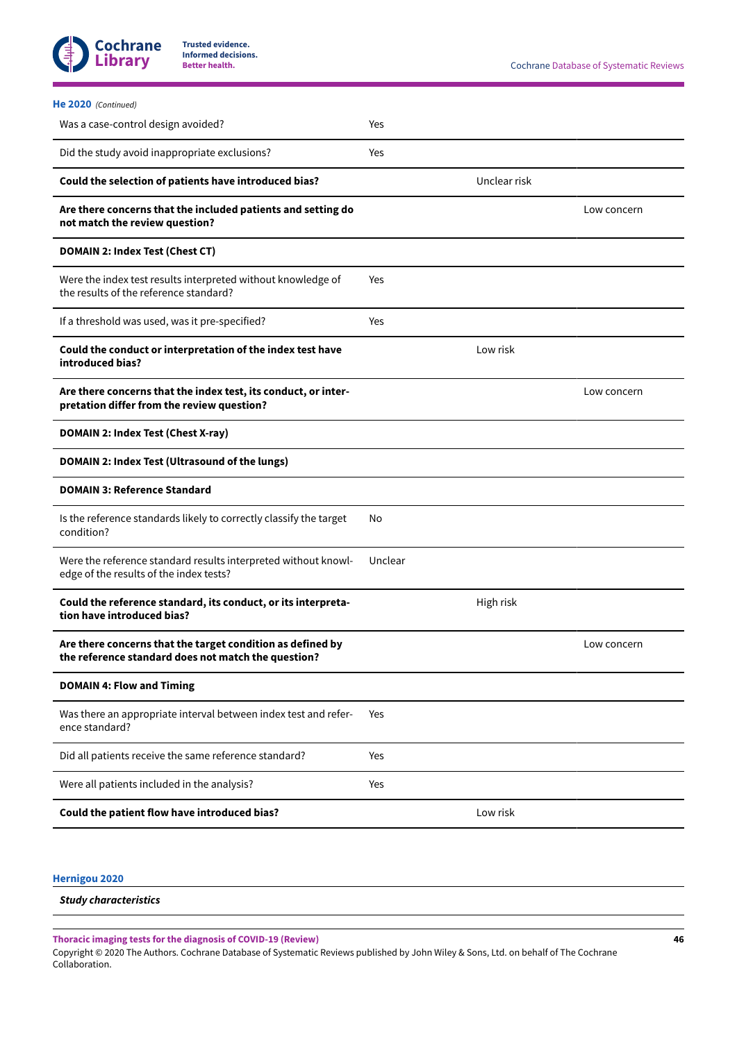

| He 2020 (Continued)                                                                                               |         |              |             |
|-------------------------------------------------------------------------------------------------------------------|---------|--------------|-------------|
| Was a case-control design avoided?                                                                                | Yes     |              |             |
| Did the study avoid inappropriate exclusions?                                                                     | Yes     |              |             |
| Could the selection of patients have introduced bias?                                                             |         | Unclear risk |             |
| Are there concerns that the included patients and setting do<br>not match the review question?                    |         |              | Low concern |
| <b>DOMAIN 2: Index Test (Chest CT)</b>                                                                            |         |              |             |
| Were the index test results interpreted without knowledge of<br>the results of the reference standard?            | Yes     |              |             |
| If a threshold was used, was it pre-specified?                                                                    | Yes     |              |             |
| Could the conduct or interpretation of the index test have<br>introduced bias?                                    |         | Low risk     |             |
| Are there concerns that the index test, its conduct, or inter-<br>pretation differ from the review question?      |         |              | Low concern |
| DOMAIN 2: Index Test (Chest X-ray)                                                                                |         |              |             |
| DOMAIN 2: Index Test (Ultrasound of the lungs)                                                                    |         |              |             |
| <b>DOMAIN 3: Reference Standard</b>                                                                               |         |              |             |
| Is the reference standards likely to correctly classify the target<br>condition?                                  | No      |              |             |
| Were the reference standard results interpreted without knowl-                                                    |         |              |             |
| edge of the results of the index tests?                                                                           | Unclear |              |             |
| Could the reference standard, its conduct, or its interpreta-<br>tion have introduced bias?                       |         | High risk    |             |
| Are there concerns that the target condition as defined by<br>the reference standard does not match the question? |         |              | Low concern |
| <b>DOMAIN 4: Flow and Timing</b>                                                                                  |         |              |             |
| Was there an appropriate interval between index test and refer-<br>ence standard?                                 | Yes     |              |             |
| Did all patients receive the same reference standard?                                                             | Yes     |              |             |
| Were all patients included in the analysis?                                                                       | Yes     |              |             |
| Could the patient flow have introduced bias?                                                                      |         | Low risk     |             |

# **[Hernigou](#page-24-9) 2020**

*Study characteristics*

**Thoracic imaging tests for the diagnosis of COVID-19 (Review)**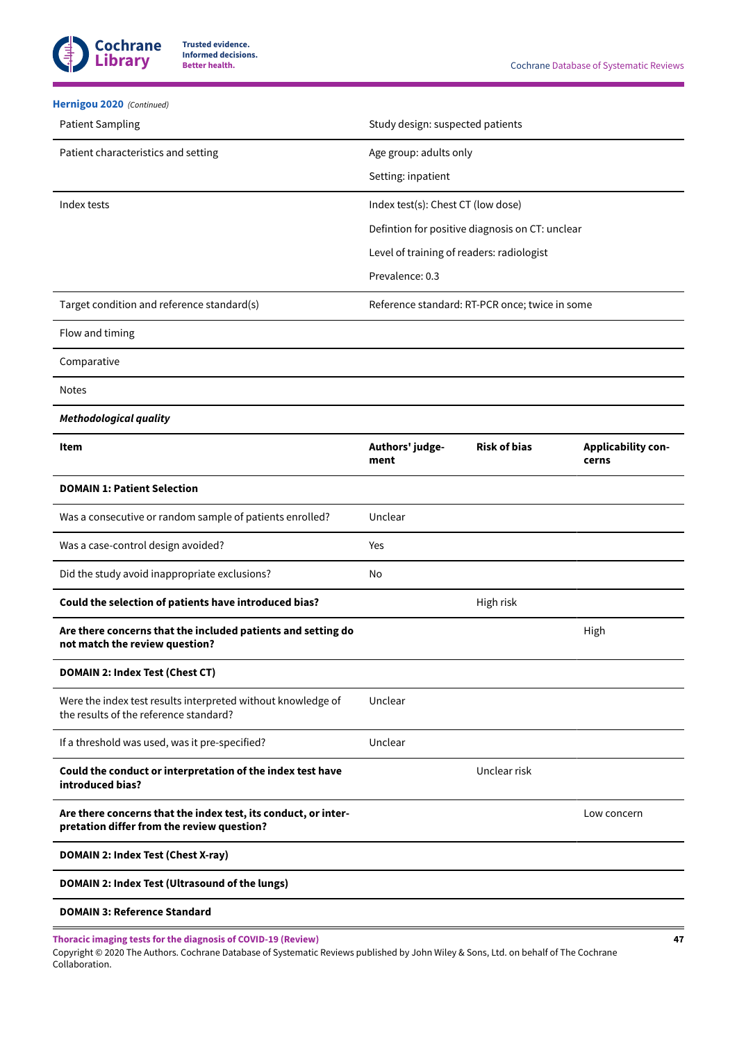

| Hernigou 2020 (Continued)                                                                                    |                                           |                                                 |                             |
|--------------------------------------------------------------------------------------------------------------|-------------------------------------------|-------------------------------------------------|-----------------------------|
| <b>Patient Sampling</b>                                                                                      | Study design: suspected patients          |                                                 |                             |
| Patient characteristics and setting                                                                          | Age group: adults only                    |                                                 |                             |
|                                                                                                              | Setting: inpatient                        |                                                 |                             |
| Index tests                                                                                                  | Index test(s): Chest CT (low dose)        |                                                 |                             |
|                                                                                                              |                                           | Defintion for positive diagnosis on CT: unclear |                             |
|                                                                                                              | Level of training of readers: radiologist |                                                 |                             |
|                                                                                                              | Prevalence: 0.3                           |                                                 |                             |
| Target condition and reference standard(s)                                                                   |                                           | Reference standard: RT-PCR once; twice in some  |                             |
| Flow and timing                                                                                              |                                           |                                                 |                             |
| Comparative                                                                                                  |                                           |                                                 |                             |
| <b>Notes</b>                                                                                                 |                                           |                                                 |                             |
| <b>Methodological quality</b>                                                                                |                                           |                                                 |                             |
| Item                                                                                                         | Authors' judge-<br>ment                   | <b>Risk of bias</b>                             | Applicability con-<br>cerns |
| <b>DOMAIN 1: Patient Selection</b>                                                                           |                                           |                                                 |                             |
| Was a consecutive or random sample of patients enrolled?                                                     | Unclear                                   |                                                 |                             |
| Was a case-control design avoided?                                                                           | Yes                                       |                                                 |                             |
| Did the study avoid inappropriate exclusions?                                                                | No                                        |                                                 |                             |
| Could the selection of patients have introduced bias?                                                        |                                           | High risk                                       |                             |
| Are there concerns that the included patients and setting do<br>not match the review question?               |                                           |                                                 | High                        |
| <b>DOMAIN 2: Index Test (Chest CT)</b>                                                                       |                                           |                                                 |                             |
| Were the index test results interpreted without knowledge of<br>the results of the reference standard?       | Unclear                                   |                                                 |                             |
| If a threshold was used, was it pre-specified?                                                               | Unclear                                   |                                                 |                             |
| Could the conduct or interpretation of the index test have<br>introduced bias?                               |                                           | Unclear risk                                    |                             |
| Are there concerns that the index test, its conduct, or inter-<br>pretation differ from the review question? |                                           |                                                 | Low concern                 |
| <b>DOMAIN 2: Index Test (Chest X-ray)</b>                                                                    |                                           |                                                 |                             |
| DOMAIN 2: Index Test (Ultrasound of the lungs)                                                               |                                           |                                                 |                             |
| <b>DOMAIN 3: Reference Standard</b>                                                                          |                                           |                                                 |                             |

**Thoracic imaging tests for the diagnosis of COVID-19 (Review)**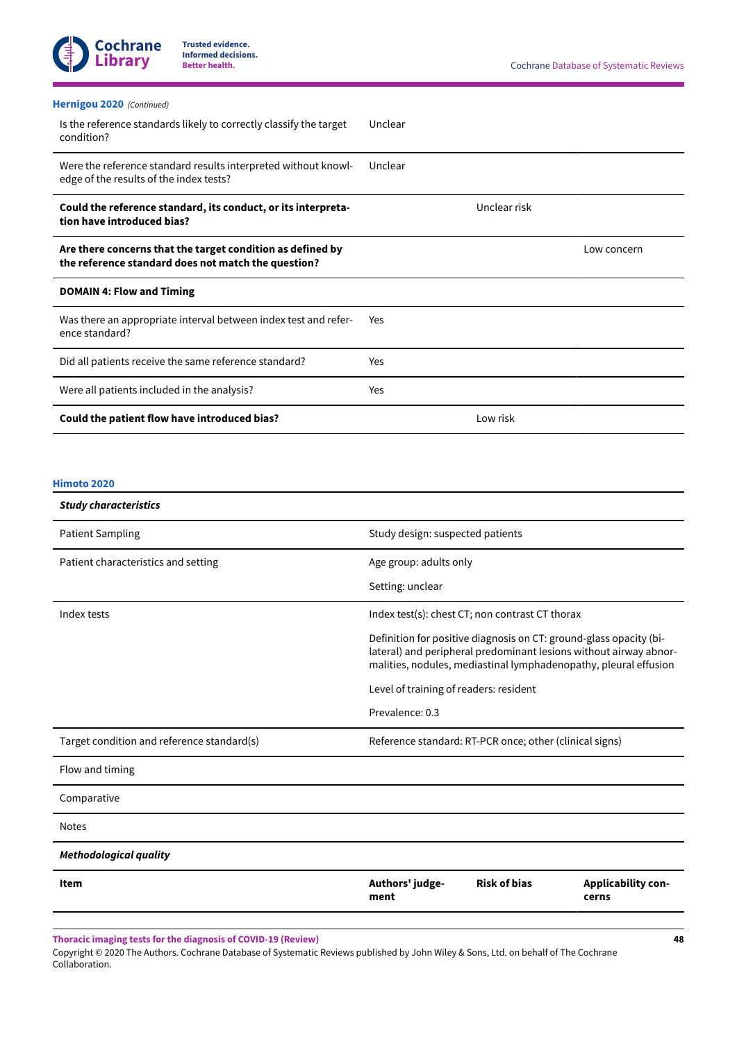

**[Hernigou](#page-24-9) 2020**  *(Continued)*

**Trusted evidence. Informed decisions.**

| Is the reference standards likely to correctly classify the target<br>condition?                                  | Unclear      |             |
|-------------------------------------------------------------------------------------------------------------------|--------------|-------------|
| Were the reference standard results interpreted without knowl-<br>edge of the results of the index tests?         | Unclear      |             |
| Could the reference standard, its conduct, or its interpreta-<br>tion have introduced bias?                       | Unclear risk |             |
| Are there concerns that the target condition as defined by<br>the reference standard does not match the question? |              | Low concern |
| <b>DOMAIN 4: Flow and Timing</b>                                                                                  |              |             |
| Was there an appropriate interval between index test and refer-<br>ence standard?                                 | Yes          |             |
| Did all patients receive the same reference standard?                                                             | Yes          |             |
| Were all patients included in the analysis?                                                                       | Yes          |             |
| Could the patient flow have introduced bias?                                                                      | Low risk     |             |

## **[Himoto](#page-24-10) 2020**

| <b>Study characteristics</b>               |                                                                                                                                                                                                             |  |  |
|--------------------------------------------|-------------------------------------------------------------------------------------------------------------------------------------------------------------------------------------------------------------|--|--|
| <b>Patient Sampling</b>                    | Study design: suspected patients                                                                                                                                                                            |  |  |
| Patient characteristics and setting        | Age group: adults only                                                                                                                                                                                      |  |  |
|                                            | Setting: unclear                                                                                                                                                                                            |  |  |
| Index tests                                | Index test(s): chest CT; non contrast CT thorax                                                                                                                                                             |  |  |
|                                            | Definition for positive diagnosis on CT: ground-glass opacity (bi-<br>lateral) and peripheral predominant lesions without airway abnor-<br>malities, nodules, mediastinal lymphadenopathy, pleural effusion |  |  |
|                                            | Level of training of readers: resident                                                                                                                                                                      |  |  |
|                                            | Prevalence: 0.3                                                                                                                                                                                             |  |  |
| Target condition and reference standard(s) | Reference standard: RT-PCR once; other (clinical signs)                                                                                                                                                     |  |  |
| Flow and timing                            |                                                                                                                                                                                                             |  |  |
| Comparative                                |                                                                                                                                                                                                             |  |  |
| <b>Notes</b>                               |                                                                                                                                                                                                             |  |  |
| <b>Methodological quality</b>              |                                                                                                                                                                                                             |  |  |
| Item                                       | <b>Risk of bias</b><br>Authors' judge-<br>Applicability con-<br>ment<br>cerns                                                                                                                               |  |  |
|                                            |                                                                                                                                                                                                             |  |  |

**Thoracic imaging tests for the diagnosis of COVID-19 (Review)**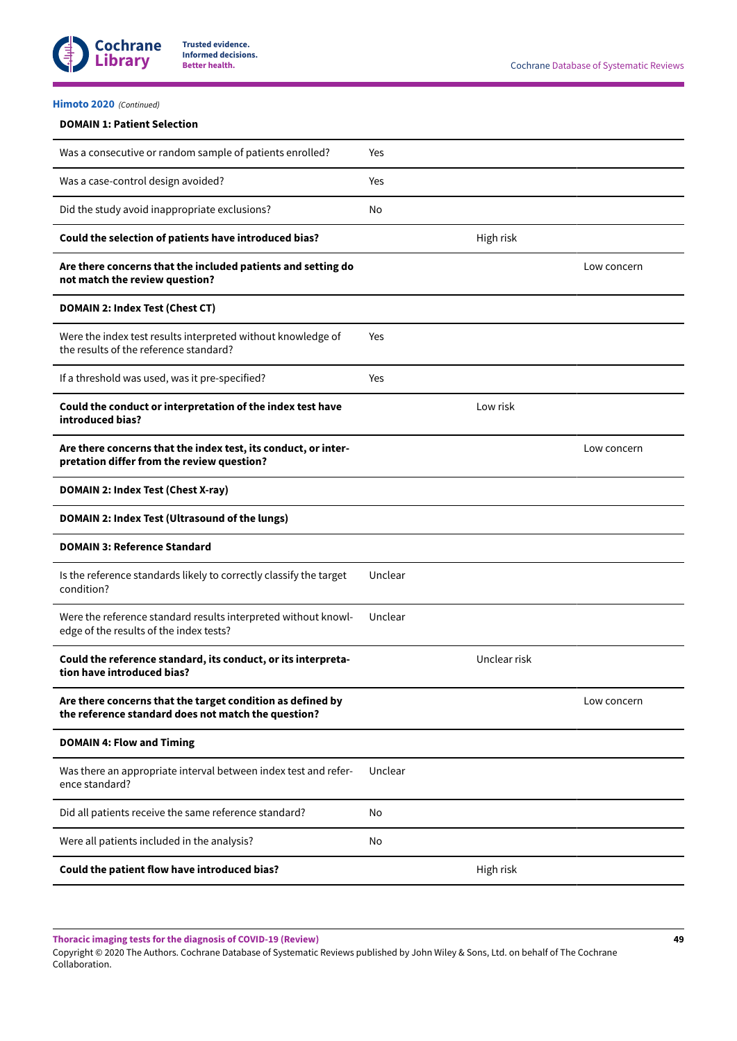

**[Himoto](#page-24-10) 2020**  *(Continued)*

| <b>DOMAIN 1: Patient Selection</b>                                                                                |         |              |             |
|-------------------------------------------------------------------------------------------------------------------|---------|--------------|-------------|
| Was a consecutive or random sample of patients enrolled?                                                          | Yes     |              |             |
| Was a case-control design avoided?                                                                                | Yes     |              |             |
| Did the study avoid inappropriate exclusions?                                                                     | No      |              |             |
| Could the selection of patients have introduced bias?                                                             |         | High risk    |             |
| Are there concerns that the included patients and setting do<br>not match the review question?                    |         |              | Low concern |
| <b>DOMAIN 2: Index Test (Chest CT)</b>                                                                            |         |              |             |
| Were the index test results interpreted without knowledge of<br>the results of the reference standard?            | Yes     |              |             |
| If a threshold was used, was it pre-specified?                                                                    | Yes     |              |             |
| Could the conduct or interpretation of the index test have<br>introduced bias?                                    |         | Low risk     |             |
| Are there concerns that the index test, its conduct, or inter-<br>pretation differ from the review question?      |         |              | Low concern |
| <b>DOMAIN 2: Index Test (Chest X-ray)</b>                                                                         |         |              |             |
| DOMAIN 2: Index Test (Ultrasound of the lungs)                                                                    |         |              |             |
| <b>DOMAIN 3: Reference Standard</b>                                                                               |         |              |             |
| Is the reference standards likely to correctly classify the target<br>condition?                                  | Unclear |              |             |
| Were the reference standard results interpreted without knowl-<br>edge of the results of the index tests?         | Unclear |              |             |
| Could the reference standard, its conduct, or its interpreta-<br>tion have introduced bias?                       |         | Unclear risk |             |
| Are there concerns that the target condition as defined by<br>the reference standard does not match the question? |         |              | Low concern |
| <b>DOMAIN 4: Flow and Timing</b>                                                                                  |         |              |             |
| Was there an appropriate interval between index test and refer-<br>ence standard?                                 | Unclear |              |             |
|                                                                                                                   |         |              |             |
| Did all patients receive the same reference standard?                                                             | No      |              |             |
| Were all patients included in the analysis?                                                                       | No      |              |             |

**Thoracic imaging tests for the diagnosis of COVID-19 (Review)**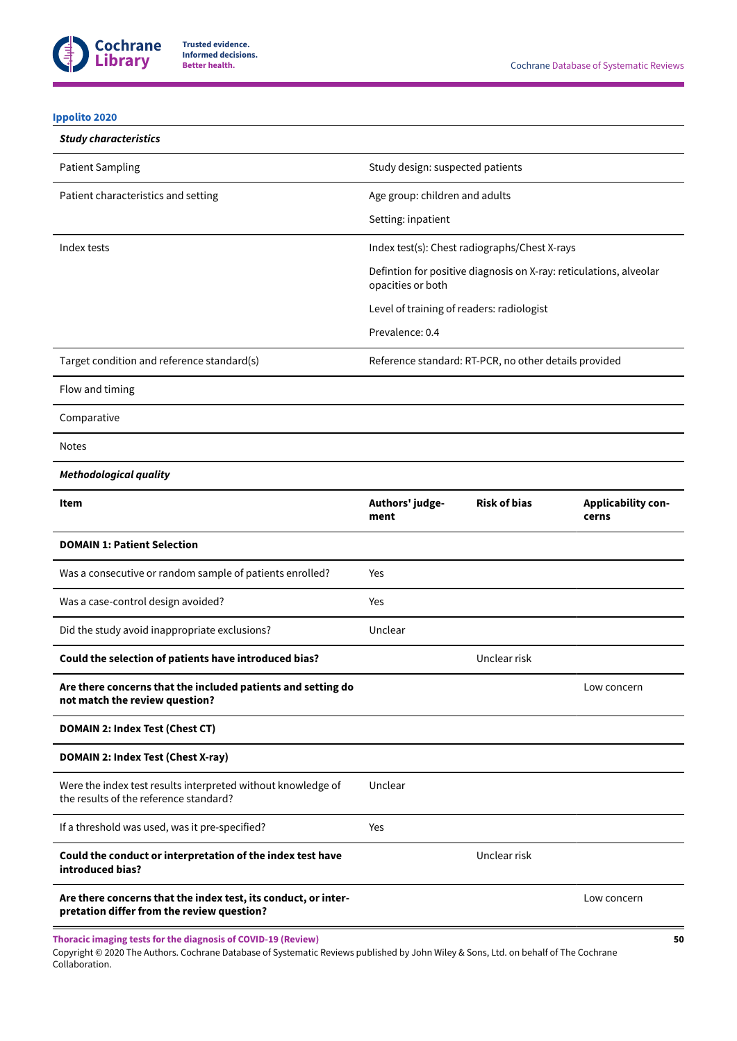

# **[Ippolito](#page-24-11) 2020**

| <b>Study characteristics</b>                                                                                 |                                                      |                                                       |                                                                    |
|--------------------------------------------------------------------------------------------------------------|------------------------------------------------------|-------------------------------------------------------|--------------------------------------------------------------------|
| <b>Patient Sampling</b>                                                                                      | Study design: suspected patients                     |                                                       |                                                                    |
| Patient characteristics and setting                                                                          | Age group: children and adults<br>Setting: inpatient |                                                       |                                                                    |
|                                                                                                              |                                                      |                                                       |                                                                    |
| Index tests                                                                                                  |                                                      | Index test(s): Chest radiographs/Chest X-rays         |                                                                    |
|                                                                                                              | opacities or both                                    |                                                       | Defintion for positive diagnosis on X-ray: reticulations, alveolar |
|                                                                                                              | Level of training of readers: radiologist            |                                                       |                                                                    |
|                                                                                                              | Prevalence: 0.4                                      |                                                       |                                                                    |
| Target condition and reference standard(s)                                                                   |                                                      | Reference standard: RT-PCR, no other details provided |                                                                    |
| Flow and timing                                                                                              |                                                      |                                                       |                                                                    |
| Comparative                                                                                                  |                                                      |                                                       |                                                                    |
| <b>Notes</b>                                                                                                 |                                                      |                                                       |                                                                    |
| <b>Methodological quality</b>                                                                                |                                                      |                                                       |                                                                    |
| Item                                                                                                         | Authors' judge-<br>ment                              | <b>Risk of bias</b>                                   | Applicability con-<br>cerns                                        |
| <b>DOMAIN 1: Patient Selection</b>                                                                           |                                                      |                                                       |                                                                    |
| Was a consecutive or random sample of patients enrolled?                                                     | Yes                                                  |                                                       |                                                                    |
| Was a case-control design avoided?                                                                           | Yes                                                  |                                                       |                                                                    |
| Did the study avoid inappropriate exclusions?                                                                | Unclear                                              |                                                       |                                                                    |
| Could the selection of patients have introduced bias?                                                        |                                                      | Unclear risk                                          |                                                                    |
| Are there concerns that the included patients and setting do<br>not match the review question?               |                                                      |                                                       | Low concern                                                        |
| <b>DOMAIN 2: Index Test (Chest CT)</b>                                                                       |                                                      |                                                       |                                                                    |
| DOMAIN 2: Index Test (Chest X-ray)                                                                           |                                                      |                                                       |                                                                    |
| Were the index test results interpreted without knowledge of<br>the results of the reference standard?       | Unclear                                              |                                                       |                                                                    |
| If a threshold was used, was it pre-specified?                                                               | Yes                                                  |                                                       |                                                                    |
| Could the conduct or interpretation of the index test have<br>introduced bias?                               |                                                      | Unclear risk                                          |                                                                    |
| Are there concerns that the index test, its conduct, or inter-<br>pretation differ from the review question? |                                                      |                                                       | Low concern                                                        |
| Thoracic imaging tests for the diagnosis of COVID-19 (Review)                                                |                                                      |                                                       | 50                                                                 |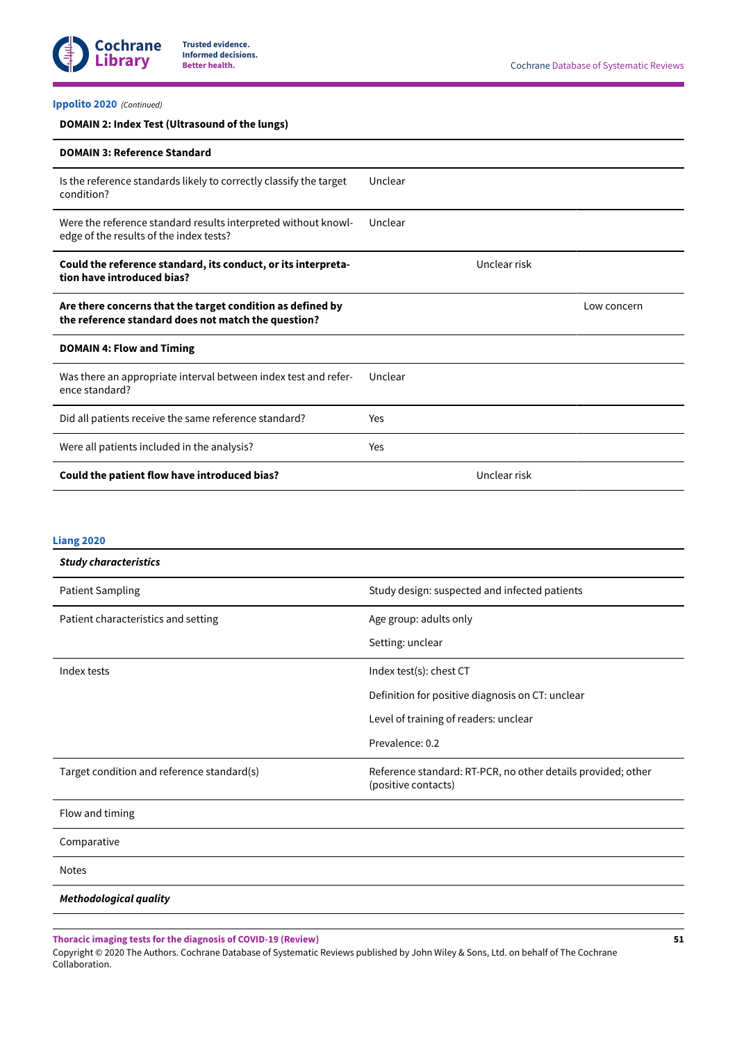

### **[Ippolito](#page-24-11) 2020**  *(Continued)*

### **DOMAIN 2: Index Test (Ultrasound of the lungs)**

| <b>DOMAIN 3: Reference Standard</b>                                                                               |         |              |             |
|-------------------------------------------------------------------------------------------------------------------|---------|--------------|-------------|
| Is the reference standards likely to correctly classify the target<br>condition?                                  | Unclear |              |             |
| Were the reference standard results interpreted without knowl-<br>edge of the results of the index tests?         | Unclear |              |             |
| Could the reference standard, its conduct, or its interpreta-<br>tion have introduced bias?                       |         | Unclear risk |             |
| Are there concerns that the target condition as defined by<br>the reference standard does not match the question? |         |              | Low concern |
| <b>DOMAIN 4: Flow and Timing</b>                                                                                  |         |              |             |
| Was there an appropriate interval between index test and refer-<br>ence standard?                                 | Unclear |              |             |
| Did all patients receive the same reference standard?                                                             | Yes     |              |             |
| Were all patients included in the analysis?                                                                       | Yes     |              |             |
| Could the patient flow have introduced bias?                                                                      |         | Unclear risk |             |

## **[Liang 2020](#page-24-12)**

| <b>Study characteristics</b>               |                                                                                     |
|--------------------------------------------|-------------------------------------------------------------------------------------|
| <b>Patient Sampling</b>                    | Study design: suspected and infected patients                                       |
| Patient characteristics and setting        | Age group: adults only                                                              |
|                                            | Setting: unclear                                                                    |
| Index tests                                | Index test(s): chest CT                                                             |
|                                            | Definition for positive diagnosis on CT: unclear                                    |
|                                            | Level of training of readers: unclear                                               |
|                                            | Prevalence: 0.2                                                                     |
| Target condition and reference standard(s) | Reference standard: RT-PCR, no other details provided; other<br>(positive contacts) |
| Flow and timing                            |                                                                                     |
| Comparative                                |                                                                                     |
| <b>Notes</b>                               |                                                                                     |

*Methodological quality*

**Thoracic imaging tests for the diagnosis of COVID-19 (Review)**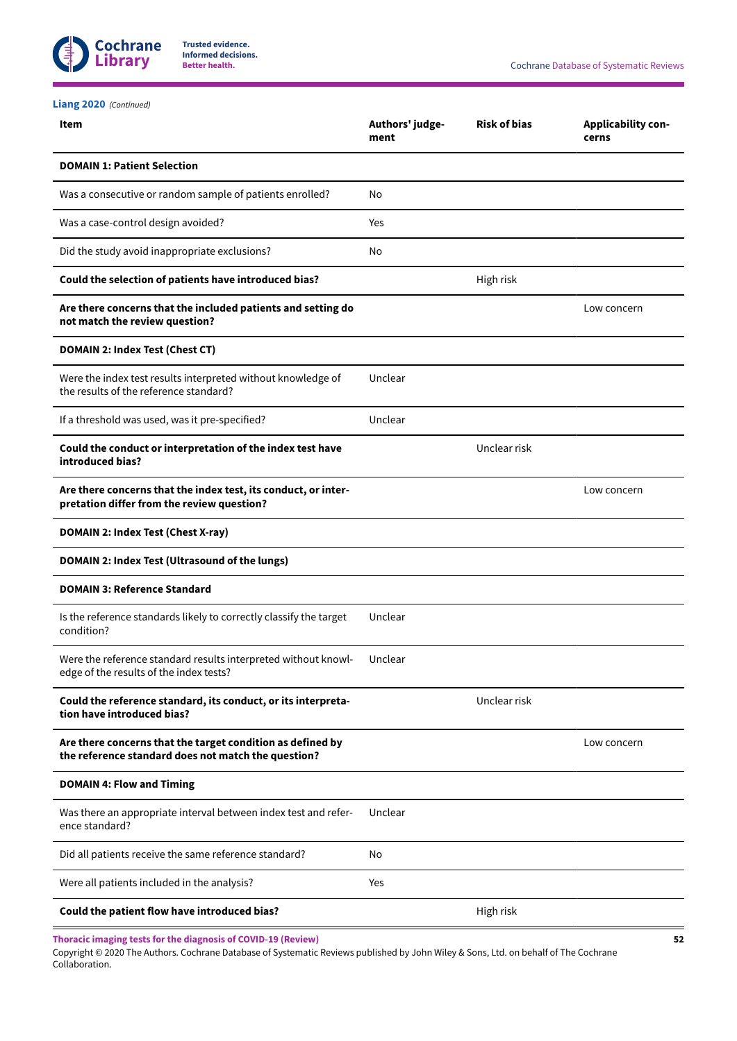

**[Liang 2020](#page-24-12)**  *(Continued)*

| Item                                                                                                              | Authors' judge-<br>ment | <b>Risk of bias</b> | <b>Applicability con-</b><br>cerns |
|-------------------------------------------------------------------------------------------------------------------|-------------------------|---------------------|------------------------------------|
| <b>DOMAIN 1: Patient Selection</b>                                                                                |                         |                     |                                    |
| Was a consecutive or random sample of patients enrolled?                                                          | No                      |                     |                                    |
| Was a case-control design avoided?                                                                                | Yes                     |                     |                                    |
| Did the study avoid inappropriate exclusions?                                                                     | No                      |                     |                                    |
| Could the selection of patients have introduced bias?                                                             |                         | High risk           |                                    |
| Are there concerns that the included patients and setting do<br>not match the review question?                    |                         |                     | Low concern                        |
| <b>DOMAIN 2: Index Test (Chest CT)</b>                                                                            |                         |                     |                                    |
| Were the index test results interpreted without knowledge of<br>the results of the reference standard?            | Unclear                 |                     |                                    |
| If a threshold was used, was it pre-specified?                                                                    | Unclear                 |                     |                                    |
| Could the conduct or interpretation of the index test have<br>introduced bias?                                    |                         | Unclear risk        |                                    |
| Are there concerns that the index test, its conduct, or inter-<br>pretation differ from the review question?      |                         |                     | Low concern                        |
| DOMAIN 2: Index Test (Chest X-ray)                                                                                |                         |                     |                                    |
| DOMAIN 2: Index Test (Ultrasound of the lungs)                                                                    |                         |                     |                                    |
| <b>DOMAIN 3: Reference Standard</b>                                                                               |                         |                     |                                    |
| Is the reference standards likely to correctly classify the target<br>condition?                                  | Unclear                 |                     |                                    |
| Were the reference standard results interpreted without knowl-<br>edge of the results of the index tests?         | Unclear                 |                     |                                    |
| Could the reference standard, its conduct, or its interpreta-<br>tion have introduced bias?                       |                         | Unclear risk        |                                    |
| Are there concerns that the target condition as defined by<br>the reference standard does not match the question? |                         |                     | Low concern                        |
| <b>DOMAIN 4: Flow and Timing</b>                                                                                  |                         |                     |                                    |
| Was there an appropriate interval between index test and refer-<br>ence standard?                                 | Unclear                 |                     |                                    |
| Did all patients receive the same reference standard?                                                             | No                      |                     |                                    |
| Were all patients included in the analysis?                                                                       | Yes                     |                     |                                    |
| Could the patient flow have introduced bias?                                                                      |                         | High risk           |                                    |

**Thoracic imaging tests for the diagnosis of COVID-19 (Review)**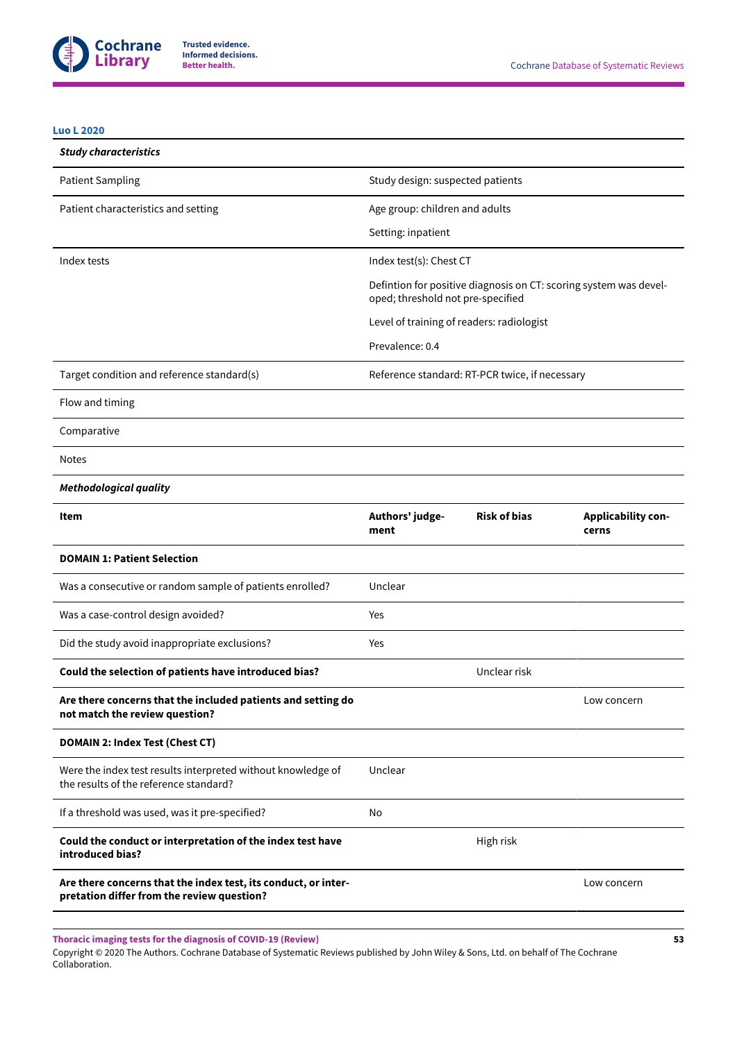

### **Luo L [2020](#page-24-13)**

| <b>Study characteristics</b>                                                                                 |                                           |                                                |                                                                   |
|--------------------------------------------------------------------------------------------------------------|-------------------------------------------|------------------------------------------------|-------------------------------------------------------------------|
| <b>Patient Sampling</b>                                                                                      | Study design: suspected patients          |                                                |                                                                   |
| Patient characteristics and setting                                                                          | Age group: children and adults            |                                                |                                                                   |
|                                                                                                              | Setting: inpatient                        |                                                |                                                                   |
| Index tests                                                                                                  | Index test(s): Chest CT                   |                                                |                                                                   |
|                                                                                                              | oped; threshold not pre-specified         |                                                | Defintion for positive diagnosis on CT: scoring system was devel- |
|                                                                                                              | Level of training of readers: radiologist |                                                |                                                                   |
|                                                                                                              | Prevalence: 0.4                           |                                                |                                                                   |
| Target condition and reference standard(s)                                                                   |                                           | Reference standard: RT-PCR twice, if necessary |                                                                   |
| Flow and timing                                                                                              |                                           |                                                |                                                                   |
| Comparative                                                                                                  |                                           |                                                |                                                                   |
| <b>Notes</b>                                                                                                 |                                           |                                                |                                                                   |
| <b>Methodological quality</b>                                                                                |                                           |                                                |                                                                   |
| Item                                                                                                         | Authors' judge-<br>ment                   | <b>Risk of bias</b>                            | Applicability con-<br>cerns                                       |
| <b>DOMAIN 1: Patient Selection</b>                                                                           |                                           |                                                |                                                                   |
| Was a consecutive or random sample of patients enrolled?                                                     | Unclear                                   |                                                |                                                                   |
| Was a case-control design avoided?                                                                           | Yes                                       |                                                |                                                                   |
| Did the study avoid inappropriate exclusions?                                                                | Yes                                       |                                                |                                                                   |
| Could the selection of patients have introduced bias?                                                        |                                           | Unclear risk                                   |                                                                   |
| Are there concerns that the included patients and setting do<br>not match the review question?               |                                           |                                                | Low concern                                                       |
| <b>DOMAIN 2: Index Test (Chest CT)</b>                                                                       |                                           |                                                |                                                                   |
| Were the index test results interpreted without knowledge of<br>the results of the reference standard?       | Unclear                                   |                                                |                                                                   |
| If a threshold was used, was it pre-specified?                                                               | No                                        |                                                |                                                                   |
| Could the conduct or interpretation of the index test have<br>introduced bias?                               |                                           | High risk                                      |                                                                   |
| Are there concerns that the index test, its conduct, or inter-<br>pretation differ from the review question? |                                           |                                                | Low concern                                                       |
|                                                                                                              |                                           |                                                |                                                                   |

**Thoracic imaging tests for the diagnosis of COVID-19 (Review)**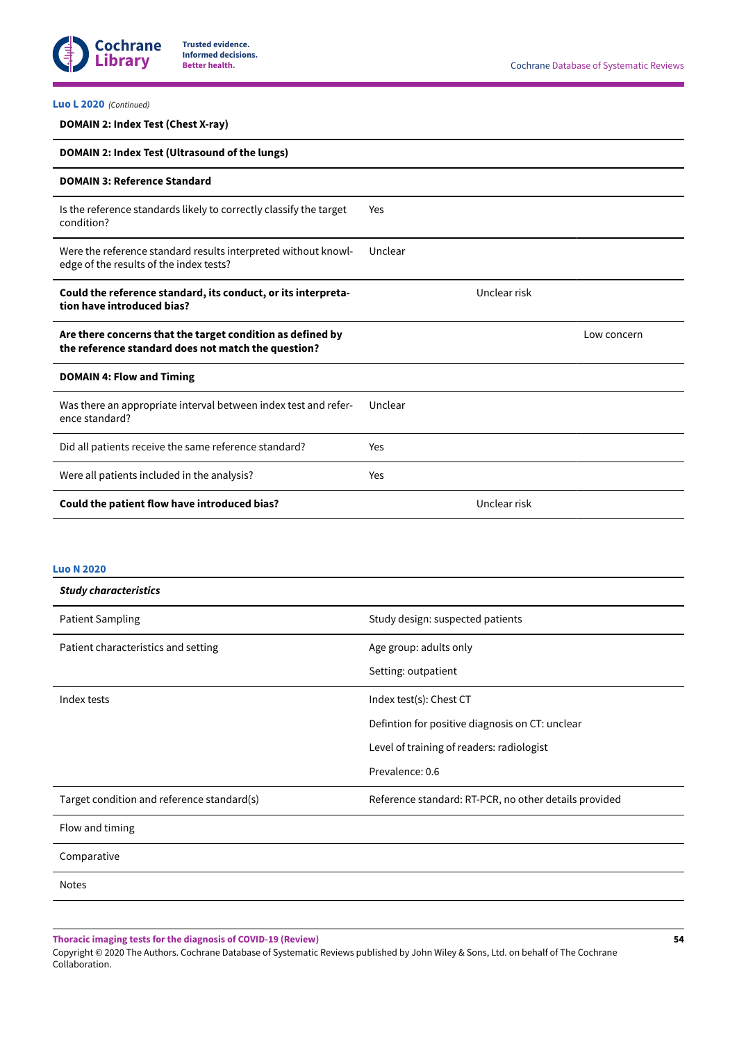

#### **Luo L [2020](#page-24-13)**  *(Continued)*

| <b>DOMAIN 2: Index Test (Chest X-ray)</b>                                                                         |         |              |             |
|-------------------------------------------------------------------------------------------------------------------|---------|--------------|-------------|
| <b>DOMAIN 2: Index Test (Ultrasound of the lungs)</b>                                                             |         |              |             |
| <b>DOMAIN 3: Reference Standard</b>                                                                               |         |              |             |
| Is the reference standards likely to correctly classify the target<br>condition?                                  | Yes     |              |             |
| Were the reference standard results interpreted without knowl-<br>edge of the results of the index tests?         | Unclear |              |             |
| Could the reference standard, its conduct, or its interpreta-<br>tion have introduced bias?                       |         | Unclear risk |             |
| Are there concerns that the target condition as defined by<br>the reference standard does not match the question? |         |              | Low concern |
| <b>DOMAIN 4: Flow and Timing</b>                                                                                  |         |              |             |
| Was there an appropriate interval between index test and refer-<br>ence standard?                                 | Unclear |              |             |
| Did all patients receive the same reference standard?                                                             | Yes     |              |             |
| Were all patients included in the analysis?                                                                       | Yes     |              |             |
| Could the patient flow have introduced bias?                                                                      |         | Unclear risk |             |

#### **Luo N [2020](#page-24-14)**

| <b>Study characteristics</b>               |                                                       |
|--------------------------------------------|-------------------------------------------------------|
| <b>Patient Sampling</b>                    | Study design: suspected patients                      |
| Patient characteristics and setting        | Age group: adults only                                |
|                                            | Setting: outpatient                                   |
| Index tests                                | Index test(s): Chest CT                               |
|                                            | Defintion for positive diagnosis on CT: unclear       |
|                                            | Level of training of readers: radiologist             |
|                                            | Prevalence: 0.6                                       |
| Target condition and reference standard(s) | Reference standard: RT-PCR, no other details provided |
| Flow and timing                            |                                                       |
| Comparative                                |                                                       |
| <b>Notes</b>                               |                                                       |

**Thoracic imaging tests for the diagnosis of COVID-19 (Review)**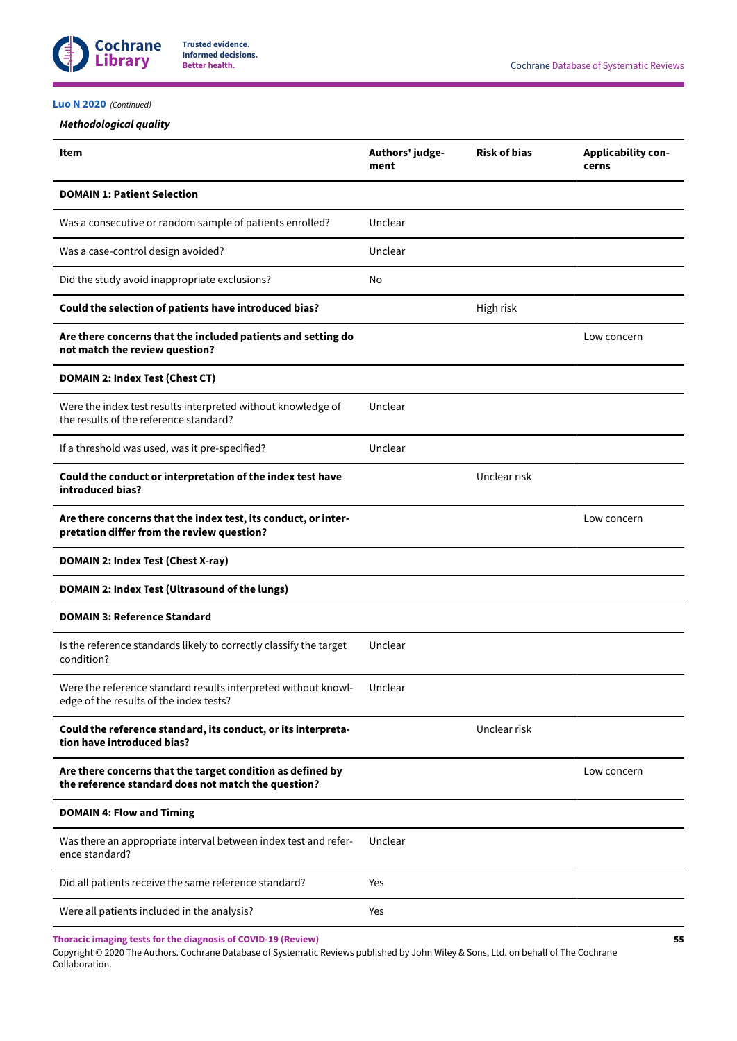

### **Luo N [2020](#page-24-14)**  *(Continued)*

## *Methodological quality*

| Item                                                                                                              | Authors' judge-<br>ment | <b>Risk of bias</b> | Applicability con-<br>cerns |
|-------------------------------------------------------------------------------------------------------------------|-------------------------|---------------------|-----------------------------|
| <b>DOMAIN 1: Patient Selection</b>                                                                                |                         |                     |                             |
| Was a consecutive or random sample of patients enrolled?                                                          | Unclear                 |                     |                             |
| Was a case-control design avoided?                                                                                | Unclear                 |                     |                             |
| Did the study avoid inappropriate exclusions?                                                                     | No                      |                     |                             |
| Could the selection of patients have introduced bias?                                                             |                         | High risk           |                             |
| Are there concerns that the included patients and setting do<br>not match the review question?                    |                         |                     | Low concern                 |
| <b>DOMAIN 2: Index Test (Chest CT)</b>                                                                            |                         |                     |                             |
| Were the index test results interpreted without knowledge of<br>the results of the reference standard?            | Unclear                 |                     |                             |
| If a threshold was used, was it pre-specified?                                                                    | Unclear                 |                     |                             |
| Could the conduct or interpretation of the index test have<br>introduced bias?                                    |                         | Unclear risk        |                             |
| Are there concerns that the index test, its conduct, or inter-<br>pretation differ from the review question?      |                         |                     | Low concern                 |
| DOMAIN 2: Index Test (Chest X-ray)                                                                                |                         |                     |                             |
| <b>DOMAIN 2: Index Test (Ultrasound of the lungs)</b>                                                             |                         |                     |                             |
| <b>DOMAIN 3: Reference Standard</b>                                                                               |                         |                     |                             |
| Is the reference standards likely to correctly classify the target<br>condition?                                  | Unclear                 |                     |                             |
| Were the reference standard results interpreted without knowl-<br>edge of the results of the index tests?         | Unclear                 |                     |                             |
| Could the reference standard, its conduct, or its interpreta-<br>tion have introduced bias?                       |                         | Unclear risk        |                             |
| Are there concerns that the target condition as defined by<br>the reference standard does not match the question? |                         |                     | Low concern                 |
| <b>DOMAIN 4: Flow and Timing</b>                                                                                  |                         |                     |                             |
| Was there an appropriate interval between index test and refer-<br>ence standard?                                 | Unclear                 |                     |                             |
| Did all patients receive the same reference standard?                                                             | Yes                     |                     |                             |
| Were all patients included in the analysis?                                                                       | Yes                     |                     |                             |

**Thoracic imaging tests for the diagnosis of COVID-19 (Review)**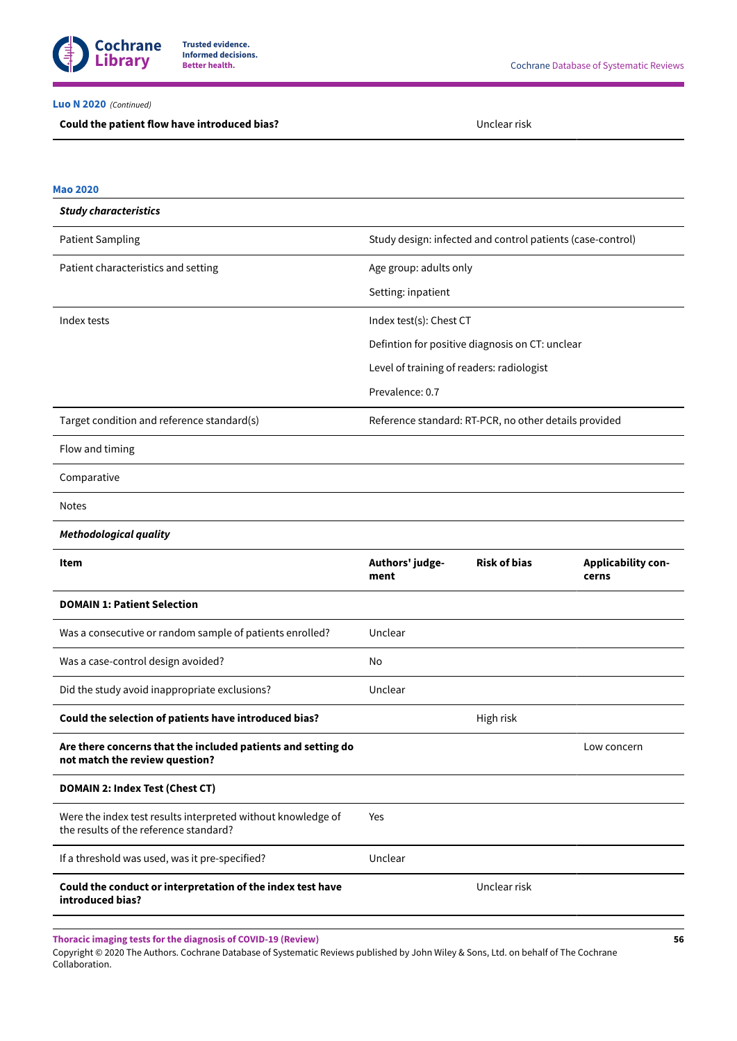

### **Luo N [2020](#page-24-14)**  *(Continued)*

**Could the patient flow have introduced bias? Could the patient flow have introduced bias? Unclear risk** 

| <b>Mao 2020</b>                                                                                        |                                                            |                                                       |                             |  |
|--------------------------------------------------------------------------------------------------------|------------------------------------------------------------|-------------------------------------------------------|-----------------------------|--|
| <b>Study characteristics</b>                                                                           |                                                            |                                                       |                             |  |
| <b>Patient Sampling</b>                                                                                | Study design: infected and control patients (case-control) |                                                       |                             |  |
| Patient characteristics and setting                                                                    | Age group: adults only                                     |                                                       |                             |  |
|                                                                                                        | Setting: inpatient                                         |                                                       |                             |  |
| Index tests                                                                                            | Index test(s): Chest CT                                    |                                                       |                             |  |
|                                                                                                        |                                                            | Defintion for positive diagnosis on CT: unclear       |                             |  |
|                                                                                                        | Level of training of readers: radiologist                  |                                                       |                             |  |
|                                                                                                        | Prevalence: 0.7                                            |                                                       |                             |  |
| Target condition and reference standard(s)                                                             |                                                            | Reference standard: RT-PCR, no other details provided |                             |  |
| Flow and timing                                                                                        |                                                            |                                                       |                             |  |
| Comparative                                                                                            |                                                            |                                                       |                             |  |
| <b>Notes</b>                                                                                           |                                                            |                                                       |                             |  |
| <b>Methodological quality</b>                                                                          |                                                            |                                                       |                             |  |
| Item                                                                                                   | Authors' judge-<br>ment                                    | <b>Risk of bias</b>                                   | Applicability con-<br>cerns |  |
| <b>DOMAIN 1: Patient Selection</b>                                                                     |                                                            |                                                       |                             |  |
| Was a consecutive or random sample of patients enrolled?                                               | Unclear                                                    |                                                       |                             |  |
| Was a case-control design avoided?                                                                     | No                                                         |                                                       |                             |  |
| Did the study avoid inappropriate exclusions?                                                          | Unclear                                                    |                                                       |                             |  |
| Could the selection of patients have introduced bias?                                                  |                                                            | High risk                                             |                             |  |
| Are there concerns that the included patients and setting do<br>not match the review question?         |                                                            |                                                       | Low concern                 |  |
| <b>DOMAIN 2: Index Test (Chest CT)</b>                                                                 |                                                            |                                                       |                             |  |
| Were the index test results interpreted without knowledge of<br>the results of the reference standard? | Yes                                                        |                                                       |                             |  |
| If a threshold was used, was it pre-specified?                                                         | Unclear                                                    |                                                       |                             |  |
| Could the conduct or interpretation of the index test have<br>introduced bias?                         |                                                            | Unclear risk                                          |                             |  |
| Thoracic imaging tests for the diagnosis of COVID-19 (Review)                                          |                                                            |                                                       | 56                          |  |

**Thoracic imaging tests for the diagnosis of COVID-19 (Review)**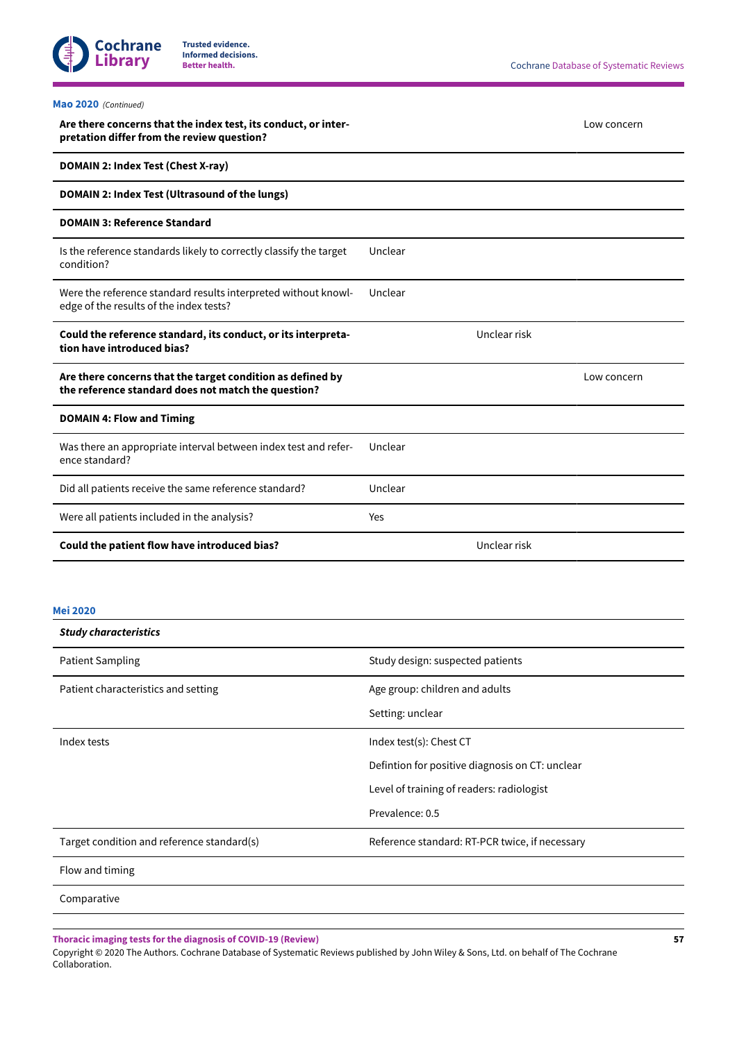

**[Mao 2020](#page-24-15)**  *(Continued)*

**Trusted evidence. Informed decisions.**

| Are there concerns that the index test, its conduct, or inter-<br>pretation differ from the review question?      |         |              | Low concern |
|-------------------------------------------------------------------------------------------------------------------|---------|--------------|-------------|
| <b>DOMAIN 2: Index Test (Chest X-ray)</b>                                                                         |         |              |             |
| <b>DOMAIN 2: Index Test (Ultrasound of the lungs)</b>                                                             |         |              |             |
| <b>DOMAIN 3: Reference Standard</b>                                                                               |         |              |             |
| Is the reference standards likely to correctly classify the target<br>condition?                                  | Unclear |              |             |
| Were the reference standard results interpreted without knowl-<br>edge of the results of the index tests?         | Unclear |              |             |
| Could the reference standard, its conduct, or its interpreta-<br>tion have introduced bias?                       |         | Unclear risk |             |
| Are there concerns that the target condition as defined by<br>the reference standard does not match the question? |         |              | Low concern |
| <b>DOMAIN 4: Flow and Timing</b>                                                                                  |         |              |             |
| Was there an appropriate interval between index test and refer-<br>ence standard?                                 | Unclear |              |             |
| Did all patients receive the same reference standard?                                                             | Unclear |              |             |
| Were all patients included in the analysis?                                                                       | Yes     |              |             |
| Could the patient flow have introduced bias?                                                                      |         | Unclear risk |             |

#### **[Mei 2020](#page-25-0)**

| <b>Study characteristics</b>               |                                                 |
|--------------------------------------------|-------------------------------------------------|
| <b>Patient Sampling</b>                    | Study design: suspected patients                |
| Patient characteristics and setting        | Age group: children and adults                  |
|                                            | Setting: unclear                                |
| Index tests                                | Index test(s): Chest CT                         |
|                                            | Defintion for positive diagnosis on CT: unclear |
|                                            | Level of training of readers: radiologist       |
|                                            | Prevalence: 0.5                                 |
| Target condition and reference standard(s) | Reference standard: RT-PCR twice, if necessary  |
| Flow and timing                            |                                                 |
| Comparative                                |                                                 |

**Thoracic imaging tests for the diagnosis of COVID-19 (Review)**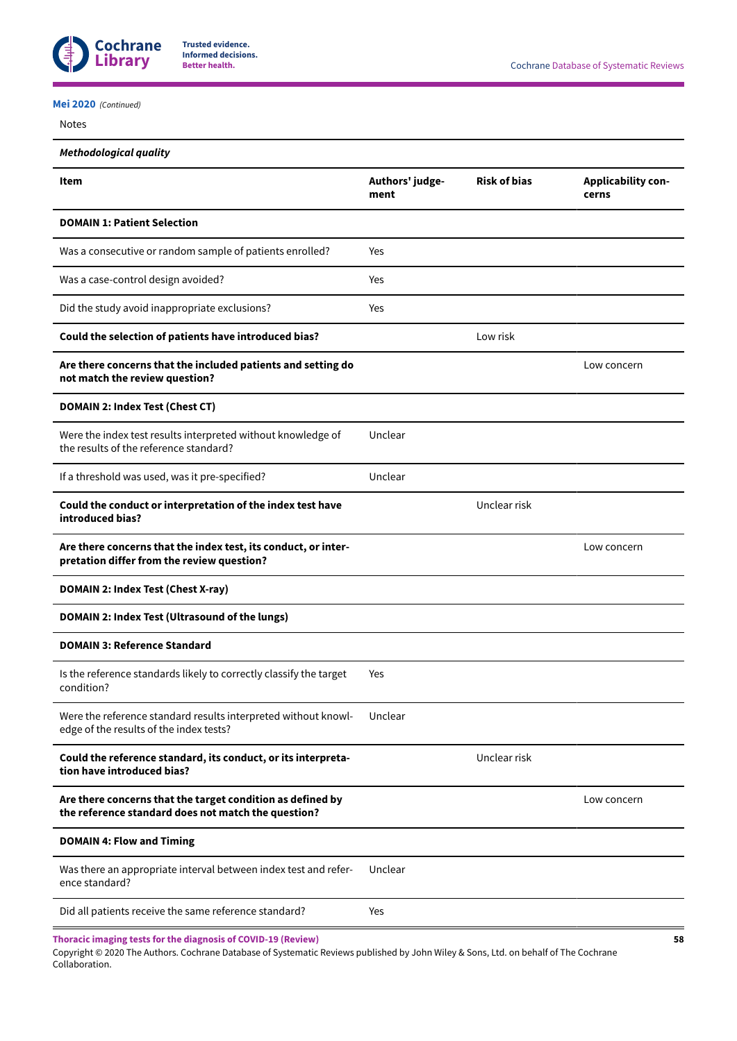

### **[Mei 2020](#page-25-0)**  *(Continued)*

Notes

## *Methodological quality*

| Item                                                                                                              | Authors' judge-<br>ment | <b>Risk of bias</b> | Applicability con-<br>cerns |
|-------------------------------------------------------------------------------------------------------------------|-------------------------|---------------------|-----------------------------|
| <b>DOMAIN 1: Patient Selection</b>                                                                                |                         |                     |                             |
| Was a consecutive or random sample of patients enrolled?                                                          | Yes                     |                     |                             |
| Was a case-control design avoided?                                                                                | Yes                     |                     |                             |
| Did the study avoid inappropriate exclusions?                                                                     | Yes                     |                     |                             |
| Could the selection of patients have introduced bias?                                                             |                         | Low risk            |                             |
| Are there concerns that the included patients and setting do<br>not match the review question?                    |                         |                     | Low concern                 |
| <b>DOMAIN 2: Index Test (Chest CT)</b>                                                                            |                         |                     |                             |
| Were the index test results interpreted without knowledge of<br>the results of the reference standard?            | Unclear                 |                     |                             |
| If a threshold was used, was it pre-specified?                                                                    | Unclear                 |                     |                             |
| Could the conduct or interpretation of the index test have<br>introduced bias?                                    |                         | Unclear risk        |                             |
| Are there concerns that the index test, its conduct, or inter-<br>pretation differ from the review question?      |                         |                     | Low concern                 |
| DOMAIN 2: Index Test (Chest X-ray)                                                                                |                         |                     |                             |
| DOMAIN 2: Index Test (Ultrasound of the lungs)                                                                    |                         |                     |                             |
| <b>DOMAIN 3: Reference Standard</b>                                                                               |                         |                     |                             |
| Is the reference standards likely to correctly classify the target<br>condition?                                  | Yes                     |                     |                             |
| Were the reference standard results interpreted without knowl-<br>edge of the results of the index tests?         | Unclear                 |                     |                             |
| Could the reference standard, its conduct, or its interpreta-<br>tion have introduced bias?                       |                         | Unclear risk        |                             |
| Are there concerns that the target condition as defined by<br>the reference standard does not match the question? |                         |                     | Low concern                 |
| <b>DOMAIN 4: Flow and Timing</b>                                                                                  |                         |                     |                             |
| Was there an appropriate interval between index test and refer-<br>ence standard?                                 | Unclear                 |                     |                             |
| Did all patients receive the same reference standard?                                                             | Yes                     |                     |                             |
| Thoracic imaging tests for the diagnosis of COVID-19 (Review)                                                     |                         |                     | 58                          |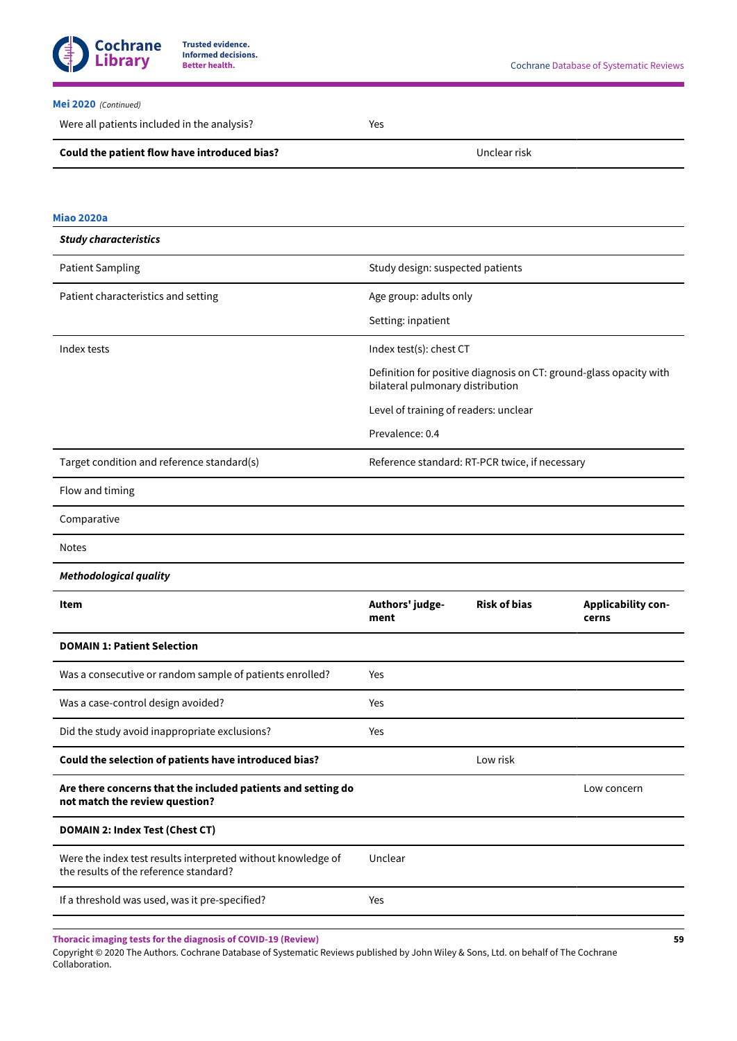

### **[Mei 2020](#page-25-0)**  *(Continued)*

Were all patients included in the analysis? Ves

## **Could the patient flow have introduced bias?** Unclear risk

| <b>Study characteristics</b>                                                                           |                                       |                                                |                                                                    |
|--------------------------------------------------------------------------------------------------------|---------------------------------------|------------------------------------------------|--------------------------------------------------------------------|
| <b>Patient Sampling</b>                                                                                | Study design: suspected patients      |                                                |                                                                    |
| Patient characteristics and setting                                                                    | Age group: adults only                |                                                |                                                                    |
|                                                                                                        | Setting: inpatient                    |                                                |                                                                    |
| Index tests                                                                                            | Index test(s): chest CT               |                                                |                                                                    |
|                                                                                                        | bilateral pulmonary distribution      |                                                | Definition for positive diagnosis on CT: ground-glass opacity with |
|                                                                                                        | Level of training of readers: unclear |                                                |                                                                    |
|                                                                                                        | Prevalence: 0.4                       |                                                |                                                                    |
| Target condition and reference standard(s)                                                             |                                       | Reference standard: RT-PCR twice, if necessary |                                                                    |
| Flow and timing                                                                                        |                                       |                                                |                                                                    |
| Comparative                                                                                            |                                       |                                                |                                                                    |
| <b>Notes</b>                                                                                           |                                       |                                                |                                                                    |
| <b>Methodological quality</b>                                                                          |                                       |                                                |                                                                    |
| Item                                                                                                   | Authors' judge-<br>ment               | <b>Risk of bias</b>                            | Applicability con-<br>cerns                                        |
| <b>DOMAIN 1: Patient Selection</b>                                                                     |                                       |                                                |                                                                    |
| Was a consecutive or random sample of patients enrolled?                                               | Yes                                   |                                                |                                                                    |
| Was a case-control design avoided?                                                                     | Yes                                   |                                                |                                                                    |
| Did the study avoid inappropriate exclusions?                                                          | Yes                                   |                                                |                                                                    |
| Could the selection of patients have introduced bias?                                                  |                                       | Low risk                                       |                                                                    |
| Are there concerns that the included patients and setting do<br>not match the review question?         |                                       |                                                | Low concern                                                        |
| <b>DOMAIN 2: Index Test (Chest CT)</b>                                                                 |                                       |                                                |                                                                    |
| Were the index test results interpreted without knowledge of<br>the results of the reference standard? | Unclear                               |                                                |                                                                    |
| If a threshold was used, was it pre-specified?                                                         | Yes                                   |                                                |                                                                    |

**Thoracic imaging tests for the diagnosis of COVID-19 (Review)**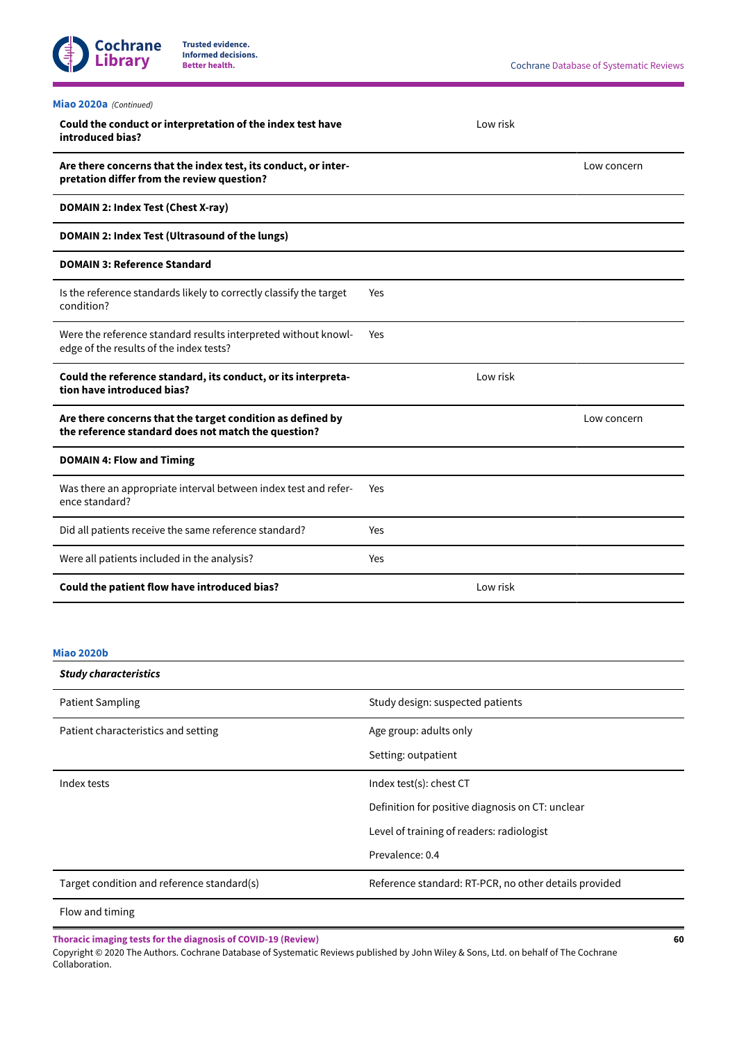

**[Miao 2020a](#page-25-1)**  *(Continued)*

**Trusted evidence. Informed decisions.**

| Could the conduct or interpretation of the index test have<br>introduced bias?                                    |     | Low risk |             |
|-------------------------------------------------------------------------------------------------------------------|-----|----------|-------------|
| Are there concerns that the index test, its conduct, or inter-<br>pretation differ from the review question?      |     |          | Low concern |
| DOMAIN 2: Index Test (Chest X-ray)                                                                                |     |          |             |
| <b>DOMAIN 2: Index Test (Ultrasound of the lungs)</b>                                                             |     |          |             |
| <b>DOMAIN 3: Reference Standard</b>                                                                               |     |          |             |
| Is the reference standards likely to correctly classify the target<br>condition?                                  | Yes |          |             |
| Were the reference standard results interpreted without knowl-<br>edge of the results of the index tests?         | Yes |          |             |
| Could the reference standard, its conduct, or its interpreta-<br>tion have introduced bias?                       |     | Low risk |             |
| Are there concerns that the target condition as defined by<br>the reference standard does not match the question? |     |          | Low concern |
| <b>DOMAIN 4: Flow and Timing</b>                                                                                  |     |          |             |
| Was there an appropriate interval between index test and refer-<br>ence standard?                                 | Yes |          |             |
| Did all patients receive the same reference standard?                                                             | Yes |          |             |
| Were all patients included in the analysis?                                                                       | Yes |          |             |
| Could the patient flow have introduced bias?                                                                      |     | Low risk |             |

#### **[Miao 2020b](#page-25-2)**

| <b>Study characteristics</b>               |                                                       |
|--------------------------------------------|-------------------------------------------------------|
| <b>Patient Sampling</b>                    | Study design: suspected patients                      |
| Patient characteristics and setting        | Age group: adults only                                |
|                                            | Setting: outpatient                                   |
| Index tests                                | Index test(s): chest CT                               |
|                                            | Definition for positive diagnosis on CT: unclear      |
|                                            | Level of training of readers: radiologist             |
|                                            | Prevalence: 0.4                                       |
| Target condition and reference standard(s) | Reference standard: RT-PCR, no other details provided |

Flow and timing

**Thoracic imaging tests for the diagnosis of COVID-19 (Review)**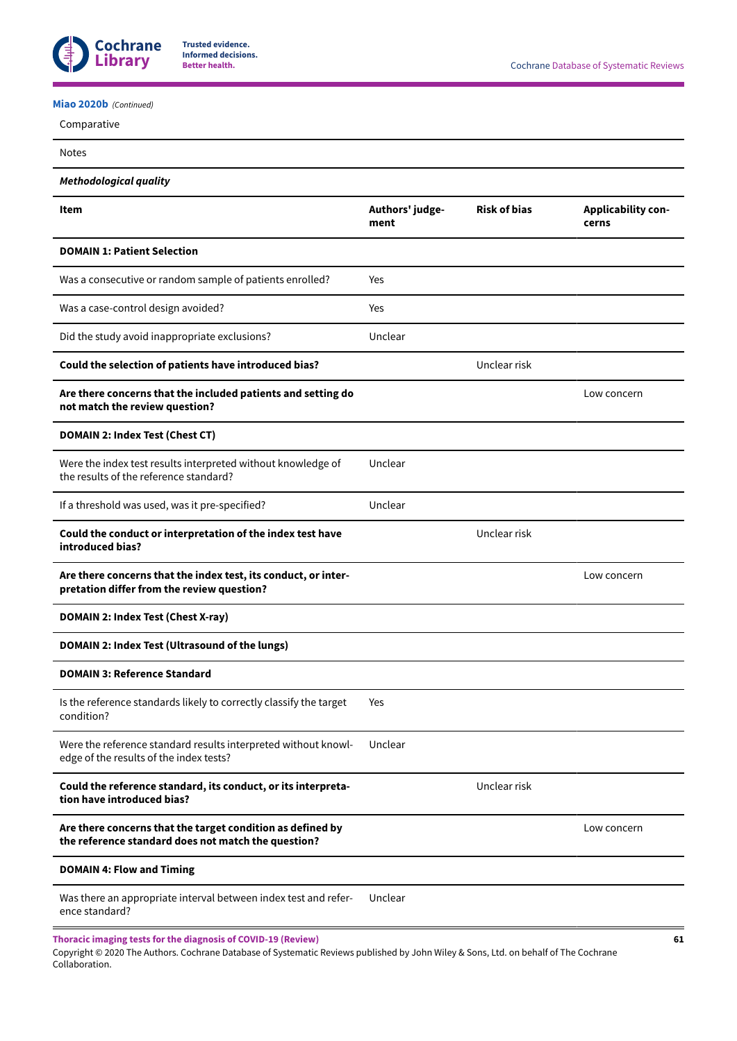

### **[Miao 2020b](#page-25-2)**  *(Continued)*

| <b>Notes</b>                                                                                                      |                         |                     |                                    |
|-------------------------------------------------------------------------------------------------------------------|-------------------------|---------------------|------------------------------------|
| <b>Methodological quality</b>                                                                                     |                         |                     |                                    |
| Item                                                                                                              | Authors' judge-<br>ment | <b>Risk of bias</b> | <b>Applicability con-</b><br>cerns |
| <b>DOMAIN 1: Patient Selection</b>                                                                                |                         |                     |                                    |
| Was a consecutive or random sample of patients enrolled?                                                          | Yes                     |                     |                                    |
| Was a case-control design avoided?                                                                                | Yes                     |                     |                                    |
| Did the study avoid inappropriate exclusions?                                                                     | Unclear                 |                     |                                    |
| Could the selection of patients have introduced bias?                                                             |                         | Unclear risk        |                                    |
| Are there concerns that the included patients and setting do<br>not match the review question?                    |                         |                     | Low concern                        |
| <b>DOMAIN 2: Index Test (Chest CT)</b>                                                                            |                         |                     |                                    |
| Were the index test results interpreted without knowledge of<br>the results of the reference standard?            | Unclear                 |                     |                                    |
| If a threshold was used, was it pre-specified?                                                                    | Unclear                 |                     |                                    |
| Could the conduct or interpretation of the index test have<br>introduced bias?                                    |                         | Unclear risk        |                                    |
| Are there concerns that the index test, its conduct, or inter-<br>pretation differ from the review question?      |                         |                     | Low concern                        |
| DOMAIN 2: Index Test (Chest X-ray)                                                                                |                         |                     |                                    |
| DOMAIN 2: Index Test (Ultrasound of the lungs)                                                                    |                         |                     |                                    |
| <b>DOMAIN 3: Reference Standard</b>                                                                               |                         |                     |                                    |
| Is the reference standards likely to correctly classify the target<br>condition?                                  | Yes                     |                     |                                    |
| Were the reference standard results interpreted without knowl-<br>edge of the results of the index tests?         | Unclear                 |                     |                                    |
| Could the reference standard, its conduct, or its interpreta-<br>tion have introduced bias?                       |                         | Unclear risk        |                                    |
| Are there concerns that the target condition as defined by<br>the reference standard does not match the question? |                         |                     | Low concern                        |
| <b>DOMAIN 4: Flow and Timing</b>                                                                                  |                         |                     |                                    |
| Was there an appropriate interval between index test and refer-<br>ence standard?                                 | Unclear                 |                     |                                    |

**Thoracic imaging tests for the diagnosis of COVID-19 (Review)**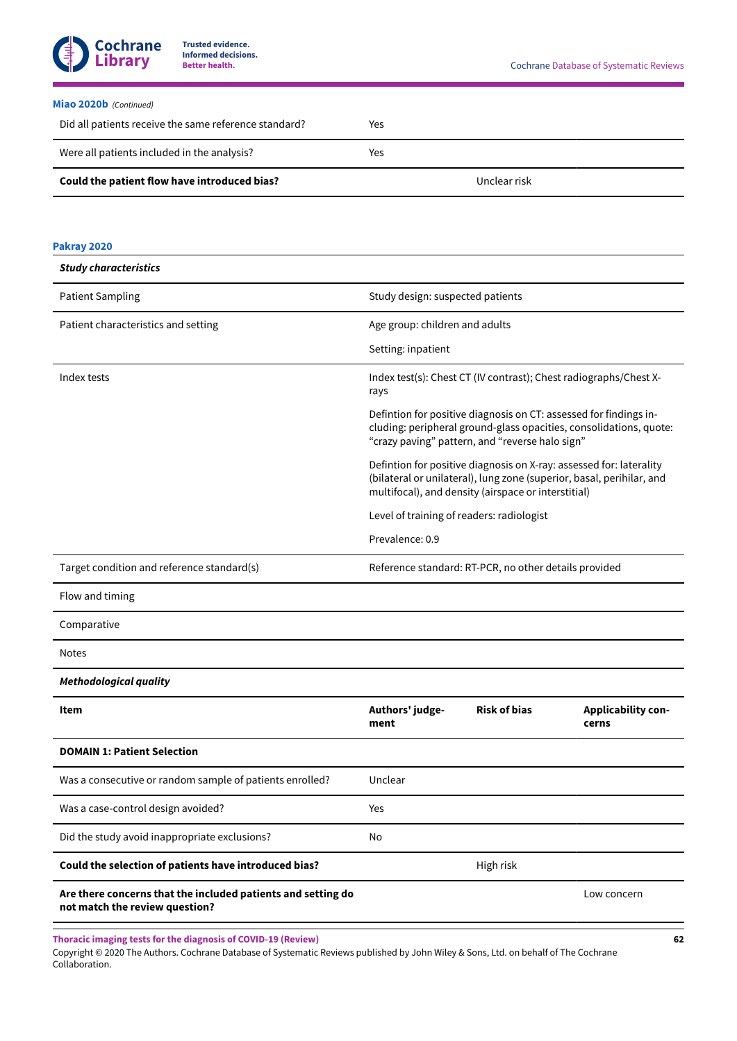

| Could the patient flow have introduced bias?          |     | Unclear risk |
|-------------------------------------------------------|-----|--------------|
| Were all patients included in the analysis?           | Yes |              |
| Did all patients receive the same reference standard? | Yes |              |
| Miao 2020b (Continued)                                |     |              |

## **[Pakray](#page-25-3) 2020**

| <b>Study characteristics</b>                                                                   |                                           |                                                                                                                                                                                                     |                                    |
|------------------------------------------------------------------------------------------------|-------------------------------------------|-----------------------------------------------------------------------------------------------------------------------------------------------------------------------------------------------------|------------------------------------|
| <b>Patient Sampling</b>                                                                        | Study design: suspected patients          |                                                                                                                                                                                                     |                                    |
| Patient characteristics and setting                                                            | Age group: children and adults            |                                                                                                                                                                                                     |                                    |
|                                                                                                | Setting: inpatient                        |                                                                                                                                                                                                     |                                    |
| Index tests                                                                                    | rays                                      | Index test(s): Chest CT (IV contrast); Chest radiographs/Chest X-                                                                                                                                   |                                    |
|                                                                                                |                                           | Defintion for positive diagnosis on CT: assessed for findings in-<br>cluding: peripheral ground-glass opacities, consolidations, quote:<br>"crazy paving" pattern, and "reverse halo sign"          |                                    |
|                                                                                                |                                           | Defintion for positive diagnosis on X-ray: assessed for: laterality<br>(bilateral or unilateral), lung zone (superior, basal, perihilar, and<br>multifocal), and density (airspace or interstitial) |                                    |
|                                                                                                | Level of training of readers: radiologist |                                                                                                                                                                                                     |                                    |
|                                                                                                | Prevalence: 0.9                           |                                                                                                                                                                                                     |                                    |
| Target condition and reference standard(s)                                                     |                                           | Reference standard: RT-PCR, no other details provided                                                                                                                                               |                                    |
| Flow and timing                                                                                |                                           |                                                                                                                                                                                                     |                                    |
| Comparative                                                                                    |                                           |                                                                                                                                                                                                     |                                    |
| <b>Notes</b>                                                                                   |                                           |                                                                                                                                                                                                     |                                    |
| <b>Methodological quality</b>                                                                  |                                           |                                                                                                                                                                                                     |                                    |
| Item                                                                                           | Authors' judge-<br>ment                   | <b>Risk of bias</b>                                                                                                                                                                                 | <b>Applicability con-</b><br>cerns |
| <b>DOMAIN 1: Patient Selection</b>                                                             |                                           |                                                                                                                                                                                                     |                                    |
| Was a consecutive or random sample of patients enrolled?                                       | Unclear                                   |                                                                                                                                                                                                     |                                    |
| Was a case-control design avoided?                                                             | Yes                                       |                                                                                                                                                                                                     |                                    |
| Did the study avoid inappropriate exclusions?                                                  | No                                        |                                                                                                                                                                                                     |                                    |
| Could the selection of patients have introduced bias?                                          |                                           | High risk                                                                                                                                                                                           |                                    |
| Are there concerns that the included patients and setting do<br>not match the review question? |                                           |                                                                                                                                                                                                     | Low concern                        |
|                                                                                                |                                           |                                                                                                                                                                                                     |                                    |

**Thoracic imaging tests for the diagnosis of COVID-19 (Review)**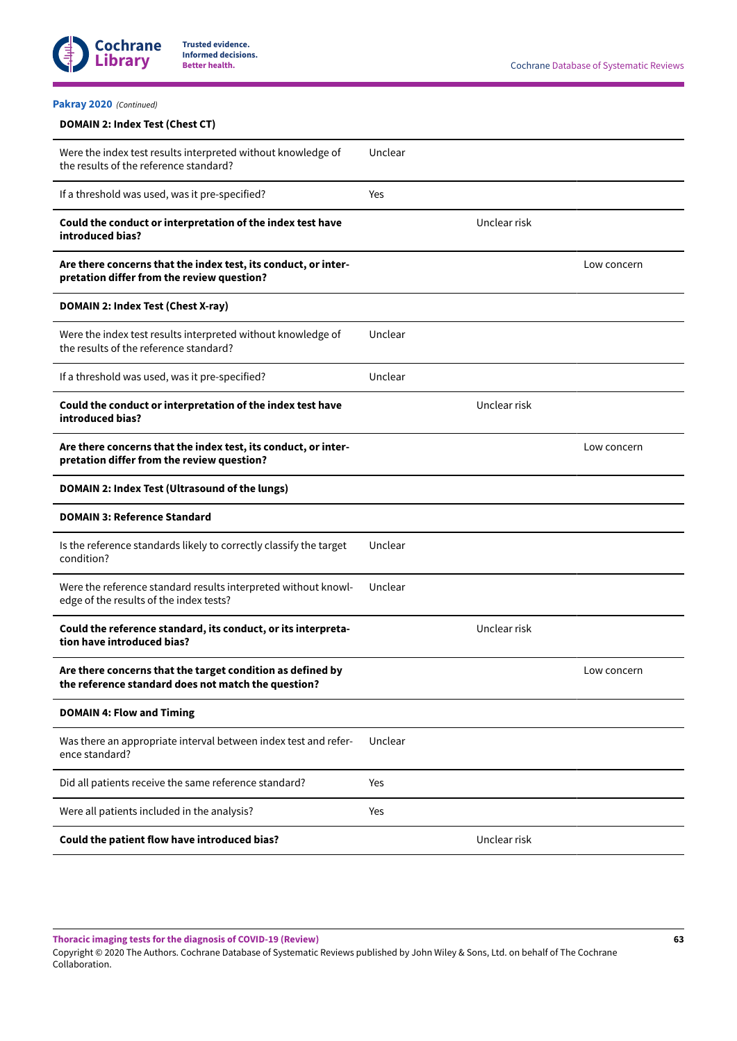

| Pakray 2020 (Continued)                                                                                           |         |              |             |
|-------------------------------------------------------------------------------------------------------------------|---------|--------------|-------------|
| <b>DOMAIN 2: Index Test (Chest CT)</b>                                                                            |         |              |             |
| Were the index test results interpreted without knowledge of<br>the results of the reference standard?            | Unclear |              |             |
| If a threshold was used, was it pre-specified?                                                                    | Yes     |              |             |
| Could the conduct or interpretation of the index test have<br>introduced bias?                                    |         | Unclear risk |             |
| Are there concerns that the index test, its conduct, or inter-<br>pretation differ from the review question?      |         |              | Low concern |
| DOMAIN 2: Index Test (Chest X-ray)                                                                                |         |              |             |
| Were the index test results interpreted without knowledge of<br>the results of the reference standard?            | Unclear |              |             |
| If a threshold was used, was it pre-specified?                                                                    | Unclear |              |             |
| Could the conduct or interpretation of the index test have<br>introduced bias?                                    |         | Unclear risk |             |
| Are there concerns that the index test, its conduct, or inter-<br>pretation differ from the review question?      |         |              | Low concern |
| DOMAIN 2: Index Test (Ultrasound of the lungs)                                                                    |         |              |             |
| <b>DOMAIN 3: Reference Standard</b>                                                                               |         |              |             |
| Is the reference standards likely to correctly classify the target<br>condition?                                  | Unclear |              |             |
| Were the reference standard results interpreted without knowl-<br>edge of the results of the index tests?         | Unclear |              |             |
| Could the reference standard, its conduct, or its interpreta-<br>tion have introduced bias?                       |         | Unclear risk |             |
| Are there concerns that the target condition as defined by<br>the reference standard does not match the question? |         |              | Low concern |
| <b>DOMAIN 4: Flow and Timing</b>                                                                                  |         |              |             |
| Was there an appropriate interval between index test and refer-<br>ence standard?                                 | Unclear |              |             |
| Did all patients receive the same reference standard?                                                             | Yes     |              |             |
| Were all patients included in the analysis?                                                                       | Yes     |              |             |
| Could the patient flow have introduced bias?                                                                      |         | Unclear risk |             |

**Thoracic imaging tests for the diagnosis of COVID-19 (Review)**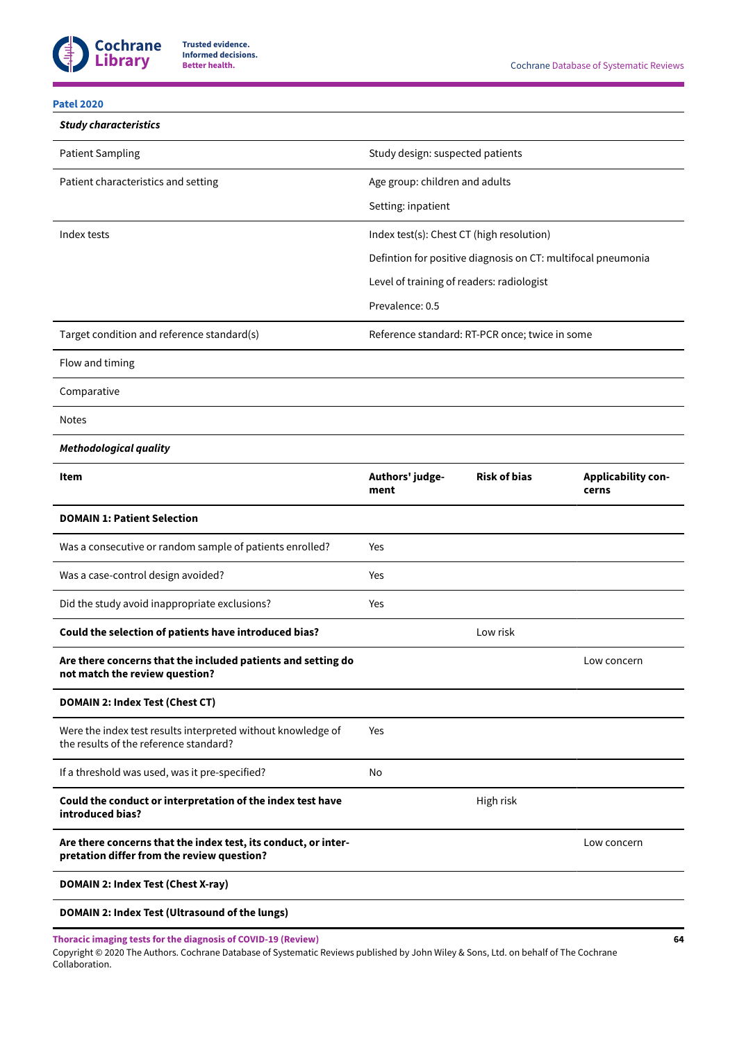

### **[Patel](#page-25-4) 2020**

| <b>Study characteristics</b>                                                                                 |                                           |                                                              |                             |
|--------------------------------------------------------------------------------------------------------------|-------------------------------------------|--------------------------------------------------------------|-----------------------------|
| <b>Patient Sampling</b>                                                                                      | Study design: suspected patients          |                                                              |                             |
| Patient characteristics and setting                                                                          | Age group: children and adults            |                                                              |                             |
|                                                                                                              | Setting: inpatient                        |                                                              |                             |
| Index tests                                                                                                  |                                           | Index test(s): Chest CT (high resolution)                    |                             |
|                                                                                                              |                                           | Defintion for positive diagnosis on CT: multifocal pneumonia |                             |
|                                                                                                              | Level of training of readers: radiologist |                                                              |                             |
|                                                                                                              | Prevalence: 0.5                           |                                                              |                             |
| Target condition and reference standard(s)                                                                   |                                           | Reference standard: RT-PCR once; twice in some               |                             |
| Flow and timing                                                                                              |                                           |                                                              |                             |
| Comparative                                                                                                  |                                           |                                                              |                             |
| <b>Notes</b>                                                                                                 |                                           |                                                              |                             |
| <b>Methodological quality</b>                                                                                |                                           |                                                              |                             |
| Item                                                                                                         | Authors' judge-<br>ment                   | <b>Risk of bias</b>                                          | Applicability con-<br>cerns |
| <b>DOMAIN 1: Patient Selection</b>                                                                           |                                           |                                                              |                             |
| Was a consecutive or random sample of patients enrolled?                                                     | Yes                                       |                                                              |                             |
| Was a case-control design avoided?                                                                           | Yes                                       |                                                              |                             |
| Did the study avoid inappropriate exclusions?                                                                | Yes                                       |                                                              |                             |
| Could the selection of patients have introduced bias?                                                        |                                           | Low risk                                                     |                             |
| Are there concerns that the included patients and setting do<br>not match the review question?               |                                           |                                                              | Low concern                 |
| <b>DOMAIN 2: Index Test (Chest CT)</b>                                                                       |                                           |                                                              |                             |
| Were the index test results interpreted without knowledge of<br>the results of the reference standard?       | Yes                                       |                                                              |                             |
| If a threshold was used, was it pre-specified?                                                               | No                                        |                                                              |                             |
| Could the conduct or interpretation of the index test have<br>introduced bias?                               |                                           | High risk                                                    |                             |
| Are there concerns that the index test, its conduct, or inter-<br>pretation differ from the review question? |                                           |                                                              | Low concern                 |
| <b>DOMAIN 2: Index Test (Chest X-ray)</b>                                                                    |                                           |                                                              |                             |
| <b>DOMAIN 2: Index Test (Ultrasound of the lungs)</b>                                                        |                                           |                                                              |                             |
|                                                                                                              |                                           |                                                              |                             |

**Thoracic imaging tests for the diagnosis of COVID-19 (Review)**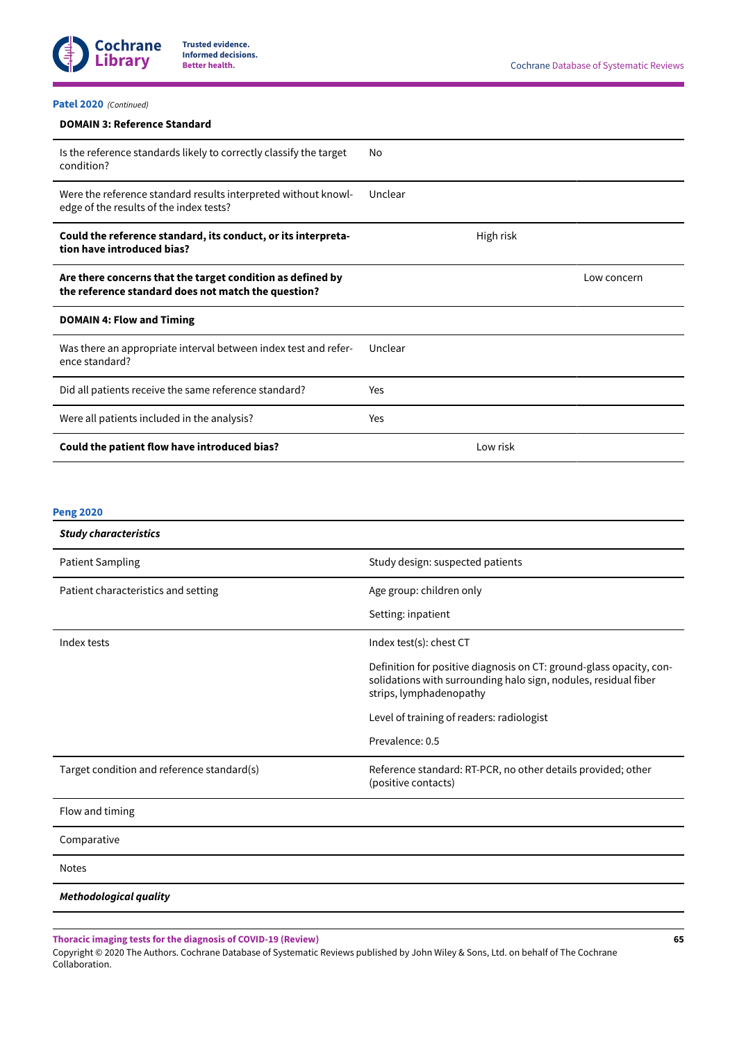

| <b>DOMAIN 3: Reference Standard</b>                                                                               |         |           |             |
|-------------------------------------------------------------------------------------------------------------------|---------|-----------|-------------|
| Is the reference standards likely to correctly classify the target<br>condition?                                  | No      |           |             |
| Were the reference standard results interpreted without knowl-<br>edge of the results of the index tests?         | Unclear |           |             |
| Could the reference standard, its conduct, or its interpreta-<br>tion have introduced bias?                       |         | High risk |             |
| Are there concerns that the target condition as defined by<br>the reference standard does not match the question? |         |           | Low concern |
| <b>DOMAIN 4: Flow and Timing</b>                                                                                  |         |           |             |
| Was there an appropriate interval between index test and refer-<br>ence standard?                                 | Unclear |           |             |
| Did all patients receive the same reference standard?                                                             | Yes     |           |             |
| Were all patients included in the analysis?                                                                       | Yes     |           |             |
| Could the patient flow have introduced bias?                                                                      |         | Low risk  |             |

### **[Peng](#page-25-5) 2020**

| <b>Study characteristics</b>               |                                                                                                                                                                   |
|--------------------------------------------|-------------------------------------------------------------------------------------------------------------------------------------------------------------------|
| <b>Patient Sampling</b>                    | Study design: suspected patients                                                                                                                                  |
| Patient characteristics and setting        | Age group: children only                                                                                                                                          |
|                                            | Setting: inpatient                                                                                                                                                |
| Index tests                                | Index test(s): chest CT                                                                                                                                           |
|                                            | Definition for positive diagnosis on CT: ground-glass opacity, con-<br>solidations with surrounding halo sign, nodules, residual fiber<br>strips, lymphadenopathy |
|                                            | Level of training of readers: radiologist                                                                                                                         |
|                                            | Prevalence: 0.5                                                                                                                                                   |
| Target condition and reference standard(s) | Reference standard: RT-PCR, no other details provided; other<br>(positive contacts)                                                                               |
| Flow and timing                            |                                                                                                                                                                   |
| Comparative                                |                                                                                                                                                                   |
| <b>Notes</b>                               |                                                                                                                                                                   |
| <b>Methodological quality</b>              |                                                                                                                                                                   |

**Thoracic imaging tests for the diagnosis of COVID-19 (Review)**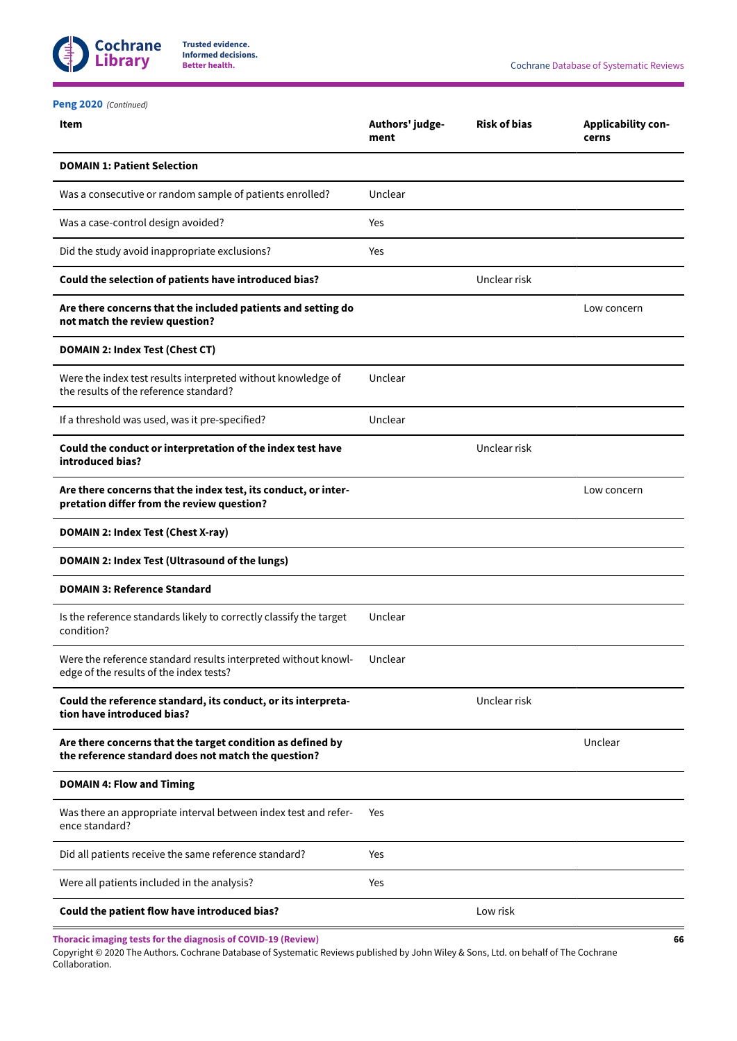

**[Peng](#page-25-5) 2020**  *(Continued)*

| $\frac{1}{2}$ = $\frac{1}{2}$ (community)<br>Item                                                                 | Authors' judge-<br>ment | <b>Risk of bias</b> | <b>Applicability con-</b><br>cerns |
|-------------------------------------------------------------------------------------------------------------------|-------------------------|---------------------|------------------------------------|
| <b>DOMAIN 1: Patient Selection</b>                                                                                |                         |                     |                                    |
| Was a consecutive or random sample of patients enrolled?                                                          | Unclear                 |                     |                                    |
| Was a case-control design avoided?                                                                                | Yes                     |                     |                                    |
| Did the study avoid inappropriate exclusions?                                                                     | Yes                     |                     |                                    |
| Could the selection of patients have introduced bias?                                                             |                         | Unclear risk        |                                    |
| Are there concerns that the included patients and setting do<br>not match the review question?                    |                         |                     | Low concern                        |
| <b>DOMAIN 2: Index Test (Chest CT)</b>                                                                            |                         |                     |                                    |
| Were the index test results interpreted without knowledge of<br>the results of the reference standard?            | Unclear                 |                     |                                    |
| If a threshold was used, was it pre-specified?                                                                    | Unclear                 |                     |                                    |
| Could the conduct or interpretation of the index test have<br>introduced bias?                                    |                         | Unclear risk        |                                    |
| Are there concerns that the index test, its conduct, or inter-<br>pretation differ from the review question?      |                         |                     | Low concern                        |
| <b>DOMAIN 2: Index Test (Chest X-ray)</b>                                                                         |                         |                     |                                    |
| <b>DOMAIN 2: Index Test (Ultrasound of the lungs)</b>                                                             |                         |                     |                                    |
| <b>DOMAIN 3: Reference Standard</b>                                                                               |                         |                     |                                    |
| Is the reference standards likely to correctly classify the target<br>condition?                                  | Unclear                 |                     |                                    |
| Were the reference standard results interpreted without knowl-<br>edge of the results of the index tests?         | Unclear                 |                     |                                    |
| Could the reference standard, its conduct, or its interpreta-<br>tion have introduced bias?                       |                         | Unclear risk        |                                    |
| Are there concerns that the target condition as defined by<br>the reference standard does not match the question? |                         |                     | Unclear                            |
| <b>DOMAIN 4: Flow and Timing</b>                                                                                  |                         |                     |                                    |
| Was there an appropriate interval between index test and refer-<br>ence standard?                                 | Yes                     |                     |                                    |
| Did all patients receive the same reference standard?                                                             | Yes                     |                     |                                    |
| Were all patients included in the analysis?                                                                       | Yes                     |                     |                                    |
| Could the patient flow have introduced bias?                                                                      |                         | Low risk            |                                    |

**Thoracic imaging tests for the diagnosis of COVID-19 (Review)**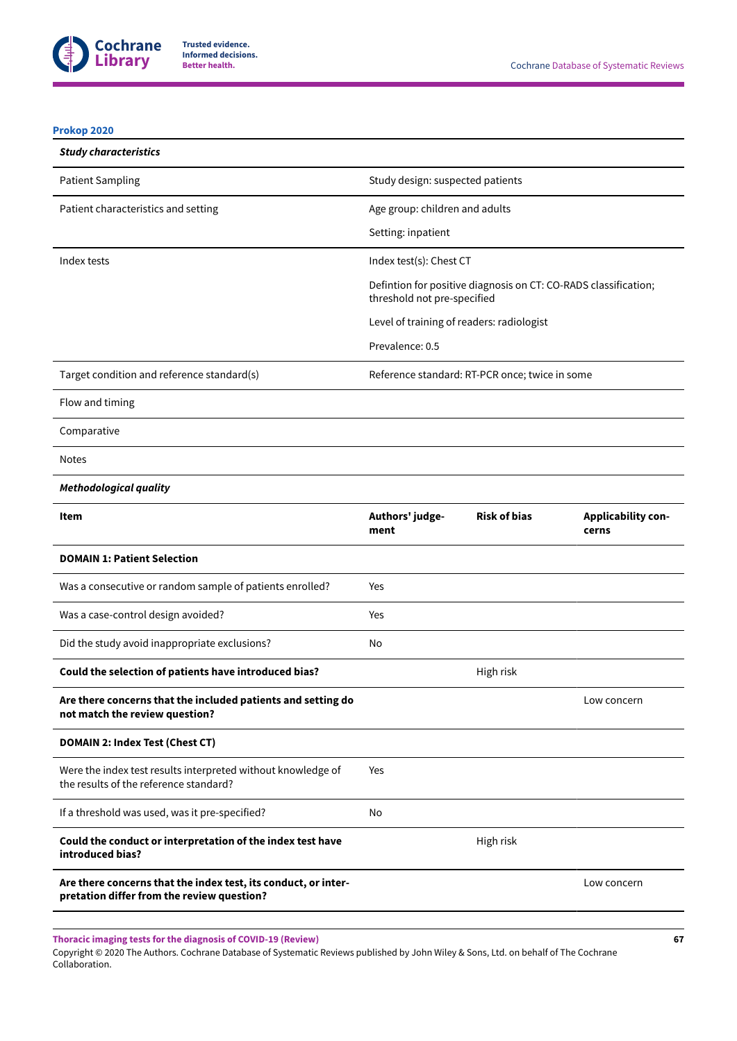

### **[Prokop](#page-25-6) 2020**

| <b>Study characteristics</b>                                                                                 |                                           |                                                                 |                             |  |
|--------------------------------------------------------------------------------------------------------------|-------------------------------------------|-----------------------------------------------------------------|-----------------------------|--|
| <b>Patient Sampling</b>                                                                                      | Study design: suspected patients          |                                                                 |                             |  |
| Patient characteristics and setting                                                                          | Age group: children and adults            |                                                                 |                             |  |
|                                                                                                              | Setting: inpatient                        |                                                                 |                             |  |
| Index tests                                                                                                  | Index test(s): Chest CT                   |                                                                 |                             |  |
|                                                                                                              | threshold not pre-specified               | Defintion for positive diagnosis on CT: CO-RADS classification; |                             |  |
|                                                                                                              | Level of training of readers: radiologist |                                                                 |                             |  |
|                                                                                                              | Prevalence: 0.5                           |                                                                 |                             |  |
| Target condition and reference standard(s)                                                                   |                                           | Reference standard: RT-PCR once; twice in some                  |                             |  |
| Flow and timing                                                                                              |                                           |                                                                 |                             |  |
| Comparative                                                                                                  |                                           |                                                                 |                             |  |
| <b>Notes</b>                                                                                                 |                                           |                                                                 |                             |  |
| <b>Methodological quality</b>                                                                                |                                           |                                                                 |                             |  |
| <b>Item</b>                                                                                                  | Authors' judge-<br>ment                   | <b>Risk of bias</b>                                             | Applicability con-<br>cerns |  |
| <b>DOMAIN 1: Patient Selection</b>                                                                           |                                           |                                                                 |                             |  |
| Was a consecutive or random sample of patients enrolled?                                                     | Yes                                       |                                                                 |                             |  |
| Was a case-control design avoided?                                                                           | Yes                                       |                                                                 |                             |  |
| Did the study avoid inappropriate exclusions?                                                                | No                                        |                                                                 |                             |  |
| Could the selection of patients have introduced bias?                                                        |                                           | High risk                                                       |                             |  |
| Are there concerns that the included patients and setting do<br>not match the review question?               |                                           |                                                                 | Low concern                 |  |
| <b>DOMAIN 2: Index Test (Chest CT)</b>                                                                       |                                           |                                                                 |                             |  |
| Were the index test results interpreted without knowledge of<br>the results of the reference standard?       | Yes                                       |                                                                 |                             |  |
| If a threshold was used, was it pre-specified?                                                               | No                                        |                                                                 |                             |  |
| Could the conduct or interpretation of the index test have<br>introduced bias?                               |                                           | High risk                                                       |                             |  |
| Are there concerns that the index test, its conduct, or inter-<br>pretation differ from the review question? |                                           |                                                                 | Low concern                 |  |
|                                                                                                              |                                           |                                                                 |                             |  |

**Thoracic imaging tests for the diagnosis of COVID-19 (Review)**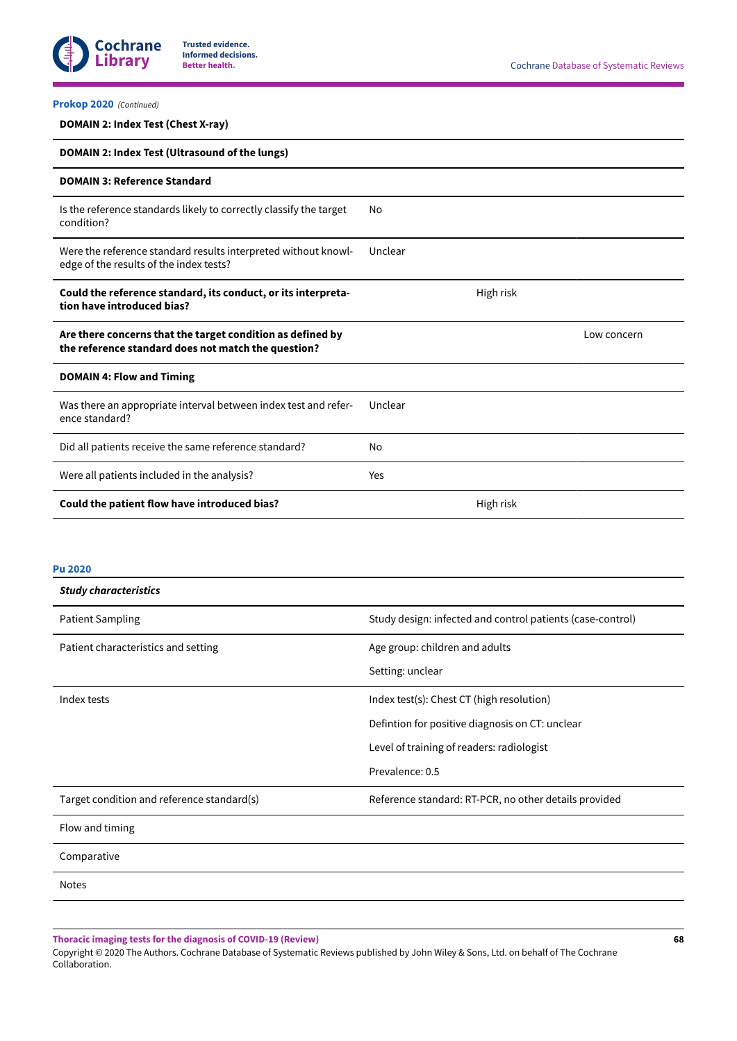

| <b>DOMAIN 2: Index Test (Chest X-ray)</b>                                                                         |         |           |             |
|-------------------------------------------------------------------------------------------------------------------|---------|-----------|-------------|
| <b>DOMAIN 2: Index Test (Ultrasound of the lungs)</b>                                                             |         |           |             |
| <b>DOMAIN 3: Reference Standard</b>                                                                               |         |           |             |
| Is the reference standards likely to correctly classify the target<br>condition?                                  | No      |           |             |
| Were the reference standard results interpreted without knowl-<br>edge of the results of the index tests?         | Unclear |           |             |
| Could the reference standard, its conduct, or its interpreta-<br>tion have introduced bias?                       |         | High risk |             |
| Are there concerns that the target condition as defined by<br>the reference standard does not match the question? |         |           | Low concern |
| <b>DOMAIN 4: Flow and Timing</b>                                                                                  |         |           |             |
| Was there an appropriate interval between index test and refer-<br>ence standard?                                 | Unclear |           |             |
| Did all patients receive the same reference standard?                                                             | No      |           |             |
| Were all patients included in the analysis?                                                                       | Yes     |           |             |
| Could the patient flow have introduced bias?                                                                      |         | High risk |             |

#### **[Pu 2020](#page-25-7)**

| <b>Study characteristics</b>               |                                                            |  |  |
|--------------------------------------------|------------------------------------------------------------|--|--|
| <b>Patient Sampling</b>                    | Study design: infected and control patients (case-control) |  |  |
| Patient characteristics and setting        | Age group: children and adults                             |  |  |
|                                            | Setting: unclear                                           |  |  |
| Index tests                                | Index test(s): Chest CT (high resolution)                  |  |  |
|                                            | Defintion for positive diagnosis on CT: unclear            |  |  |
|                                            | Level of training of readers: radiologist                  |  |  |
|                                            | Prevalence: 0.5                                            |  |  |
| Target condition and reference standard(s) | Reference standard: RT-PCR, no other details provided      |  |  |
| Flow and timing                            |                                                            |  |  |
| Comparative                                |                                                            |  |  |
|                                            |                                                            |  |  |

Notes

**Thoracic imaging tests for the diagnosis of COVID-19 (Review)**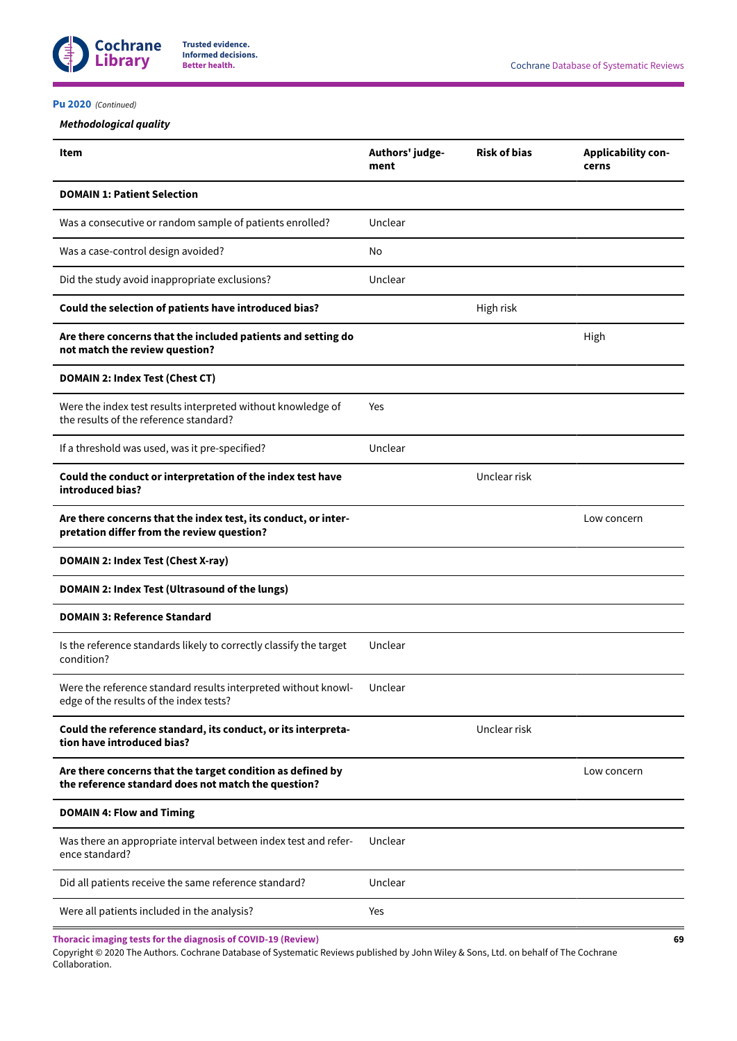

**[Pu 2020](#page-25-7)**  *(Continued)*

*Methodological quality*

| Item                                                                                                              | Authors' judge-<br>ment | <b>Risk of bias</b> | <b>Applicability con-</b><br>cerns |
|-------------------------------------------------------------------------------------------------------------------|-------------------------|---------------------|------------------------------------|
| <b>DOMAIN 1: Patient Selection</b>                                                                                |                         |                     |                                    |
| Was a consecutive or random sample of patients enrolled?                                                          | Unclear                 |                     |                                    |
| Was a case-control design avoided?                                                                                | No                      |                     |                                    |
| Did the study avoid inappropriate exclusions?                                                                     | Unclear                 |                     |                                    |
| Could the selection of patients have introduced bias?                                                             |                         | High risk           |                                    |
| Are there concerns that the included patients and setting do<br>not match the review question?                    |                         |                     | High                               |
| <b>DOMAIN 2: Index Test (Chest CT)</b>                                                                            |                         |                     |                                    |
| Were the index test results interpreted without knowledge of<br>the results of the reference standard?            | Yes                     |                     |                                    |
| If a threshold was used, was it pre-specified?                                                                    | Unclear                 |                     |                                    |
| Could the conduct or interpretation of the index test have<br>introduced bias?                                    |                         | Unclear risk        |                                    |
| Are there concerns that the index test, its conduct, or inter-<br>pretation differ from the review question?      |                         |                     | Low concern                        |
| DOMAIN 2: Index Test (Chest X-ray)                                                                                |                         |                     |                                    |
| DOMAIN 2: Index Test (Ultrasound of the lungs)                                                                    |                         |                     |                                    |
| <b>DOMAIN 3: Reference Standard</b>                                                                               |                         |                     |                                    |
| Is the reference standards likely to correctly classify the target<br>condition?                                  | Unclear                 |                     |                                    |
| Were the reference standard results interpreted without knowl-<br>edge of the results of the index tests?         | Unclear                 |                     |                                    |
| Could the reference standard, its conduct, or its interpreta-<br>tion have introduced bias?                       |                         | Unclear risk        |                                    |
| Are there concerns that the target condition as defined by<br>the reference standard does not match the question? |                         |                     | Low concern                        |
| <b>DOMAIN 4: Flow and Timing</b>                                                                                  |                         |                     |                                    |
| Was there an appropriate interval between index test and refer-<br>ence standard?                                 | Unclear                 |                     |                                    |
| Did all patients receive the same reference standard?                                                             | Unclear                 |                     |                                    |
| Were all patients included in the analysis?                                                                       | Yes                     |                     |                                    |

**Thoracic imaging tests for the diagnosis of COVID-19 (Review)**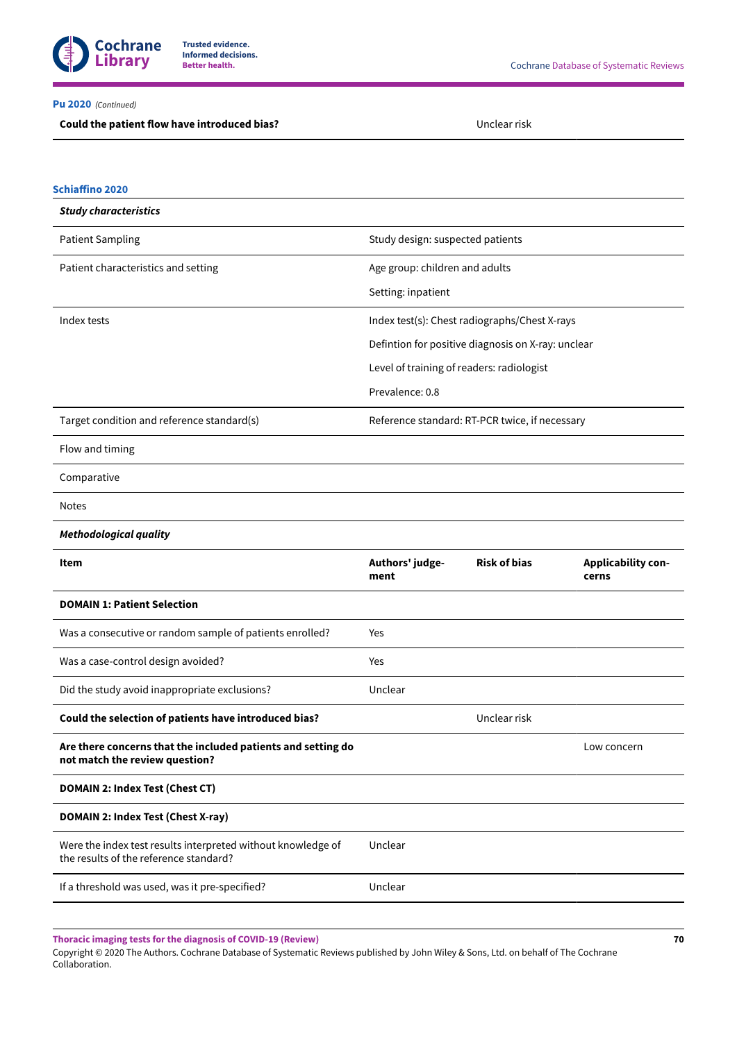

### **[Pu 2020](#page-25-0)**  *(Continued)*

### **Could the patient flow have introduced bias?** Unclear risk

| <b>Schiaffino 2020</b>                                                                                 |                                           |                                                    |                             |
|--------------------------------------------------------------------------------------------------------|-------------------------------------------|----------------------------------------------------|-----------------------------|
| <b>Study characteristics</b>                                                                           |                                           |                                                    |                             |
| <b>Patient Sampling</b>                                                                                | Study design: suspected patients          |                                                    |                             |
| Patient characteristics and setting                                                                    | Age group: children and adults            |                                                    |                             |
|                                                                                                        | Setting: inpatient                        |                                                    |                             |
| Index tests                                                                                            |                                           | Index test(s): Chest radiographs/Chest X-rays      |                             |
|                                                                                                        |                                           | Defintion for positive diagnosis on X-ray: unclear |                             |
|                                                                                                        | Level of training of readers: radiologist |                                                    |                             |
|                                                                                                        | Prevalence: 0.8                           |                                                    |                             |
| Target condition and reference standard(s)                                                             |                                           | Reference standard: RT-PCR twice, if necessary     |                             |
| Flow and timing                                                                                        |                                           |                                                    |                             |
| Comparative                                                                                            |                                           |                                                    |                             |
| <b>Notes</b>                                                                                           |                                           |                                                    |                             |
| <b>Methodological quality</b>                                                                          |                                           |                                                    |                             |
| Item                                                                                                   | Authors' judge-<br>ment                   | <b>Risk of bias</b>                                | Applicability con-<br>cerns |
| <b>DOMAIN 1: Patient Selection</b>                                                                     |                                           |                                                    |                             |
| Was a consecutive or random sample of patients enrolled?                                               | Yes                                       |                                                    |                             |
| Was a case-control design avoided?                                                                     | Yes                                       |                                                    |                             |
| Did the study avoid inappropriate exclusions?                                                          | Unclear                                   |                                                    |                             |
| Could the selection of patients have introduced bias?                                                  |                                           | Unclear risk                                       |                             |
| Are there concerns that the included patients and setting do<br>not match the review question?         |                                           |                                                    | Low concern                 |
| <b>DOMAIN 2: Index Test (Chest CT)</b>                                                                 |                                           |                                                    |                             |
| <b>DOMAIN 2: Index Test (Chest X-ray)</b>                                                              |                                           |                                                    |                             |
| Were the index test results interpreted without knowledge of<br>the results of the reference standard? | Unclear                                   |                                                    |                             |
| If a threshold was used, was it pre-specified?                                                         | Unclear                                   |                                                    |                             |
|                                                                                                        |                                           |                                                    |                             |

**Thoracic imaging tests for the diagnosis of COVID-19 (Review)**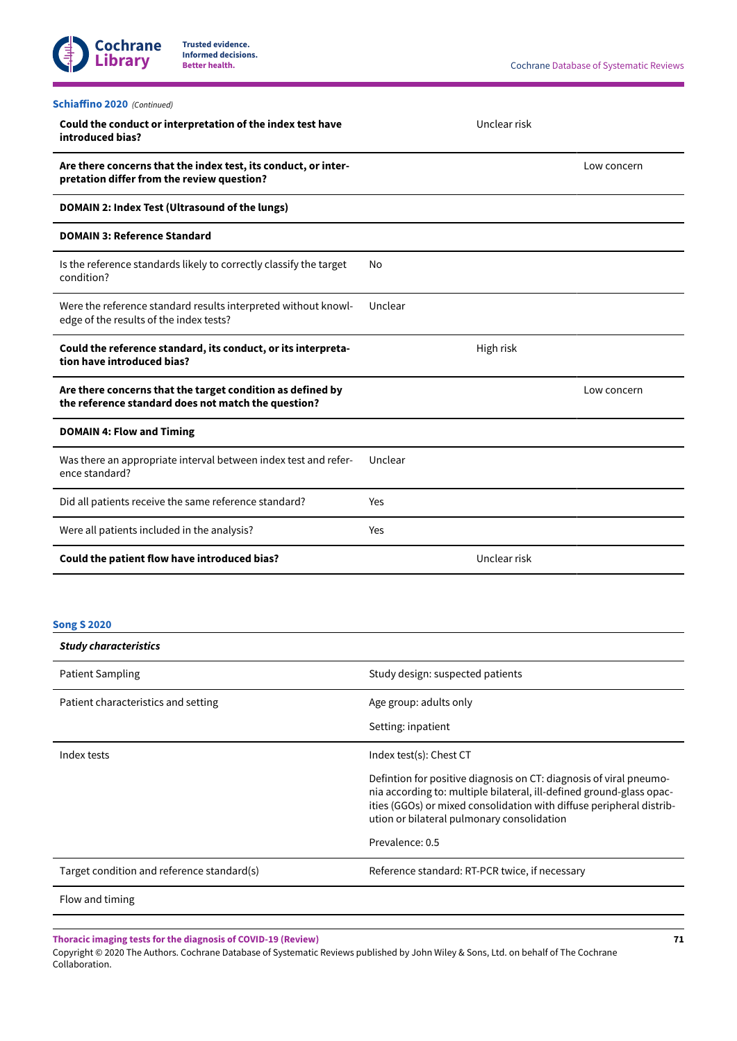

**Schiaffino 2020** *(Continued)* 

**Trusted evidence. Informed decisions.**

| Could the conduct or interpretation of the index test have<br>introduced bias?                                    |         | Unclear risk |             |
|-------------------------------------------------------------------------------------------------------------------|---------|--------------|-------------|
| Are there concerns that the index test, its conduct, or inter-<br>pretation differ from the review question?      |         |              | Low concern |
| <b>DOMAIN 2: Index Test (Ultrasound of the lungs)</b>                                                             |         |              |             |
| <b>DOMAIN 3: Reference Standard</b>                                                                               |         |              |             |
| Is the reference standards likely to correctly classify the target<br>condition?                                  | No      |              |             |
| Were the reference standard results interpreted without knowl-<br>edge of the results of the index tests?         | Unclear |              |             |
| Could the reference standard, its conduct, or its interpreta-<br>tion have introduced bias?                       |         | High risk    |             |
| Are there concerns that the target condition as defined by<br>the reference standard does not match the question? |         |              | Low concern |
| <b>DOMAIN 4: Flow and Timing</b>                                                                                  |         |              |             |
| Was there an appropriate interval between index test and refer-<br>ence standard?                                 | Unclear |              |             |
| Did all patients receive the same reference standard?                                                             | Yes     |              |             |
| Were all patients included in the analysis?                                                                       | Yes     |              |             |
| Could the patient flow have introduced bias?                                                                      |         | Unclear risk |             |

# **[Song S 2020](#page-25-2)**

| <b>Study characteristics</b>               |                                                                                                                                                                                                                                                                  |
|--------------------------------------------|------------------------------------------------------------------------------------------------------------------------------------------------------------------------------------------------------------------------------------------------------------------|
| <b>Patient Sampling</b>                    | Study design: suspected patients                                                                                                                                                                                                                                 |
| Patient characteristics and setting        | Age group: adults only                                                                                                                                                                                                                                           |
|                                            | Setting: inpatient                                                                                                                                                                                                                                               |
| Index tests                                | Index test(s): Chest CT                                                                                                                                                                                                                                          |
|                                            | Defintion for positive diagnosis on CT: diagnosis of viral pneumo-<br>nia according to: multiple bilateral, ill-defined ground-glass opac-<br>ities (GGOs) or mixed consolidation with diffuse peripheral distrib-<br>ution or bilateral pulmonary consolidation |
|                                            | Prevalence: 0.5                                                                                                                                                                                                                                                  |
| Target condition and reference standard(s) | Reference standard: RT-PCR twice, if necessary                                                                                                                                                                                                                   |
| Flow and timing                            |                                                                                                                                                                                                                                                                  |

**Thoracic imaging tests for the diagnosis of COVID-19 (Review)**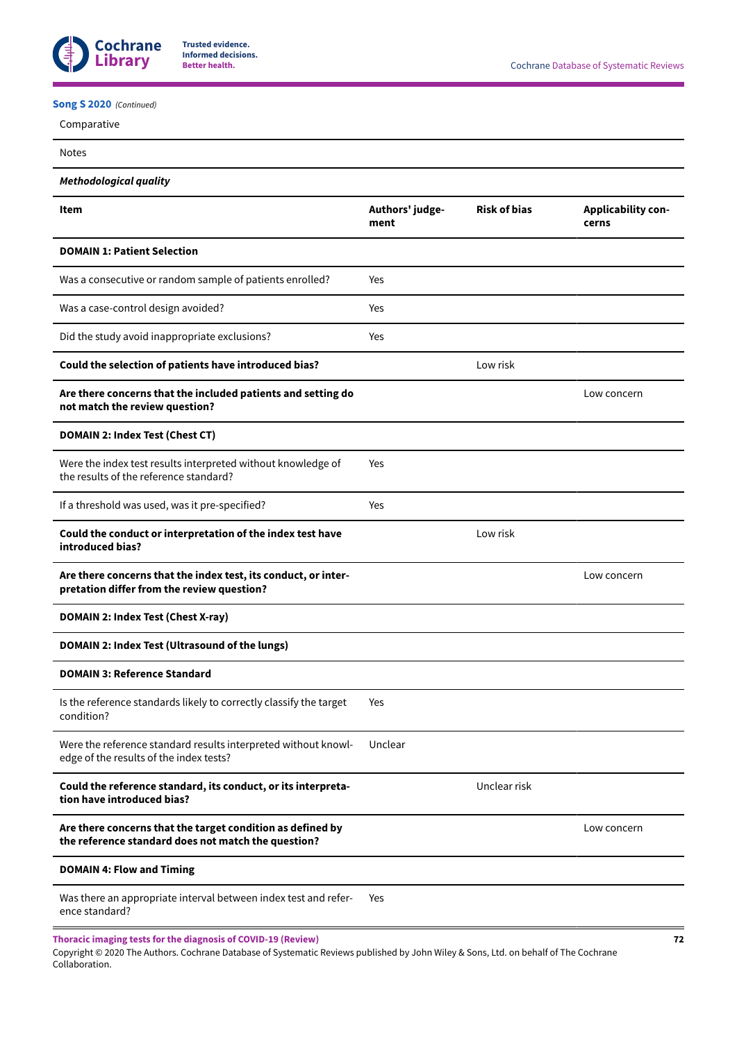

#### **[Song S 2020](#page-25-2)**  *(Continued)*

Comparative

Notes *Methodological quality* **Item Authors' judgement Risk of bias Applicability concerns DOMAIN 1: Patient Selection** Was a consecutive or random sample of patients enrolled? Yes Was a case-control design avoided? Ves Did the study avoid inappropriate exclusions? Yes **Could the selection of patients have introduced bias?** Low risk **Are there concerns that the included patients and setting do not match the review question?** Low concern **DOMAIN 2: Index Test (Chest CT)** Were the index test results interpreted without knowledge of the results of the reference standard? Yes If a threshold was used, was it pre-specified? Yes **Could the conduct or interpretation of the index test have introduced bias?** Low risk **Are there concerns that the index test, its conduct, or interpretation differ from the review question?** Low concern **DOMAIN 2: Index Test (Chest X-ray) DOMAIN 2: Index Test (Ultrasound of the lungs) DOMAIN 3: Reference Standard** Is the reference standards likely to correctly classify the target condition? Yes Were the reference standard results interpreted without knowledge of the results of the index tests? Unclear **Could the reference standard, its conduct, or its interpretation have introduced bias?** Unclear risk **Are there concerns that the target condition as defined by the reference standard does not match the question?** Low concern **DOMAIN 4: Flow and Timing** Was there an appropriate interval between index test and reference standard? Yes

**Thoracic imaging tests for the diagnosis of COVID-19 (Review)**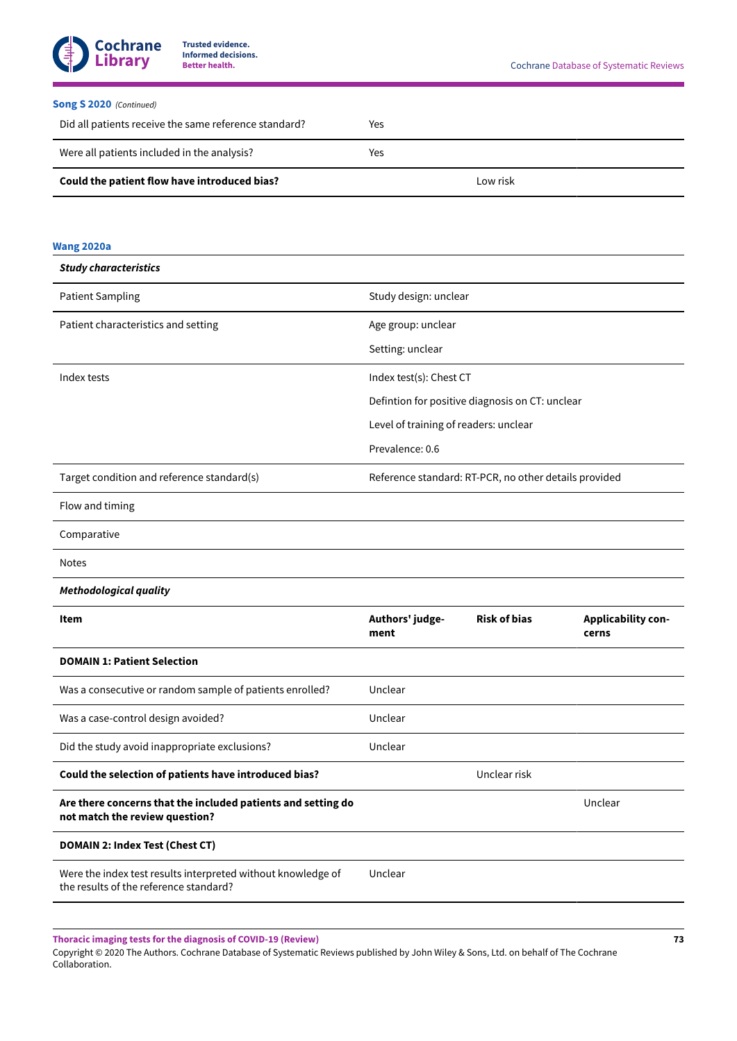

| <b>Song S 2020</b> (Continued)                                                                         |                                       |                                                       |                             |
|--------------------------------------------------------------------------------------------------------|---------------------------------------|-------------------------------------------------------|-----------------------------|
| Did all patients receive the same reference standard?                                                  | Yes                                   |                                                       |                             |
| Were all patients included in the analysis?                                                            | Yes                                   |                                                       |                             |
| Could the patient flow have introduced bias?                                                           |                                       | Low risk                                              |                             |
|                                                                                                        |                                       |                                                       |                             |
| <b>Wang 2020a</b>                                                                                      |                                       |                                                       |                             |
| <b>Study characteristics</b>                                                                           |                                       |                                                       |                             |
| <b>Patient Sampling</b>                                                                                | Study design: unclear                 |                                                       |                             |
| Patient characteristics and setting                                                                    | Age group: unclear                    |                                                       |                             |
|                                                                                                        | Setting: unclear                      |                                                       |                             |
| Index tests                                                                                            | Index test(s): Chest CT               |                                                       |                             |
|                                                                                                        |                                       | Defintion for positive diagnosis on CT: unclear       |                             |
|                                                                                                        | Level of training of readers: unclear |                                                       |                             |
|                                                                                                        | Prevalence: 0.6                       |                                                       |                             |
| Target condition and reference standard(s)                                                             |                                       | Reference standard: RT-PCR, no other details provided |                             |
| Flow and timing                                                                                        |                                       |                                                       |                             |
| Comparative                                                                                            |                                       |                                                       |                             |
| <b>Notes</b>                                                                                           |                                       |                                                       |                             |
| <b>Methodological quality</b>                                                                          |                                       |                                                       |                             |
| Item                                                                                                   | Authors' judge-<br>ment               | <b>Risk of bias</b>                                   | Applicability con-<br>cerns |
| <b>DOMAIN 1: Patient Selection</b>                                                                     |                                       |                                                       |                             |
| Was a consecutive or random sample of patients enrolled?                                               | Unclear                               |                                                       |                             |
| Was a case-control design avoided?                                                                     | Unclear                               |                                                       |                             |
| Did the study avoid inappropriate exclusions?                                                          | Unclear                               |                                                       |                             |
| Could the selection of patients have introduced bias?                                                  |                                       | Unclear risk                                          |                             |
| Are there concerns that the included patients and setting do<br>not match the review question?         |                                       |                                                       | Unclear                     |
| <b>DOMAIN 2: Index Test (Chest CT)</b>                                                                 |                                       |                                                       |                             |
| Were the index test results interpreted without knowledge of<br>the results of the reference standard? | Unclear                               |                                                       |                             |
|                                                                                                        |                                       |                                                       |                             |

**Thoracic imaging tests for the diagnosis of COVID-19 (Review)**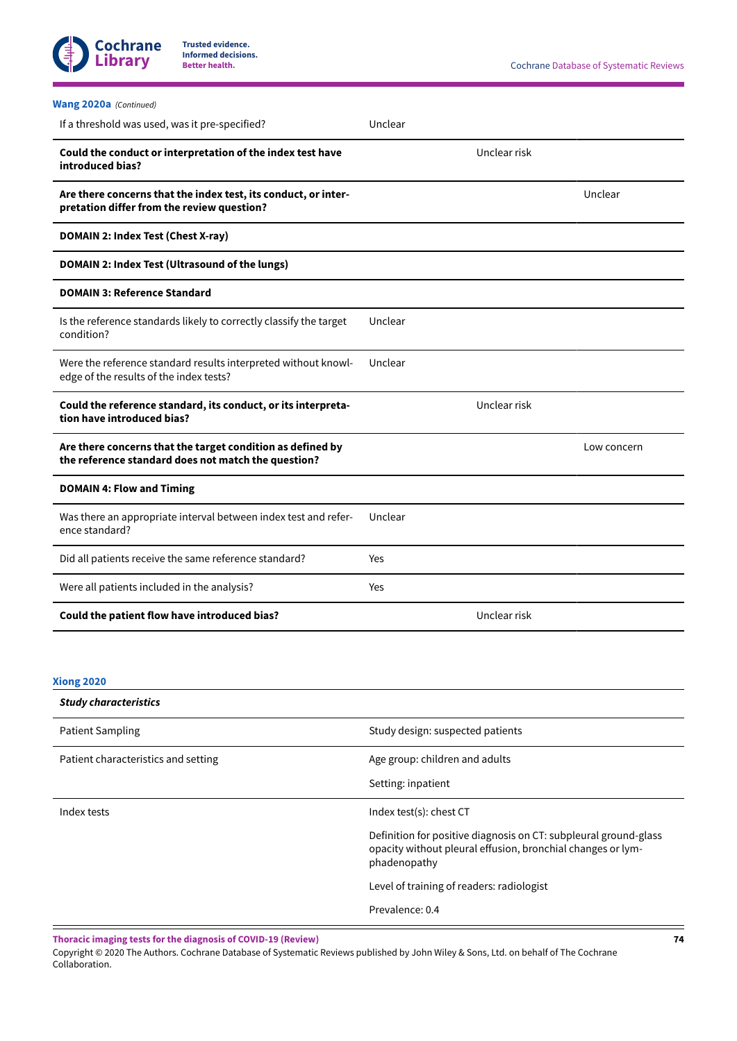

**Wang [2020a](#page-25-3)**  *(Continued)*

**Trusted evidence. Informed decisions.**

| If a threshold was used, was it pre-specified?                                                                    | Unclear |              |             |
|-------------------------------------------------------------------------------------------------------------------|---------|--------------|-------------|
| Could the conduct or interpretation of the index test have<br>introduced bias?                                    |         | Unclear risk |             |
| Are there concerns that the index test, its conduct, or inter-<br>pretation differ from the review question?      |         |              | Unclear     |
| <b>DOMAIN 2: Index Test (Chest X-ray)</b>                                                                         |         |              |             |
| <b>DOMAIN 2: Index Test (Ultrasound of the lungs)</b>                                                             |         |              |             |
| <b>DOMAIN 3: Reference Standard</b>                                                                               |         |              |             |
| Is the reference standards likely to correctly classify the target<br>condition?                                  | Unclear |              |             |
| Were the reference standard results interpreted without knowl-<br>edge of the results of the index tests?         | Unclear |              |             |
| Could the reference standard, its conduct, or its interpreta-<br>tion have introduced bias?                       |         | Unclear risk |             |
| Are there concerns that the target condition as defined by<br>the reference standard does not match the question? |         |              | Low concern |
| <b>DOMAIN 4: Flow and Timing</b>                                                                                  |         |              |             |
| Was there an appropriate interval between index test and refer-<br>ence standard?                                 | Unclear |              |             |
| Did all patients receive the same reference standard?                                                             | Yes     |              |             |
| Were all patients included in the analysis?                                                                       | Yes     |              |             |
| Could the patient flow have introduced bias?                                                                      |         | Unclear risk |             |

# **[Xiong 2020](#page-25-4)**

| <b>Study characteristics</b>        |                                                                                                                                                 |
|-------------------------------------|-------------------------------------------------------------------------------------------------------------------------------------------------|
| <b>Patient Sampling</b>             | Study design: suspected patients                                                                                                                |
| Patient characteristics and setting | Age group: children and adults                                                                                                                  |
|                                     | Setting: inpatient                                                                                                                              |
| Index tests                         | Index test(s): chest CT                                                                                                                         |
|                                     | Definition for positive diagnosis on CT: subpleural ground-glass<br>opacity without pleural effusion, bronchial changes or lym-<br>phadenopathy |
|                                     | Level of training of readers: radiologist                                                                                                       |
|                                     | Prevalence: 0.4                                                                                                                                 |

**Thoracic imaging tests for the diagnosis of COVID-19 (Review)**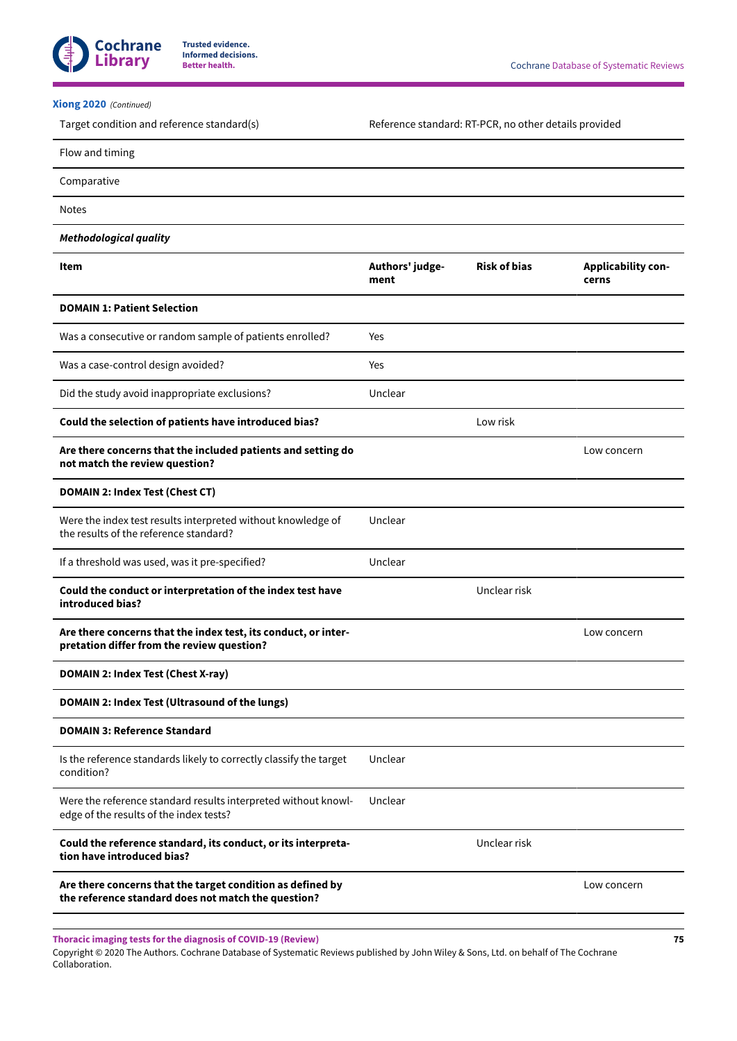

Target condition and reference standard(s) Reference standard: RT-PCR, no other details provided Flow and timing Comparative Notes *Methodological quality* **Item Authors' judgement Risk of bias Applicability concerns DOMAIN 1: Patient Selection** Was a consecutive or random sample of patients enrolled? Yes Was a case-control design avoided? Was a case-control design avoided? Did the study avoid inappropriate exclusions? Unclear **Could the selection of patients have introduced bias?** Low risk **Are there concerns that the included patients and setting do not match the review question?** Low concern **DOMAIN 2: Index Test (Chest CT)** Were the index test results interpreted without knowledge of the results of the reference standard? Unclear If a threshold was used, was it pre-specified? Unclear **Could the conduct or interpretation of the index test have introduced bias?** Unclear risk **Are there concerns that the index test, its conduct, or interpretation differ from the review question?** Low concern **DOMAIN 2: Index Test (Chest X-ray) DOMAIN 2: Index Test (Ultrasound of the lungs) DOMAIN 3: Reference Standard** Is the reference standards likely to correctly classify the target condition? Unclear Were the reference standard results interpreted without knowledge of the results of the index tests? Unclear **Could the reference standard, its conduct, or its interpretation have introduced bias?** Unclear risk **Are there concerns that the target condition as defined by the reference standard does not match the question?** Low concern **[Xiong 2020](#page-25-4)**  *(Continued)*

**Thoracic imaging tests for the diagnosis of COVID-19 (Review)**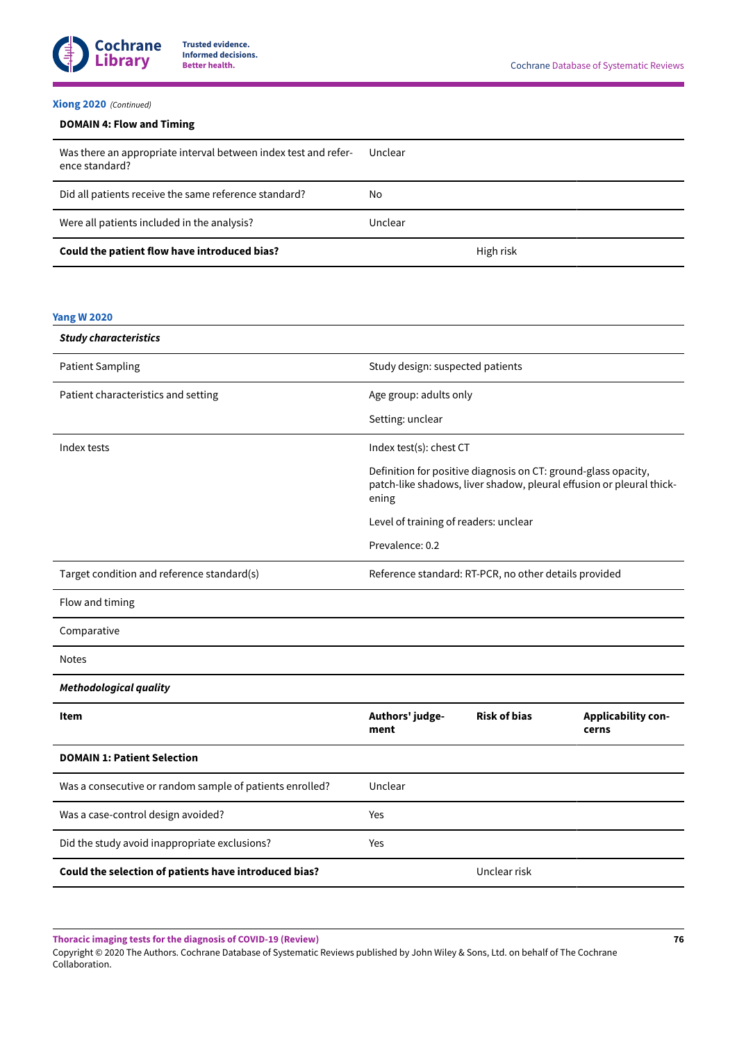

| <b>Xiong 2020</b> (Continued)<br><b>DOMAIN 4: Flow and Timing</b>                 |                                                                         |                     |                                                                      |
|-----------------------------------------------------------------------------------|-------------------------------------------------------------------------|---------------------|----------------------------------------------------------------------|
| Was there an appropriate interval between index test and refer-<br>ence standard? | Unclear                                                                 |                     |                                                                      |
| Did all patients receive the same reference standard?                             | No                                                                      |                     |                                                                      |
| Were all patients included in the analysis?                                       | Unclear                                                                 |                     |                                                                      |
| Could the patient flow have introduced bias?                                      |                                                                         | High risk           |                                                                      |
|                                                                                   |                                                                         |                     |                                                                      |
| <b>Yang W 2020</b>                                                                |                                                                         |                     |                                                                      |
| <b>Study characteristics</b>                                                      |                                                                         |                     |                                                                      |
| <b>Patient Sampling</b>                                                           | Study design: suspected patients                                        |                     |                                                                      |
| Patient characteristics and setting                                               | Age group: adults only                                                  |                     |                                                                      |
|                                                                                   | Setting: unclear                                                        |                     |                                                                      |
| Index tests                                                                       | Index test(s): chest CT                                                 |                     |                                                                      |
|                                                                                   | Definition for positive diagnosis on CT: ground-glass opacity,<br>ening |                     | patch-like shadows, liver shadow, pleural effusion or pleural thick- |
|                                                                                   | Level of training of readers: unclear                                   |                     |                                                                      |
|                                                                                   | Prevalence: 0.2                                                         |                     |                                                                      |
| Target condition and reference standard(s)                                        | Reference standard: RT-PCR, no other details provided                   |                     |                                                                      |
| Flow and timing                                                                   |                                                                         |                     |                                                                      |
| Comparative                                                                       |                                                                         |                     |                                                                      |
| Notes                                                                             |                                                                         |                     |                                                                      |
| <b>Methodological quality</b>                                                     |                                                                         |                     |                                                                      |
| Item                                                                              | Authors' judge-<br>ment                                                 | <b>Risk of bias</b> | Applicability con-<br>cerns                                          |
| <b>DOMAIN 1: Patient Selection</b>                                                |                                                                         |                     |                                                                      |
| Was a consecutive or random sample of patients enrolled?                          | Unclear                                                                 |                     |                                                                      |
| Was a case-control design avoided?                                                | Yes                                                                     |                     |                                                                      |
| Did the study avoid inappropriate exclusions?                                     | Yes                                                                     |                     |                                                                      |
| Could the selection of patients have introduced bias?                             |                                                                         | Unclear risk        |                                                                      |

**Thoracic imaging tests for the diagnosis of COVID-19 (Review)**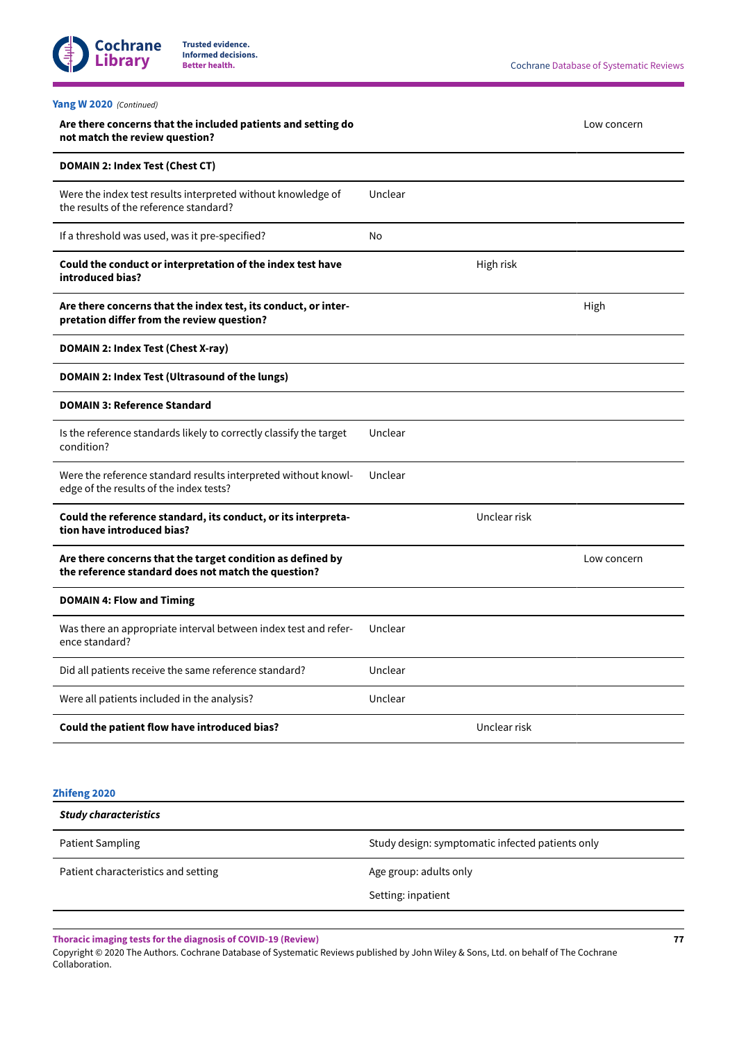

**Yang W [2020](#page-25-5)**  *(Continued)*

**Trusted evidence. Informed decisions.**

| Are there concerns that the included patients and setting do<br>not match the review question?                    |                                                  | Low concern |
|-------------------------------------------------------------------------------------------------------------------|--------------------------------------------------|-------------|
| <b>DOMAIN 2: Index Test (Chest CT)</b>                                                                            |                                                  |             |
| Were the index test results interpreted without knowledge of<br>the results of the reference standard?            | Unclear                                          |             |
| If a threshold was used, was it pre-specified?                                                                    | No                                               |             |
| Could the conduct or interpretation of the index test have<br>introduced bias?                                    | High risk                                        |             |
| Are there concerns that the index test, its conduct, or inter-<br>pretation differ from the review question?      |                                                  | High        |
| <b>DOMAIN 2: Index Test (Chest X-ray)</b>                                                                         |                                                  |             |
| <b>DOMAIN 2: Index Test (Ultrasound of the lungs)</b>                                                             |                                                  |             |
| <b>DOMAIN 3: Reference Standard</b>                                                                               |                                                  |             |
| Is the reference standards likely to correctly classify the target<br>condition?                                  | Unclear                                          |             |
| Were the reference standard results interpreted without knowl-<br>edge of the results of the index tests?         | Unclear                                          |             |
| Could the reference standard, its conduct, or its interpreta-<br>tion have introduced bias?                       | Unclear risk                                     |             |
| Are there concerns that the target condition as defined by<br>the reference standard does not match the question? |                                                  | Low concern |
| <b>DOMAIN 4: Flow and Timing</b>                                                                                  |                                                  |             |
| Was there an appropriate interval between index test and refer-<br>ence standard?                                 | Unclear                                          |             |
| Did all patients receive the same reference standard?                                                             | Unclear                                          |             |
| Were all patients included in the analysis?                                                                       | Unclear                                          |             |
| Could the patient flow have introduced bias?                                                                      | Unclear risk                                     |             |
|                                                                                                                   |                                                  |             |
| Zhifeng 2020                                                                                                      |                                                  |             |
| <b>Study characteristics</b>                                                                                      |                                                  |             |
| <b>Patient Sampling</b>                                                                                           | Study design: symptomatic infected patients only |             |
| Patient characteristics and setting                                                                               | Age group: adults only                           |             |
|                                                                                                                   | Setting: inpatient                               |             |

**Thoracic imaging tests for the diagnosis of COVID-19 (Review)**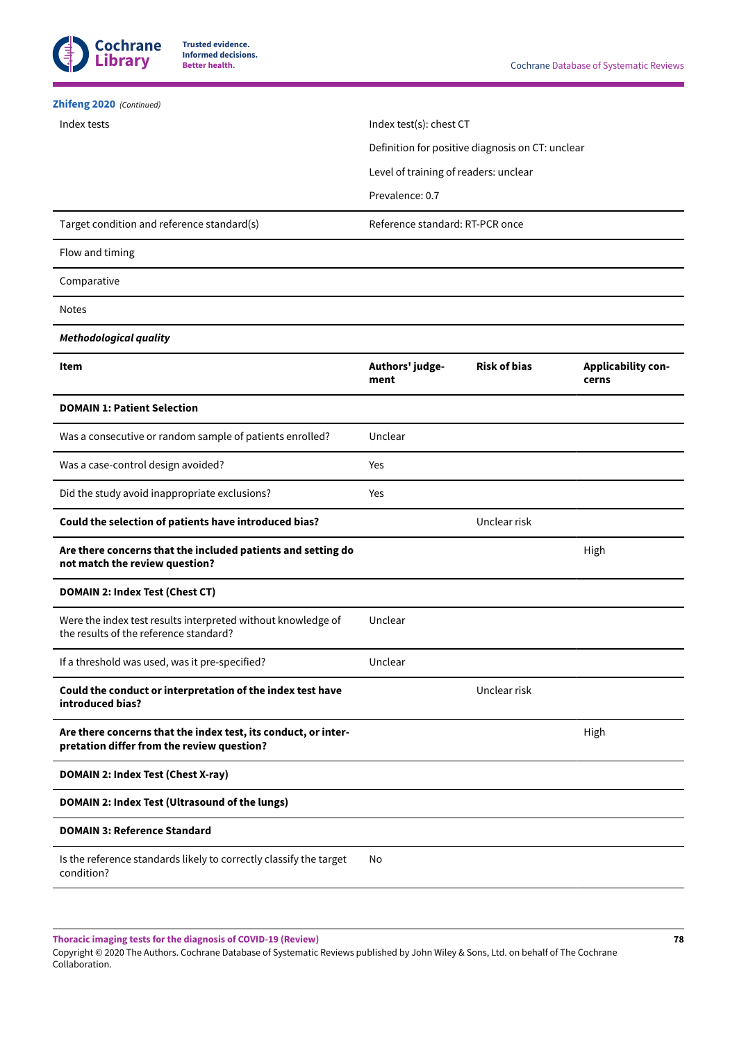

| Zhifeng 2020 (Continued)                                                                                     |                                       |                                                  |                             |
|--------------------------------------------------------------------------------------------------------------|---------------------------------------|--------------------------------------------------|-----------------------------|
| Index tests                                                                                                  | Index test(s): chest CT               |                                                  |                             |
|                                                                                                              |                                       | Definition for positive diagnosis on CT: unclear |                             |
|                                                                                                              | Level of training of readers: unclear |                                                  |                             |
|                                                                                                              | Prevalence: 0.7                       |                                                  |                             |
| Target condition and reference standard(s)                                                                   | Reference standard: RT-PCR once       |                                                  |                             |
| Flow and timing                                                                                              |                                       |                                                  |                             |
| Comparative                                                                                                  |                                       |                                                  |                             |
| <b>Notes</b>                                                                                                 |                                       |                                                  |                             |
| <b>Methodological quality</b>                                                                                |                                       |                                                  |                             |
| Item                                                                                                         | Authors' judge-<br>ment               | <b>Risk of bias</b>                              | Applicability con-<br>cerns |
| <b>DOMAIN 1: Patient Selection</b>                                                                           |                                       |                                                  |                             |
| Was a consecutive or random sample of patients enrolled?                                                     | Unclear                               |                                                  |                             |
| Was a case-control design avoided?                                                                           | Yes                                   |                                                  |                             |
| Did the study avoid inappropriate exclusions?                                                                | Yes                                   |                                                  |                             |
| Could the selection of patients have introduced bias?                                                        |                                       | Unclear risk                                     |                             |
| Are there concerns that the included patients and setting do<br>not match the review question?               |                                       |                                                  | High                        |
| <b>DOMAIN 2: Index Test (Chest CT)</b>                                                                       |                                       |                                                  |                             |
| Were the index test results interpreted without knowledge of<br>the results of the reference standard?       | Unclear                               |                                                  |                             |
| If a threshold was used, was it pre-specified?                                                               | Unclear                               |                                                  |                             |
| Could the conduct or interpretation of the index test have<br>introduced bias?                               |                                       | Unclear risk                                     |                             |
| Are there concerns that the index test, its conduct, or inter-<br>pretation differ from the review question? |                                       |                                                  | High                        |
| <b>DOMAIN 2: Index Test (Chest X-ray)</b>                                                                    |                                       |                                                  |                             |
| DOMAIN 2: Index Test (Ultrasound of the lungs)                                                               |                                       |                                                  |                             |
| <b>DOMAIN 3: Reference Standard</b>                                                                          |                                       |                                                  |                             |
| Is the reference standards likely to correctly classify the target<br>condition?                             | No                                    |                                                  |                             |

**Thoracic imaging tests for the diagnosis of COVID-19 (Review)**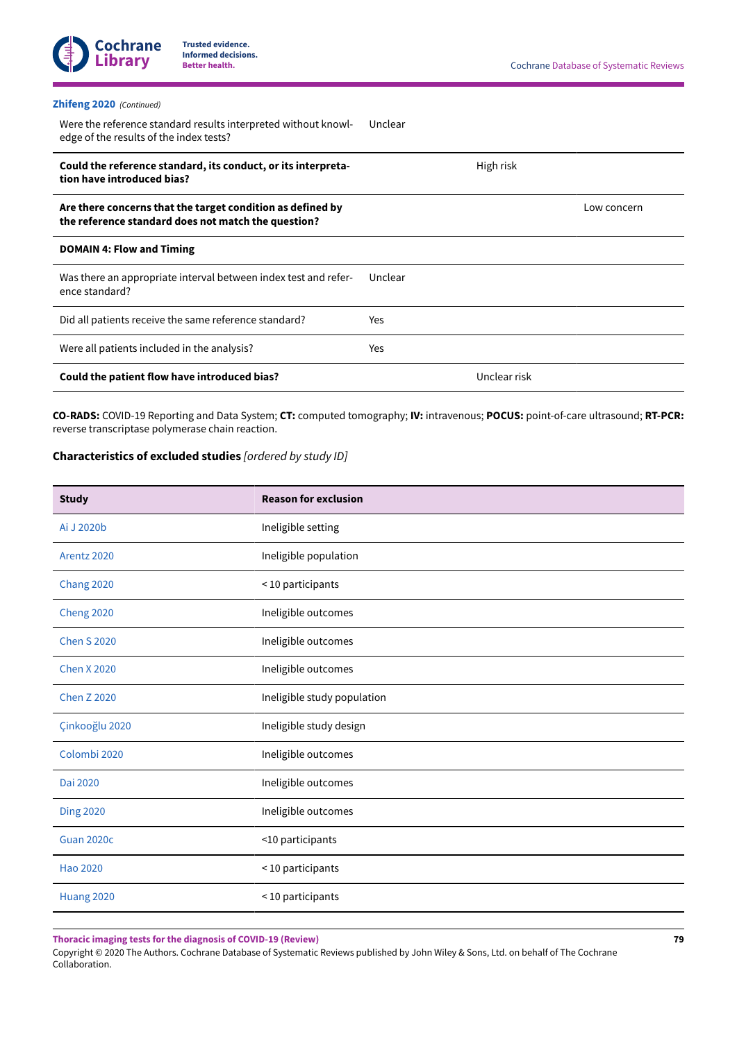### **[Zhifeng](#page-25-6) 2020**  *(Continued)*

Were the reference standard results interpreted without knowledge of the results of the index tests? Unclear

| Could the reference standard, its conduct, or its interpreta-<br>tion have introduced bias?                       | High risk    |             |
|-------------------------------------------------------------------------------------------------------------------|--------------|-------------|
| Are there concerns that the target condition as defined by<br>the reference standard does not match the question? |              | Low concern |
| <b>DOMAIN 4: Flow and Timing</b>                                                                                  |              |             |
| Was there an appropriate interval between index test and refer-<br>ence standard?                                 | Unclear      |             |
| Did all patients receive the same reference standard?                                                             | Yes.         |             |
| Were all patients included in the analysis?                                                                       | Yes          |             |
| Could the patient flow have introduced bias?                                                                      | Unclear risk |             |

**CO-RADS:** COVID-19 Reporting and Data System; **CT:** computed tomography; **IV:** intravenous; **POCUS:** point-of-care ultrasound; **RT-PCR:** reverse transcriptase polymerase chain reaction.

# **Characteristics of excluded studies** *[ordered by study ID]*

| <b>Study</b>       | <b>Reason for exclusion</b> |
|--------------------|-----------------------------|
| Ai J 2020b         | Ineligible setting          |
| Arentz 2020        | Ineligible population       |
| <b>Chang 2020</b>  | < 10 participants           |
| Cheng 2020         | Ineligible outcomes         |
| <b>Chen S 2020</b> | Ineligible outcomes         |
| <b>Chen X 2020</b> | Ineligible outcomes         |
| <b>Chen Z 2020</b> | Ineligible study population |
| Çinkooğlu 2020     | Ineligible study design     |
| Colombi 2020       | Ineligible outcomes         |
| Dai 2020           | Ineligible outcomes         |
| <b>Ding 2020</b>   | Ineligible outcomes         |
| <b>Guan 2020c</b>  | <10 participants            |
| <b>Hao 2020</b>    | < 10 participants           |
| <b>Huang 2020</b>  | < 10 participants           |

**Thoracic imaging tests for the diagnosis of COVID-19 (Review)**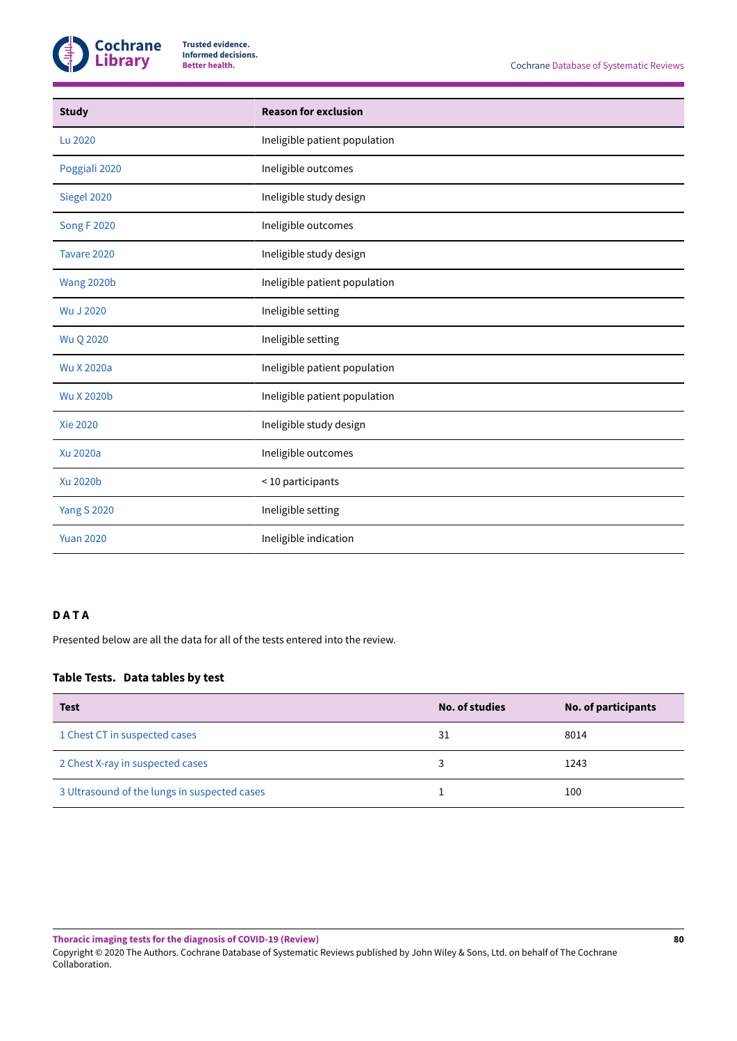

| <b>Study</b>       | <b>Reason for exclusion</b>   |
|--------------------|-------------------------------|
| Lu 2020            | Ineligible patient population |
| Poggiali 2020      | Ineligible outcomes           |
| Siegel 2020        | Ineligible study design       |
| <b>Song F 2020</b> | Ineligible outcomes           |
| Tavare 2020        | Ineligible study design       |
| <b>Wang 2020b</b>  | Ineligible patient population |
| <b>Wu J 2020</b>   | Ineligible setting            |
| <b>Wu Q 2020</b>   | Ineligible setting            |
| <b>Wu X 2020a</b>  | Ineligible patient population |
| <b>Wu X 2020b</b>  | Ineligible patient population |
| <b>Xie 2020</b>    | Ineligible study design       |
| <b>Xu 2020a</b>    | Ineligible outcomes           |
| <b>Xu 2020b</b>    | < 10 participants             |
| <b>Yang S 2020</b> | Ineligible setting            |
| <b>Yuan 2020</b>   | Ineligible indication         |

# **D A T A**

Presented below are all the data for all of the tests entered into the review.

# **TableTests. Data tables by test**

| <b>Test</b>                                  | No. of studies | No. of participants |
|----------------------------------------------|----------------|---------------------|
| 1 Chest CT in suspected cases                | 31             | 8014                |
| 2 Chest X-ray in suspected cases             | 3              | 1243                |
| 3 Ultrasound of the lungs in suspected cases |                | 100                 |

**Thoracic imaging tests for the diagnosis of COVID-19 (Review)**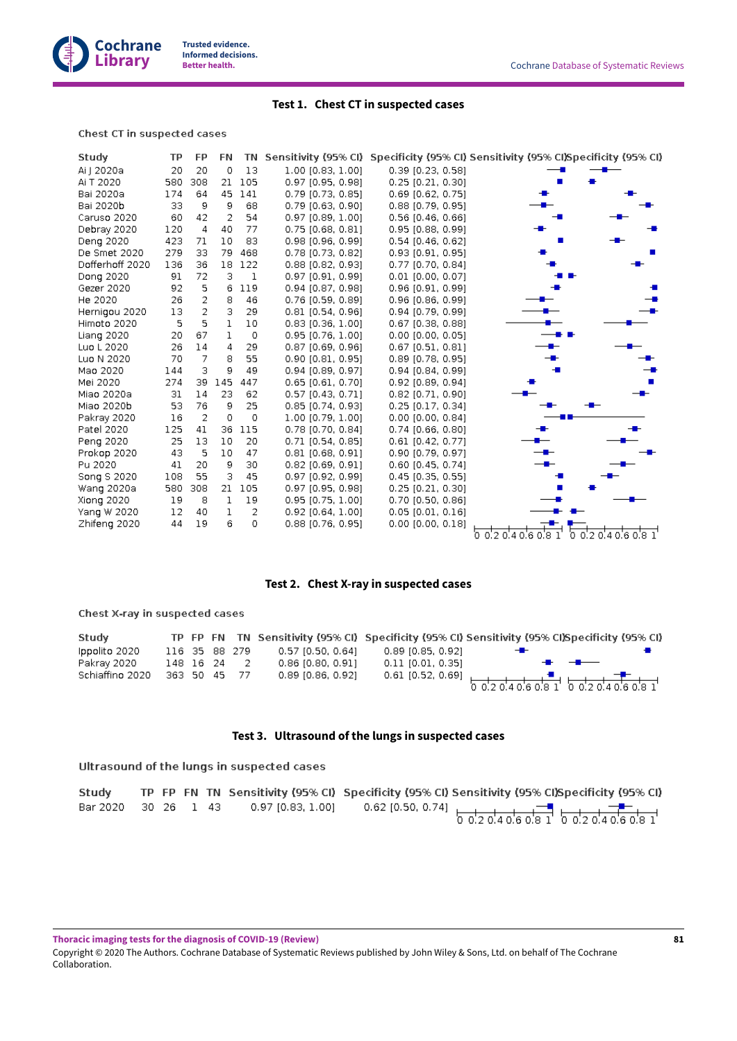# **Test 1. Chest CTin suspected cases**

# <span id="page-83-0"></span>Chest CT in suspected cases

| Study           | TP  | FP             | FN           |     |                       |                       | TN Sensitivity (95% CI) Specificity (95% CI) Sensitivity (95% CI)Specificity (95% CI) |
|-----------------|-----|----------------|--------------|-----|-----------------------|-----------------------|---------------------------------------------------------------------------------------|
| Ai   2020a      | 20  | 20             | 0            | 13  | 1.00 [0.83, 1.00]     | 0.39 [0.23, 0.58]     |                                                                                       |
| Ai T 2020       | 580 | 308            | 21           | 105 | $0.97$ [0.95, 0.98]   | $0.25$ [0.21, 0.30]   |                                                                                       |
| Bai 2020a       | 174 | 64             | 45           | 141 | $0.79$ [0.73, 0.85]   | $0.69$ [0.62, 0.75]   |                                                                                       |
| Bai 2020b       | 33  | 9              | 9            | 68  | $0.79$ [0.63, 0.90]   | $0.88$ [0.79, 0.95]   |                                                                                       |
| Caruso 2020     | 60  | 42             | 2            | 54  | $0.97$ [0.89, 1.00]   | $0.56$ [0.46, 0.66]   |                                                                                       |
| Debray 2020     | 120 | 4              | 40           | 77  | $0.75$ [0.68, 0.81]   | $0.95$ [0.88, 0.99]   |                                                                                       |
| Deng 2020       | 423 | 71             | 10           | 83  | $0.98$ [0.96, 0.99]   | $0.54$ [0.46, 0.62]   |                                                                                       |
| De Smet 2020    | 279 | 33             | 79           | 468 | $0.78$ [0.73, 0.82]   | $0.93$ [0.91, 0.95]   |                                                                                       |
| Dofferhoff 2020 | 136 | 36             | 18           | 122 | $0.88$ [0.82, 0.93]   | 0.77 [0.70, 0.84]     |                                                                                       |
| Dong 2020       | 91  | 72             | з            | 1   | $0.97$ [0.91, 0.99]   | $0.01$ [0.00, 0.07]   |                                                                                       |
| Gezer 2020      | 92  | 5              | 6            | 119 | $0.94$ [0.87, 0.98]   | $0.96$ [0.91, 0.99]   |                                                                                       |
| He 2020         | 26  | 2              | 8            | 46  | $0.76$ [0.59, 0.89]   | $0.96$ [0.86, 0.99]   |                                                                                       |
| Hernigou 2020   | 13  | $\overline{c}$ | з            | 29  | $0.81$ [0.54, 0.96]   | 0.94 [0.79, 0.99]     |                                                                                       |
| Himoto 2020     | 5   | 5              | $\mathbf{1}$ | 10  | $0.83$ [0.36, 1.00]   | $0.67$ [0.38, 0.88]   |                                                                                       |
| Liang 2020      | 20  | 67             | 1            | 0   | $0.95$ [0.76, 1.00]   | $0.00$ [0.00, 0.05]   |                                                                                       |
| Luo L 2020      | 26  | 14             | 4            | 29  | $0.87$ [0.69, 0.96]   | $0.67$ [0.51, 0.81]   |                                                                                       |
| Luo N 2020      | 70  | 7              | 8            | 55  | $0.90$ $[0.81, 0.95]$ | 0.89 [0.78, 0.95]     |                                                                                       |
| Mao 2020        | 144 | 3              | 9            | 49  | $0.94$ [0.89, 0.97]   | $0.94$ [0.84, 0.99]   |                                                                                       |
| Mei 2020        | 274 | 39             | 145          | 447 | $0.65$ [0.61, 0.70]   | $0.92$ [0.89, 0.94]   |                                                                                       |
| Miao 2020a      | 31  | 14             | 23           | 62  | $0.57$ [0.43, 0.71]   | $0.82$ [0.71, 0.90]   |                                                                                       |
| Miao 2020b      | 53  | 76             | 9            | 25  | $0.85$ [0.74, 0.93]   | $0.25$ [0.17, 0.34]   |                                                                                       |
| Pakray 2020     | 16  | 2              | $\circ$      | 0   | 1.00 [0.79, 1.00]     | $0.00$ $[0.00, 0.84]$ |                                                                                       |
| Patel 2020      | 125 | 41             | 36           | 115 | $0.78$ [0.70, 0.84]   | $0.74$ [0.66, 0.80]   |                                                                                       |
| Peng 2020       | 25  | 13             | 10           | 20  | $0.71$ [0.54, 0.85]   | 0.61 [0.42, 0.77]     |                                                                                       |
| Prokop 2020     | 43  | 5              | 10           | 47  | 0.81 (0.68, 0.91)     | 0.90 [0.79, 0.97]     |                                                                                       |
| Pu 2020         | 41  | 20             | 9            | 30  | $0.82$ [0.69, 0.91]   | $0.60$ [0.45, 0.74]   |                                                                                       |
| Song S 2020     | 108 | 55             | з            | 45  | $0.97$ [0.92, 0.99]   | $0.45$ [0.35, 0.55]   |                                                                                       |
| Wang 2020a      | 580 | 308            | 21           | 105 | $0.97$ [0.95, 0.98]   | $0.25$ [0.21, 0.30]   |                                                                                       |
| Xiong 2020      | 19  | 8              | $\mathbf{1}$ | 19  | $0.95$ [0.75, 1.00]   | $0.70$ [0.50, 0.86]   |                                                                                       |
| Yang W 2020     | 12  | 40             | ı            | 2   | $0.92$ [0.64, 1.00]   | $0.05$ [0.01, 0.16]   |                                                                                       |
| Zhifeng 2020    | 44  | 19             | 6            | 0   | $0.88$ [0.76, 0.95]   | $0.00$ $[0.00, 0.18]$ |                                                                                       |
|                 |     |                |              |     |                       |                       | 0.020.40.60.81<br>0 0.2 0.4 0.6 0.8 1                                                 |

# **Test 2. Chest X-ray in suspected cases**

### <span id="page-83-1"></span>Chest X-ray in suspected cases

| Study           |           | TP FP FN |               |                   |                          | TN_Sensitivity (95% CI)_Specificity (95% CI) Sensitivity (95% CI)Specificity (95% CI)                                                                 |
|-----------------|-----------|----------|---------------|-------------------|--------------------------|-------------------------------------------------------------------------------------------------------------------------------------------------------|
| Ippolito 2020   |           |          | 116 35 88 279 | 0.57 [0.50, 0.64] | 0.89 [0.85, 0.92]        |                                                                                                                                                       |
| Pakray 2020     | 148 16 24 |          |               | 0.86 10.80, 0.911 | 0.11 [0.01, 0.35]        | - <b>B</b> -B---                                                                                                                                      |
| Schiaffino 2020 |           |          | 363 50 45 77  | 0.89 [0.86, 0.92] | $0.61$ [0.52, 0.69] $\,$ | $\frac{1}{60}$ $\frac{1}{20}$ $\frac{1}{40}$ $\frac{1}{60}$ $\frac{1}{20}$ $\frac{1}{40}$ $\frac{1}{60}$ $\frac{1}{60}$ $\frac{1}{20}$ $\frac{1}{40}$ |
|                 |           |          |               |                   |                          |                                                                                                                                                       |

# **Test 3. Ultrasound of the lungs in suspected cases**

<span id="page-83-2"></span>Ultrasound of the lungs in suspected cases

| Study               |  |  |  | (95% CI) TP FP FN TN Sensitivity (95% CI) Specificity (95% CI) Sensitivity (95% CI)Specificity (95% CI                                                                                                                                                                                                                                                                                                             |
|---------------------|--|--|--|--------------------------------------------------------------------------------------------------------------------------------------------------------------------------------------------------------------------------------------------------------------------------------------------------------------------------------------------------------------------------------------------------------------------|
| Bar 2020 30 26 1 43 |  |  |  | 0.97 [0.83, 1.00] 0.62 [0.50, 0.74] $\frac{1}{\frac{1}{\frac{1}{1}} \cdot \frac{1}{\frac{1}{1}} \cdot \frac{1}{\frac{1}{1}} \cdot \frac{1}{\frac{1}{1}} \cdot \frac{1}{\frac{1}{1}} \cdot \frac{1}{\frac{1}{1}} \cdot \frac{1}{\frac{1}{1}} \cdot \frac{1}{\frac{1}{1}} \cdot \frac{1}{\frac{1}{1}} \cdot \frac{1}{\frac{1}{1}} \cdot \frac{1}{\frac{1}{1}} \cdot \frac{1}{\frac{1}{1}} \cdot \frac{1}{\frac{1}{1$ |

**Thoracic imaging tests for the diagnosis of COVID-19 (Review)**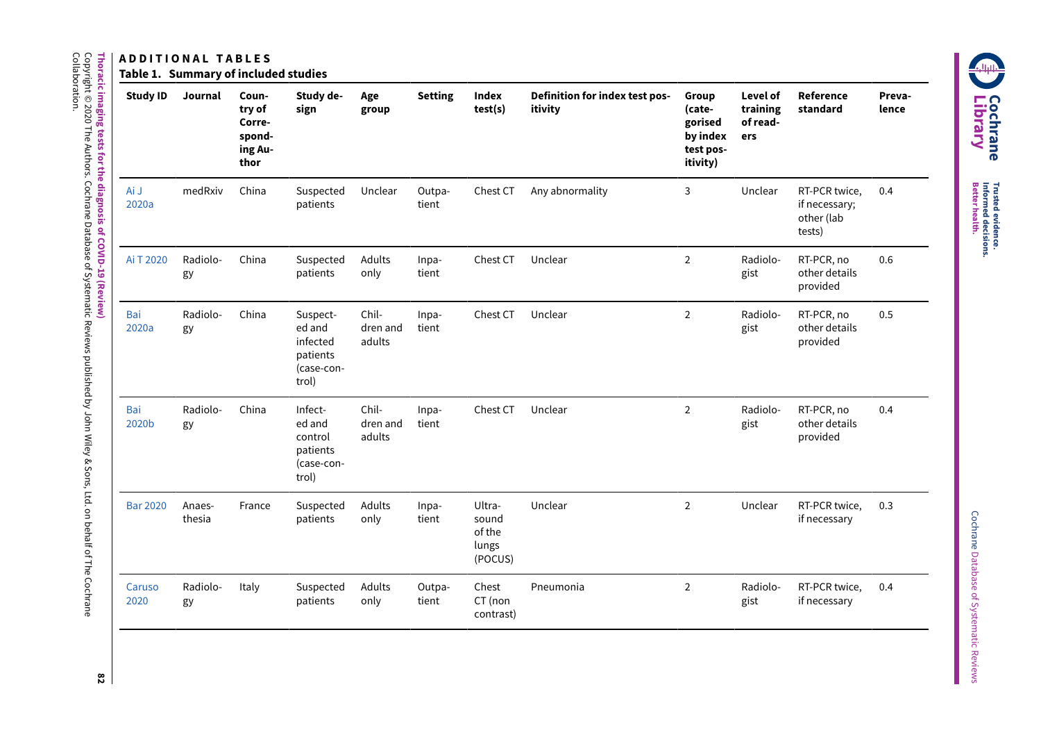# **Thoracic A D D I T I O N A L T A B L E S**

Table 1. Summary of included studies

| <b>Study ID</b> | Journal          | Coun-<br>try of<br>Corre-<br>spond-<br>ing Au-<br>thor | Study de-<br>sign                                                 | Age<br>group                | <b>Setting</b>  | Index<br>test(s)                              | Definition for index test pos-<br>itivity | Group<br>(cate-<br>gorised<br>by index<br>test pos-<br>itivity) | Level of<br>training<br>of read-<br>ers | Reference<br>standard                                  | Preva-<br>lence |
|-----------------|------------------|--------------------------------------------------------|-------------------------------------------------------------------|-----------------------------|-----------------|-----------------------------------------------|-------------------------------------------|-----------------------------------------------------------------|-----------------------------------------|--------------------------------------------------------|-----------------|
| Ai J<br>2020a   | medRxiv          | China                                                  | Suspected<br>patients                                             | Unclear                     | Outpa-<br>tient | Chest CT                                      | Any abnormality                           | 3                                                               | Unclear                                 | RT-PCR twice,<br>if necessary;<br>other (lab<br>tests) | 0.4             |
| Ai T 2020       | Radiolo-<br>gy   | China                                                  | Suspected<br>patients                                             | Adults<br>only              | Inpa-<br>tient  | Chest CT                                      | Unclear                                   | $\overline{2}$                                                  | Radiolo-<br>gist                        | RT-PCR, no<br>other details<br>provided                | 0.6             |
| Bai<br>2020a    | Radiolo-<br>gy   | China                                                  | Suspect-<br>ed and<br>infected<br>patients<br>(case-con-<br>trol) | Chil-<br>dren and<br>adults | Inpa-<br>tient  | Chest CT                                      | Unclear                                   | $\overline{2}$                                                  | Radiolo-<br>gist                        | RT-PCR, no<br>other details<br>provided                | 0.5             |
| Bai<br>2020b    | Radiolo-<br>gy   | China                                                  | Infect-<br>ed and<br>control<br>patients<br>(case-con-<br>trol)   | Chil-<br>dren and<br>adults | Inpa-<br>tient  | Chest CT                                      | Unclear                                   | $\overline{2}$                                                  | Radiolo-<br>gist                        | RT-PCR, no<br>other details<br>provided                | 0.4             |
| <b>Bar 2020</b> | Anaes-<br>thesia | France                                                 | Suspected<br>patients                                             | Adults<br>only              | Inpa-<br>tient  | Ultra-<br>sound<br>of the<br>lungs<br>(POCUS) | Unclear                                   | $\overline{2}$                                                  | Unclear                                 | RT-PCR twice,<br>if necessary                          | 0.3             |
| Caruso<br>2020  | Radiolo-<br>gy   | Italy                                                  | Suspected<br>patients                                             | Adults<br>only              | Outpa-<br>tient | Chest<br>CT (non<br>contrast)                 | Pneumonia                                 | $\overline{2}$                                                  | Radiolo-<br>gist                        | RT-PCR twice,<br>if necessary                          | 0.4             |

**tests for the**

<u>ዒ</u>

**COVID-19**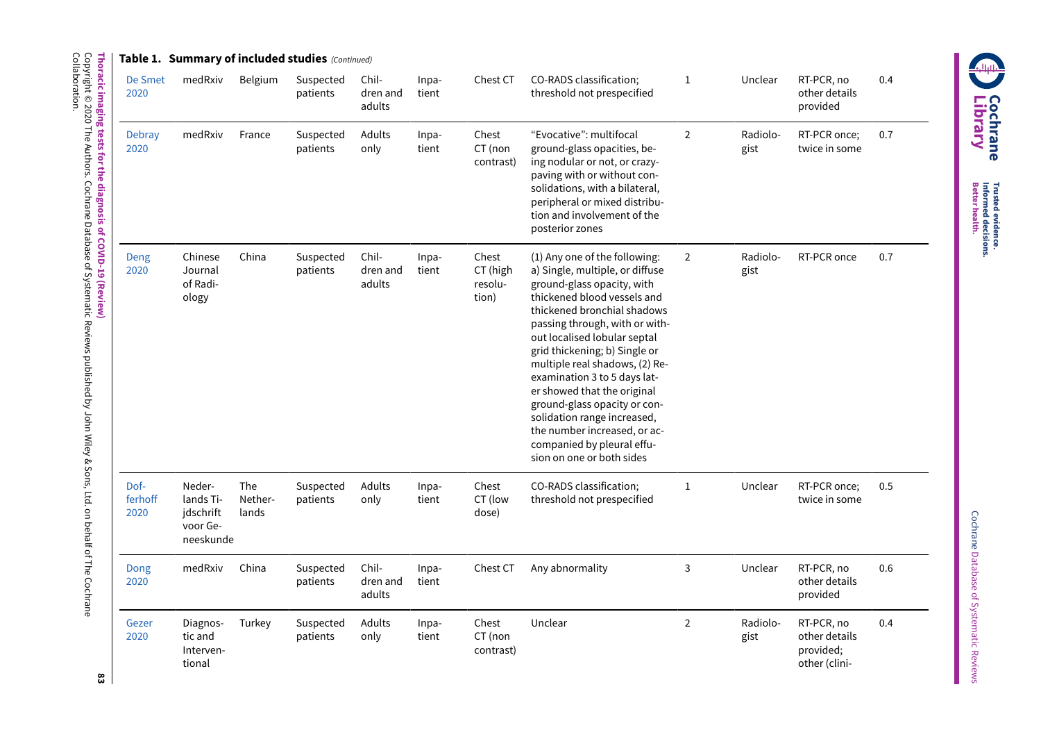| De Smet<br>2020         | medRxiv                                                   | Belgium                        | Suspected<br>patients | Chil-<br>dren and<br>adults | Inpa-<br>tient | Chest CT                              | CO-RADS classification;<br>threshold not prespecified                                                                                                                                                                                                                                                                                                                                                                                                                                                                      | $\mathbf{1}$   | Unclear          | RT-PCR, no<br>other details<br>provided                   | 0.4 |
|-------------------------|-----------------------------------------------------------|--------------------------------|-----------------------|-----------------------------|----------------|---------------------------------------|----------------------------------------------------------------------------------------------------------------------------------------------------------------------------------------------------------------------------------------------------------------------------------------------------------------------------------------------------------------------------------------------------------------------------------------------------------------------------------------------------------------------------|----------------|------------------|-----------------------------------------------------------|-----|
| Debray<br>2020          | medRxiv                                                   | France                         | Suspected<br>patients | Adults<br>only              | Inpa-<br>tient | Chest<br>CT (non<br>contrast)         | "Evocative": multifocal<br>ground-glass opacities, be-<br>ing nodular or not, or crazy-<br>paving with or without con-<br>solidations, with a bilateral,<br>peripheral or mixed distribu-<br>tion and involvement of the<br>posterior zones                                                                                                                                                                                                                                                                                | $\overline{2}$ | Radiolo-<br>gist | RT-PCR once;<br>twice in some                             | 0.7 |
| Deng<br>2020            | Chinese<br>Journal<br>of Radi-<br>ology                   | China                          | Suspected<br>patients | Chil-<br>dren and<br>adults | Inpa-<br>tient | Chest<br>CT (high<br>resolu-<br>tion) | (1) Any one of the following:<br>a) Single, multiple, or diffuse<br>ground-glass opacity, with<br>thickened blood vessels and<br>thickened bronchial shadows<br>passing through, with or with-<br>out localised lobular septal<br>grid thickening; b) Single or<br>multiple real shadows, (2) Re-<br>examination 3 to 5 days lat-<br>er showed that the original<br>ground-glass opacity or con-<br>solidation range increased,<br>the number increased, or ac-<br>companied by pleural effu-<br>sion on one or both sides | $\overline{2}$ | Radiolo-<br>gist | RT-PCR once                                               | 0.7 |
| Dof-<br>ferhoff<br>2020 | Neder-<br>lands Ti-<br>jdschrift<br>voor Ge-<br>neeskunde | <b>The</b><br>Nether-<br>lands | Suspected<br>patients | Adults<br>only              | Inpa-<br>tient | Chest<br>CT (low<br>dose)             | CO-RADS classification;<br>threshold not prespecified                                                                                                                                                                                                                                                                                                                                                                                                                                                                      | $\mathbf{1}$   | Unclear          | RT-PCR once;<br>twice in some                             | 0.5 |
| Dong<br>2020            | medRxiv                                                   | China                          | Suspected<br>patients | Chil-<br>dren and<br>adults | Inpa-<br>tient | Chest CT                              | Any abnormality                                                                                                                                                                                                                                                                                                                                                                                                                                                                                                            | 3              | Unclear          | RT-PCR, no<br>other details<br>provided                   | 0.6 |
| Gezer<br>2020           | Diagnos-<br>tic and<br>Interven-<br>tional                | Turkey                         | Suspected<br>patients | Adults<br>only              | Inpa-<br>tient | Chest<br>CT (non<br>contrast)         | Unclear                                                                                                                                                                                                                                                                                                                                                                                                                                                                                                                    | $\overline{2}$ | Radiolo-<br>gist | RT-PCR, no<br>other details<br>provided;<br>other (clini- | 0.4 |

**Cochrane Library**<br> **Library** 

**Trusted Better**

**Informed**

**decisions. health.**

Cochrane

Database

q

Systematic

Reviews

**evidence.**

Table 1.  $\,$  Summary of included studies  $\,$  (Continued)  $\,$ 

**Thoracic imaging tests for the diagnosis** <u>ዒ</u> **COVID-19 (Review)** Copyright © 2020 The Authors. Cochrane Database Գ Systematic Reviews published হ John Wiley & Sons, Ltd. s behalf <u>ฉ</u> The Cochrane Collaboration.

**83**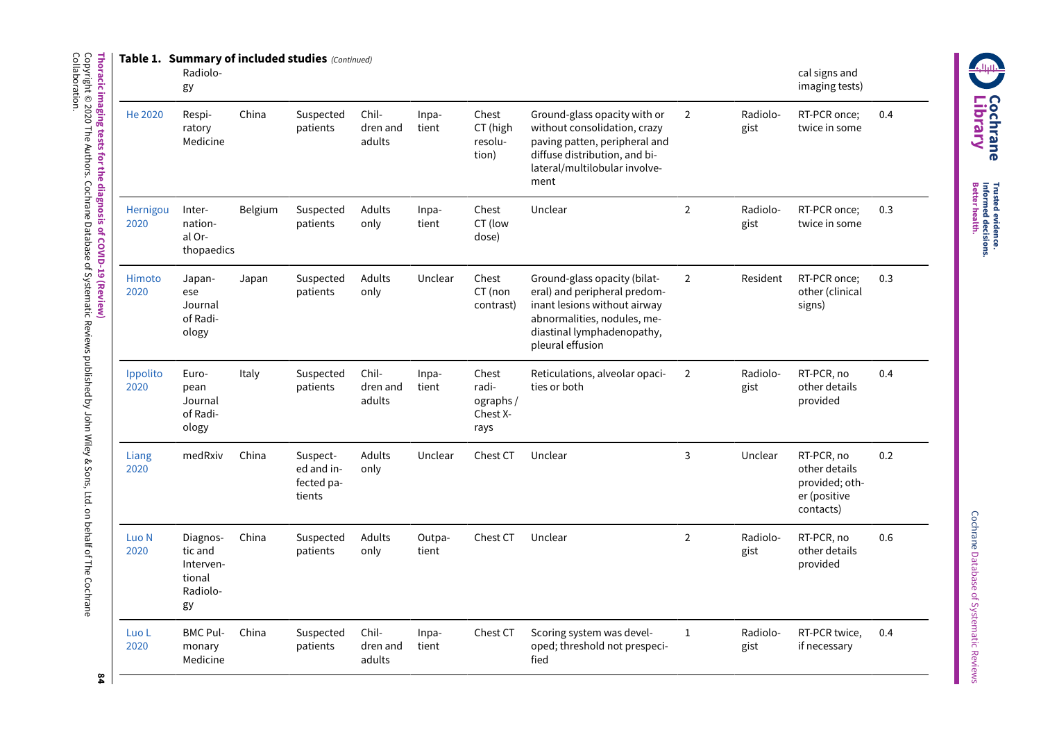|                  | Radiolo-<br>gy                                               |         |                                                |                             |                  |                                                |                                                                                                                                                                               |                |                  | cal signs and<br>imaging tests)                                            |     |
|------------------|--------------------------------------------------------------|---------|------------------------------------------------|-----------------------------|------------------|------------------------------------------------|-------------------------------------------------------------------------------------------------------------------------------------------------------------------------------|----------------|------------------|----------------------------------------------------------------------------|-----|
| He 2020          | Respi-<br>ratory<br>Medicine                                 | China   | Suspected<br>patients                          | Chil-<br>dren and<br>adults | $lnpa-$<br>tient | Chest<br>CT (high<br>resolu-<br>tion)          | Ground-glass opacity with or<br>without consolidation, crazy<br>paving patten, peripheral and<br>diffuse distribution, and bi-<br>lateral/multilobular involve-<br>ment       | $\overline{2}$ | Radiolo-<br>gist | RT-PCR once:<br>twice in some                                              | 0.4 |
| Hernigou<br>2020 | Inter-<br>nation-<br>al Or-<br>thopaedics                    | Belgium | Suspected<br>patients                          | Adults<br>only              | Inpa-<br>tient   | Chest<br>CT (low<br>dose)                      | Unclear                                                                                                                                                                       | $\overline{2}$ | Radiolo-<br>gist | RT-PCR once;<br>twice in some                                              | 0.3 |
| Himoto<br>2020   | Japan-<br>ese<br>Journal<br>of Radi-<br>ology                | Japan   | Suspected<br>patients                          | Adults<br>only              | Unclear          | Chest<br>CT (non<br>contrast)                  | Ground-glass opacity (bilat-<br>eral) and peripheral predom-<br>inant lesions without airway<br>abnormalities, nodules, me-<br>diastinal lymphadenopathy,<br>pleural effusion | $\overline{2}$ | Resident         | RT-PCR once;<br>other (clinical<br>signs)                                  | 0.3 |
| Ippolito<br>2020 | Euro-<br>pean<br>Journal<br>of Radi-<br>ology                | Italy   | Suspected<br>patients                          | Chil-<br>dren and<br>adults | Inpa-<br>tient   | Chest<br>radi-<br>ographs/<br>Chest X-<br>rays | Reticulations, alveolar opaci-<br>ties or both                                                                                                                                | $\overline{2}$ | Radiolo-<br>gist | RT-PCR, no<br>other details<br>provided                                    | 0.4 |
| Liang<br>2020    | medRxiv                                                      | China   | Suspect-<br>ed and in-<br>fected pa-<br>tients | Adults<br>only              | Unclear          | Chest CT                                       | Unclear                                                                                                                                                                       | 3              | Unclear          | RT-PCR, no<br>other details<br>provided; oth-<br>er (positive<br>contacts) | 0.2 |
| Luo N<br>2020    | Diagnos-<br>tic and<br>Interven-<br>tional<br>Radiolo-<br>gy | China   | Suspected<br>patients                          | Adults<br>only              | Outpa-<br>tient  | Chest CT                                       | Unclear                                                                                                                                                                       | $\overline{2}$ | Radiolo-<br>gist | RT-PCR, no<br>other details<br>provided                                    | 0.6 |
| Luo L<br>2020    | <b>BMC Pul-</b><br>monary<br>Medicine                        | China   | Suspected<br>patients                          | Chil-<br>dren and<br>adults | Inpa-<br>tient   | Chest CT                                       | Scoring system was devel-<br>oped; threshold not prespeci-<br>fied                                                                                                            | $\mathbf{1}$   | Radiolo-<br>gist | RT-PCR twice,<br>if necessary                                              | 0.4 |

**Thoracic imaging tests for the diagnosis** <u>ዒ</u> **COVID-19 (Review)** Copyright © 2020 The Authors. Cochrane Database Գ Systematic Reviews published হ John Wiley & Sons, Collaboration.

Cochrane

Ltd. s behalf <u>ฉ</u> The

**Cochrane Library**<br> **Library** 

> **Trusted Better evidence. Informed decisions. health.**

Cochrane Database q Systematic Reviews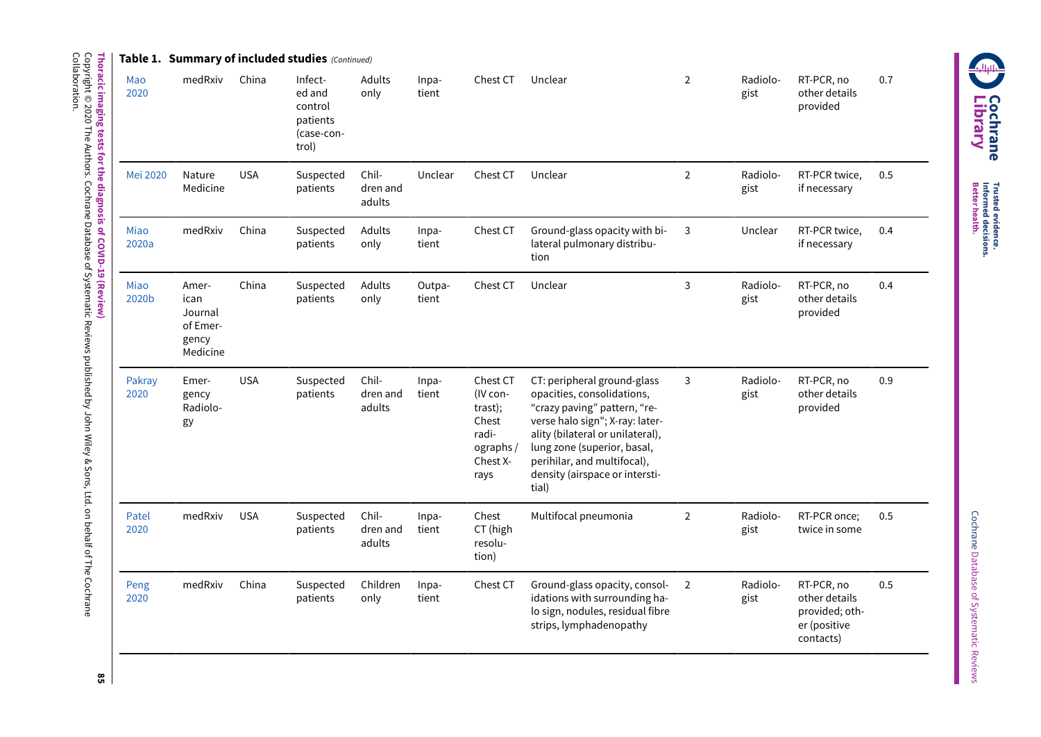| Mao<br>2020    | medRxiv                                                   | China      | Infect-<br>ed and<br>control    | Adults<br>only              | Inpa-<br>tient   | Chest CT                                                                          | Unclear                                                                                                                                                                                                                                                                   | $\overline{2}$ | Radiolo-<br>gist | RT-PCR, no<br>other details<br>provided                                    | 0.7 |
|----------------|-----------------------------------------------------------|------------|---------------------------------|-----------------------------|------------------|-----------------------------------------------------------------------------------|---------------------------------------------------------------------------------------------------------------------------------------------------------------------------------------------------------------------------------------------------------------------------|----------------|------------------|----------------------------------------------------------------------------|-----|
|                |                                                           |            | patients<br>(case-con-<br>trol) |                             |                  |                                                                                   |                                                                                                                                                                                                                                                                           |                |                  |                                                                            |     |
| Mei 2020       | Nature<br>Medicine                                        | <b>USA</b> | Suspected<br>patients           | Chil-<br>dren and<br>adults | Unclear          | Chest CT                                                                          | Unclear                                                                                                                                                                                                                                                                   | $\overline{2}$ | Radiolo-<br>gist | RT-PCR twice,<br>if necessary                                              | 0.5 |
| Miao<br>2020a  | medRxiv                                                   | China      | Suspected<br>patients           | Adults<br>only              | Inpa-<br>tient   | Chest CT                                                                          | Ground-glass opacity with bi-<br>lateral pulmonary distribu-<br>tion                                                                                                                                                                                                      | 3              | Unclear          | RT-PCR twice,<br>if necessary                                              | 0.4 |
| Miao<br>2020b  | Amer-<br>ican<br>Journal<br>of Emer-<br>gency<br>Medicine | China      | Suspected<br>patients           | Adults<br>only              | Outpa-<br>tient  | Chest CT                                                                          | Unclear                                                                                                                                                                                                                                                                   | 3              | Radiolo-<br>gist | RT-PCR, no<br>other details<br>provided                                    | 0.4 |
| Pakray<br>2020 | Emer-<br>gency<br>Radiolo-<br>gy                          | <b>USA</b> | Suspected<br>patients           | Chil-<br>dren and<br>adults | $lnpa-$<br>tient | Chest CT<br>(IV con-<br>trast);<br>Chest<br>radi-<br>ographs/<br>Chest X-<br>rays | CT: peripheral ground-glass<br>opacities, consolidations,<br>"crazy paving" pattern, "re-<br>verse halo sign"; X-ray: later-<br>ality (bilateral or unilateral),<br>lung zone (superior, basal,<br>perihilar, and multifocal),<br>density (airspace or intersti-<br>tial) | 3              | Radiolo-<br>gist | RT-PCR, no<br>other details<br>provided                                    | 0.9 |
| Patel<br>2020  | medRxiv                                                   | <b>USA</b> | Suspected<br>patients           | Chil-<br>dren and<br>adults | Inpa-<br>tient   | Chest<br>CT (high<br>resolu-<br>tion)                                             | Multifocal pneumonia                                                                                                                                                                                                                                                      | $\overline{2}$ | Radiolo-<br>gist | RT-PCR once;<br>twice in some                                              | 0.5 |
| Peng<br>2020   | medRxiv                                                   | China      | Suspected<br>patients           | Children<br>only            | Inpa-<br>tient   | Chest CT                                                                          | Ground-glass opacity, consol-<br>idations with surrounding ha-<br>lo sign, nodules, residual fibre<br>strips, lymphadenopathy                                                                                                                                             | 2              | Radiolo-<br>gist | RT-PCR, no<br>other details<br>provided; oth-<br>er (positive<br>contacts) | 0.5 |

Copyright © 2020 The Authors. Cochrane Database Գ Systematic Reviews published হ John Wiley & Sons, Ltd. s behalf <u>ฉ</u> The Cochrane Collaboration.

**Cochrane Library**<br> **Library** 

**Trusted Better evidence. Informed decisions. health.**

Cochrane Database q Systematic Reviews

**85**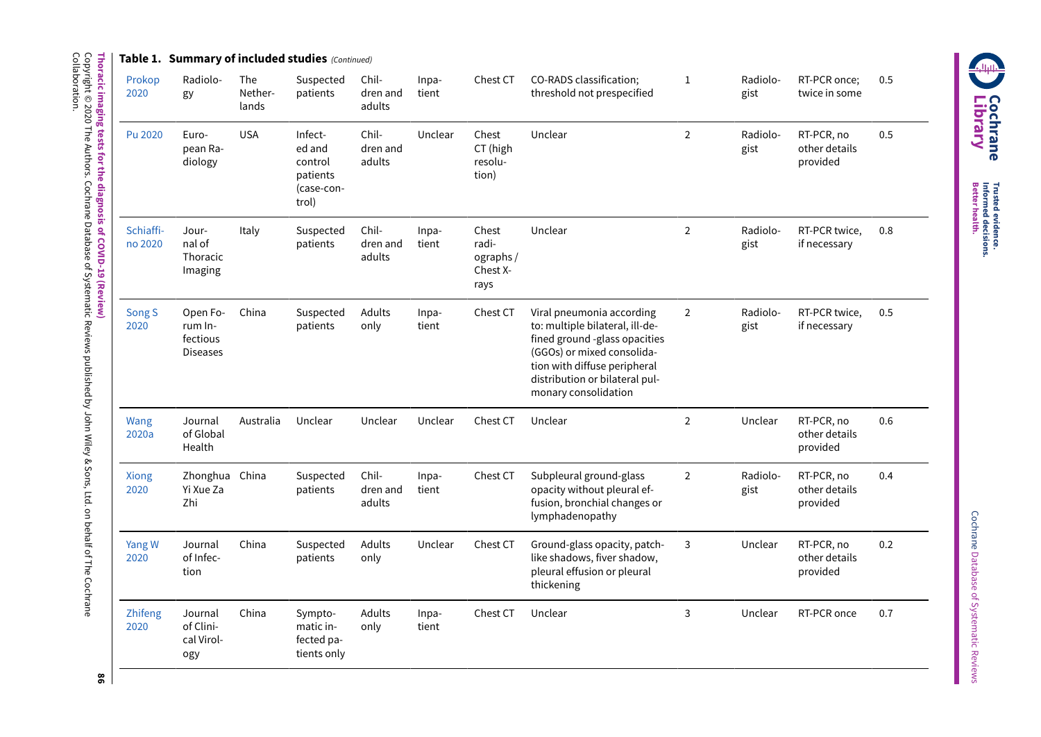| Prokop<br>2020            | Radiolo-<br>gy                                     | The<br>Nether-<br>lands | Suspected<br>patients                                           | Chil-<br>dren and<br>adults | Inpa-<br>tient | Chest CT                                       | CO-RADS classification;<br>threshold not prespecified                                                                                                                                                                 | $\mathbf{1}$   | Radiolo-<br>gist | RT-PCR once;<br>twice in some           | 0.5 |
|---------------------------|----------------------------------------------------|-------------------------|-----------------------------------------------------------------|-----------------------------|----------------|------------------------------------------------|-----------------------------------------------------------------------------------------------------------------------------------------------------------------------------------------------------------------------|----------------|------------------|-----------------------------------------|-----|
| Pu 2020                   | Euro-<br>pean Ra-<br>diology                       | <b>USA</b>              | Infect-<br>ed and<br>control<br>patients<br>(case-con-<br>trol) | Chil-<br>dren and<br>adults | Unclear        | Chest<br>CT (high<br>resolu-<br>tion)          | Unclear                                                                                                                                                                                                               | $\overline{2}$ | Radiolo-<br>gist | RT-PCR, no<br>other details<br>provided | 0.5 |
| Schiaffi-<br>no 2020      | Jour-<br>nal of<br>Thoracic<br>Imaging             | Italy                   | Suspected<br>patients                                           | Chil-<br>dren and<br>adults | Inpa-<br>tient | Chest<br>radi-<br>ographs/<br>Chest X-<br>rays | Unclear                                                                                                                                                                                                               | $\overline{2}$ | Radiolo-<br>gist | RT-PCR twice,<br>if necessary           | 0.8 |
| Song <sub>S</sub><br>2020 | Open Fo-<br>rum In-<br>fectious<br><b>Diseases</b> | China                   | Suspected<br>patients                                           | Adults<br>only              | Inpa-<br>tient | Chest CT                                       | Viral pneumonia according<br>to: multiple bilateral, ill-de-<br>fined ground -glass opacities<br>(GGOs) or mixed consolida-<br>tion with diffuse peripheral<br>distribution or bilateral pul-<br>monary consolidation | $\overline{2}$ | Radiolo-<br>gist | RT-PCR twice,<br>if necessary           | 0.5 |
| Wang<br>2020a             | Journal<br>of Global<br>Health                     | Australia               | Unclear                                                         | Unclear                     | Unclear        | Chest CT                                       | Unclear                                                                                                                                                                                                               | $\overline{2}$ | Unclear          | RT-PCR, no<br>other details<br>provided | 0.6 |
| Xiong<br>2020             | Zhonghua China<br>Yi Xue Za<br>Zhi                 |                         | Suspected<br>patients                                           | Chil-<br>dren and<br>adults | Inpa-<br>tient | Chest CT                                       | Subpleural ground-glass<br>opacity without pleural ef-<br>fusion, bronchial changes or<br>lymphadenopathy                                                                                                             | $\overline{2}$ | Radiolo-<br>gist | RT-PCR, no<br>other details<br>provided | 0.4 |
| Yang W<br>2020            | Journal<br>of Infec-<br>tion                       | China                   | Suspected<br>patients                                           | Adults<br>only              | Unclear        | Chest CT                                       | Ground-glass opacity, patch-<br>like shadows, fiver shadow,<br>pleural effusion or pleural<br>thickening                                                                                                              | 3              | Unclear          | RT-PCR, no<br>other details<br>provided | 0.2 |
| <b>Zhifeng</b><br>2020    | Journal<br>of Clini-<br>cal Virol-<br>ogy          | China                   | Sympto-<br>matic in-<br>fected pa-<br>tients only               | Adults<br>only              | Inpa-<br>tient | Chest CT                                       | Unclear                                                                                                                                                                                                               | 3              | Unclear          | RT-PCR once                             | 0.7 |

**86**

**Trusted Better evidence. Informed decisions. health.**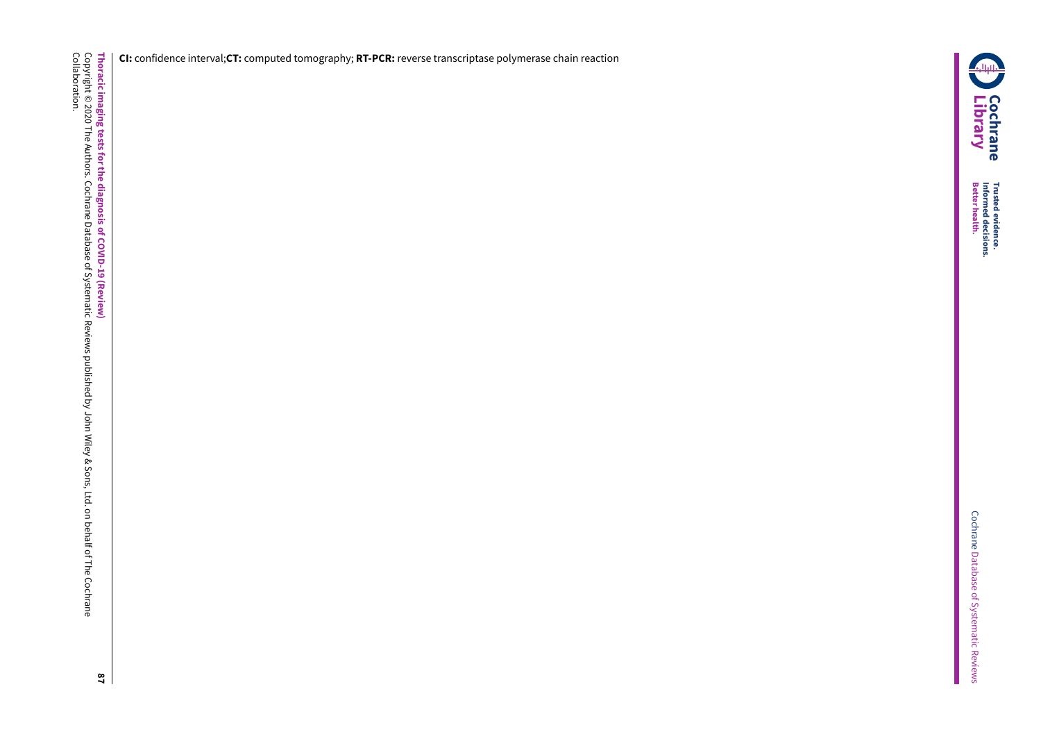CI: confidence interval;CT: computed tomography; RT-PCR: reverse transcriptase polymerase chain reaction

**Cochrane EN Cochrane** 

**Trusted Better**

**Informed**

**decisions. health.**

**evidence.**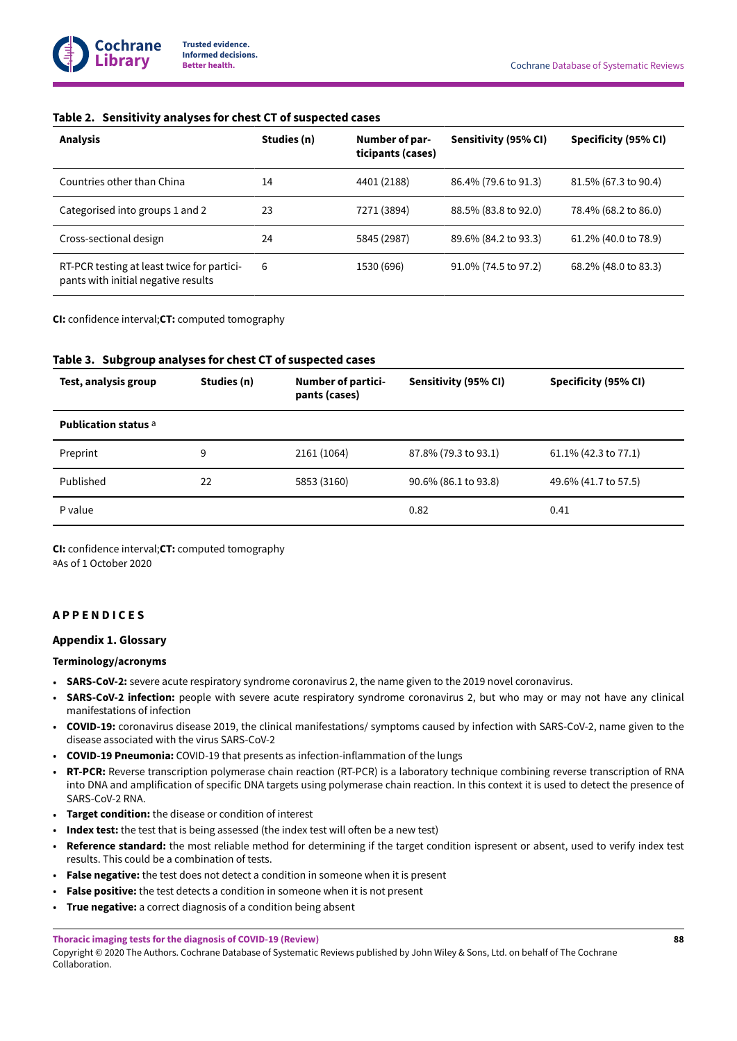# **Table 2. Sensitivity analyses for chest CTof suspected cases**

| <b>Analysis</b>                                                                   | Studies (n) | Number of par-<br>ticipants (cases) | Sensitivity (95% CI) | Specificity (95% CI) |
|-----------------------------------------------------------------------------------|-------------|-------------------------------------|----------------------|----------------------|
| Countries other than China                                                        | 14          | 4401 (2188)                         | 86.4% (79.6 to 91.3) | 81.5% (67.3 to 90.4) |
| Categorised into groups 1 and 2                                                   | 23          | 7271 (3894)                         | 88.5% (83.8 to 92.0) | 78.4% (68.2 to 86.0) |
| Cross-sectional design                                                            | 24          | 5845 (2987)                         | 89.6% (84.2 to 93.3) | 61.2% (40.0 to 78.9) |
| RT-PCR testing at least twice for partici-<br>pants with initial negative results | 6           | 1530 (696)                          | 91.0% (74.5 to 97.2) | 68.2% (48.0 to 83.3) |

**CI:** confidence interval;**CT:** computed tomography

### **Table 3. Subgroup analyses for chest CTof suspected cases**

| Test, analysis group        | Studies (n) | <b>Number of partici-</b><br>pants (cases) | Sensitivity (95% CI) | Specificity (95% CI) |
|-----------------------------|-------------|--------------------------------------------|----------------------|----------------------|
| <b>Publication status a</b> |             |                                            |                      |                      |
| Preprint                    | 9           | 2161 (1064)                                | 87.8% (79.3 to 93.1) | 61.1% (42.3 to 77.1) |
| Published                   | 22          | 5853 (3160)                                | 90.6% (86.1 to 93.8) | 49.6% (41.7 to 57.5) |
| P value                     |             |                                            | 0.82                 | 0.41                 |

**CI:** confidence interval;**CT:** computed tomography aAs of 1 October 2020

# **A P P E N D I C E S**

### **Appendix 1. Glossary**

#### **Terminology/acronyms**

- **SARS-CoV-2:** severe acute respiratory syndrome coronavirus 2, the name given to the 2019 novel coronavirus.
- **SARS-CoV-2 infection:** people with severe acute respiratory syndrome coronavirus 2, but who may or may not have any clinical manifestations of infection
- **COVID-19:** coronavirus disease 2019, the clinical manifestations/ symptoms caused by infection with SARS-CoV-2, name given to the disease associated with the virus SARS-CoV-2
- **COVID-19 Pneumonia:** COVID-19 that presents as infection-inflammation of the lungs
- **RT-PCR:** Reverse transcription polymerase chain reaction (RT-PCR) is a laboratory technique combining reverse transcription of RNA into DNA and amplification of specific DNA targets using polymerase chain reaction. In this context it is used to detect the presence of SARS-CoV-2 RNA.
- **Target condition:** the disease or condition of interest
- Index test: the test that is being assessed (the index test will often be a new test)
- **Reference standard:** the most reliable method for determining if the target condition ispresent or absent, used to verify index test results. This could be a combination of tests.
- **False negative:** the test does not detect a condition in someone when it is present
- **False positive:** the test detects a condition in someone when it is not present
- **True negative:** a correct diagnosis of a condition being absent

**Thoracic imaging tests for the diagnosis of COVID-19 (Review)**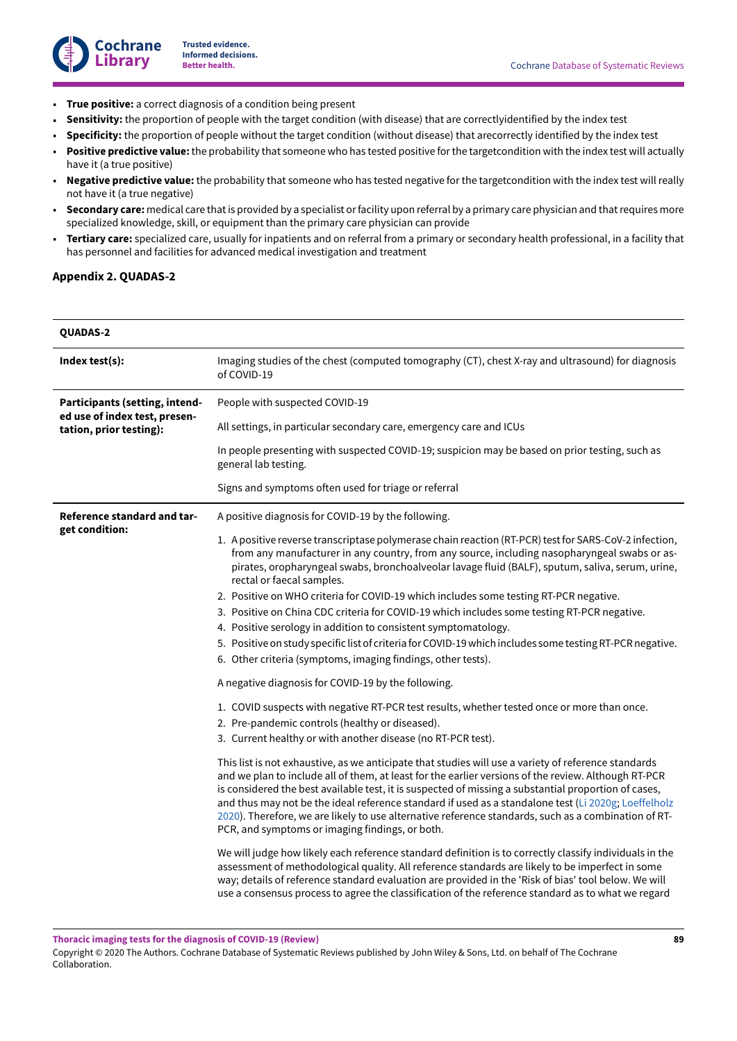

- **True positive:** a correct diagnosis of a condition being present
- **Sensitivity:** the proportion of people with the target condition (with disease) that are correctlyidentified by the index test
- **Specificity:** the proportion of people without the target condition (without disease) that arecorrectly identified by the index test
- **Positive predictive value:**the probability that someone who has tested positive forthe targetcondition with the index test will actually have it (a true positive)
- **Negative predictive value:** the probability that someone who has tested negative for the targetcondition with the index test will really not have it (a true negative)
- **Secondary care:** medical care thatis provided by a specialist orfacility upon referral by a primary care physician and thatrequires more specialized knowledge, skill, or equipment than the primary care physician can provide
- **Tertiary care:** specialized care, usually for inpatients and on referral from a primary or secondary health professional, in a facility that has personnel and facilities for advanced medical investigation and treatment

### **Appendix 2. QUADAS-2**

| QUADAS-2                                                 |                                                                                                                                                                                                                                                                                                                                                                                                                                                                                                                                                                                                                                                                                                                                                                              |
|----------------------------------------------------------|------------------------------------------------------------------------------------------------------------------------------------------------------------------------------------------------------------------------------------------------------------------------------------------------------------------------------------------------------------------------------------------------------------------------------------------------------------------------------------------------------------------------------------------------------------------------------------------------------------------------------------------------------------------------------------------------------------------------------------------------------------------------------|
| Index test(s):                                           | Imaging studies of the chest (computed tomography (CT), chest X-ray and ultrasound) for diagnosis<br>of COVID-19                                                                                                                                                                                                                                                                                                                                                                                                                                                                                                                                                                                                                                                             |
| <b>Participants (setting, intend-</b>                    | People with suspected COVID-19                                                                                                                                                                                                                                                                                                                                                                                                                                                                                                                                                                                                                                                                                                                                               |
| ed use of index test, presen-<br>tation, prior testing): | All settings, in particular secondary care, emergency care and ICUs                                                                                                                                                                                                                                                                                                                                                                                                                                                                                                                                                                                                                                                                                                          |
|                                                          | In people presenting with suspected COVID-19; suspicion may be based on prior testing, such as<br>general lab testing.                                                                                                                                                                                                                                                                                                                                                                                                                                                                                                                                                                                                                                                       |
|                                                          | Signs and symptoms often used for triage or referral                                                                                                                                                                                                                                                                                                                                                                                                                                                                                                                                                                                                                                                                                                                         |
| Reference standard and tar-                              | A positive diagnosis for COVID-19 by the following.                                                                                                                                                                                                                                                                                                                                                                                                                                                                                                                                                                                                                                                                                                                          |
| get condition:                                           | 1. A positive reverse transcriptase polymerase chain reaction (RT-PCR) test for SARS-CoV-2 infection,<br>from any manufacturer in any country, from any source, including nasopharyngeal swabs or as-<br>pirates, oropharyngeal swabs, bronchoalveolar lavage fluid (BALF), sputum, saliva, serum, urine,<br>rectal or faecal samples.<br>2. Positive on WHO criteria for COVID-19 which includes some testing RT-PCR negative.<br>3. Positive on China CDC criteria for COVID-19 which includes some testing RT-PCR negative.<br>4. Positive serology in addition to consistent symptomatology.<br>5. Positive on study specific list of criteria for COVID-19 which includes some testing RT-PCR negative.<br>6. Other criteria (symptoms, imaging findings, other tests). |
|                                                          | A negative diagnosis for COVID-19 by the following.                                                                                                                                                                                                                                                                                                                                                                                                                                                                                                                                                                                                                                                                                                                          |
|                                                          | 1. COVID suspects with negative RT-PCR test results, whether tested once or more than once.<br>2. Pre-pandemic controls (healthy or diseased).<br>3. Current healthy or with another disease (no RT-PCR test).                                                                                                                                                                                                                                                                                                                                                                                                                                                                                                                                                               |
|                                                          | This list is not exhaustive, as we anticipate that studies will use a variety of reference standards<br>and we plan to include all of them, at least for the earlier versions of the review. Although RT-PCR<br>is considered the best available test, it is suspected of missing a substantial proportion of cases,<br>and thus may not be the ideal reference standard if used as a standalone test (Li 2020g; Loeffelholz<br>2020). Therefore, we are likely to use alternative reference standards, such as a combination of RT-<br>PCR, and symptoms or imaging findings, or both.                                                                                                                                                                                      |
|                                                          | We will judge how likely each reference standard definition is to correctly classify individuals in the<br>assessment of methodological quality. All reference standards are likely to be imperfect in some<br>way; details of reference standard evaluation are provided in the 'Risk of bias' tool below. We will<br>use a consensus process to agree the classification of the reference standard as to what we regard                                                                                                                                                                                                                                                                                                                                                    |

**Thoracic imaging tests for the diagnosis of COVID-19 (Review)**

Copyright © 2020 The Authors. Cochrane Database of Systematic Reviews published by John Wiley & Sons, Ltd. on behalf of The Cochrane Collaboration.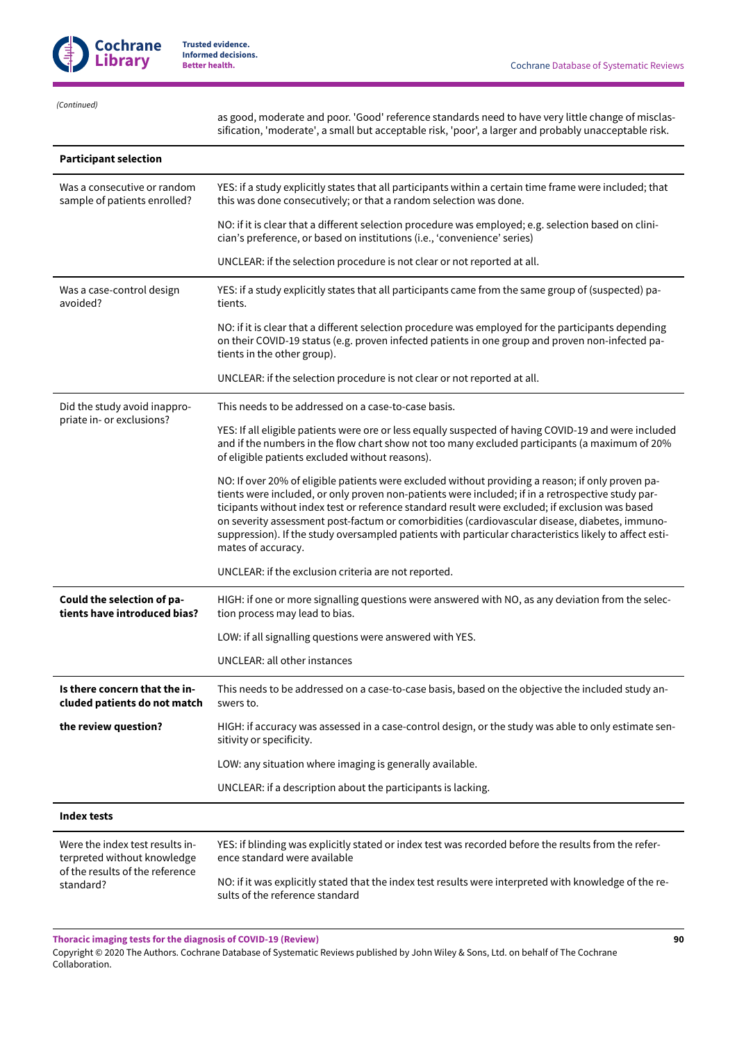

 *(Continued)*

sification, 'moderate', a small but acceptable risk, 'poor', a larger and probably unacceptable risk. **Participant selection** Was a consecutive or random sample of patients enrolled? YES: if a study explicitly states that all participants within a certain time frame were included; that this was done consecutively; or that a random selection was done. NO: if it is clear that a different selection procedure was employed; e.g. selection based on clinician's preference, or based on institutions (i.e., 'convenience' series) UNCLEAR: if the selection procedure is not clear or not reported at all. Was a case-control design avoided? YES: if a study explicitly states that all participants came from the same group of (suspected) patients. NO: if it is clear that a different selection procedure was employed for the participants depending on their COVID-19 status (e.g. proven infected patients in one group and proven non-infected patients in the other group). UNCLEAR: if the selection procedure is not clear or not reported at all. Did the study avoid inappropriate in- or exclusions? This needs to be addressed on a case-to-case basis. YES: If all eligible patients were ore or less equally suspected of having COVID-19 and were included and if the numbers in the flow chart show not too many excluded participants (a maximum of 20% of eligible patients excluded without reasons). NO: If over 20% of eligible patients were excluded without providing a reason; if only proven patients were included, or only proven non-patients were included; if in a retrospective study participants without index test or reference standard result were excluded; if exclusion was based on severity assessment post-factum or comorbidities (cardiovascular disease, diabetes, immunosuppression). If the study oversampled patients with particular characteristics likely to affect estimates of accuracy. UNCLEAR: if the exclusion criteria are not reported. **Could the selection of patients have introduced bias?** HIGH: if one or more signalling questions were answered with NO, as any deviation from the selection process may lead to bias. LOW: if all signalling questions were answered with YES. UNCLEAR: all other instances **Is there concern that the included patients do not match the review question?** This needs to be addressed on a case-to-case basis, based on the objective the included study answers to. HIGH: if accuracy was assessed in a case-control design, or the study was able to only estimate sensitivity or specificity. LOW: any situation where imaging is generally available. UNCLEAR: if a description about the participants is lacking. **Index tests** Were the index test results interpreted without knowledge of the results of the reference standard? YES: if blinding was explicitly stated or index test was recorded before the results from the reference standard were available NO: if it was explicitly stated that the index test results were interpreted with knowledge of the results of the reference standard

as good, moderate and poor. 'Good' reference standards need to have very little change of misclas-

**Thoracic imaging tests for the diagnosis of COVID-19 (Review)**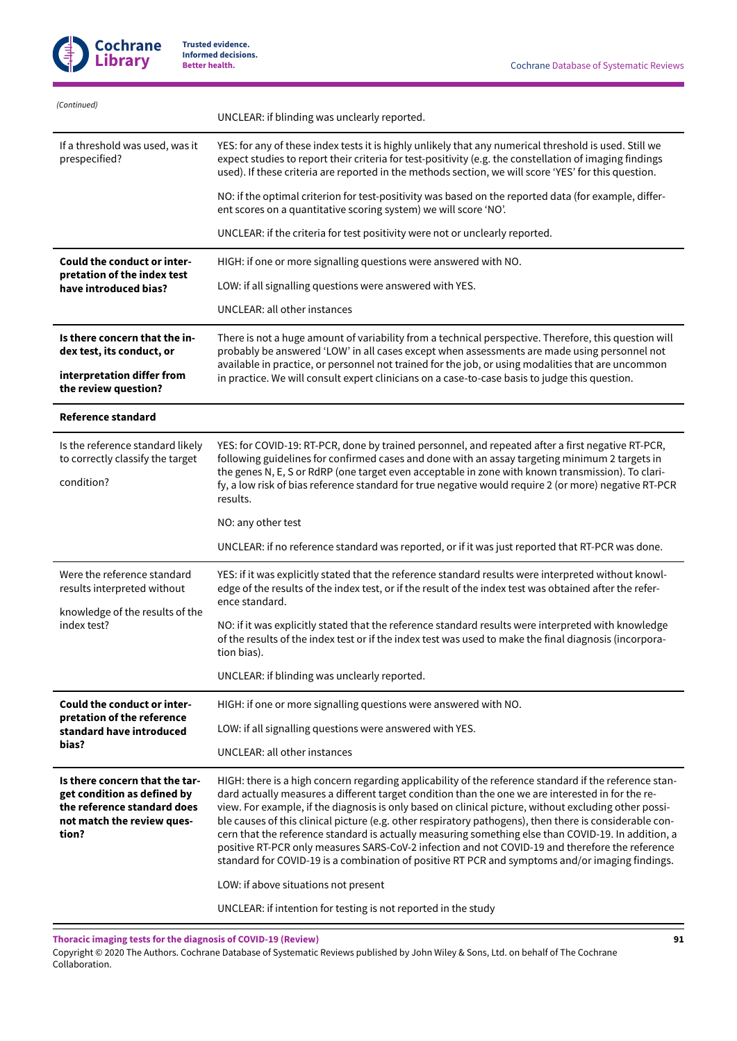

| (Continued)                                                                                                                         | UNCLEAR: if blinding was unclearly reported.                                                                                                                                                                                                                                                                                                                                                                                                                                                                                                                                                                                                                                                                                                 |  |
|-------------------------------------------------------------------------------------------------------------------------------------|----------------------------------------------------------------------------------------------------------------------------------------------------------------------------------------------------------------------------------------------------------------------------------------------------------------------------------------------------------------------------------------------------------------------------------------------------------------------------------------------------------------------------------------------------------------------------------------------------------------------------------------------------------------------------------------------------------------------------------------------|--|
| If a threshold was used, was it<br>prespecified?                                                                                    | YES: for any of these index tests it is highly unlikely that any numerical threshold is used. Still we<br>expect studies to report their criteria for test-positivity (e.g. the constellation of imaging findings<br>used). If these criteria are reported in the methods section, we will score 'YES' for this question.                                                                                                                                                                                                                                                                                                                                                                                                                    |  |
|                                                                                                                                     | NO: if the optimal criterion for test-positivity was based on the reported data (for example, differ-<br>ent scores on a quantitative scoring system) we will score 'NO'.                                                                                                                                                                                                                                                                                                                                                                                                                                                                                                                                                                    |  |
|                                                                                                                                     | UNCLEAR: if the criteria for test positivity were not or unclearly reported.                                                                                                                                                                                                                                                                                                                                                                                                                                                                                                                                                                                                                                                                 |  |
| <b>Could the conduct or inter-</b><br>pretation of the index test<br>have introduced bias?                                          | HIGH: if one or more signalling questions were answered with NO.                                                                                                                                                                                                                                                                                                                                                                                                                                                                                                                                                                                                                                                                             |  |
|                                                                                                                                     | LOW: if all signalling questions were answered with YES.                                                                                                                                                                                                                                                                                                                                                                                                                                                                                                                                                                                                                                                                                     |  |
|                                                                                                                                     | UNCLEAR: all other instances                                                                                                                                                                                                                                                                                                                                                                                                                                                                                                                                                                                                                                                                                                                 |  |
| Is there concern that the in-<br>dex test, its conduct, or                                                                          | There is not a huge amount of variability from a technical perspective. Therefore, this question will<br>probably be answered 'LOW' in all cases except when assessments are made using personnel not                                                                                                                                                                                                                                                                                                                                                                                                                                                                                                                                        |  |
| interpretation differ from<br>the review question?                                                                                  | available in practice, or personnel not trained for the job, or using modalities that are uncommon<br>in practice. We will consult expert clinicians on a case-to-case basis to judge this question.                                                                                                                                                                                                                                                                                                                                                                                                                                                                                                                                         |  |
| <b>Reference standard</b>                                                                                                           |                                                                                                                                                                                                                                                                                                                                                                                                                                                                                                                                                                                                                                                                                                                                              |  |
| Is the reference standard likely<br>to correctly classify the target<br>condition?                                                  | YES: for COVID-19: RT-PCR, done by trained personnel, and repeated after a first negative RT-PCR,<br>following guidelines for confirmed cases and done with an assay targeting minimum 2 targets in<br>the genes N, E, S or RdRP (one target even acceptable in zone with known transmission). To clari-<br>fy, a low risk of bias reference standard for true negative would require 2 (or more) negative RT-PCR<br>results.                                                                                                                                                                                                                                                                                                                |  |
|                                                                                                                                     | NO: any other test                                                                                                                                                                                                                                                                                                                                                                                                                                                                                                                                                                                                                                                                                                                           |  |
|                                                                                                                                     | UNCLEAR: if no reference standard was reported, or if it was just reported that RT-PCR was done.                                                                                                                                                                                                                                                                                                                                                                                                                                                                                                                                                                                                                                             |  |
| Were the reference standard<br>results interpreted without                                                                          | YES: if it was explicitly stated that the reference standard results were interpreted without knowl-<br>edge of the results of the index test, or if the result of the index test was obtained after the refer-<br>ence standard.                                                                                                                                                                                                                                                                                                                                                                                                                                                                                                            |  |
| knowledge of the results of the<br>index test?                                                                                      | NO: if it was explicitly stated that the reference standard results were interpreted with knowledge<br>of the results of the index test or if the index test was used to make the final diagnosis (incorpora-<br>tion bias).                                                                                                                                                                                                                                                                                                                                                                                                                                                                                                                 |  |
|                                                                                                                                     | UNCLEAR: if blinding was unclearly reported.                                                                                                                                                                                                                                                                                                                                                                                                                                                                                                                                                                                                                                                                                                 |  |
| Could the conduct or inter-<br>pretation of the reference                                                                           | HIGH: if one or more signalling questions were answered with NO.                                                                                                                                                                                                                                                                                                                                                                                                                                                                                                                                                                                                                                                                             |  |
| standard have introduced<br>bias?                                                                                                   | LOW: if all signalling questions were answered with YES.                                                                                                                                                                                                                                                                                                                                                                                                                                                                                                                                                                                                                                                                                     |  |
|                                                                                                                                     | UNCLEAR: all other instances                                                                                                                                                                                                                                                                                                                                                                                                                                                                                                                                                                                                                                                                                                                 |  |
| Is there concern that the tar-<br>get condition as defined by<br>the reference standard does<br>not match the review ques-<br>tion? | HIGH: there is a high concern regarding applicability of the reference standard if the reference stan-<br>dard actually measures a different target condition than the one we are interested in for the re-<br>view. For example, if the diagnosis is only based on clinical picture, without excluding other possi-<br>ble causes of this clinical picture (e.g. other respiratory pathogens), then there is considerable con-<br>cern that the reference standard is actually measuring something else than COVID-19. In addition, a<br>positive RT-PCR only measures SARS-CoV-2 infection and not COVID-19 and therefore the reference<br>standard for COVID-19 is a combination of positive RT PCR and symptoms and/or imaging findings. |  |
|                                                                                                                                     | LOW: if above situations not present                                                                                                                                                                                                                                                                                                                                                                                                                                                                                                                                                                                                                                                                                                         |  |
|                                                                                                                                     | UNCLEAR: if intention for testing is not reported in the study                                                                                                                                                                                                                                                                                                                                                                                                                                                                                                                                                                                                                                                                               |  |

**Thoracic imaging tests for the diagnosis of COVID-19 (Review)**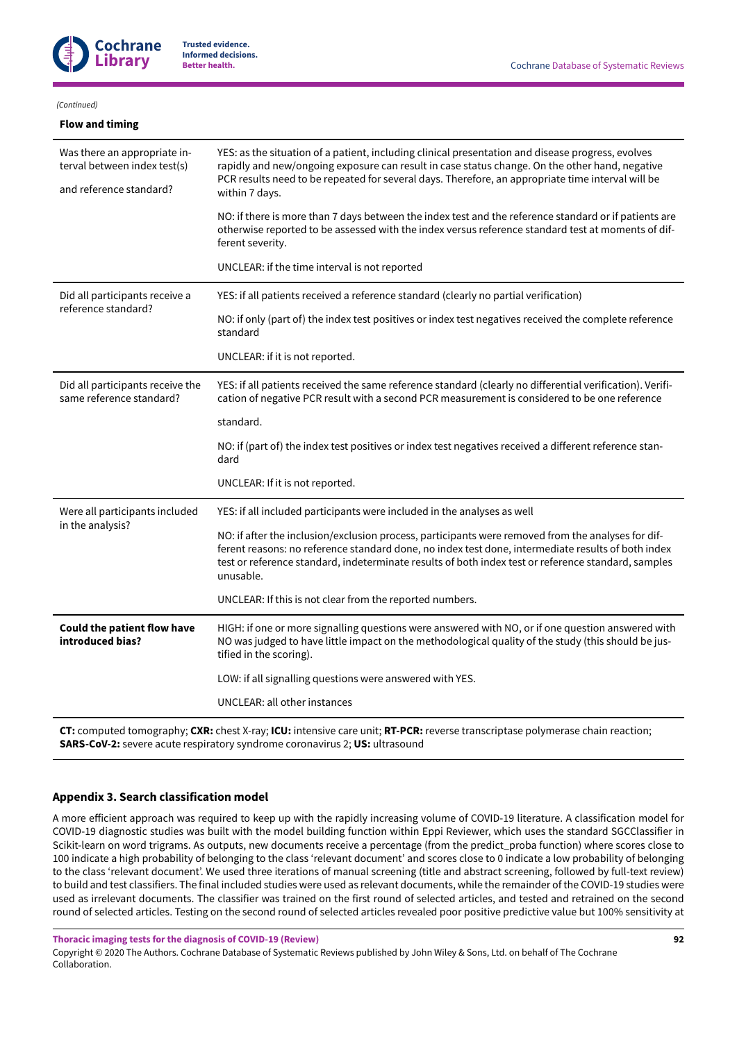## *(Continued)*

| <b>Flow and timing</b>                                       |                                                                                                                                                                                                                                                                                                                              |  |
|--------------------------------------------------------------|------------------------------------------------------------------------------------------------------------------------------------------------------------------------------------------------------------------------------------------------------------------------------------------------------------------------------|--|
| Was there an appropriate in-<br>terval between index test(s) | YES: as the situation of a patient, including clinical presentation and disease progress, evolves<br>rapidly and new/ongoing exposure can result in case status change. On the other hand, negative<br>PCR results need to be repeated for several days. Therefore, an appropriate time interval will be<br>within 7 days.   |  |
| and reference standard?                                      |                                                                                                                                                                                                                                                                                                                              |  |
|                                                              | NO: if there is more than 7 days between the index test and the reference standard or if patients are<br>otherwise reported to be assessed with the index versus reference standard test at moments of dif-<br>ferent severity.                                                                                              |  |
|                                                              | UNCLEAR: if the time interval is not reported                                                                                                                                                                                                                                                                                |  |
| Did all participants receive a<br>reference standard?        | YES: if all patients received a reference standard (clearly no partial verification)                                                                                                                                                                                                                                         |  |
|                                                              | NO: if only (part of) the index test positives or index test negatives received the complete reference<br>standard                                                                                                                                                                                                           |  |
|                                                              | UNCLEAR: if it is not reported.                                                                                                                                                                                                                                                                                              |  |
| Did all participants receive the<br>same reference standard? | YES: if all patients received the same reference standard (clearly no differential verification). Verifi-<br>cation of negative PCR result with a second PCR measurement is considered to be one reference                                                                                                                   |  |
|                                                              | standard.                                                                                                                                                                                                                                                                                                                    |  |
|                                                              | NO: if (part of) the index test positives or index test negatives received a different reference stan-<br>dard                                                                                                                                                                                                               |  |
|                                                              | UNCLEAR: If it is not reported.                                                                                                                                                                                                                                                                                              |  |
| Were all participants included<br>in the analysis?           | YES: if all included participants were included in the analyses as well                                                                                                                                                                                                                                                      |  |
|                                                              | NO: if after the inclusion/exclusion process, participants were removed from the analyses for dif-<br>ferent reasons: no reference standard done, no index test done, intermediate results of both index<br>test or reference standard, indeterminate results of both index test or reference standard, samples<br>unusable. |  |
|                                                              | UNCLEAR: If this is not clear from the reported numbers.                                                                                                                                                                                                                                                                     |  |
| <b>Could the patient flow have</b><br>introduced bias?       | HIGH: if one or more signalling questions were answered with NO, or if one question answered with<br>NO was judged to have little impact on the methodological quality of the study (this should be jus-<br>tified in the scoring).                                                                                          |  |
|                                                              | LOW: if all signalling questions were answered with YES.                                                                                                                                                                                                                                                                     |  |
|                                                              | <b>UNCLEAR: all other instances</b>                                                                                                                                                                                                                                                                                          |  |
|                                                              |                                                                                                                                                                                                                                                                                                                              |  |

**CT:** computed tomography; **CXR:** chest X-ray; **ICU:** intensive care unit; **RT-PCR:** reverse transcriptase polymerase chain reaction; **SARS-CoV-2:** severe acute respiratory syndrome coronavirus 2; **US:** ultrasound

### **Appendix 3.Search classification model**

A more efficient approach was required to keep up with the rapidly increasing volume of COVID-19 literature. A classification model for COVID-19 diagnostic studies was built with the model building function within Eppi Reviewer, which uses the standard SGCClassifier in Scikit-learn on word trigrams. As outputs, new documents receive a percentage (from the predict\_proba function) where scores close to 100 indicate a high probability of belonging to the class 'relevant document' and scores close to 0 indicate a low probability of belonging to the class 'relevant document'. We used three iterations of manual screening (title and abstract screening, followed by full-text review) to build and test classifiers. The final included studies were used as relevant documents, while the remainder of the COVID-19 studies were used as irrelevant documents. The classifier was trained on the first round of selected articles, and tested and retrained on the second round of selected articles. Testing on the second round of selected articles revealed poor positive predictive value but 100% sensitivity at

**Thoracic imaging tests for the diagnosis of COVID-19 (Review)**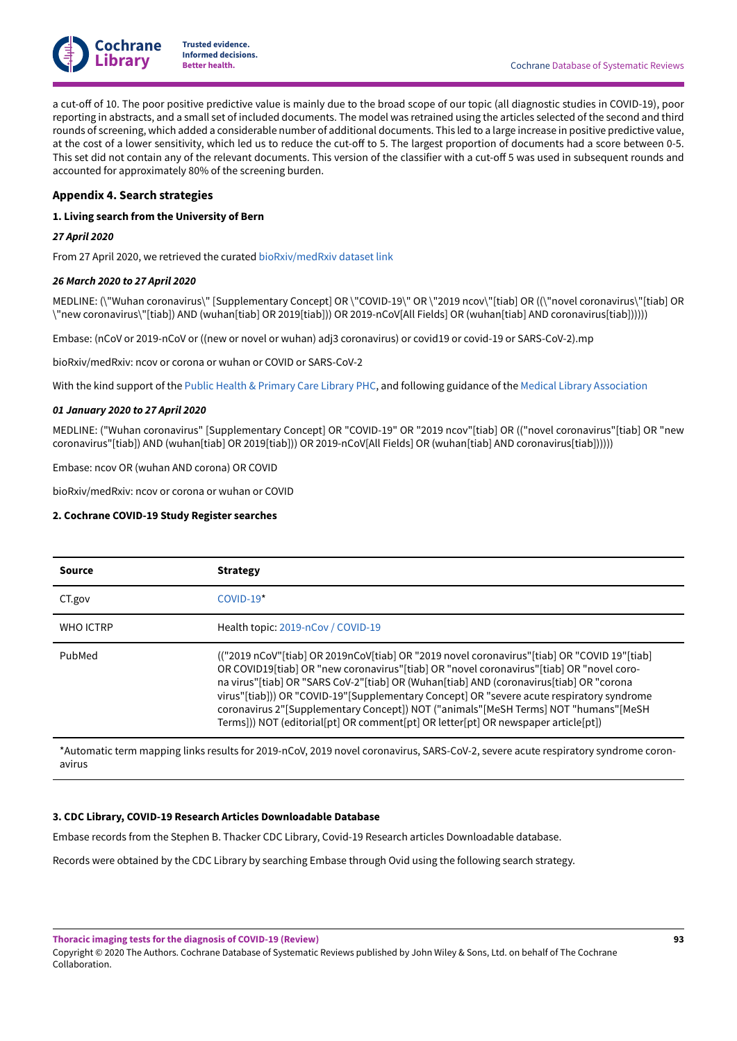

a cut-off of 10. The poor positive predictive value is mainly due to the broad scope of our topic (all diagnostic studies in COVID-19), poor reporting in abstracts, and a small set of included documents. The model was retrained using the articles selected of the second and third rounds of screening, which added a considerable number of additional documents. This led to a large increase in positive predictive value, at the cost of a lower sensitivity, which led us to reduce the cut-off to 5. The largest proportion of documents had a score between 0-5. This set did not contain any of the relevant documents. This version of the classifier with a cut-off 5 was used in subsequent rounds and accounted for approximately 80% of the screening burden.

### **Appendix 4.Search strategies**

#### **1. Living search from the University of Bern**

### *27 April 2020*

From 27 April 2020, we retrieved the curated [bioRxiv/medRxiv](https://connect.medrxiv.org/relate/content/181) dataset link

#### *26 March 2020 to 27 April 2020*

MEDLINE: (\"Wuhan coronavirus\" [Supplementary Concept] OR \"COVID-19\" OR \"2019 ncov\"[tiab] OR ((\"novel coronavirus\"[tiab] OR \"new coronavirus\"[tiab]) AND (wuhan[tiab] OR 2019[tiab])) OR 2019-nCoV[All Fields] OR (wuhan[tiab] AND coronavirus[tiab])))))

Embase: (nCoV or 2019-nCoV or ((new or novel or wuhan) adj3 coronavirus) or covid19 or covid-19 or SARS-CoV-2).mp

bioRxiv/medRxiv: ncov or corona or wuhan or COVID or SARS-CoV-2

With the kind support of the Public Health & [Primary](https://www.unibe.ch/university/services/university_library/faculty_libraries/medicine/public_health_amp_primary_care_library_phc/index_eng.html) Care Library PHC, and following guidance of the Medical Library [Association](https://www.mlanet.org/p/cm/ld/fid=1713)

#### *01 January 2020 to 27 April 2020*

MEDLINE: ("Wuhan coronavirus" [Supplementary Concept] OR "COVID-19" OR "2019 ncov"[tiab] OR (("novel coronavirus"[tiab] OR "new coronavirus"[tiab]) AND (wuhan[tiab] OR 2019[tiab])) OR 2019-nCoV[All Fields] OR (wuhan[tiab] AND coronavirus[tiab]))))

Embase: ncov OR (wuhan AND corona) OR COVID

bioRxiv/medRxiv: ncov or corona or wuhan or COVID

#### **2. Cochrane COVID-19 Study Register searches**

| <b>Source</b> | <b>Strategy</b>                                                                                                                                                                                                                                                                                                                                                                                                                                                                                                                                             |  |
|---------------|-------------------------------------------------------------------------------------------------------------------------------------------------------------------------------------------------------------------------------------------------------------------------------------------------------------------------------------------------------------------------------------------------------------------------------------------------------------------------------------------------------------------------------------------------------------|--|
| CT.gov        | $COVID-19*$                                                                                                                                                                                                                                                                                                                                                                                                                                                                                                                                                 |  |
| WHO ICTRP     | Health topic: 2019-nCov / COVID-19                                                                                                                                                                                                                                                                                                                                                                                                                                                                                                                          |  |
| PubMed        | ("2019 nCoV"[tiab] OR 2019nCoV[tiab] OR "2019 novel coronavirus"[tiab] OR "COVID 19"[tiab]<br>OR COVID19[tiab] OR "new coronavirus"[tiab] OR "novel coronavirus"[tiab] OR "novel coro-<br>na virus"[tiab] OR "SARS CoV-2"[tiab] OR (Wuhan[tiab] AND (coronavirus[tiab] OR "corona<br>virus"[tiab])) OR "COVID-19"[Supplementary Concept] OR "severe acute respiratory syndrome<br>coronavirus 2"[Supplementary Concept]) NOT ("animals"[MeSH Terms] NOT "humans"[MeSH<br>Terms])) NOT (editorial[pt] OR comment[pt] OR letter[pt] OR newspaper article[pt]) |  |

\*Automatic term mapping links results for 2019-nCoV, 2019 novel coronavirus, SARS-CoV-2, severe acute respiratory syndrome coronavirus

### **3. CDC Library, COVID-19 Research Articles Downloadable Database**

Embase records from the Stephen B. Thacker CDC Library, Covid-19 Research articles Downloadable database.

Records were obtained by the CDC Library by searching Embase through Ovid using the following search strategy.

**Thoracic imaging tests for the diagnosis of COVID-19 (Review)**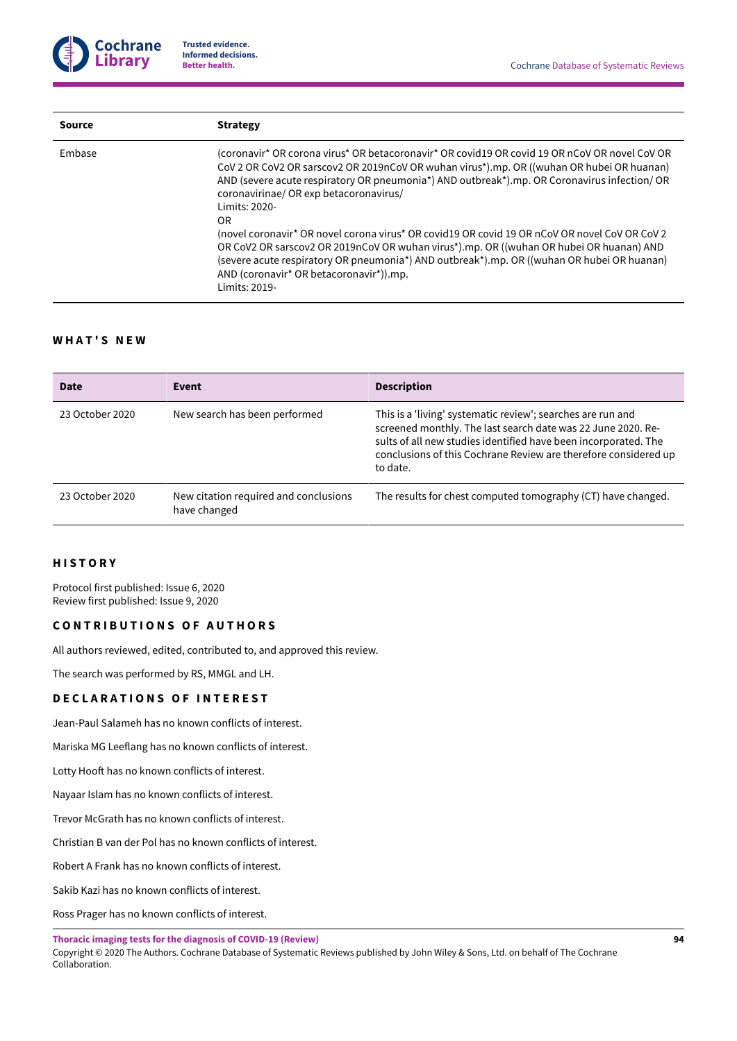

| <b>Source</b> | <b>Strategy</b>                                                                                                                                                                                                                                                                                                                                                                                                                                                                                                                                                                                                                                                                                                    |
|---------------|--------------------------------------------------------------------------------------------------------------------------------------------------------------------------------------------------------------------------------------------------------------------------------------------------------------------------------------------------------------------------------------------------------------------------------------------------------------------------------------------------------------------------------------------------------------------------------------------------------------------------------------------------------------------------------------------------------------------|
| Embase        | (coronavir* OR corona virus* OR betacoronavir* OR covid19 OR covid 19 OR nCoV OR novel CoV OR<br>CoV 2 OR CoV2 OR sarscov2 OR 2019nCoV OR wuhan virus*).mp. OR ((wuhan OR hubei OR huanan)<br>AND (severe acute respiratory OR pneumonia*) AND outbreak*).mp. OR Coronavirus infection/ OR<br>coronavirinae/ OR exp betacoronavirus/<br>Limits: 2020-<br>OR.<br>(novel coronavir* OR novel corona virus* OR covid19 OR covid 19 OR nCoV OR novel CoV OR CoV 2<br>OR CoV2 OR sarscov2 OR 2019nCoV OR wuhan virus*).mp. OR ((wuhan OR hubei OR huanan) AND<br>(severe acute respiratory OR pneumonia*) AND outbreak*).mp. OR ((wuhan OR hubei OR huanan)<br>AND (coronavir* OR betacoronavir*)).mp.<br>Limits: 2019- |
|               |                                                                                                                                                                                                                                                                                                                                                                                                                                                                                                                                                                                                                                                                                                                    |

### **W H A T ' S N E W**

| <b>Date</b>     | Event                                                 | <b>Description</b>                                                                                                                                                                                                                                                            |
|-----------------|-------------------------------------------------------|-------------------------------------------------------------------------------------------------------------------------------------------------------------------------------------------------------------------------------------------------------------------------------|
| 23 October 2020 | New search has been performed                         | This is a 'living' systematic review'; searches are run and<br>screened monthly. The last search date was 22 June 2020. Re-<br>sults of all new studies identified have been incorporated. The<br>conclusions of this Cochrane Review are therefore considered up<br>to date. |
| 23 October 2020 | New citation required and conclusions<br>have changed | The results for chest computed tomography (CT) have changed.                                                                                                                                                                                                                  |

# **H I S T O R Y**

Protocol first published: Issue 6, 2020 Review first published: Issue 9, 2020

# **C O N T R I B U T I O N S O F A U T H O R S**

All authors reviewed, edited, contributed to, and approved this review.

The search was performed by RS, MMGL and LH.

# **D E C L A R A T I O N S O F I N T E R E S T**

Jean-Paul Salameh has no known conflicts of interest.

Mariska MG Leeflang has no known conflicts of interest.

Lotty Hooft has no known conflicts of interest.

Nayaar Islam has no known conflicts of interest.

Trevor McGrath has no known conflicts of interest.

Christian B van der Pol has no known conflicts of interest.

Robert A Frank has no known conflicts of interest.

Sakib Kazi has no known conflicts of interest.

Ross Prager has no known conflicts of interest.

**Thoracic imaging tests for the diagnosis of COVID-19 (Review)**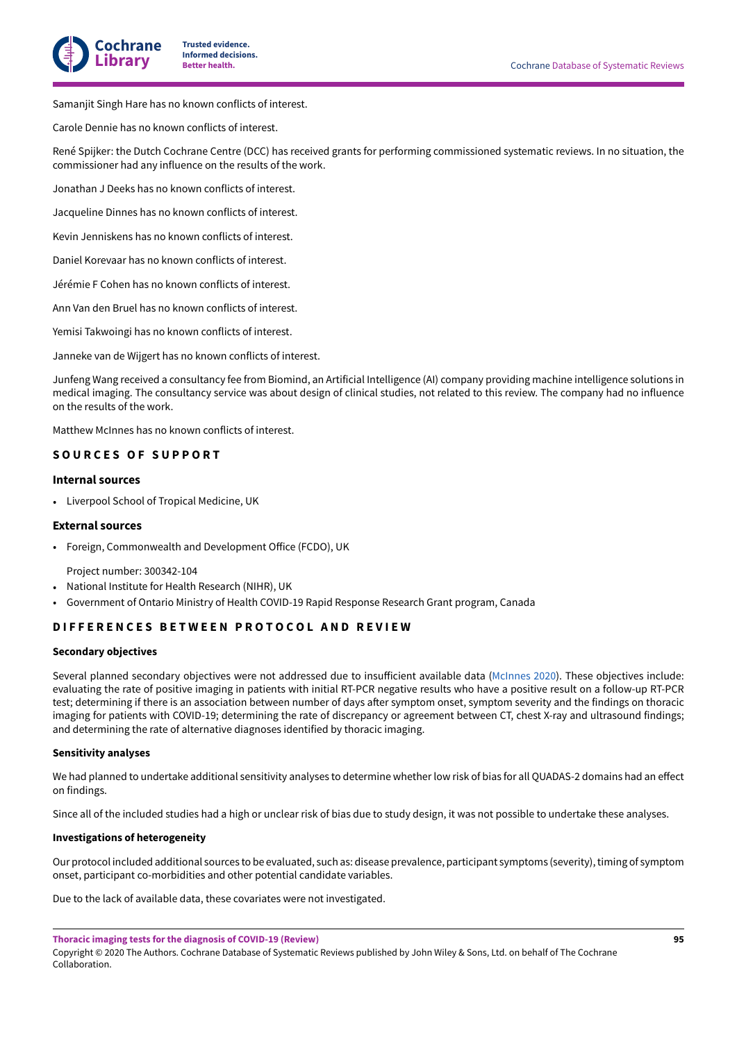

Samanjit Singh Hare has no known conflicts of interest.

Carole Dennie has no known conflicts of interest.

René Spijker: the Dutch Cochrane Centre (DCC) has received grants for performing commissioned systematic reviews. In no situation, the commissioner had any influence on the results of the work.

Jonathan J Deeks has no known conflicts of interest.

Jacqueline Dinnes has no known conflicts of interest.

Kevin Jenniskens has no known conflicts of interest.

Daniel Korevaar has no known conflicts of interest.

Jérémie F Cohen has no known conflicts of interest.

Ann Van den Bruel has no known conflicts of interest.

Yemisi Takwoingi has no known conflicts of interest.

Janneke van de Wijgert has no known conflicts of interest.

Junfeng Wang received a consultancy fee from Biomind, an Artificial Intelligence (AI) company providing machine intelligence solutions in medical imaging. The consultancy service was about design of clinical studies, not related to this review. The company had no influence on the results of the work.

Matthew McInnes has no known conflicts of interest.

# **S O U R C E S O F S U P P O R T**

### **Internal sources**

• Liverpool School of Tropical Medicine, UK

### **External sources**

• Foreign, Commonwealth and Development Office (FCDO), UK

Project number: 300342-104

- National Institute for Health Research (NIHR), UK
- Government of Ontario Ministry of Health COVID-19 Rapid Response Research Grant program, Canada

# **DIFFERENCES BETWEEN PROTOCOL AND REVIEW**

#### **Secondary objectives**

Several planned secondary objectives were not addressed due to insufficient available data ([McInnes 2020](#page-28-0)). These objectives include: evaluating the rate of positive imaging in patients with initial RT-PCR negative results who have a positive result on a follow-up RT-PCR test; determining if there is an association between number of days after symptom onset, symptom severity and the findings on thoracic imaging for patients with COVID-19; determining the rate of discrepancy or agreement between CT, chest X-ray and ultrasound findings; and determining the rate of alternative diagnoses identified by thoracic imaging.

### **Sensitivity analyses**

We had planned to undertake additional sensitivity analyses to determine whether low risk of bias for all QUADAS-2 domains had an effect on findings.

Since all of the included studies had a high or unclear risk of bias due to study design, it was not possible to undertake these analyses.

#### **Investigations of heterogeneity**

Our protocol included additional sources to be evaluated, such as: disease prevalence, participant symptoms (severity), timing of symptom onset, participant co-morbidities and other potential candidate variables.

Due to the lack of available data, these covariates were not investigated.

**Thoracic imaging tests for the diagnosis of COVID-19 (Review)**